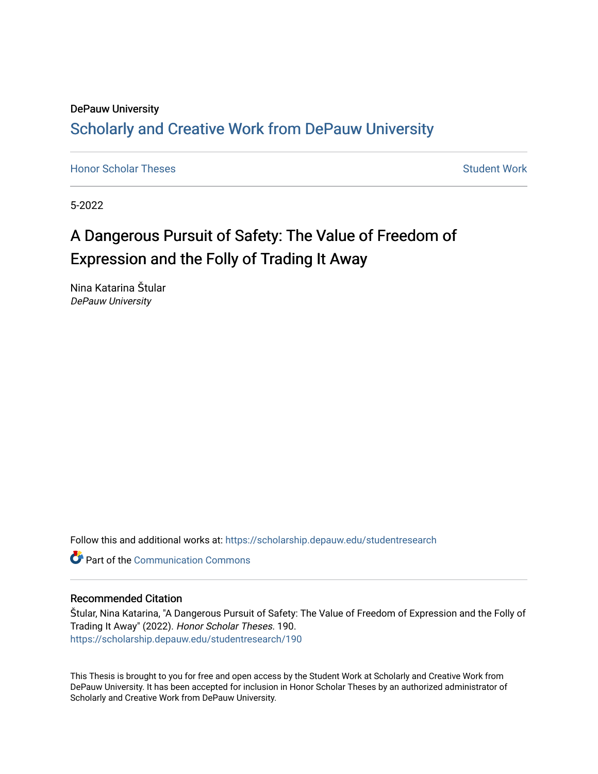## DePauw University Scholarly and [Creative Work from DePauw Univ](https://scholarship.depauw.edu/)ersity

**[Honor Scholar Theses](https://scholarship.depauw.edu/studentresearch) [Student Work](https://scholarship.depauw.edu/studentwork) Student Work Student Work** 

5-2022

# A Dangerous Pursuit of Safety: The Value of Freedom of Expression and the Folly of Trading It Away

Nina Katarina Štular DePauw University

Follow this and additional works at: [https://scholarship.depauw.edu/studentresearch](https://scholarship.depauw.edu/studentresearch?utm_source=scholarship.depauw.edu%2Fstudentresearch%2F190&utm_medium=PDF&utm_campaign=PDFCoverPages)

**C** Part of the Communication Commons

#### Recommended Citation

Štular, Nina Katarina, "A Dangerous Pursuit of Safety: The Value of Freedom of Expression and the Folly of Trading It Away" (2022). Honor Scholar Theses. 190. [https://scholarship.depauw.edu/studentresearch/190](https://scholarship.depauw.edu/studentresearch/190?utm_source=scholarship.depauw.edu%2Fstudentresearch%2F190&utm_medium=PDF&utm_campaign=PDFCoverPages)

This Thesis is brought to you for free and open access by the Student Work at Scholarly and Creative Work from DePauw University. It has been accepted for inclusion in Honor Scholar Theses by an authorized administrator of Scholarly and Creative Work from DePauw University.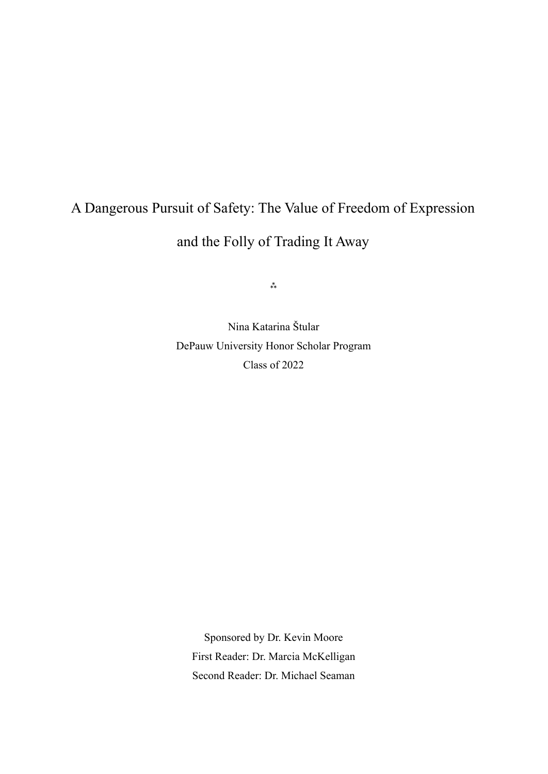# A Dangerous Pursuit of Safety: The Value of Freedom of Expression and the Folly of Trading It Away

 $**$ 

Nina Katarina Štular DePauw University Honor Scholar Program Class of 2022

Sponsored by Dr. Kevin Moore First Reader: Dr. Marcia McKelligan Second Reader: Dr. Michael Seaman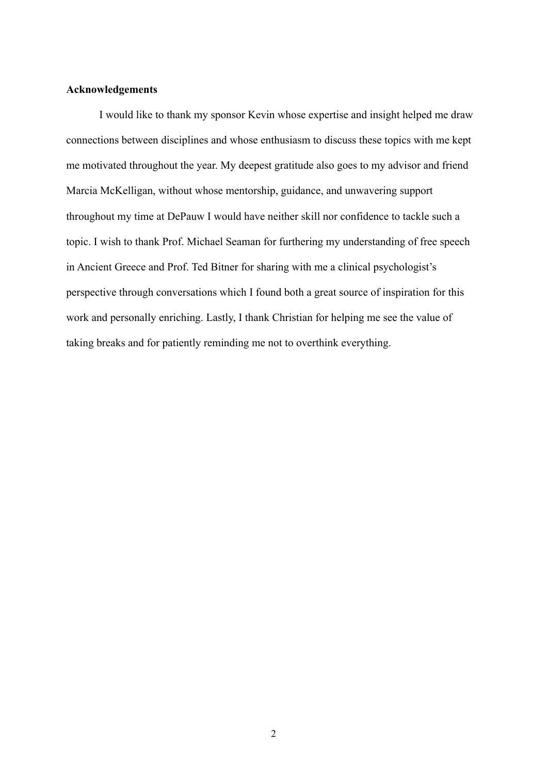### **Acknowledgements**

I would like to thank my sponsor Kevin whose expertise and insight helped me draw connections between disciplines and whose enthusiasm to discuss these topics with me kept me motivated throughout the year. My deepest gratitude also goes to my advisor and friend Marcia McKelligan, without whose mentorship, guidance, and unwavering support throughout my time at DePauw I would have neither skill nor confidence to tackle such a topic. I wish to thank Prof. Michael Seaman for furthering my understanding of free speech in Ancient Greece and Prof. Ted Bitner for sharing with me a clinical psychologist's perspective through conversations which I found both a great source of inspiration for this work and personally enriching. Lastly, I thank Christian for helping me see the value of taking breaks and for patiently reminding me not to overthink everything.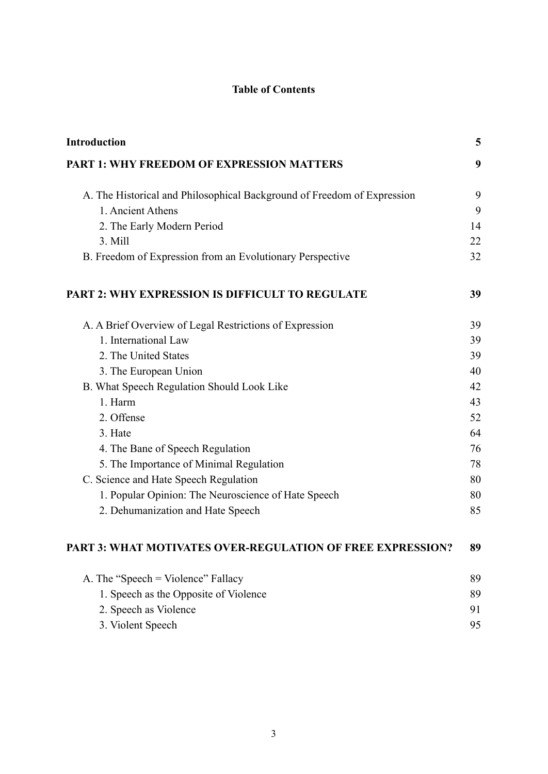## **Table of Contents**

| Introduction                                                            | 5  |
|-------------------------------------------------------------------------|----|
| <b>PART 1: WHY FREEDOM OF EXPRESSION MATTERS</b>                        | 9  |
| A. The Historical and Philosophical Background of Freedom of Expression | 9  |
| 1. Ancient Athens                                                       | 9  |
| 2. The Early Modern Period                                              | 14 |
| 3. Mill                                                                 | 22 |
| B. Freedom of Expression from an Evolutionary Perspective               | 32 |
| <b>PART 2: WHY EXPRESSION IS DIFFICULT TO REGULATE</b>                  | 39 |
| A. A Brief Overview of Legal Restrictions of Expression                 | 39 |
| 1. International Law                                                    | 39 |
| 2. The United States                                                    | 39 |
| 3. The European Union                                                   | 40 |
| B. What Speech Regulation Should Look Like                              | 42 |
| 1. Harm                                                                 | 43 |
| 2. Offense                                                              | 52 |
| 3. Hate                                                                 | 64 |
| 4. The Bane of Speech Regulation                                        | 76 |
| 5. The Importance of Minimal Regulation                                 | 78 |
| C. Science and Hate Speech Regulation                                   | 80 |
| 1. Popular Opinion: The Neuroscience of Hate Speech                     | 80 |
| 2. Dehumanization and Hate Speech                                       | 85 |
| PART 3: WHAT MOTIVATES OVER-REGULATION OF FREE EXPRESSION?              | 89 |
| A. The "Speech = Violence" Fallacy                                      | 89 |
| 1. Speech as the Opposite of Violence                                   | 89 |
| 2. Speech as Violence                                                   | 91 |
| 3. Violent Speech                                                       | 95 |
|                                                                         |    |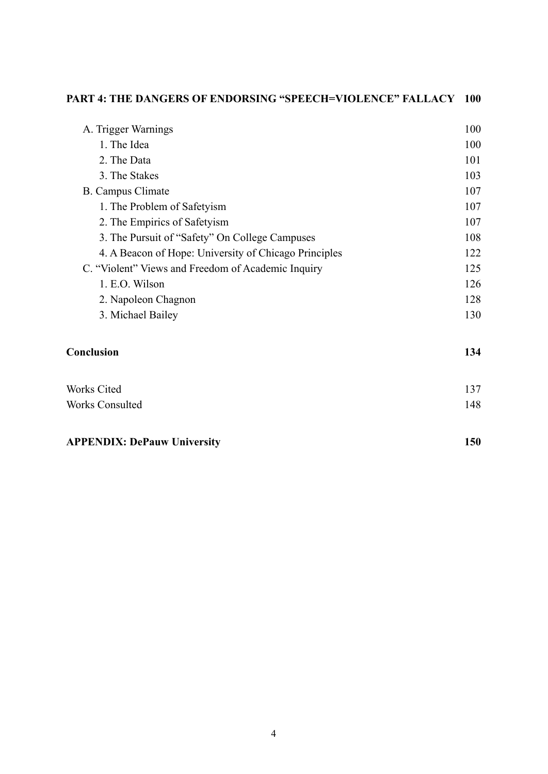| <b>PART 4: THE DANGERS OF ENDORSING "SPEECH=VIOLENCE" FALLACY 100</b> |     |
|-----------------------------------------------------------------------|-----|
| A. Trigger Warnings                                                   | 100 |
| 1. The Idea                                                           | 100 |
| 2. The Data                                                           | 101 |
| 3. The Stakes                                                         | 103 |
| <b>B.</b> Campus Climate                                              | 107 |
| 1. The Problem of Safetyism                                           | 107 |
| 2. The Empirics of Safetyism                                          | 107 |
| 3. The Pursuit of "Safety" On College Campuses                        | 108 |
| 4. A Beacon of Hope: University of Chicago Principles                 | 122 |
| C. "Violent" Views and Freedom of Academic Inquiry                    | 125 |
| 1. E.O. Wilson                                                        | 126 |
| 2. Napoleon Chagnon                                                   | 128 |
| 3. Michael Bailey                                                     | 130 |
| Conclusion                                                            | 134 |
| <b>Works Cited</b>                                                    | 137 |
| <b>Works Consulted</b>                                                | 148 |
| <b>APPENDIX: DePauw University</b>                                    | 150 |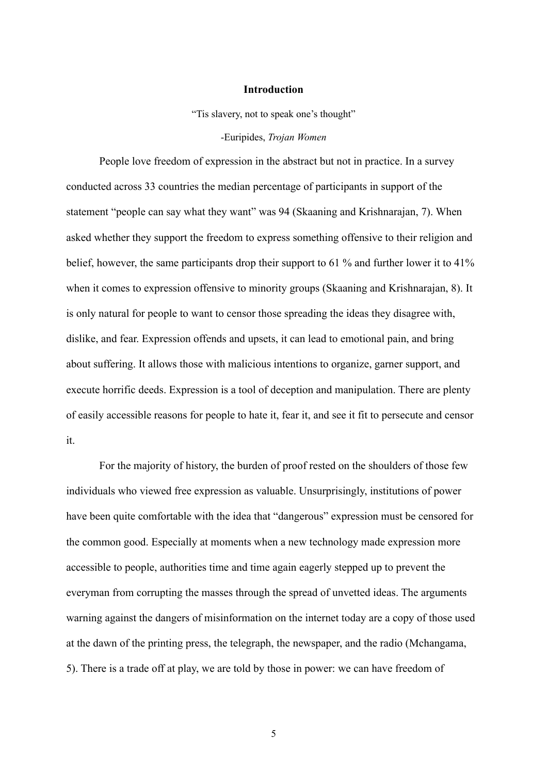#### **Introduction**

"Tis slavery, not to speak one's thought"

-Euripides, *Trojan Women*

<span id="page-5-0"></span>People love freedom of expression in the abstract but not in practice. In a survey conducted across 33 countries the median percentage of participants in support of the statement "people can say what they want" was 94 (Skaaning and Krishnarajan, 7). When asked whether they support the freedom to express something offensive to their religion and belief, however, the same participants drop their support to 61 % and further lower it to 41% when it comes to expression offensive to minority groups (Skaaning and Krishnarajan, 8). It is only natural for people to want to censor those spreading the ideas they disagree with, dislike, and fear. Expression offends and upsets, it can lead to emotional pain, and bring about suffering. It allows those with malicious intentions to organize, garner support, and execute horrific deeds. Expression is a tool of deception and manipulation. There are plenty of easily accessible reasons for people to hate it, fear it, and see it fit to persecute and censor it.

For the majority of history, the burden of proof rested on the shoulders of those few individuals who viewed free expression as valuable. Unsurprisingly, institutions of power have been quite comfortable with the idea that "dangerous" expression must be censored for the common good. Especially at moments when a new technology made expression more accessible to people, authorities time and time again eagerly stepped up to prevent the everyman from corrupting the masses through the spread of unvetted ideas. The arguments warning against the dangers of misinformation on the internet today are a copy of those used at the dawn of the printing press, the telegraph, the newspaper, and the radio (Mchangama, 5). There is a trade off at play, we are told by those in power: we can have freedom of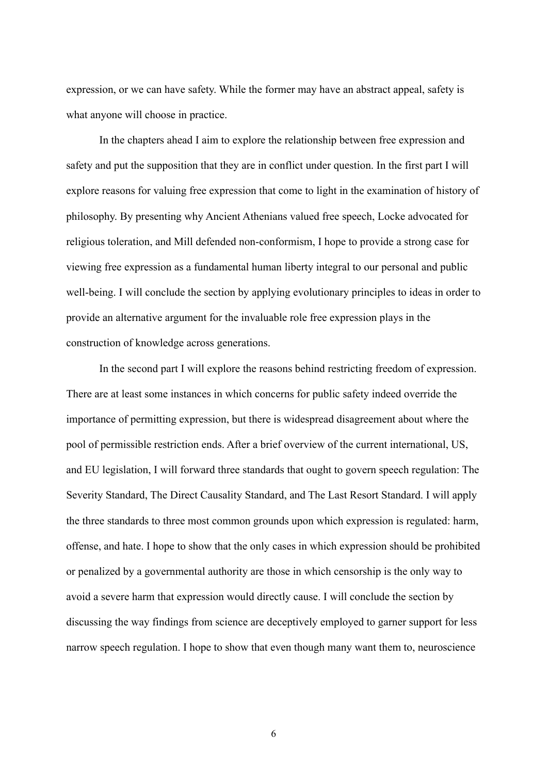expression, or we can have safety. While the former may have an abstract appeal, safety is what anyone will choose in practice.

In the chapters ahead I aim to explore the relationship between free expression and safety and put the supposition that they are in conflict under question. In the first part I will explore reasons for valuing free expression that come to light in the examination of history of philosophy. By presenting why Ancient Athenians valued free speech, Locke advocated for religious toleration, and Mill defended non-conformism, I hope to provide a strong case for viewing free expression as a fundamental human liberty integral to our personal and public well-being. I will conclude the section by applying evolutionary principles to ideas in order to provide an alternative argument for the invaluable role free expression plays in the construction of knowledge across generations.

In the second part I will explore the reasons behind restricting freedom of expression. There are at least some instances in which concerns for public safety indeed override the importance of permitting expression, but there is widespread disagreement about where the pool of permissible restriction ends. After a brief overview of the current international, US, and EU legislation, I will forward three standards that ought to govern speech regulation: The Severity Standard, The Direct Causality Standard, and The Last Resort Standard. I will apply the three standards to three most common grounds upon which expression is regulated: harm, offense, and hate. I hope to show that the only cases in which expression should be prohibited or penalized by a governmental authority are those in which censorship is the only way to avoid a severe harm that expression would directly cause. I will conclude the section by discussing the way findings from science are deceptively employed to garner support for less narrow speech regulation. I hope to show that even though many want them to, neuroscience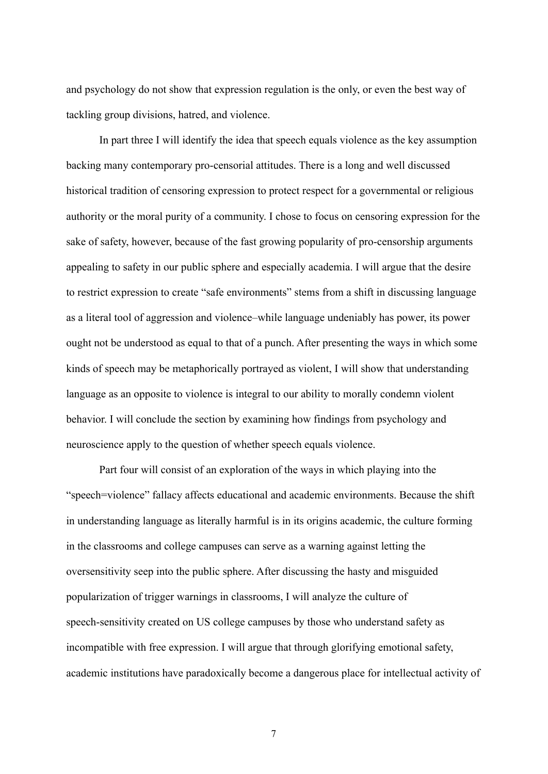and psychology do not show that expression regulation is the only, or even the best way of tackling group divisions, hatred, and violence.

In part three I will identify the idea that speech equals violence as the key assumption backing many contemporary pro-censorial attitudes. There is a long and well discussed historical tradition of censoring expression to protect respect for a governmental or religious authority or the moral purity of a community. I chose to focus on censoring expression for the sake of safety, however, because of the fast growing popularity of pro-censorship arguments appealing to safety in our public sphere and especially academia. I will argue that the desire to restrict expression to create "safe environments" stems from a shift in discussing language as a literal tool of aggression and violence–while language undeniably has power, its power ought not be understood as equal to that of a punch. After presenting the ways in which some kinds of speech may be metaphorically portrayed as violent, I will show that understanding language as an opposite to violence is integral to our ability to morally condemn violent behavior. I will conclude the section by examining how findings from psychology and neuroscience apply to the question of whether speech equals violence.

Part four will consist of an exploration of the ways in which playing into the "speech=violence" fallacy affects educational and academic environments. Because the shift in understanding language as literally harmful is in its origins academic, the culture forming in the classrooms and college campuses can serve as a warning against letting the oversensitivity seep into the public sphere. After discussing the hasty and misguided popularization of trigger warnings in classrooms, I will analyze the culture of speech-sensitivity created on US college campuses by those who understand safety as incompatible with free expression. I will argue that through glorifying emotional safety, academic institutions have paradoxically become a dangerous place for intellectual activity of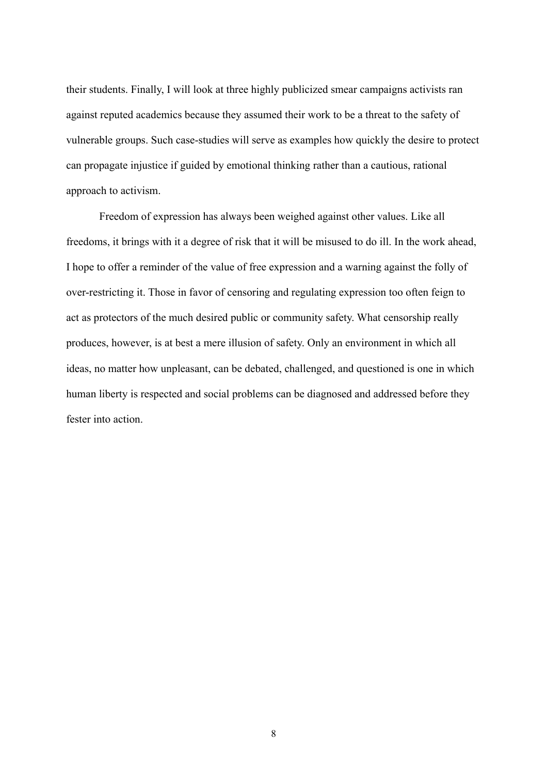their students. Finally, I will look at three highly publicized smear campaigns activists ran against reputed academics because they assumed their work to be a threat to the safety of vulnerable groups. Such case-studies will serve as examples how quickly the desire to protect can propagate injustice if guided by emotional thinking rather than a cautious, rational approach to activism.

Freedom of expression has always been weighed against other values. Like all freedoms, it brings with it a degree of risk that it will be misused to do ill. In the work ahead, I hope to offer a reminder of the value of free expression and a warning against the folly of over-restricting it. Those in favor of censoring and regulating expression too often feign to act as protectors of the much desired public or community safety. What censorship really produces, however, is at best a mere illusion of safety. Only an environment in which all ideas, no matter how unpleasant, can be debated, challenged, and questioned is one in which human liberty is respected and social problems can be diagnosed and addressed before they fester into action.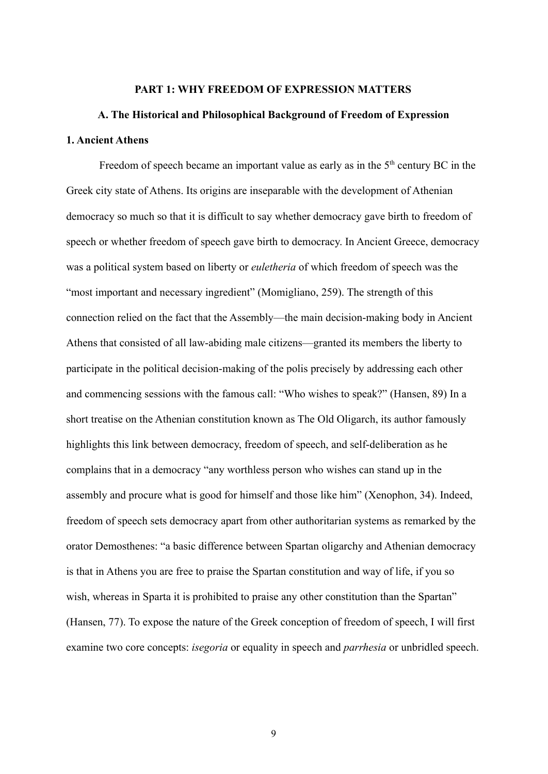#### **PART 1: WHY FREEDOM OF EXPRESSION MATTERS**

# <span id="page-9-2"></span><span id="page-9-1"></span><span id="page-9-0"></span>**A. The Historical and Philosophical Background of Freedom of Expression 1. Ancient Athens**

Freedom of speech became an important value as early as in the  $5<sup>th</sup>$  century BC in the Greek city state of Athens. Its origins are inseparable with the development of Athenian democracy so much so that it is difficult to say whether democracy gave birth to freedom of speech or whether freedom of speech gave birth to democracy. In Ancient Greece, democracy was a political system based on liberty or *euletheria* of which freedom of speech was the "most important and necessary ingredient" (Momigliano, 259). The strength of this connection relied on the fact that the Assembly—the main decision-making body in Ancient Athens that consisted of all law-abiding male citizens—granted its members the liberty to participate in the political decision-making of the polis precisely by addressing each other and commencing sessions with the famous call: "Who wishes to speak?" (Hansen, 89) In a short treatise on the Athenian constitution known as The Old Oligarch, its author famously highlights this link between democracy, freedom of speech, and self-deliberation as he complains that in a democracy "any worthless person who wishes can stand up in the assembly and procure what is good for himself and those like him" (Xenophon, 34). Indeed, freedom of speech sets democracy apart from other authoritarian systems as remarked by the orator Demosthenes: "a basic difference between Spartan oligarchy and Athenian democracy is that in Athens you are free to praise the Spartan constitution and way of life, if you so wish, whereas in Sparta it is prohibited to praise any other constitution than the Spartan" (Hansen, 77). To expose the nature of the Greek conception of freedom of speech, I will first examine two core concepts: *isegoria* or equality in speech and *parrhesia* or unbridled speech.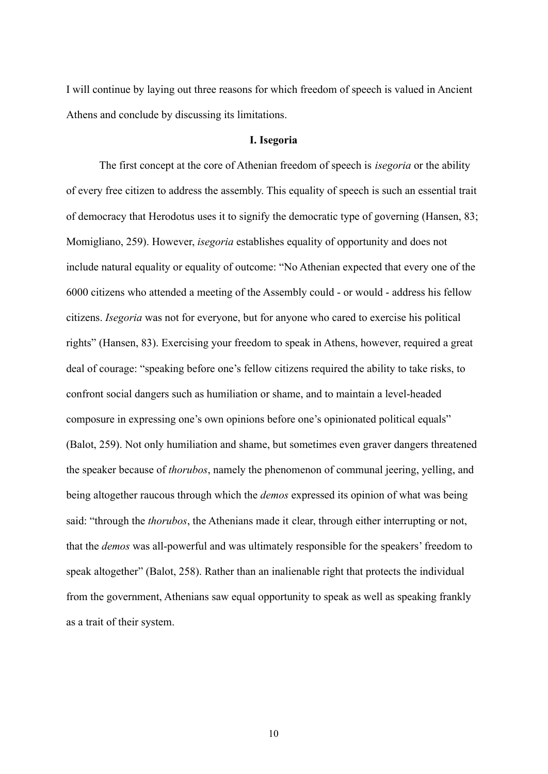I will continue by laying out three reasons for which freedom of speech is valued in Ancient Athens and conclude by discussing its limitations.

#### **I. Isegoria**

The first concept at the core of Athenian freedom of speech is *isegoria* or the ability of every free citizen to address the assembly. This equality of speech is such an essential trait of democracy that Herodotus uses it to signify the democratic type of governing (Hansen, 83; Momigliano, 259). However, *isegoria* establishes equality of opportunity and does not include natural equality or equality of outcome: "No Athenian expected that every one of the 6000 citizens who attended a meeting of the Assembly could - or would - address his fellow citizens. *Isegoria* was not for everyone, but for anyone who cared to exercise his political rights" (Hansen, 83). Exercising your freedom to speak in Athens, however, required a great deal of courage: "speaking before one's fellow citizens required the ability to take risks, to confront social dangers such as humiliation or shame, and to maintain a level-headed composure in expressing one's own opinions before one's opinionated political equals" (Balot, 259). Not only humiliation and shame, but sometimes even graver dangers threatened the speaker because of *thorubos*, namely the phenomenon of communal jeering, yelling, and being altogether raucous through which the *demos* expressed its opinion of what was being said: "through the *thorubos*, the Athenians made it clear, through either interrupting or not, that the *demos* was all-powerful and was ultimately responsible for the speakers' freedom to speak altogether" (Balot, 258). Rather than an inalienable right that protects the individual from the government, Athenians saw equal opportunity to speak as well as speaking frankly as a trait of their system.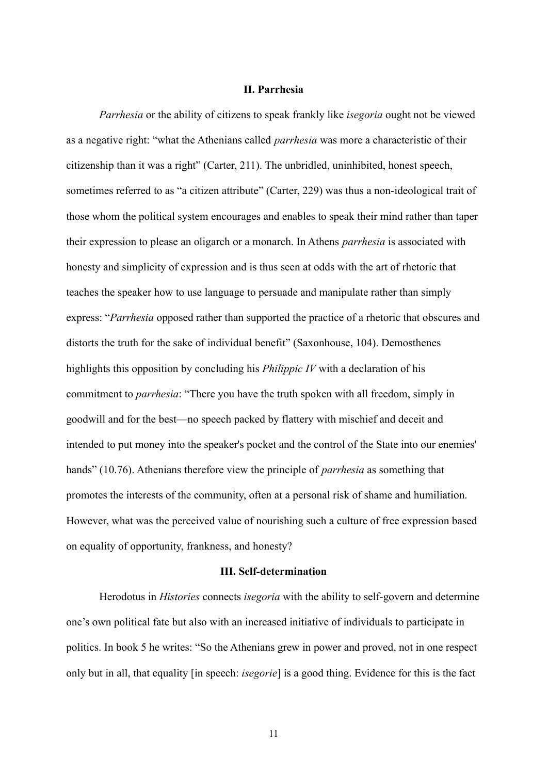#### **II. Parrhesia**

*Parrhesia* or the ability of citizens to speak frankly like *isegoria* ought not be viewed as a negative right: "what the Athenians called *parrhesia* was more a characteristic of their citizenship than it was a right" (Carter, 211). The unbridled, uninhibited, honest speech, sometimes referred to as "a citizen attribute" (Carter, 229) was thus a non-ideological trait of those whom the political system encourages and enables to speak their mind rather than taper their expression to please an oligarch or a monarch. In Athens *parrhesia* is associated with honesty and simplicity of expression and is thus seen at odds with the art of rhetoric that teaches the speaker how to use language to persuade and manipulate rather than simply express: "*Parrhesia* opposed rather than supported the practice of a rhetoric that obscures and distorts the truth for the sake of individual benefit" (Saxonhouse, 104). Demosthenes highlights this opposition by concluding his *Philippic IV* with a declaration of his commitment to *parrhesia*: "There you have the truth spoken with all freedom, simply in goodwill and for the best—no speech packed by flattery with mischief and deceit and intended to put money into the speaker's pocket and the control of the State into our enemies' hands" (10.76). Athenians therefore view the principle of *parrhesia* as something that promotes the interests of the community, often at a personal risk of shame and humiliation. However, what was the perceived value of nourishing such a culture of free expression based on equality of opportunity, frankness, and honesty?

#### **III. Self-determination**

Herodotus in *Histories* connects *isegoria* with the ability to self-govern and determine one's own political fate but also with an increased initiative of individuals to participate in politics. In book 5 he writes: "So the Athenians grew in power and proved, not in one respect only but in all, that equality [in speech: *isegorie*] is a good thing. Evidence for this is the fact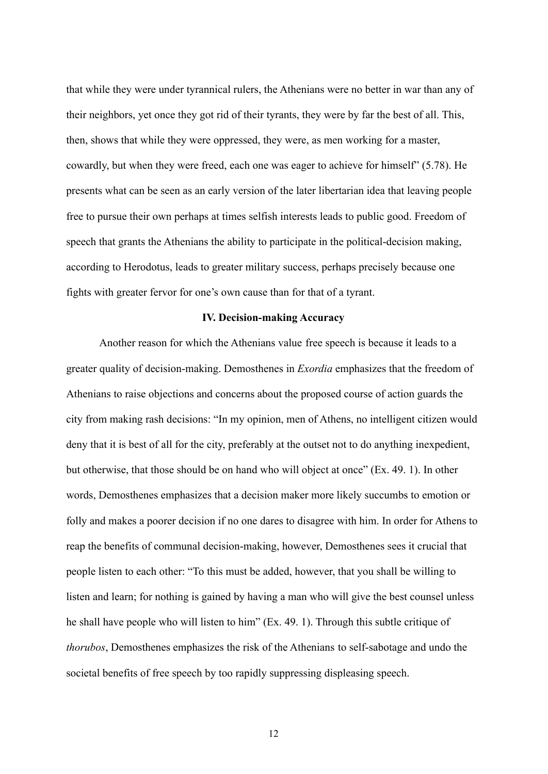that while they were under tyrannical rulers, the Athenians were no better in war than any of their neighbors, yet once they got rid of their tyrants, they were by far the best of all. This, then, shows that while they were oppressed, they were, as men working for a master, cowardly, but when they were freed, each one was eager to achieve for himself" (5.78). He presents what can be seen as an early version of the later libertarian idea that leaving people free to pursue their own perhaps at times selfish interests leads to public good. Freedom of speech that grants the Athenians the ability to participate in the political-decision making, according to Herodotus, leads to greater military success, perhaps precisely because one fights with greater fervor for one's own cause than for that of a tyrant.

#### **IV. Decision-making Accuracy**

Another reason for which the Athenians value free speech is because it leads to a greater quality of decision-making. Demosthenes in *Exordia* emphasizes that the freedom of Athenians to raise objections and concerns about the proposed course of action guards the city from making rash decisions: "In my opinion, men of Athens, no intelligent citizen would deny that it is best of all for the city, preferably at the outset not to do anything inexpedient, but otherwise, that those should be on hand who will object at once" (Ex. 49. 1). In other words, Demosthenes emphasizes that a decision maker more likely succumbs to emotion or folly and makes a poorer decision if no one dares to disagree with him. In order for Athens to reap the benefits of communal decision-making, however, Demosthenes sees it crucial that people listen to each other: "To this must be added, however, that you shall be willing to listen and learn; for nothing is gained by having a man who will give the best counsel unless he shall have people who will listen to him" (Ex. 49. 1). Through this subtle critique of *thorubos*, Demosthenes emphasizes the risk of the Athenians to self-sabotage and undo the societal benefits of free speech by too rapidly suppressing displeasing speech.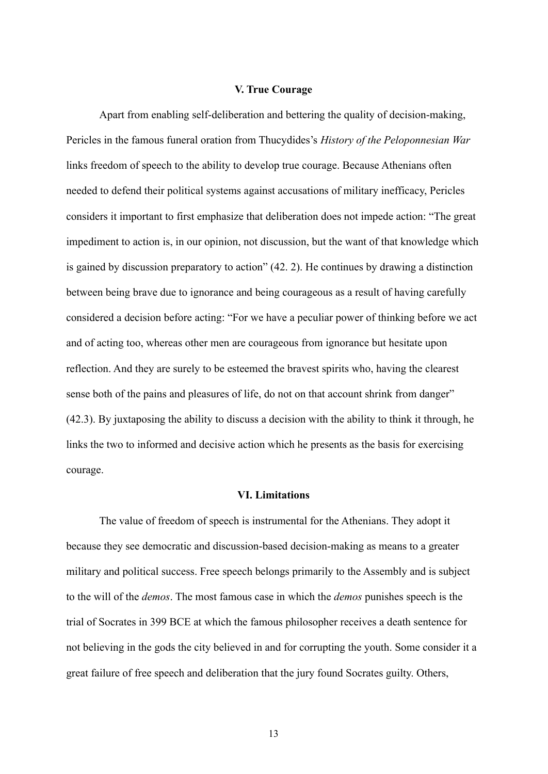#### **V. True Courage**

Apart from enabling self-deliberation and bettering the quality of decision-making, Pericles in the famous funeral oration from Thucydides's *History of the Peloponnesian War* links freedom of speech to the ability to develop true courage. Because Athenians often needed to defend their political systems against accusations of military inefficacy, Pericles considers it important to first emphasize that deliberation does not impede action: "The great impediment to action is, in our opinion, not discussion, but the want of that knowledge which is gained by discussion preparatory to action" (42. 2). He continues by drawing a distinction between being brave due to ignorance and being courageous as a result of having carefully considered a decision before acting: "For we have a peculiar power of thinking before we act and of acting too, whereas other men are courageous from ignorance but hesitate upon reflection. And they are surely to be esteemed the bravest spirits who, having the clearest sense both of the pains and pleasures of life, do not on that account shrink from danger" (42.3). By juxtaposing the ability to discuss a decision with the ability to think it through, he links the two to informed and decisive action which he presents as the basis for exercising courage.

#### **VI. Limitations**

The value of freedom of speech is instrumental for the Athenians. They adopt it because they see democratic and discussion-based decision-making as means to a greater military and political success. Free speech belongs primarily to the Assembly and is subject to the will of the *demos*. The most famous case in which the *demos* punishes speech is the trial of Socrates in 399 BCE at which the famous philosopher receives a death sentence for not believing in the gods the city believed in and for corrupting the youth. Some consider it a great failure of free speech and deliberation that the jury found Socrates guilty. Others,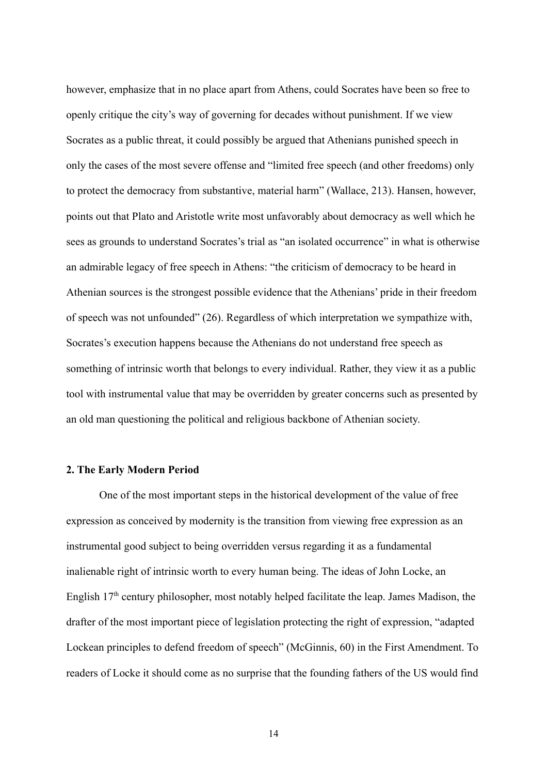however, emphasize that in no place apart from Athens, could Socrates have been so free to openly critique the city's way of governing for decades without punishment. If we view Socrates as a public threat, it could possibly be argued that Athenians punished speech in only the cases of the most severe offense and "limited free speech (and other freedoms) only to protect the democracy from substantive, material harm" (Wallace, 213). Hansen, however, points out that Plato and Aristotle write most unfavorably about democracy as well which he sees as grounds to understand Socrates's trial as "an isolated occurrence" in what is otherwise an admirable legacy of free speech in Athens: "the criticism of democracy to be heard in Athenian sources is the strongest possible evidence that the Athenians' pride in their freedom of speech was not unfounded" (26). Regardless of which interpretation we sympathize with, Socrates's execution happens because the Athenians do not understand free speech as something of intrinsic worth that belongs to every individual. Rather, they view it as a public tool with instrumental value that may be overridden by greater concerns such as presented by an old man questioning the political and religious backbone of Athenian society.

#### <span id="page-14-0"></span>**2. The Early Modern Period**

One of the most important steps in the historical development of the value of free expression as conceived by modernity is the transition from viewing free expression as an instrumental good subject to being overridden versus regarding it as a fundamental inalienable right of intrinsic worth to every human being. The ideas of John Locke, an English 17<sup>th</sup> century philosopher, most notably helped facilitate the leap. James Madison, the drafter of the most important piece of legislation protecting the right of expression, "adapted Lockean principles to defend freedom of speech" (McGinnis, 60) in the First Amendment. To readers of Locke it should come as no surprise that the founding fathers of the US would find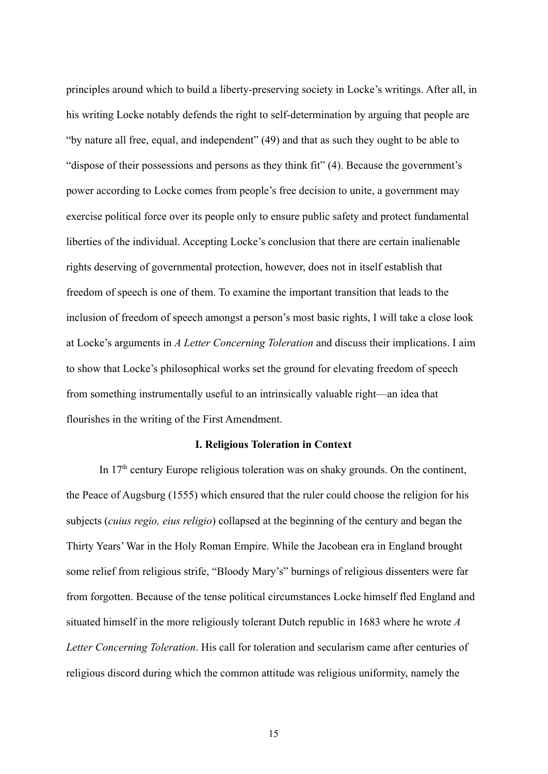principles around which to build a liberty-preserving society in Locke's writings. After all, in his writing Locke notably defends the right to self-determination by arguing that people are "by nature all free, equal, and independent" (49) and that as such they ought to be able to "dispose of their possessions and persons as they think fit" (4). Because the government's power according to Locke comes from people's free decision to unite, a government may exercise political force over its people only to ensure public safety and protect fundamental liberties of the individual. Accepting Locke's conclusion that there are certain inalienable rights deserving of governmental protection, however, does not in itself establish that freedom of speech is one of them. To examine the important transition that leads to the inclusion of freedom of speech amongst a person's most basic rights, I will take a close look at Locke's arguments in *A Letter Concerning Toleration* and discuss their implications. I aim to show that Locke's philosophical works set the ground for elevating freedom of speech from something instrumentally useful to an intrinsically valuable right—an idea that flourishes in the writing of the First Amendment.

#### **I. Religious Toleration in Context**

In 17th century Europe religious toleration was on shaky grounds. On the continent, the Peace of Augsburg (1555) which ensured that the ruler could choose the religion for his subjects (*cuius regio, eius religio*) collapsed at the beginning of the century and began the Thirty Years' War in the Holy Roman Empire. While the Jacobean era in England brought some relief from religious strife, "Bloody Mary's" burnings of religious dissenters were far from forgotten. Because of the tense political circumstances Locke himself fled England and situated himself in the more religiously tolerant Dutch republic in 1683 where he wrote *A Letter Concerning Toleration*. His call for toleration and secularism came after centuries of religious discord during which the common attitude was religious uniformity, namely the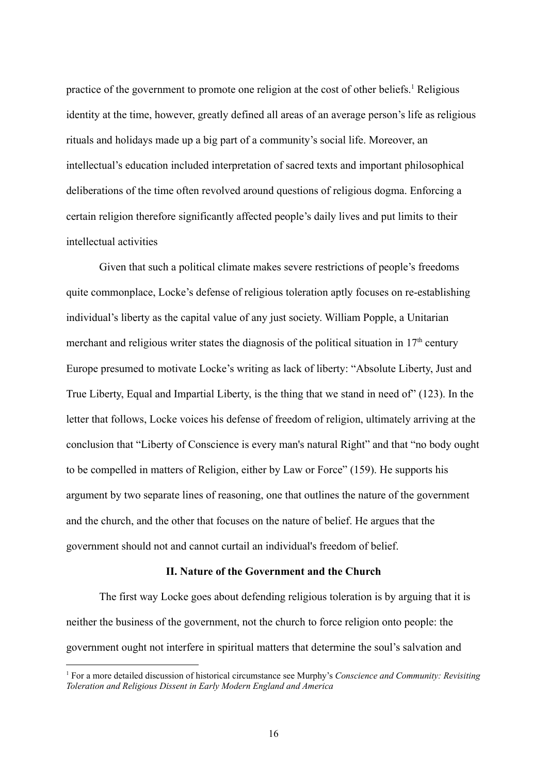practice of the government to promote one religion at the cost of other beliefs.<sup>1</sup> Religious identity at the time, however, greatly defined all areas of an average person's life as religious rituals and holidays made up a big part of a community's social life. Moreover, an intellectual's education included interpretation of sacred texts and important philosophical deliberations of the time often revolved around questions of religious dogma. Enforcing a certain religion therefore significantly affected people's daily lives and put limits to their intellectual activities

Given that such a political climate makes severe restrictions of people's freedoms quite commonplace, Locke's defense of religious toleration aptly focuses on re-establishing individual's liberty as the capital value of any just society. William Popple, a Unitarian merchant and religious writer states the diagnosis of the political situation in  $17<sup>th</sup>$  century Europe presumed to motivate Locke's writing as lack of liberty: "Absolute Liberty, Just and True Liberty, Equal and Impartial Liberty, is the thing that we stand in need of" (123). In the letter that follows, Locke voices his defense of freedom of religion, ultimately arriving at the conclusion that "Liberty of Conscience is every man's natural Right" and that "no body ought to be compelled in matters of Religion, either by Law or Force" (159). He supports his argument by two separate lines of reasoning, one that outlines the nature of the government and the church, and the other that focuses on the nature of belief. He argues that the government should not and cannot curtail an individual's freedom of belief.

## **II. Nature of the Government and the Church**

The first way Locke goes about defending religious toleration is by arguing that it is neither the business of the government, not the church to force religion onto people: the government ought not interfere in spiritual matters that determine the soul's salvation and

<sup>1</sup> For a more detailed discussion of historical circumstance see Murphy's *Conscience and Community: Revisiting Toleration and Religious Dissent in Early Modern England and America*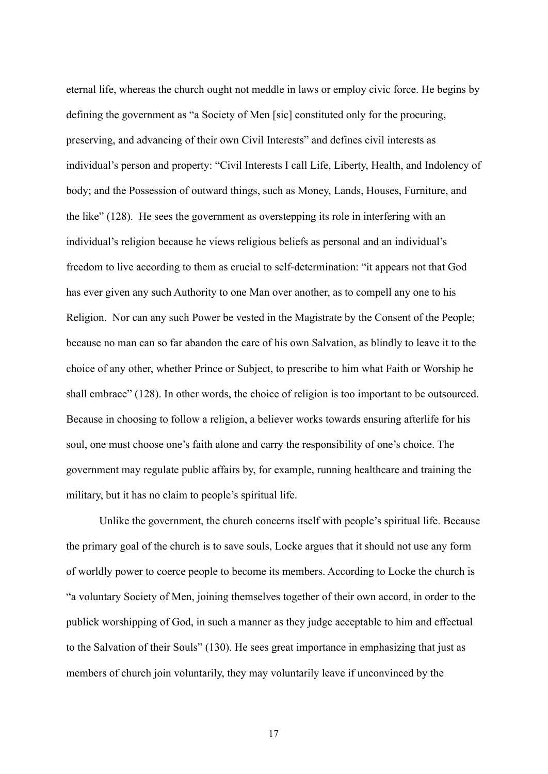eternal life, whereas the church ought not meddle in laws or employ civic force. He begins by defining the government as "a Society of Men [sic] constituted only for the procuring, preserving, and advancing of their own Civil Interests" and defines civil interests as individual's person and property: "Civil Interests I call Life, Liberty, Health, and Indolency of body; and the Possession of outward things, such as Money, Lands, Houses, Furniture, and the like" (128). He sees the government as overstepping its role in interfering with an individual's religion because he views religious beliefs as personal and an individual's freedom to live according to them as crucial to self-determination: "it appears not that God has ever given any such Authority to one Man over another, as to compell any one to his Religion. Nor can any such Power be vested in the Magistrate by the Consent of the People; because no man can so far abandon the care of his own Salvation, as blindly to leave it to the choice of any other, whether Prince or Subject, to prescribe to him what Faith or Worship he shall embrace" (128). In other words, the choice of religion is too important to be outsourced. Because in choosing to follow a religion, a believer works towards ensuring afterlife for his soul, one must choose one's faith alone and carry the responsibility of one's choice. The government may regulate public affairs by, for example, running healthcare and training the military, but it has no claim to people's spiritual life.

Unlike the government, the church concerns itself with people's spiritual life. Because the primary goal of the church is to save souls, Locke argues that it should not use any form of worldly power to coerce people to become its members. According to Locke the church is "a voluntary Society of Men, joining themselves together of their own accord, in order to the publick worshipping of God, in such a manner as they judge acceptable to him and effectual to the Salvation of their Souls" (130). He sees great importance in emphasizing that just as members of church join voluntarily, they may voluntarily leave if unconvinced by the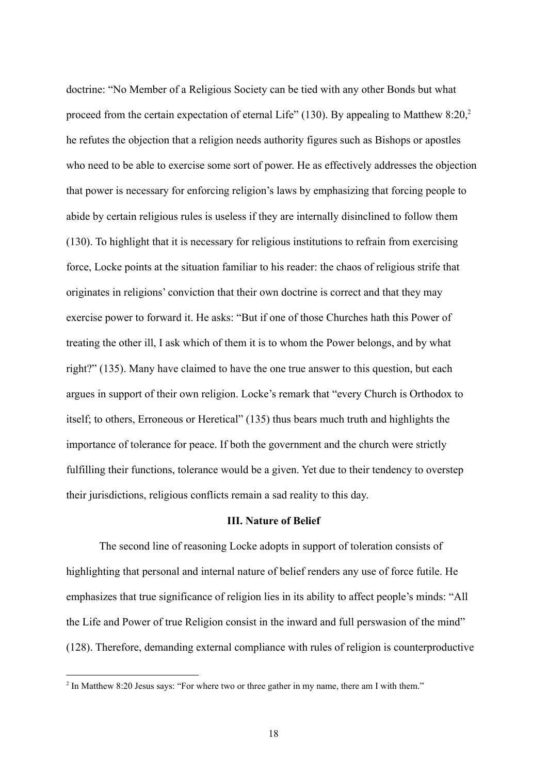doctrine: "No Member of a Religious Society can be tied with any other Bonds but what proceed from the certain expectation of eternal Life" (130). By appealing to Matthew  $8:20<sup>2</sup>$ he refutes the objection that a religion needs authority figures such as Bishops or apostles who need to be able to exercise some sort of power. He as effectively addresses the objection that power is necessary for enforcing religion's laws by emphasizing that forcing people to abide by certain religious rules is useless if they are internally disinclined to follow them (130). To highlight that it is necessary for religious institutions to refrain from exercising force, Locke points at the situation familiar to his reader: the chaos of religious strife that originates in religions' conviction that their own doctrine is correct and that they may exercise power to forward it. He asks: "But if one of those Churches hath this Power of treating the other ill, I ask which of them it is to whom the Power belongs, and by what right?" (135). Many have claimed to have the one true answer to this question, but each argues in support of their own religion. Locke's remark that "every Church is Orthodox to itself; to others, Erroneous or Heretical" (135) thus bears much truth and highlights the importance of tolerance for peace. If both the government and the church were strictly fulfilling their functions, tolerance would be a given. Yet due to their tendency to overstep their jurisdictions, religious conflicts remain a sad reality to this day.

#### **III. Nature of Belief**

The second line of reasoning Locke adopts in support of toleration consists of highlighting that personal and internal nature of belief renders any use of force futile. He emphasizes that true significance of religion lies in its ability to affect people's minds: "All the Life and Power of true Religion consist in the inward and full perswasion of the mind" (128). Therefore, demanding external compliance with rules of religion is counterproductive

<sup>&</sup>lt;sup>2</sup> In Matthew 8:20 Jesus says: "For where two or three gather in my name, there am I with them."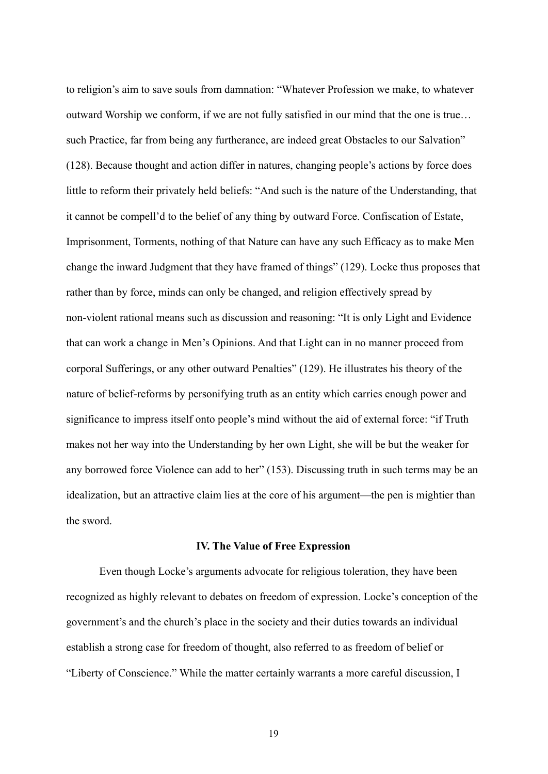to religion's aim to save souls from damnation: "Whatever Profession we make, to whatever outward Worship we conform, if we are not fully satisfied in our mind that the one is true… such Practice, far from being any furtherance, are indeed great Obstacles to our Salvation" (128). Because thought and action differ in natures, changing people's actions by force does little to reform their privately held beliefs: "And such is the nature of the Understanding, that it cannot be compell'd to the belief of any thing by outward Force. Confiscation of Estate, Imprisonment, Torments, nothing of that Nature can have any such Efficacy as to make Men change the inward Judgment that they have framed of things" (129). Locke thus proposes that rather than by force, minds can only be changed, and religion effectively spread by non-violent rational means such as discussion and reasoning: "It is only Light and Evidence that can work a change in Men's Opinions. And that Light can in no manner proceed from corporal Sufferings, or any other outward Penalties" (129). He illustrates his theory of the nature of belief-reforms by personifying truth as an entity which carries enough power and significance to impress itself onto people's mind without the aid of external force: "if Truth makes not her way into the Understanding by her own Light, she will be but the weaker for any borrowed force Violence can add to her" (153). Discussing truth in such terms may be an idealization, but an attractive claim lies at the core of his argument—the pen is mightier than the sword.

#### **IV. The Value of Free Expression**

Even though Locke's arguments advocate for religious toleration, they have been recognized as highly relevant to debates on freedom of expression. Locke's conception of the government's and the church's place in the society and their duties towards an individual establish a strong case for freedom of thought, also referred to as freedom of belief or "Liberty of Conscience." While the matter certainly warrants a more careful discussion, I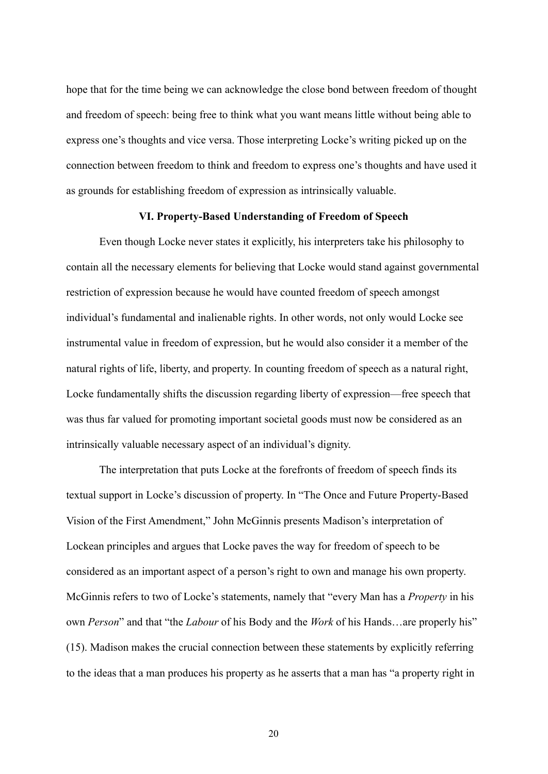hope that for the time being we can acknowledge the close bond between freedom of thought and freedom of speech: being free to think what you want means little without being able to express one's thoughts and vice versa. Those interpreting Locke's writing picked up on the connection between freedom to think and freedom to express one's thoughts and have used it as grounds for establishing freedom of expression as intrinsically valuable.

#### **VI. Property-Based Understanding of Freedom of Speech**

Even though Locke never states it explicitly, his interpreters take his philosophy to contain all the necessary elements for believing that Locke would stand against governmental restriction of expression because he would have counted freedom of speech amongst individual's fundamental and inalienable rights. In other words, not only would Locke see instrumental value in freedom of expression, but he would also consider it a member of the natural rights of life, liberty, and property. In counting freedom of speech as a natural right, Locke fundamentally shifts the discussion regarding liberty of expression—free speech that was thus far valued for promoting important societal goods must now be considered as an intrinsically valuable necessary aspect of an individual's dignity.

The interpretation that puts Locke at the forefronts of freedom of speech finds its textual support in Locke's discussion of property. In "The Once and Future Property-Based Vision of the First Amendment," John McGinnis presents Madison's interpretation of Lockean principles and argues that Locke paves the way for freedom of speech to be considered as an important aspect of a person's right to own and manage his own property. McGinnis refers to two of Locke's statements, namely that "every Man has a *Property* in his own *Person*" and that "the *Labour* of his Body and the *Work* of his Hands…are properly his" (15). Madison makes the crucial connection between these statements by explicitly referring to the ideas that a man produces his property as he asserts that a man has "a property right in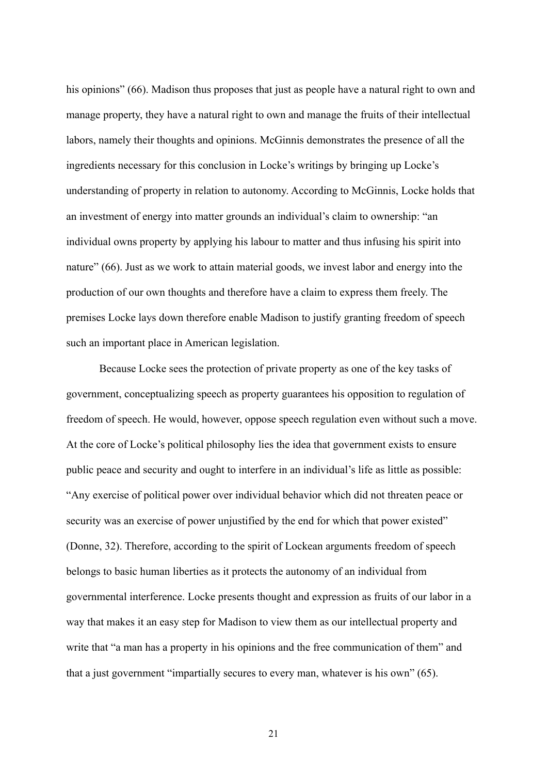his opinions" (66). Madison thus proposes that just as people have a natural right to own and manage property, they have a natural right to own and manage the fruits of their intellectual labors, namely their thoughts and opinions. McGinnis demonstrates the presence of all the ingredients necessary for this conclusion in Locke's writings by bringing up Locke's understanding of property in relation to autonomy. According to McGinnis, Locke holds that an investment of energy into matter grounds an individual's claim to ownership: "an individual owns property by applying his labour to matter and thus infusing his spirit into nature" (66). Just as we work to attain material goods, we invest labor and energy into the production of our own thoughts and therefore have a claim to express them freely. The premises Locke lays down therefore enable Madison to justify granting freedom of speech such an important place in American legislation.

Because Locke sees the protection of private property as one of the key tasks of government, conceptualizing speech as property guarantees his opposition to regulation of freedom of speech. He would, however, oppose speech regulation even without such a move. At the core of Locke's political philosophy lies the idea that government exists to ensure public peace and security and ought to interfere in an individual's life as little as possible: "Any exercise of political power over individual behavior which did not threaten peace or security was an exercise of power unjustified by the end for which that power existed" (Donne, 32). Therefore, according to the spirit of Lockean arguments freedom of speech belongs to basic human liberties as it protects the autonomy of an individual from governmental interference. Locke presents thought and expression as fruits of our labor in a way that makes it an easy step for Madison to view them as our intellectual property and write that "a man has a property in his opinions and the free communication of them" and that a just government "impartially secures to every man, whatever is his own" (65).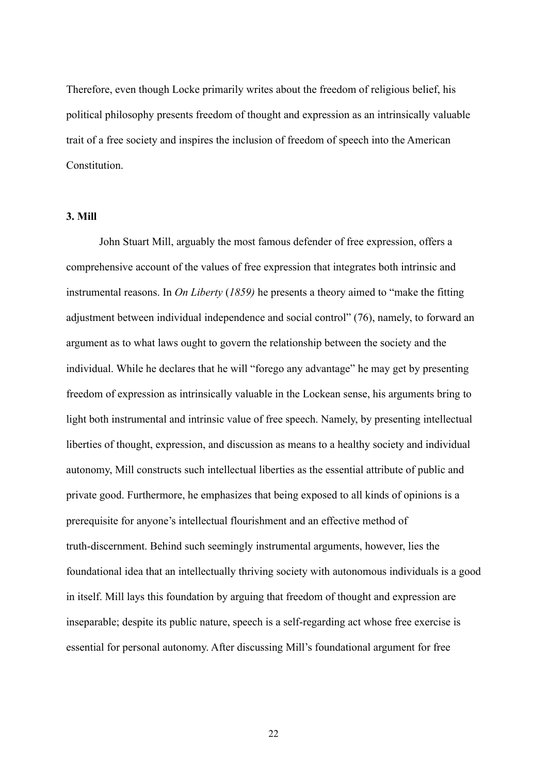Therefore, even though Locke primarily writes about the freedom of religious belief, his political philosophy presents freedom of thought and expression as an intrinsically valuable trait of a free society and inspires the inclusion of freedom of speech into the American **Constitution** 

#### <span id="page-22-0"></span>**3. Mill**

John Stuart Mill, arguably the most famous defender of free expression, offers a comprehensive account of the values of free expression that integrates both intrinsic and instrumental reasons. In *On Liberty* (*1859)* he presents a theory aimed to "make the fitting adjustment between individual independence and social control" (76), namely, to forward an argument as to what laws ought to govern the relationship between the society and the individual. While he declares that he will "forego any advantage" he may get by presenting freedom of expression as intrinsically valuable in the Lockean sense, his arguments bring to light both instrumental and intrinsic value of free speech. Namely, by presenting intellectual liberties of thought, expression, and discussion as means to a healthy society and individual autonomy, Mill constructs such intellectual liberties as the essential attribute of public and private good. Furthermore, he emphasizes that being exposed to all kinds of opinions is a prerequisite for anyone's intellectual flourishment and an effective method of truth-discernment. Behind such seemingly instrumental arguments, however, lies the foundational idea that an intellectually thriving society with autonomous individuals is a good in itself. Mill lays this foundation by arguing that freedom of thought and expression are inseparable; despite its public nature, speech is a self-regarding act whose free exercise is essential for personal autonomy. After discussing Mill's foundational argument for free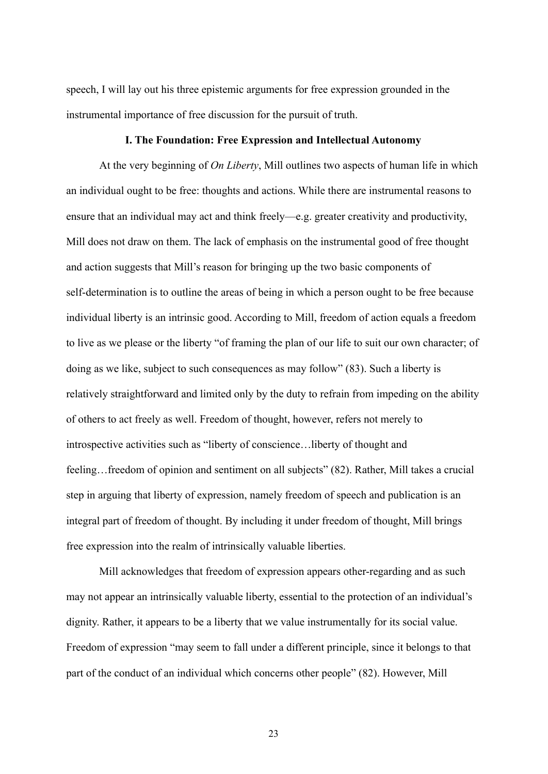speech, I will lay out his three epistemic arguments for free expression grounded in the instrumental importance of free discussion for the pursuit of truth.

#### **I. The Foundation: Free Expression and Intellectual Autonomy**

At the very beginning of *On Liberty*, Mill outlines two aspects of human life in which an individual ought to be free: thoughts and actions. While there are instrumental reasons to ensure that an individual may act and think freely—e.g. greater creativity and productivity, Mill does not draw on them. The lack of emphasis on the instrumental good of free thought and action suggests that Mill's reason for bringing up the two basic components of self-determination is to outline the areas of being in which a person ought to be free because individual liberty is an intrinsic good. According to Mill, freedom of action equals a freedom to live as we please or the liberty "of framing the plan of our life to suit our own character; of doing as we like, subject to such consequences as may follow" (83). Such a liberty is relatively straightforward and limited only by the duty to refrain from impeding on the ability of others to act freely as well. Freedom of thought, however, refers not merely to introspective activities such as "liberty of conscience…liberty of thought and feeling... freedom of opinion and sentiment on all subjects" (82). Rather, Mill takes a crucial step in arguing that liberty of expression, namely freedom of speech and publication is an integral part of freedom of thought. By including it under freedom of thought, Mill brings free expression into the realm of intrinsically valuable liberties.

Mill acknowledges that freedom of expression appears other-regarding and as such may not appear an intrinsically valuable liberty, essential to the protection of an individual's dignity. Rather, it appears to be a liberty that we value instrumentally for its social value. Freedom of expression "may seem to fall under a different principle, since it belongs to that part of the conduct of an individual which concerns other people" (82). However, Mill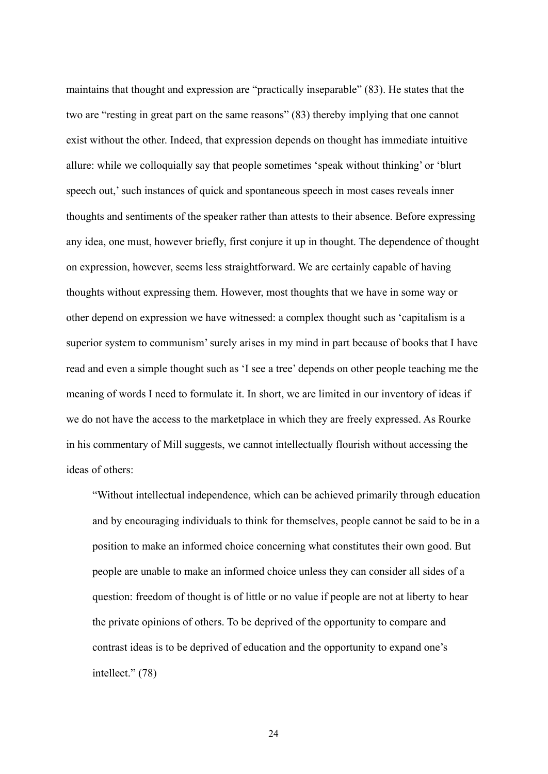maintains that thought and expression are "practically inseparable" (83). He states that the two are "resting in great part on the same reasons" (83) thereby implying that one cannot exist without the other. Indeed, that expression depends on thought has immediate intuitive allure: while we colloquially say that people sometimes 'speak without thinking' or 'blurt speech out,' such instances of quick and spontaneous speech in most cases reveals inner thoughts and sentiments of the speaker rather than attests to their absence. Before expressing any idea, one must, however briefly, first conjure it up in thought. The dependence of thought on expression, however, seems less straightforward. We are certainly capable of having thoughts without expressing them. However, most thoughts that we have in some way or other depend on expression we have witnessed: a complex thought such as 'capitalism is a superior system to communism' surely arises in my mind in part because of books that I have read and even a simple thought such as 'I see a tree' depends on other people teaching me the meaning of words I need to formulate it. In short, we are limited in our inventory of ideas if we do not have the access to the marketplace in which they are freely expressed. As Rourke in his commentary of Mill suggests, we cannot intellectually flourish without accessing the ideas of others:

"Without intellectual independence, which can be achieved primarily through education and by encouraging individuals to think for themselves, people cannot be said to be in a position to make an informed choice concerning what constitutes their own good. But people are unable to make an informed choice unless they can consider all sides of a question: freedom of thought is of little or no value if people are not at liberty to hear the private opinions of others. To be deprived of the opportunity to compare and contrast ideas is to be deprived of education and the opportunity to expand one's intellect." (78)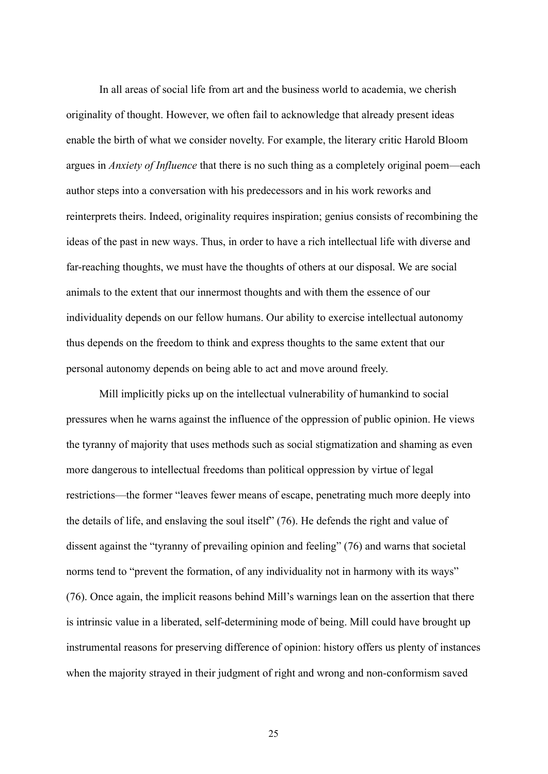In all areas of social life from art and the business world to academia, we cherish originality of thought. However, we often fail to acknowledge that already present ideas enable the birth of what we consider novelty. For example, the literary critic Harold Bloom argues in *Anxiety of Influence* that there is no such thing as a completely original poem—each author steps into a conversation with his predecessors and in his work reworks and reinterprets theirs. Indeed, originality requires inspiration; genius consists of recombining the ideas of the past in new ways. Thus, in order to have a rich intellectual life with diverse and far-reaching thoughts, we must have the thoughts of others at our disposal. We are social animals to the extent that our innermost thoughts and with them the essence of our individuality depends on our fellow humans. Our ability to exercise intellectual autonomy thus depends on the freedom to think and express thoughts to the same extent that our personal autonomy depends on being able to act and move around freely.

Mill implicitly picks up on the intellectual vulnerability of humankind to social pressures when he warns against the influence of the oppression of public opinion. He views the tyranny of majority that uses methods such as social stigmatization and shaming as even more dangerous to intellectual freedoms than political oppression by virtue of legal restrictions—the former "leaves fewer means of escape, penetrating much more deeply into the details of life, and enslaving the soul itself" (76). He defends the right and value of dissent against the "tyranny of prevailing opinion and feeling" (76) and warns that societal norms tend to "prevent the formation, of any individuality not in harmony with its ways" (76). Once again, the implicit reasons behind Mill's warnings lean on the assertion that there is intrinsic value in a liberated, self-determining mode of being. Mill could have brought up instrumental reasons for preserving difference of opinion: history offers us plenty of instances when the majority strayed in their judgment of right and wrong and non-conformism saved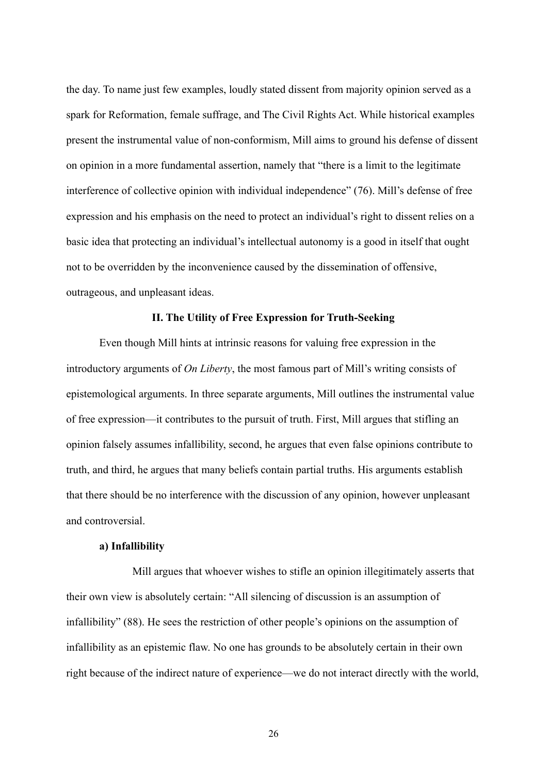the day. To name just few examples, loudly stated dissent from majority opinion served as a spark for Reformation, female suffrage, and The Civil Rights Act. While historical examples present the instrumental value of non-conformism, Mill aims to ground his defense of dissent on opinion in a more fundamental assertion, namely that "there is a limit to the legitimate interference of collective opinion with individual independence" (76). Mill's defense of free expression and his emphasis on the need to protect an individual's right to dissent relies on a basic idea that protecting an individual's intellectual autonomy is a good in itself that ought not to be overridden by the inconvenience caused by the dissemination of offensive, outrageous, and unpleasant ideas.

#### **II. The Utility of Free Expression for Truth-Seeking**

Even though Mill hints at intrinsic reasons for valuing free expression in the introductory arguments of *On Liberty*, the most famous part of Mill's writing consists of epistemological arguments. In three separate arguments, Mill outlines the instrumental value of free expression—it contributes to the pursuit of truth. First, Mill argues that stifling an opinion falsely assumes infallibility, second, he argues that even false opinions contribute to truth, and third, he argues that many beliefs contain partial truths. His arguments establish that there should be no interference with the discussion of any opinion, however unpleasant and controversial.

#### **a) Infallibility**

Mill argues that whoever wishes to stifle an opinion illegitimately asserts that their own view is absolutely certain: "All silencing of discussion is an assumption of infallibility" (88). He sees the restriction of other people's opinions on the assumption of infallibility as an epistemic flaw. No one has grounds to be absolutely certain in their own right because of the indirect nature of experience—we do not interact directly with the world,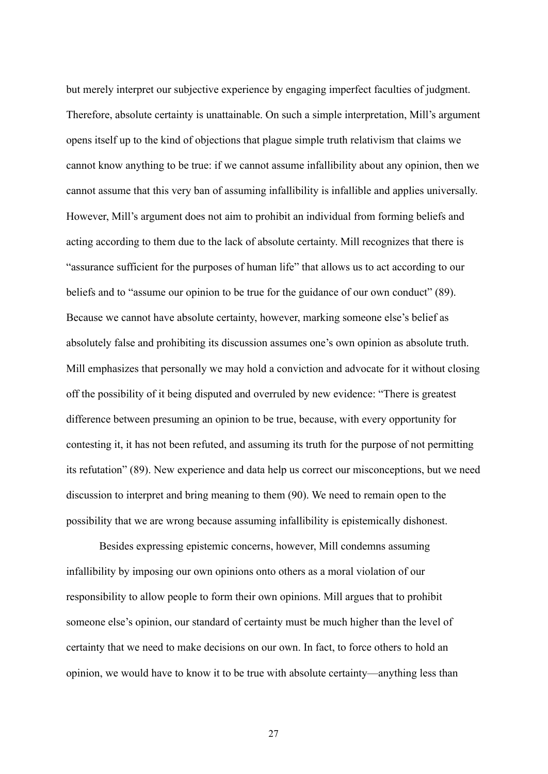but merely interpret our subjective experience by engaging imperfect faculties of judgment. Therefore, absolute certainty is unattainable. On such a simple interpretation, Mill's argument opens itself up to the kind of objections that plague simple truth relativism that claims we cannot know anything to be true: if we cannot assume infallibility about any opinion, then we cannot assume that this very ban of assuming infallibility is infallible and applies universally. However, Mill's argument does not aim to prohibit an individual from forming beliefs and acting according to them due to the lack of absolute certainty. Mill recognizes that there is "assurance sufficient for the purposes of human life" that allows us to act according to our beliefs and to "assume our opinion to be true for the guidance of our own conduct" (89). Because we cannot have absolute certainty, however, marking someone else's belief as absolutely false and prohibiting its discussion assumes one's own opinion as absolute truth. Mill emphasizes that personally we may hold a conviction and advocate for it without closing off the possibility of it being disputed and overruled by new evidence: "There is greatest difference between presuming an opinion to be true, because, with every opportunity for contesting it, it has not been refuted, and assuming its truth for the purpose of not permitting its refutation" (89). New experience and data help us correct our misconceptions, but we need discussion to interpret and bring meaning to them (90). We need to remain open to the possibility that we are wrong because assuming infallibility is epistemically dishonest.

Besides expressing epistemic concerns, however, Mill condemns assuming infallibility by imposing our own opinions onto others as a moral violation of our responsibility to allow people to form their own opinions. Mill argues that to prohibit someone else's opinion, our standard of certainty must be much higher than the level of certainty that we need to make decisions on our own. In fact, to force others to hold an opinion, we would have to know it to be true with absolute certainty—anything less than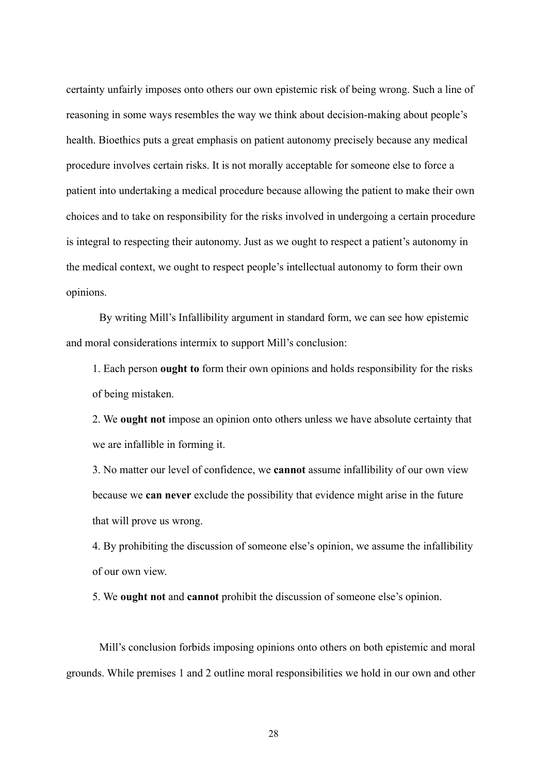certainty unfairly imposes onto others our own epistemic risk of being wrong. Such a line of reasoning in some ways resembles the way we think about decision-making about people's health. Bioethics puts a great emphasis on patient autonomy precisely because any medical procedure involves certain risks. It is not morally acceptable for someone else to force a patient into undertaking a medical procedure because allowing the patient to make their own choices and to take on responsibility for the risks involved in undergoing a certain procedure is integral to respecting their autonomy. Just as we ought to respect a patient's autonomy in the medical context, we ought to respect people's intellectual autonomy to form their own opinions.

By writing Mill's Infallibility argument in standard form, we can see how epistemic and moral considerations intermix to support Mill's conclusion:

1. Each person **ought to** form their own opinions and holds responsibility for the risks of being mistaken.

2. We **ought not** impose an opinion onto others unless we have absolute certainty that we are infallible in forming it.

3. No matter our level of confidence, we **cannot** assume infallibility of our own view because we **can never** exclude the possibility that evidence might arise in the future that will prove us wrong.

4. By prohibiting the discussion of someone else's opinion, we assume the infallibility of our own view.

5. We **ought not** and **cannot** prohibit the discussion of someone else's opinion.

Mill's conclusion forbids imposing opinions onto others on both epistemic and moral grounds. While premises 1 and 2 outline moral responsibilities we hold in our own and other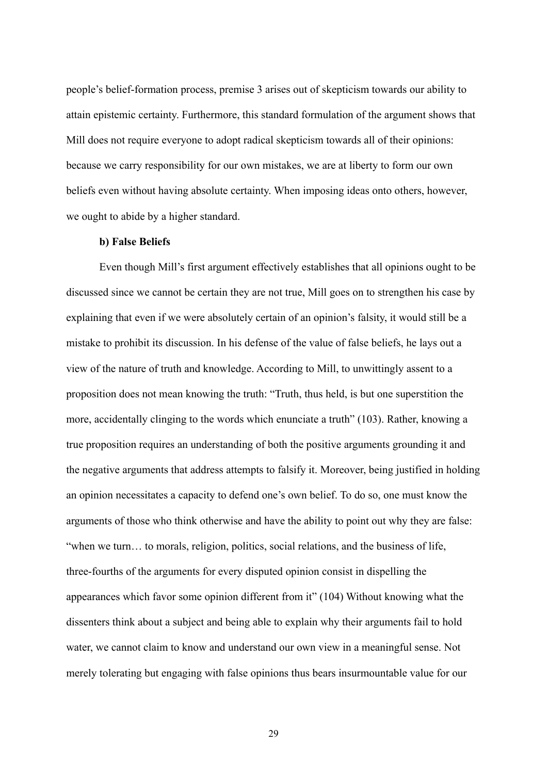people's belief-formation process, premise 3 arises out of skepticism towards our ability to attain epistemic certainty. Furthermore, this standard formulation of the argument shows that Mill does not require everyone to adopt radical skepticism towards all of their opinions: because we carry responsibility for our own mistakes, we are at liberty to form our own beliefs even without having absolute certainty. When imposing ideas onto others, however, we ought to abide by a higher standard.

#### **b) False Beliefs**

Even though Mill's first argument effectively establishes that all opinions ought to be discussed since we cannot be certain they are not true, Mill goes on to strengthen his case by explaining that even if we were absolutely certain of an opinion's falsity, it would still be a mistake to prohibit its discussion. In his defense of the value of false beliefs, he lays out a view of the nature of truth and knowledge. According to Mill, to unwittingly assent to a proposition does not mean knowing the truth: "Truth, thus held, is but one superstition the more, accidentally clinging to the words which enunciate a truth" (103). Rather, knowing a true proposition requires an understanding of both the positive arguments grounding it and the negative arguments that address attempts to falsify it. Moreover, being justified in holding an opinion necessitates a capacity to defend one's own belief. To do so, one must know the arguments of those who think otherwise and have the ability to point out why they are false: "when we turn… to morals, religion, politics, social relations, and the business of life, three-fourths of the arguments for every disputed opinion consist in dispelling the appearances which favor some opinion different from it" (104) Without knowing what the dissenters think about a subject and being able to explain why their arguments fail to hold water, we cannot claim to know and understand our own view in a meaningful sense. Not merely tolerating but engaging with false opinions thus bears insurmountable value for our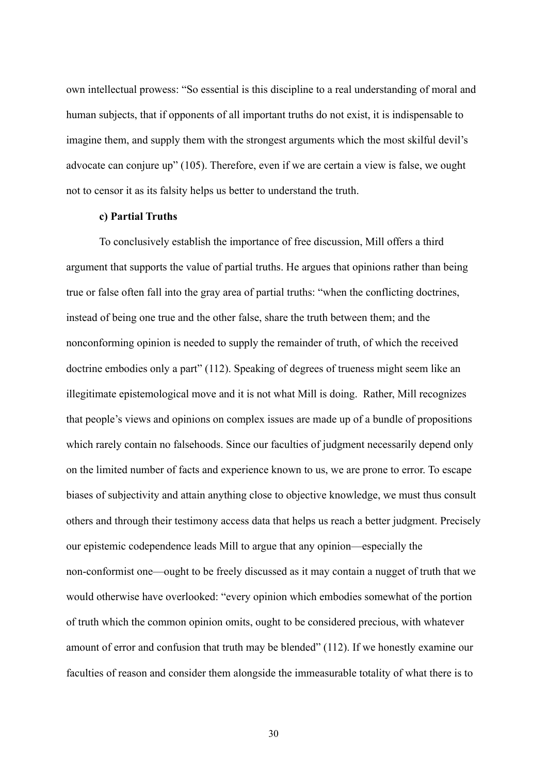own intellectual prowess: "So essential is this discipline to a real understanding of moral and human subjects, that if opponents of all important truths do not exist, it is indispensable to imagine them, and supply them with the strongest arguments which the most skilful devil's advocate can conjure up" (105). Therefore, even if we are certain a view is false, we ought not to censor it as its falsity helps us better to understand the truth.

#### **c) Partial Truths**

To conclusively establish the importance of free discussion, Mill offers a third argument that supports the value of partial truths. He argues that opinions rather than being true or false often fall into the gray area of partial truths: "when the conflicting doctrines, instead of being one true and the other false, share the truth between them; and the nonconforming opinion is needed to supply the remainder of truth, of which the received doctrine embodies only a part" (112). Speaking of degrees of trueness might seem like an illegitimate epistemological move and it is not what Mill is doing. Rather, Mill recognizes that people's views and opinions on complex issues are made up of a bundle of propositions which rarely contain no falsehoods. Since our faculties of judgment necessarily depend only on the limited number of facts and experience known to us, we are prone to error. To escape biases of subjectivity and attain anything close to objective knowledge, we must thus consult others and through their testimony access data that helps us reach a better judgment. Precisely our epistemic codependence leads Mill to argue that any opinion—especially the non-conformist one—ought to be freely discussed as it may contain a nugget of truth that we would otherwise have overlooked: "every opinion which embodies somewhat of the portion of truth which the common opinion omits, ought to be considered precious, with whatever amount of error and confusion that truth may be blended" (112). If we honestly examine our faculties of reason and consider them alongside the immeasurable totality of what there is to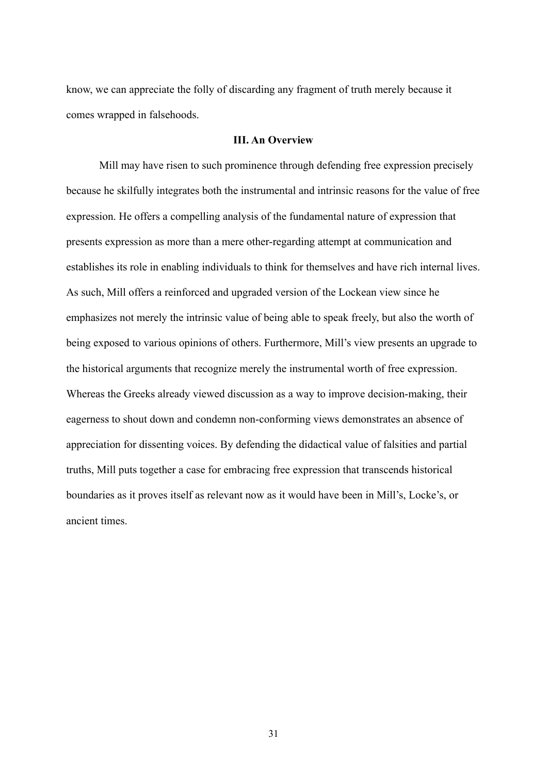know, we can appreciate the folly of discarding any fragment of truth merely because it comes wrapped in falsehoods.

#### **III. An Overview**

Mill may have risen to such prominence through defending free expression precisely because he skilfully integrates both the instrumental and intrinsic reasons for the value of free expression. He offers a compelling analysis of the fundamental nature of expression that presents expression as more than a mere other-regarding attempt at communication and establishes its role in enabling individuals to think for themselves and have rich internal lives. As such, Mill offers a reinforced and upgraded version of the Lockean view since he emphasizes not merely the intrinsic value of being able to speak freely, but also the worth of being exposed to various opinions of others. Furthermore, Mill's view presents an upgrade to the historical arguments that recognize merely the instrumental worth of free expression. Whereas the Greeks already viewed discussion as a way to improve decision-making, their eagerness to shout down and condemn non-conforming views demonstrates an absence of appreciation for dissenting voices. By defending the didactical value of falsities and partial truths, Mill puts together a case for embracing free expression that transcends historical boundaries as it proves itself as relevant now as it would have been in Mill's, Locke's, or ancient times.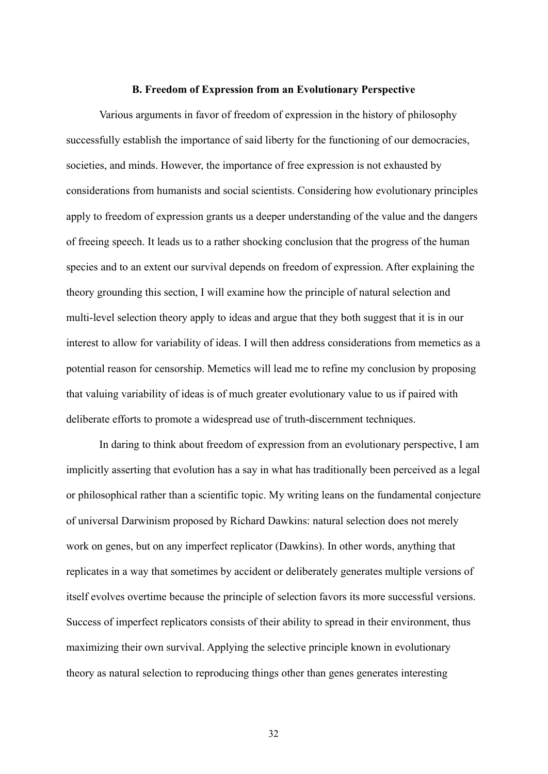#### **B. Freedom of Expression from an Evolutionary Perspective**

<span id="page-32-0"></span>Various arguments in favor of freedom of expression in the history of philosophy successfully establish the importance of said liberty for the functioning of our democracies, societies, and minds. However, the importance of free expression is not exhausted by considerations from humanists and social scientists. Considering how evolutionary principles apply to freedom of expression grants us a deeper understanding of the value and the dangers of freeing speech. It leads us to a rather shocking conclusion that the progress of the human species and to an extent our survival depends on freedom of expression. After explaining the theory grounding this section, I will examine how the principle of natural selection and multi-level selection theory apply to ideas and argue that they both suggest that it is in our interest to allow for variability of ideas. I will then address considerations from memetics as a potential reason for censorship. Memetics will lead me to refine my conclusion by proposing that valuing variability of ideas is of much greater evolutionary value to us if paired with deliberate efforts to promote a widespread use of truth-discernment techniques.

In daring to think about freedom of expression from an evolutionary perspective, I am implicitly asserting that evolution has a say in what has traditionally been perceived as a legal or philosophical rather than a scientific topic. My writing leans on the fundamental conjecture of universal Darwinism proposed by Richard Dawkins: natural selection does not merely work on genes, but on any imperfect replicator (Dawkins). In other words, anything that replicates in a way that sometimes by accident or deliberately generates multiple versions of itself evolves overtime because the principle of selection favors its more successful versions. Success of imperfect replicators consists of their ability to spread in their environment, thus maximizing their own survival. Applying the selective principle known in evolutionary theory as natural selection to reproducing things other than genes generates interesting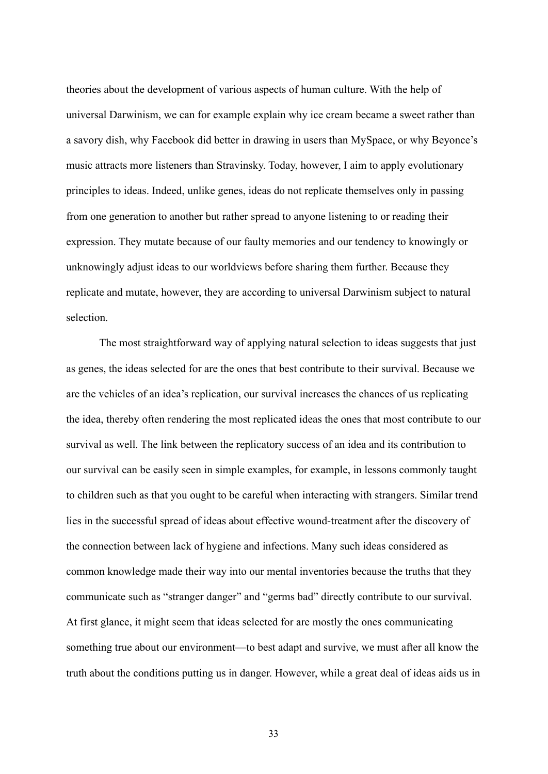theories about the development of various aspects of human culture. With the help of universal Darwinism, we can for example explain why ice cream became a sweet rather than a savory dish, why Facebook did better in drawing in users than MySpace, or why Beyonce's music attracts more listeners than Stravinsky. Today, however, I aim to apply evolutionary principles to ideas. Indeed, unlike genes, ideas do not replicate themselves only in passing from one generation to another but rather spread to anyone listening to or reading their expression. They mutate because of our faulty memories and our tendency to knowingly or unknowingly adjust ideas to our worldviews before sharing them further. Because they replicate and mutate, however, they are according to universal Darwinism subject to natural selection.

The most straightforward way of applying natural selection to ideas suggests that just as genes, the ideas selected for are the ones that best contribute to their survival. Because we are the vehicles of an idea's replication, our survival increases the chances of us replicating the idea, thereby often rendering the most replicated ideas the ones that most contribute to our survival as well. The link between the replicatory success of an idea and its contribution to our survival can be easily seen in simple examples, for example, in lessons commonly taught to children such as that you ought to be careful when interacting with strangers. Similar trend lies in the successful spread of ideas about effective wound-treatment after the discovery of the connection between lack of hygiene and infections. Many such ideas considered as common knowledge made their way into our mental inventories because the truths that they communicate such as "stranger danger" and "germs bad" directly contribute to our survival. At first glance, it might seem that ideas selected for are mostly the ones communicating something true about our environment—to best adapt and survive, we must after all know the truth about the conditions putting us in danger. However, while a great deal of ideas aids us in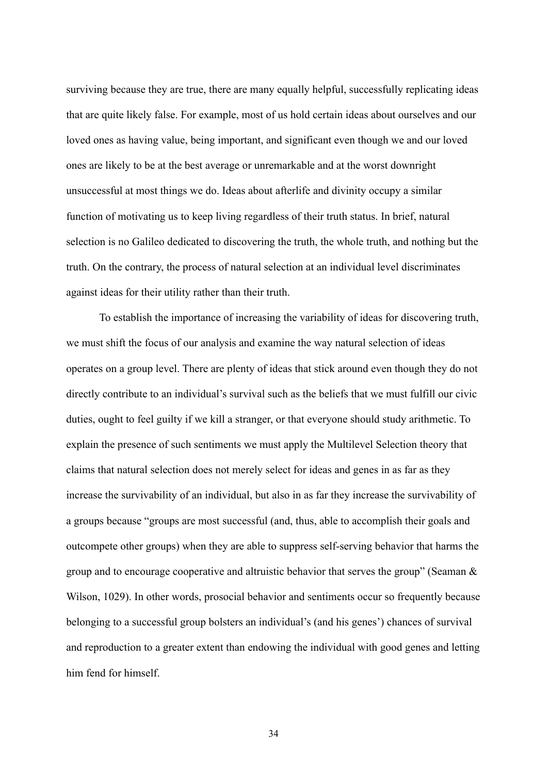surviving because they are true, there are many equally helpful, successfully replicating ideas that are quite likely false. For example, most of us hold certain ideas about ourselves and our loved ones as having value, being important, and significant even though we and our loved ones are likely to be at the best average or unremarkable and at the worst downright unsuccessful at most things we do. Ideas about afterlife and divinity occupy a similar function of motivating us to keep living regardless of their truth status. In brief, natural selection is no Galileo dedicated to discovering the truth, the whole truth, and nothing but the truth. On the contrary, the process of natural selection at an individual level discriminates against ideas for their utility rather than their truth.

To establish the importance of increasing the variability of ideas for discovering truth, we must shift the focus of our analysis and examine the way natural selection of ideas operates on a group level. There are plenty of ideas that stick around even though they do not directly contribute to an individual's survival such as the beliefs that we must fulfill our civic duties, ought to feel guilty if we kill a stranger, or that everyone should study arithmetic. To explain the presence of such sentiments we must apply the Multilevel Selection theory that claims that natural selection does not merely select for ideas and genes in as far as they increase the survivability of an individual, but also in as far they increase the survivability of a groups because "groups are most successful (and, thus, able to accomplish their goals and outcompete other groups) when they are able to suppress self-serving behavior that harms the group and to encourage cooperative and altruistic behavior that serves the group" (Seaman & Wilson, 1029). In other words, prosocial behavior and sentiments occur so frequently because belonging to a successful group bolsters an individual's (and his genes') chances of survival and reproduction to a greater extent than endowing the individual with good genes and letting him fend for himself.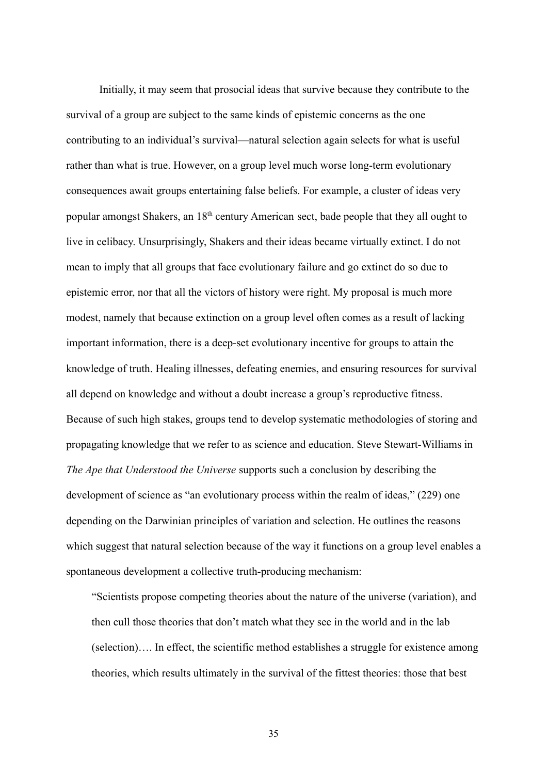Initially, it may seem that prosocial ideas that survive because they contribute to the survival of a group are subject to the same kinds of epistemic concerns as the one contributing to an individual's survival—natural selection again selects for what is useful rather than what is true. However, on a group level much worse long-term evolutionary consequences await groups entertaining false beliefs. For example, a cluster of ideas very popular amongst Shakers, an 18th century American sect, bade people that they all ought to live in celibacy. Unsurprisingly, Shakers and their ideas became virtually extinct. I do not mean to imply that all groups that face evolutionary failure and go extinct do so due to epistemic error, nor that all the victors of history were right. My proposal is much more modest, namely that because extinction on a group level often comes as a result of lacking important information, there is a deep-set evolutionary incentive for groups to attain the knowledge of truth. Healing illnesses, defeating enemies, and ensuring resources for survival all depend on knowledge and without a doubt increase a group's reproductive fitness. Because of such high stakes, groups tend to develop systematic methodologies of storing and propagating knowledge that we refer to as science and education. Steve Stewart-Williams in *The Ape that Understood the Universe* supports such a conclusion by describing the development of science as "an evolutionary process within the realm of ideas," (229) one depending on the Darwinian principles of variation and selection. He outlines the reasons which suggest that natural selection because of the way it functions on a group level enables a spontaneous development a collective truth-producing mechanism:

"Scientists propose competing theories about the nature of the universe (variation), and then cull those theories that don't match what they see in the world and in the lab (selection)…. In effect, the scientific method establishes a struggle for existence among theories, which results ultimately in the survival of the fittest theories: those that best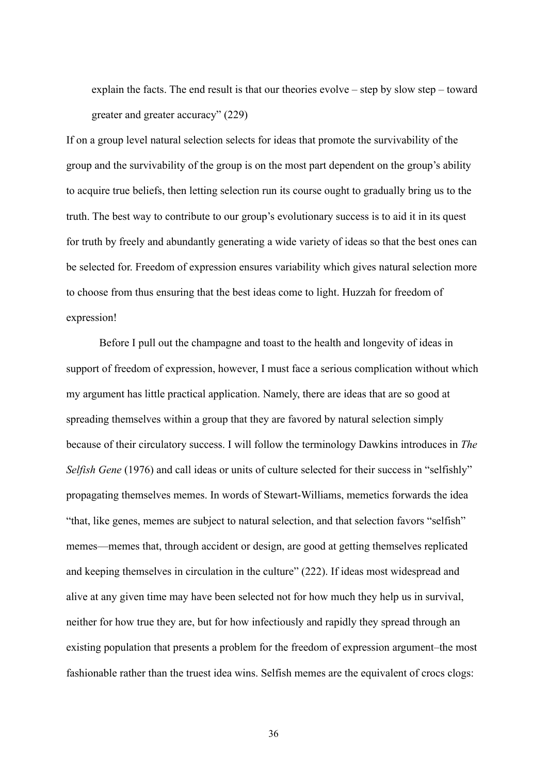explain the facts. The end result is that our theories evolve – step by slow step – toward greater and greater accuracy" (229)

If on a group level natural selection selects for ideas that promote the survivability of the group and the survivability of the group is on the most part dependent on the group's ability to acquire true beliefs, then letting selection run its course ought to gradually bring us to the truth. The best way to contribute to our group's evolutionary success is to aid it in its quest for truth by freely and abundantly generating a wide variety of ideas so that the best ones can be selected for. Freedom of expression ensures variability which gives natural selection more to choose from thus ensuring that the best ideas come to light. Huzzah for freedom of expression!

Before I pull out the champagne and toast to the health and longevity of ideas in support of freedom of expression, however, I must face a serious complication without which my argument has little practical application. Namely, there are ideas that are so good at spreading themselves within a group that they are favored by natural selection simply because of their circulatory success. I will follow the terminology Dawkins introduces in *The Selfish Gene* (1976) and call ideas or units of culture selected for their success in "selfishly" propagating themselves memes. In words of Stewart-Williams, memetics forwards the idea "that, like genes, memes are subject to natural selection, and that selection favors "selfish" memes—memes that, through accident or design, are good at getting themselves replicated and keeping themselves in circulation in the culture" (222). If ideas most widespread and alive at any given time may have been selected not for how much they help us in survival, neither for how true they are, but for how infectiously and rapidly they spread through an existing population that presents a problem for the freedom of expression argument–the most fashionable rather than the truest idea wins. Selfish memes are the equivalent of crocs clogs: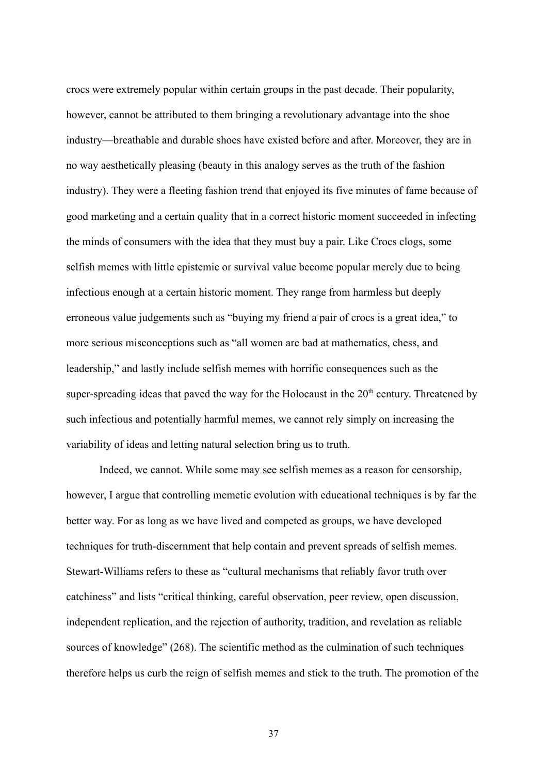crocs were extremely popular within certain groups in the past decade. Their popularity, however, cannot be attributed to them bringing a revolutionary advantage into the shoe industry—breathable and durable shoes have existed before and after. Moreover, they are in no way aesthetically pleasing (beauty in this analogy serves as the truth of the fashion industry). They were a fleeting fashion trend that enjoyed its five minutes of fame because of good marketing and a certain quality that in a correct historic moment succeeded in infecting the minds of consumers with the idea that they must buy a pair. Like Crocs clogs, some selfish memes with little epistemic or survival value become popular merely due to being infectious enough at a certain historic moment. They range from harmless but deeply erroneous value judgements such as "buying my friend a pair of crocs is a great idea," to more serious misconceptions such as "all women are bad at mathematics, chess, and leadership," and lastly include selfish memes with horrific consequences such as the super-spreading ideas that paved the way for the Holocaust in the  $20<sup>th</sup>$  century. Threatened by such infectious and potentially harmful memes, we cannot rely simply on increasing the variability of ideas and letting natural selection bring us to truth.

Indeed, we cannot. While some may see selfish memes as a reason for censorship, however, I argue that controlling memetic evolution with educational techniques is by far the better way. For as long as we have lived and competed as groups, we have developed techniques for truth-discernment that help contain and prevent spreads of selfish memes. Stewart-Williams refers to these as "cultural mechanisms that reliably favor truth over catchiness" and lists "critical thinking, careful observation, peer review, open discussion, independent replication, and the rejection of authority, tradition, and revelation as reliable sources of knowledge" (268). The scientific method as the culmination of such techniques therefore helps us curb the reign of selfish memes and stick to the truth. The promotion of the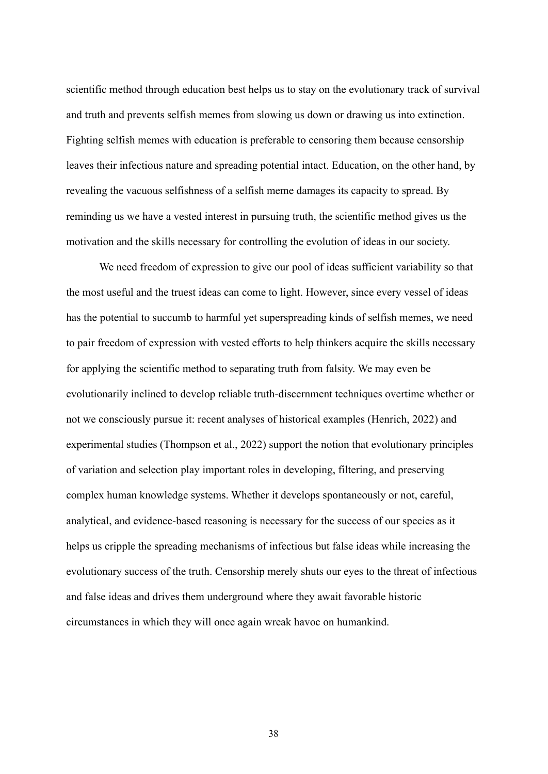scientific method through education best helps us to stay on the evolutionary track of survival and truth and prevents selfish memes from slowing us down or drawing us into extinction. Fighting selfish memes with education is preferable to censoring them because censorship leaves their infectious nature and spreading potential intact. Education, on the other hand, by revealing the vacuous selfishness of a selfish meme damages its capacity to spread. By reminding us we have a vested interest in pursuing truth, the scientific method gives us the motivation and the skills necessary for controlling the evolution of ideas in our society.

We need freedom of expression to give our pool of ideas sufficient variability so that the most useful and the truest ideas can come to light. However, since every vessel of ideas has the potential to succumb to harmful yet superspreading kinds of selfish memes, we need to pair freedom of expression with vested efforts to help thinkers acquire the skills necessary for applying the scientific method to separating truth from falsity. We may even be evolutionarily inclined to develop reliable truth-discernment techniques overtime whether or not we consciously pursue it: recent analyses of historical examples (Henrich, 2022) and experimental studies (Thompson et al., 2022) support the notion that evolutionary principles of variation and selection play important roles in developing, filtering, and preserving complex human knowledge systems. Whether it develops spontaneously or not, careful, analytical, and evidence-based reasoning is necessary for the success of our species as it helps us cripple the spreading mechanisms of infectious but false ideas while increasing the evolutionary success of the truth. Censorship merely shuts our eyes to the threat of infectious and false ideas and drives them underground where they await favorable historic circumstances in which they will once again wreak havoc on humankind.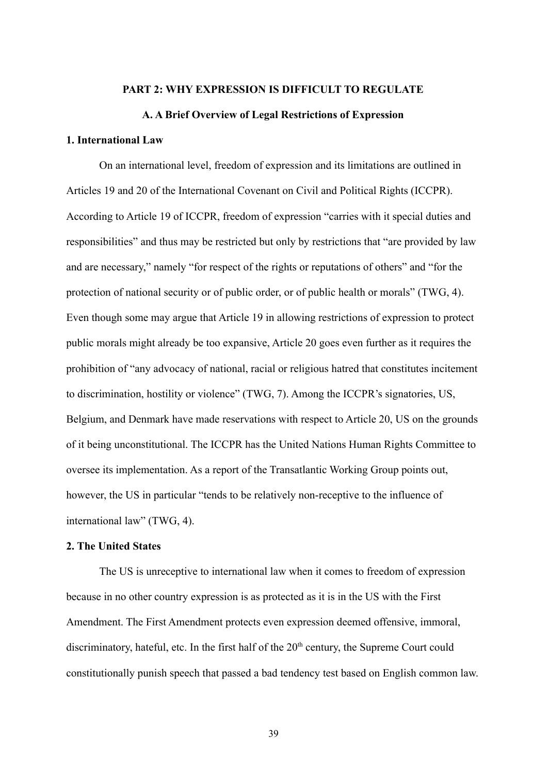## **PART 2: WHY EXPRESSION IS DIFFICULT TO REGULATE**

### **A. A Brief Overview of Legal Restrictions of Expression**

### **1. International Law**

On an international level, freedom of expression and its limitations are outlined in Articles 19 and 20 of the International Covenant on Civil and Political Rights (ICCPR). According to Article 19 of ICCPR, freedom of expression "carries with it special duties and responsibilities" and thus may be restricted but only by restrictions that "are provided by law and are necessary," namely "for respect of the rights or reputations of others" and "for the protection of national security or of public order, or of public health or morals" (TWG, 4). Even though some may argue that Article 19 in allowing restrictions of expression to protect public morals might already be too expansive, Article 20 goes even further as it requires the prohibition of "any advocacy of national, racial or religious hatred that constitutes incitement to discrimination, hostility or violence" (TWG, 7). Among the ICCPR's signatories, US, Belgium, and Denmark have made reservations with respect to Article 20, US on the grounds of it being unconstitutional. The ICCPR has the United Nations Human Rights Committee to oversee its implementation. As a report of the Transatlantic Working Group points out, however, the US in particular "tends to be relatively non-receptive to the influence of international law" (TWG, 4).

## **2. The United States**

The US is unreceptive to international law when it comes to freedom of expression because in no other country expression is as protected as it is in the US with the First Amendment. The First Amendment protects even expression deemed offensive, immoral, discriminatory, hateful, etc. In the first half of the 20<sup>th</sup> century, the Supreme Court could constitutionally punish speech that passed a bad tendency test based on English common law.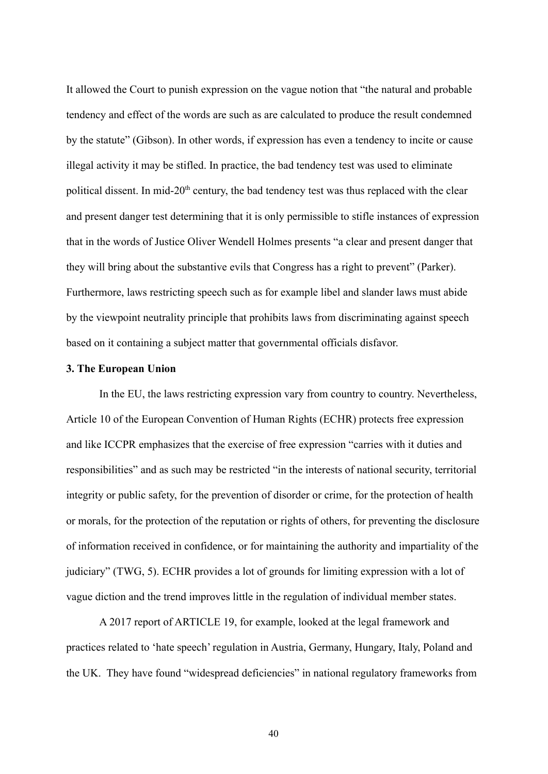It allowed the Court to punish expression on the vague notion that "the natural and probable tendency and effect of the words are such as are calculated to produce the result condemned by the statute" (Gibson). In other words, if expression has even a tendency to incite or cause illegal activity it may be stifled. In practice, the bad tendency test was used to eliminate political dissent. In mid-20<sup>th</sup> century, the bad tendency test was thus replaced with the clear and present danger test determining that it is only permissible to stifle instances of expression that in the words of Justice Oliver Wendell Holmes presents "a clear and present danger that they will bring about the substantive evils that Congress has a right to prevent" (Parker). Furthermore, laws restricting speech such as for example libel and slander laws must abide by the viewpoint neutrality principle that prohibits laws from discriminating against speech based on it containing a subject matter that governmental officials disfavor.

### **3. The European Union**

In the EU, the laws restricting expression vary from country to country. Nevertheless, Article 10 of the European Convention of Human Rights (ECHR) protects free expression and like ICCPR emphasizes that the exercise of free expression "carries with it duties and responsibilities" and as such may be restricted "in the interests of national security, territorial integrity or public safety, for the prevention of disorder or crime, for the protection of health or morals, for the protection of the reputation or rights of others, for preventing the disclosure of information received in confidence, or for maintaining the authority and impartiality of the judiciary" (TWG, 5). ECHR provides a lot of grounds for limiting expression with a lot of vague diction and the trend improves little in the regulation of individual member states.

A 2017 report of ARTICLE 19, for example, looked at the legal framework and practices related to 'hate speech' regulation in Austria, Germany, Hungary, Italy, Poland and the UK. They have found "widespread deficiencies" in national regulatory frameworks from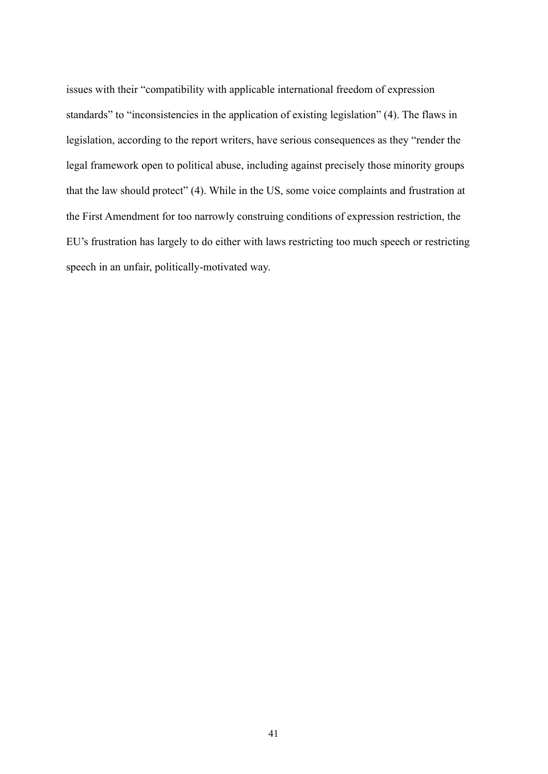issues with their "compatibility with applicable international freedom of expression standards" to "inconsistencies in the application of existing legislation" (4). The flaws in legislation, according to the report writers, have serious consequences as they "render the legal framework open to political abuse, including against precisely those minority groups that the law should protect" (4). While in the US, some voice complaints and frustration at the First Amendment for too narrowly construing conditions of expression restriction, the EU's frustration has largely to do either with laws restricting too much speech or restricting speech in an unfair, politically-motivated way.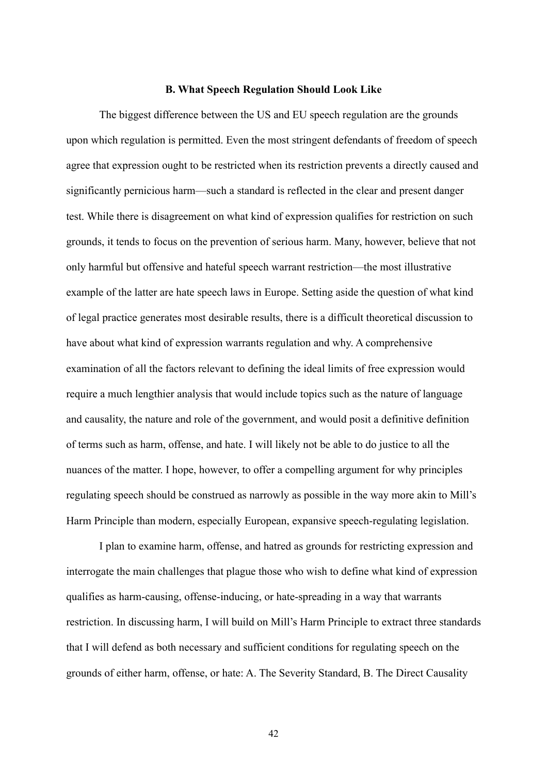### **B. What Speech Regulation Should Look Like**

The biggest difference between the US and EU speech regulation are the grounds upon which regulation is permitted. Even the most stringent defendants of freedom of speech agree that expression ought to be restricted when its restriction prevents a directly caused and significantly pernicious harm—such a standard is reflected in the clear and present danger test. While there is disagreement on what kind of expression qualifies for restriction on such grounds, it tends to focus on the prevention of serious harm. Many, however, believe that not only harmful but offensive and hateful speech warrant restriction—the most illustrative example of the latter are hate speech laws in Europe. Setting aside the question of what kind of legal practice generates most desirable results, there is a difficult theoretical discussion to have about what kind of expression warrants regulation and why. A comprehensive examination of all the factors relevant to defining the ideal limits of free expression would require a much lengthier analysis that would include topics such as the nature of language and causality, the nature and role of the government, and would posit a definitive definition of terms such as harm, offense, and hate. I will likely not be able to do justice to all the nuances of the matter. I hope, however, to offer a compelling argument for why principles regulating speech should be construed as narrowly as possible in the way more akin to Mill's Harm Principle than modern, especially European, expansive speech-regulating legislation.

I plan to examine harm, offense, and hatred as grounds for restricting expression and interrogate the main challenges that plague those who wish to define what kind of expression qualifies as harm-causing, offense-inducing, or hate-spreading in a way that warrants restriction. In discussing harm, I will build on Mill's Harm Principle to extract three standards that I will defend as both necessary and sufficient conditions for regulating speech on the grounds of either harm, offense, or hate: A. The Severity Standard, B. The Direct Causality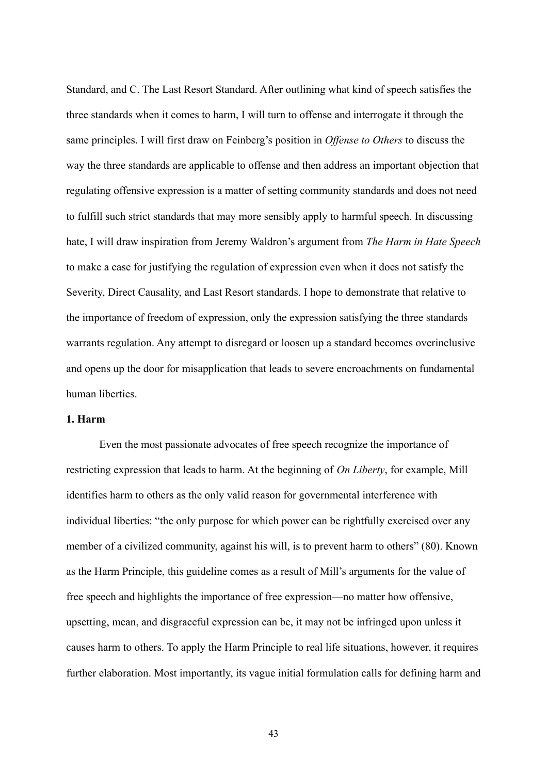Standard, and C. The Last Resort Standard. After outlining what kind of speech satisfies the three standards when it comes to harm, I will turn to offense and interrogate it through the same principles. I will first draw on Feinberg's position in *Offense to Others* to discuss the way the three standards are applicable to offense and then address an important objection that regulating offensive expression is a matter of setting community standards and does not need to fulfill such strict standards that may more sensibly apply to harmful speech. In discussing hate, I will draw inspiration from Jeremy Waldron's argument from *The Harm in Hate Speech* to make a case for justifying the regulation of expression even when it does not satisfy the Severity, Direct Causality, and Last Resort standards. I hope to demonstrate that relative to the importance of freedom of expression, only the expression satisfying the three standards warrants regulation. Any attempt to disregard or loosen up a standard becomes overinclusive and opens up the door for misapplication that leads to severe encroachments on fundamental human liberties.

# **1. Harm**

Even the most passionate advocates of free speech recognize the importance of restricting expression that leads to harm. At the beginning of *On Liberty*, for example, Mill identifies harm to others as the only valid reason for governmental interference with individual liberties: "the only purpose for which power can be rightfully exercised over any member of a civilized community, against his will, is to prevent harm to others" (80). Known as the Harm Principle, this guideline comes as a result of Mill's arguments for the value of free speech and highlights the importance of free expression—no matter how offensive, upsetting, mean, and disgraceful expression can be, it may not be infringed upon unless it causes harm to others. To apply the Harm Principle to real life situations, however, it requires further elaboration. Most importantly, its vague initial formulation calls for defining harm and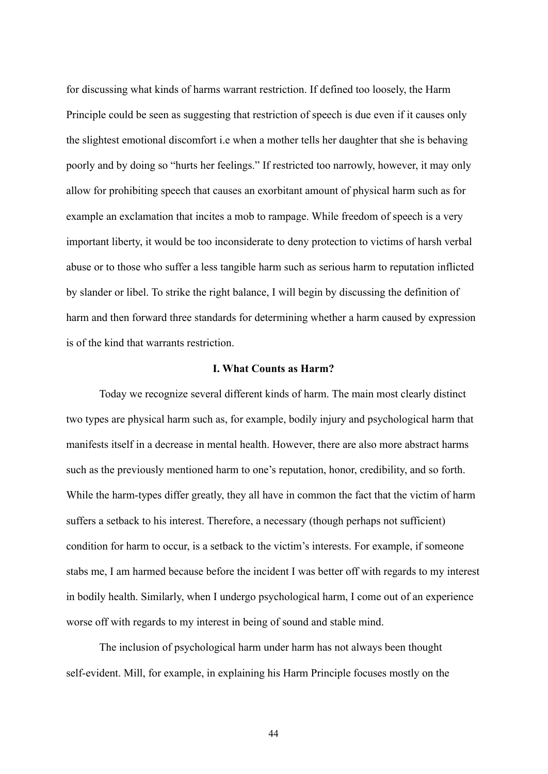for discussing what kinds of harms warrant restriction. If defined too loosely, the Harm Principle could be seen as suggesting that restriction of speech is due even if it causes only the slightest emotional discomfort i.e when a mother tells her daughter that she is behaving poorly and by doing so "hurts her feelings." If restricted too narrowly, however, it may only allow for prohibiting speech that causes an exorbitant amount of physical harm such as for example an exclamation that incites a mob to rampage. While freedom of speech is a very important liberty, it would be too inconsiderate to deny protection to victims of harsh verbal abuse or to those who suffer a less tangible harm such as serious harm to reputation inflicted by slander or libel. To strike the right balance, I will begin by discussing the definition of harm and then forward three standards for determining whether a harm caused by expression is of the kind that warrants restriction.

## **I. What Counts as Harm?**

Today we recognize several different kinds of harm. The main most clearly distinct two types are physical harm such as, for example, bodily injury and psychological harm that manifests itself in a decrease in mental health. However, there are also more abstract harms such as the previously mentioned harm to one's reputation, honor, credibility, and so forth. While the harm-types differ greatly, they all have in common the fact that the victim of harm suffers a setback to his interest. Therefore, a necessary (though perhaps not sufficient) condition for harm to occur, is a setback to the victim's interests. For example, if someone stabs me, I am harmed because before the incident I was better off with regards to my interest in bodily health. Similarly, when I undergo psychological harm, I come out of an experience worse off with regards to my interest in being of sound and stable mind.

The inclusion of psychological harm under harm has not always been thought self-evident. Mill, for example, in explaining his Harm Principle focuses mostly on the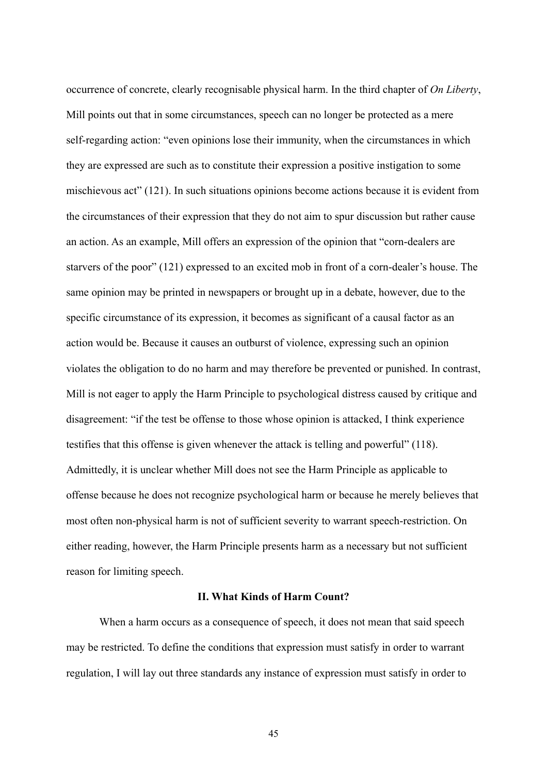occurrence of concrete, clearly recognisable physical harm. In the third chapter of *On Liberty*, Mill points out that in some circumstances, speech can no longer be protected as a mere self-regarding action: "even opinions lose their immunity, when the circumstances in which they are expressed are such as to constitute their expression a positive instigation to some mischievous act" (121). In such situations opinions become actions because it is evident from the circumstances of their expression that they do not aim to spur discussion but rather cause an action. As an example, Mill offers an expression of the opinion that "corn-dealers are starvers of the poor" (121) expressed to an excited mob in front of a corn-dealer's house. The same opinion may be printed in newspapers or brought up in a debate, however, due to the specific circumstance of its expression, it becomes as significant of a causal factor as an action would be. Because it causes an outburst of violence, expressing such an opinion violates the obligation to do no harm and may therefore be prevented or punished. In contrast, Mill is not eager to apply the Harm Principle to psychological distress caused by critique and disagreement: "if the test be offense to those whose opinion is attacked, I think experience testifies that this offense is given whenever the attack is telling and powerful" (118). Admittedly, it is unclear whether Mill does not see the Harm Principle as applicable to offense because he does not recognize psychological harm or because he merely believes that most often non-physical harm is not of sufficient severity to warrant speech-restriction. On either reading, however, the Harm Principle presents harm as a necessary but not sufficient reason for limiting speech.

### **II. What Kinds of Harm Count?**

When a harm occurs as a consequence of speech, it does not mean that said speech may be restricted. To define the conditions that expression must satisfy in order to warrant regulation, I will lay out three standards any instance of expression must satisfy in order to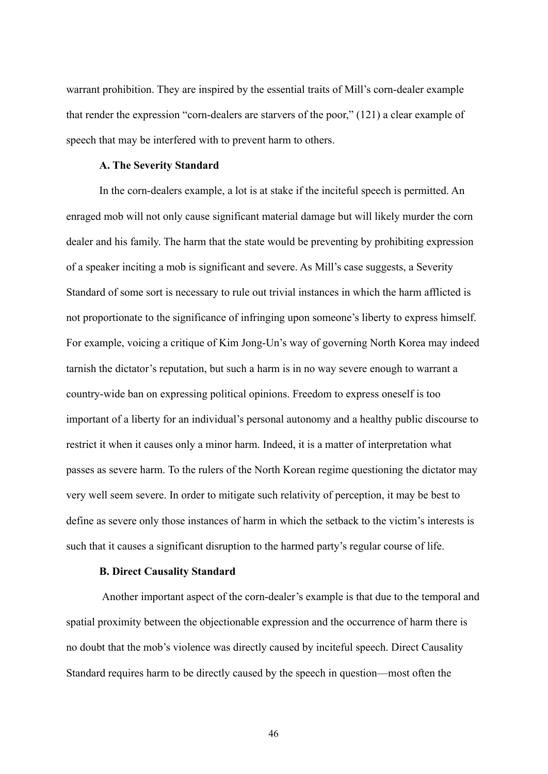warrant prohibition. They are inspired by the essential traits of Mill's corn-dealer example that render the expression "corn-dealers are starvers of the poor," (121) a clear example of speech that may be interfered with to prevent harm to others.

## **A. The Severity Standard**

In the corn-dealers example, a lot is at stake if the inciteful speech is permitted. An enraged mob will not only cause significant material damage but will likely murder the corn dealer and his family. The harm that the state would be preventing by prohibiting expression of a speaker inciting a mob is significant and severe. As Mill's case suggests, a Severity Standard of some sort is necessary to rule out trivial instances in which the harm afflicted is not proportionate to the significance of infringing upon someone's liberty to express himself. For example, voicing a critique of Kim Jong-Un's way of governing North Korea may indeed tarnish the dictator's reputation, but such a harm is in no way severe enough to warrant a country-wide ban on expressing political opinions. Freedom to express oneself is too important of a liberty for an individual's personal autonomy and a healthy public discourse to restrict it when it causes only a minor harm. Indeed, it is a matter of interpretation what passes as severe harm. To the rulers of the North Korean regime questioning the dictator may very well seem severe. In order to mitigate such relativity of perception, it may be best to define as severe only those instances of harm in which the setback to the victim's interests is such that it causes a significant disruption to the harmed party's regular course of life.

### **B. Direct Causality Standard**

Another important aspect of the corn-dealer's example is that due to the temporal and spatial proximity between the objectionable expression and the occurrence of harm there is no doubt that the mob's violence was directly caused by inciteful speech. Direct Causality Standard requires harm to be directly caused by the speech in question—most often the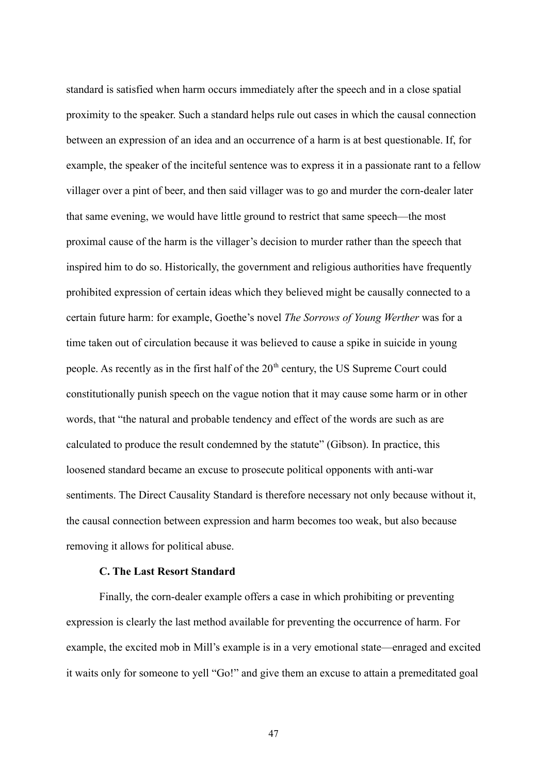standard is satisfied when harm occurs immediately after the speech and in a close spatial proximity to the speaker. Such a standard helps rule out cases in which the causal connection between an expression of an idea and an occurrence of a harm is at best questionable. If, for example, the speaker of the inciteful sentence was to express it in a passionate rant to a fellow villager over a pint of beer, and then said villager was to go and murder the corn-dealer later that same evening, we would have little ground to restrict that same speech—the most proximal cause of the harm is the villager's decision to murder rather than the speech that inspired him to do so. Historically, the government and religious authorities have frequently prohibited expression of certain ideas which they believed might be causally connected to a certain future harm: for example, Goethe's novel *The Sorrows of Young Werther* was for a time taken out of circulation because it was believed to cause a spike in suicide in young people. As recently as in the first half of the  $20<sup>th</sup>$  century, the US Supreme Court could constitutionally punish speech on the vague notion that it may cause some harm or in other words, that "the natural and probable tendency and effect of the words are such as are calculated to produce the result condemned by the statute" (Gibson). In practice, this loosened standard became an excuse to prosecute political opponents with anti-war sentiments. The Direct Causality Standard is therefore necessary not only because without it, the causal connection between expression and harm becomes too weak, but also because removing it allows for political abuse.

## **C. The Last Resort Standard**

Finally, the corn-dealer example offers a case in which prohibiting or preventing expression is clearly the last method available for preventing the occurrence of harm. For example, the excited mob in Mill's example is in a very emotional state—enraged and excited it waits only for someone to yell "Go!" and give them an excuse to attain a premeditated goal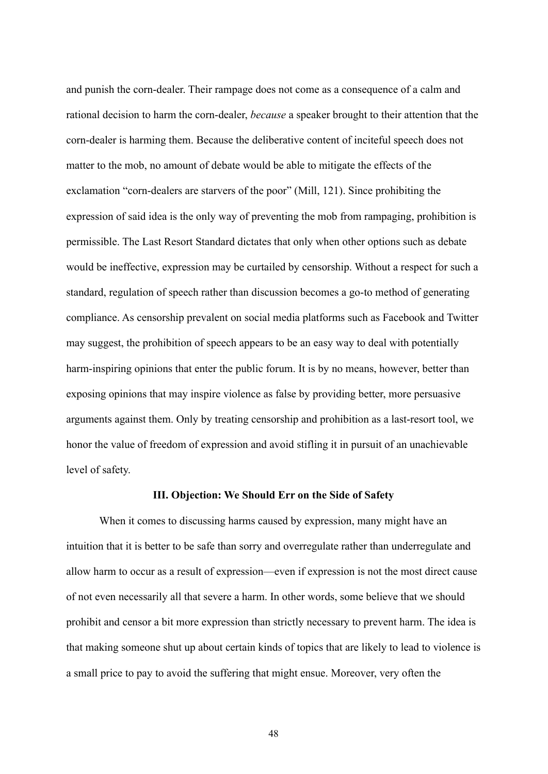and punish the corn-dealer. Their rampage does not come as a consequence of a calm and rational decision to harm the corn-dealer, *because* a speaker brought to their attention that the corn-dealer is harming them. Because the deliberative content of inciteful speech does not matter to the mob, no amount of debate would be able to mitigate the effects of the exclamation "corn-dealers are starvers of the poor" (Mill, 121). Since prohibiting the expression of said idea is the only way of preventing the mob from rampaging, prohibition is permissible. The Last Resort Standard dictates that only when other options such as debate would be ineffective, expression may be curtailed by censorship. Without a respect for such a standard, regulation of speech rather than discussion becomes a go-to method of generating compliance. As censorship prevalent on social media platforms such as Facebook and Twitter may suggest, the prohibition of speech appears to be an easy way to deal with potentially harm-inspiring opinions that enter the public forum. It is by no means, however, better than exposing opinions that may inspire violence as false by providing better, more persuasive arguments against them. Only by treating censorship and prohibition as a last-resort tool, we honor the value of freedom of expression and avoid stifling it in pursuit of an unachievable level of safety.

#### **III. Objection: We Should Err on the Side of Safety**

When it comes to discussing harms caused by expression, many might have an intuition that it is better to be safe than sorry and overregulate rather than underregulate and allow harm to occur as a result of expression—even if expression is not the most direct cause of not even necessarily all that severe a harm. In other words, some believe that we should prohibit and censor a bit more expression than strictly necessary to prevent harm. The idea is that making someone shut up about certain kinds of topics that are likely to lead to violence is a small price to pay to avoid the suffering that might ensue. Moreover, very often the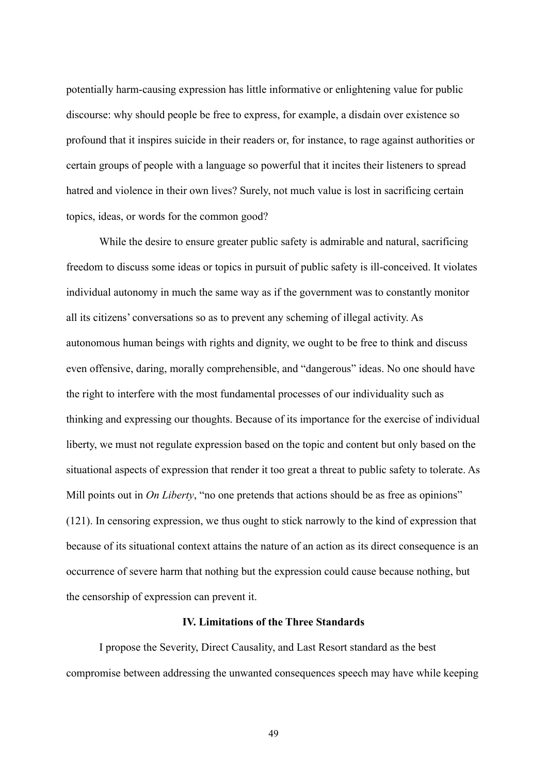potentially harm-causing expression has little informative or enlightening value for public discourse: why should people be free to express, for example, a disdain over existence so profound that it inspires suicide in their readers or, for instance, to rage against authorities or certain groups of people with a language so powerful that it incites their listeners to spread hatred and violence in their own lives? Surely, not much value is lost in sacrificing certain topics, ideas, or words for the common good?

While the desire to ensure greater public safety is admirable and natural, sacrificing freedom to discuss some ideas or topics in pursuit of public safety is ill-conceived. It violates individual autonomy in much the same way as if the government was to constantly monitor all its citizens' conversations so as to prevent any scheming of illegal activity. As autonomous human beings with rights and dignity, we ought to be free to think and discuss even offensive, daring, morally comprehensible, and "dangerous" ideas. No one should have the right to interfere with the most fundamental processes of our individuality such as thinking and expressing our thoughts. Because of its importance for the exercise of individual liberty, we must not regulate expression based on the topic and content but only based on the situational aspects of expression that render it too great a threat to public safety to tolerate. As Mill points out in *On Liberty*, "no one pretends that actions should be as free as opinions" (121). In censoring expression, we thus ought to stick narrowly to the kind of expression that because of its situational context attains the nature of an action as its direct consequence is an occurrence of severe harm that nothing but the expression could cause because nothing, but the censorship of expression can prevent it.

## **IV. Limitations of the Three Standards**

I propose the Severity, Direct Causality, and Last Resort standard as the best compromise between addressing the unwanted consequences speech may have while keeping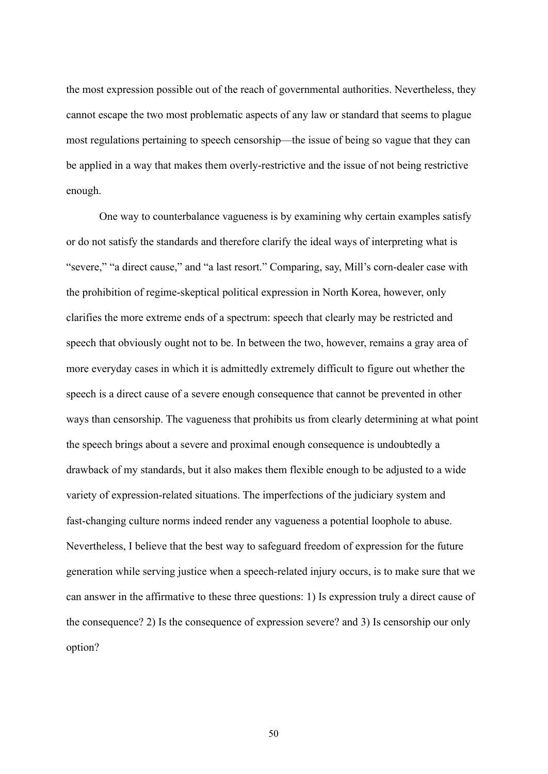the most expression possible out of the reach of governmental authorities. Nevertheless, they cannot escape the two most problematic aspects of any law or standard that seems to plague most regulations pertaining to speech censorship—the issue of being so vague that they can be applied in a way that makes them overly-restrictive and the issue of not being restrictive enough.

One way to counterbalance vagueness is by examining why certain examples satisfy or do not satisfy the standards and therefore clarify the ideal ways of interpreting what is "severe," "a direct cause," and "a last resort." Comparing, say, Mill's corn-dealer case with the prohibition of regime-skeptical political expression in North Korea, however, only clarifies the more extreme ends of a spectrum: speech that clearly may be restricted and speech that obviously ought not to be. In between the two, however, remains a gray area of more everyday cases in which it is admittedly extremely difficult to figure out whether the speech is a direct cause of a severe enough consequence that cannot be prevented in other ways than censorship. The vagueness that prohibits us from clearly determining at what point the speech brings about a severe and proximal enough consequence is undoubtedly a drawback of my standards, but it also makes them flexible enough to be adjusted to a wide variety of expression-related situations. The imperfections of the judiciary system and fast-changing culture norms indeed render any vagueness a potential loophole to abuse. Nevertheless, I believe that the best way to safeguard freedom of expression for the future generation while serving justice when a speech-related injury occurs, is to make sure that we can answer in the affirmative to these three questions: 1) Is expression truly a direct cause of the consequence? 2) Is the consequence of expression severe? and 3) Is censorship our only option?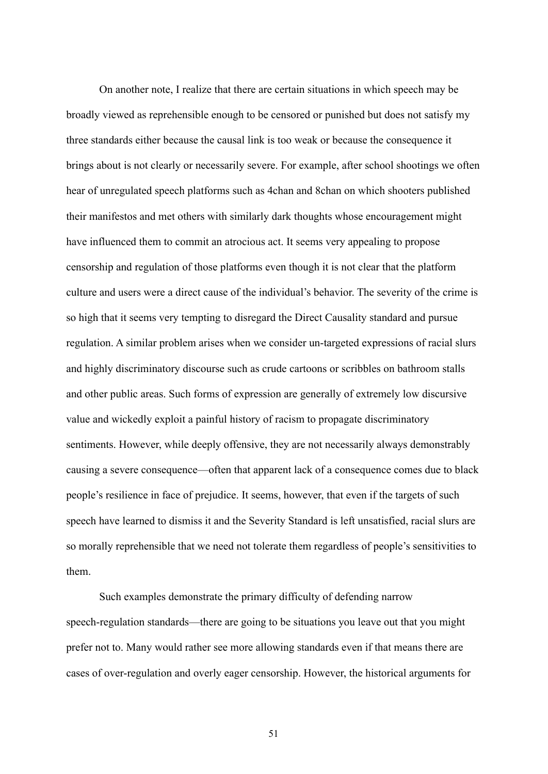On another note, I realize that there are certain situations in which speech may be broadly viewed as reprehensible enough to be censored or punished but does not satisfy my three standards either because the causal link is too weak or because the consequence it brings about is not clearly or necessarily severe. For example, after school shootings we often hear of unregulated speech platforms such as 4chan and 8chan on which shooters published their manifestos and met others with similarly dark thoughts whose encouragement might have influenced them to commit an atrocious act. It seems very appealing to propose censorship and regulation of those platforms even though it is not clear that the platform culture and users were a direct cause of the individual's behavior. The severity of the crime is so high that it seems very tempting to disregard the Direct Causality standard and pursue regulation. A similar problem arises when we consider un-targeted expressions of racial slurs and highly discriminatory discourse such as crude cartoons or scribbles on bathroom stalls and other public areas. Such forms of expression are generally of extremely low discursive value and wickedly exploit a painful history of racism to propagate discriminatory sentiments. However, while deeply offensive, they are not necessarily always demonstrably causing a severe consequence—often that apparent lack of a consequence comes due to black people's resilience in face of prejudice. It seems, however, that even if the targets of such speech have learned to dismiss it and the Severity Standard is left unsatisfied, racial slurs are so morally reprehensible that we need not tolerate them regardless of people's sensitivities to them.

Such examples demonstrate the primary difficulty of defending narrow speech-regulation standards—there are going to be situations you leave out that you might prefer not to. Many would rather see more allowing standards even if that means there are cases of over-regulation and overly eager censorship. However, the historical arguments for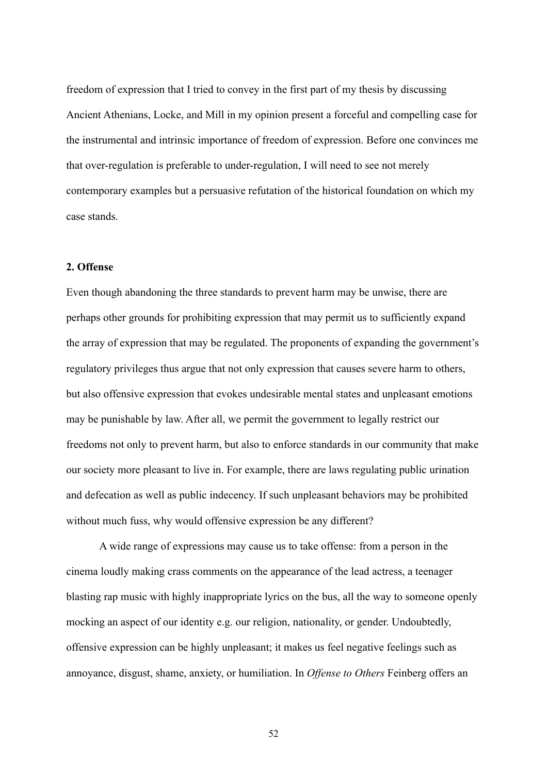freedom of expression that I tried to convey in the first part of my thesis by discussing Ancient Athenians, Locke, and Mill in my opinion present a forceful and compelling case for the instrumental and intrinsic importance of freedom of expression. Before one convinces me that over-regulation is preferable to under-regulation, I will need to see not merely contemporary examples but a persuasive refutation of the historical foundation on which my case stands.

# **2. Offense**

Even though abandoning the three standards to prevent harm may be unwise, there are perhaps other grounds for prohibiting expression that may permit us to sufficiently expand the array of expression that may be regulated. The proponents of expanding the government's regulatory privileges thus argue that not only expression that causes severe harm to others, but also offensive expression that evokes undesirable mental states and unpleasant emotions may be punishable by law. After all, we permit the government to legally restrict our freedoms not only to prevent harm, but also to enforce standards in our community that make our society more pleasant to live in. For example, there are laws regulating public urination and defecation as well as public indecency. If such unpleasant behaviors may be prohibited without much fuss, why would offensive expression be any different?

A wide range of expressions may cause us to take offense: from a person in the cinema loudly making crass comments on the appearance of the lead actress, a teenager blasting rap music with highly inappropriate lyrics on the bus, all the way to someone openly mocking an aspect of our identity e.g. our religion, nationality, or gender. Undoubtedly, offensive expression can be highly unpleasant; it makes us feel negative feelings such as annoyance, disgust, shame, anxiety, or humiliation. In *Offense to Others* Feinberg offers an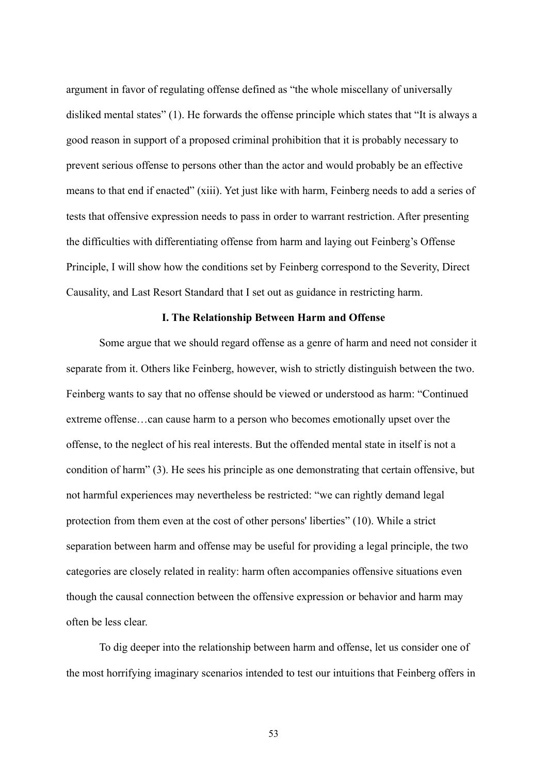argument in favor of regulating offense defined as "the whole miscellany of universally disliked mental states" (1). He forwards the offense principle which states that "It is always a good reason in support of a proposed criminal prohibition that it is probably necessary to prevent serious offense to persons other than the actor and would probably be an effective means to that end if enacted" (xiii). Yet just like with harm, Feinberg needs to add a series of tests that offensive expression needs to pass in order to warrant restriction. After presenting the difficulties with differentiating offense from harm and laying out Feinberg's Offense Principle, I will show how the conditions set by Feinberg correspond to the Severity, Direct Causality, and Last Resort Standard that I set out as guidance in restricting harm.

### **I. The Relationship Between Harm and Offense**

Some argue that we should regard offense as a genre of harm and need not consider it separate from it. Others like Feinberg, however, wish to strictly distinguish between the two. Feinberg wants to say that no offense should be viewed or understood as harm: "Continued extreme offense…can cause harm to a person who becomes emotionally upset over the offense, to the neglect of his real interests. But the offended mental state in itself is not a condition of harm" (3). He sees his principle as one demonstrating that certain offensive, but not harmful experiences may nevertheless be restricted: "we can rightly demand legal protection from them even at the cost of other persons' liberties" (10). While a strict separation between harm and offense may be useful for providing a legal principle, the two categories are closely related in reality: harm often accompanies offensive situations even though the causal connection between the offensive expression or behavior and harm may often be less clear.

To dig deeper into the relationship between harm and offense, let us consider one of the most horrifying imaginary scenarios intended to test our intuitions that Feinberg offers in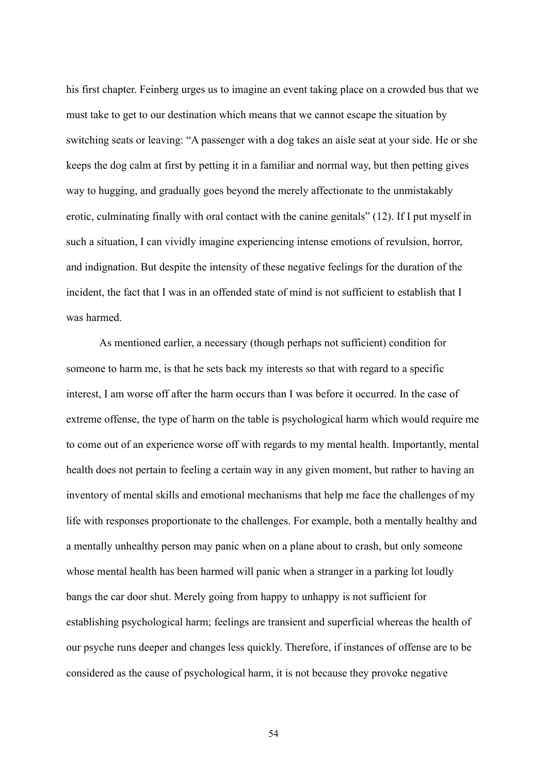his first chapter. Feinberg urges us to imagine an event taking place on a crowded bus that we must take to get to our destination which means that we cannot escape the situation by switching seats or leaving: "A passenger with a dog takes an aisle seat at your side. He or she keeps the dog calm at first by petting it in a familiar and normal way, but then petting gives way to hugging, and gradually goes beyond the merely affectionate to the unmistakably erotic, culminating finally with oral contact with the canine genitals" (12). If I put myself in such a situation, I can vividly imagine experiencing intense emotions of revulsion, horror, and indignation. But despite the intensity of these negative feelings for the duration of the incident, the fact that I was in an offended state of mind is not sufficient to establish that I was harmed.

As mentioned earlier, a necessary (though perhaps not sufficient) condition for someone to harm me, is that he sets back my interests so that with regard to a specific interest, I am worse off after the harm occurs than I was before it occurred. In the case of extreme offense, the type of harm on the table is psychological harm which would require me to come out of an experience worse off with regards to my mental health. Importantly, mental health does not pertain to feeling a certain way in any given moment, but rather to having an inventory of mental skills and emotional mechanisms that help me face the challenges of my life with responses proportionate to the challenges. For example, both a mentally healthy and a mentally unhealthy person may panic when on a plane about to crash, but only someone whose mental health has been harmed will panic when a stranger in a parking lot loudly bangs the car door shut. Merely going from happy to unhappy is not sufficient for establishing psychological harm; feelings are transient and superficial whereas the health of our psyche runs deeper and changes less quickly. Therefore, if instances of offense are to be considered as the cause of psychological harm, it is not because they provoke negative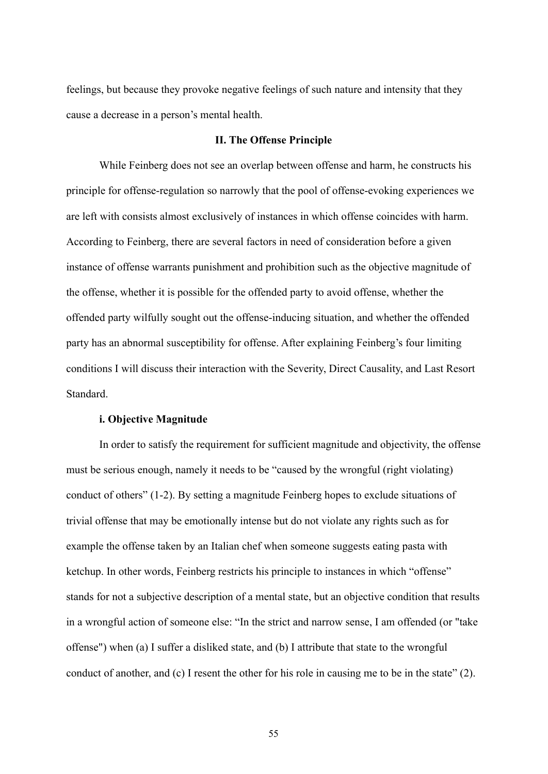feelings, but because they provoke negative feelings of such nature and intensity that they cause a decrease in a person's mental health.

### **II. The Offense Principle**

While Feinberg does not see an overlap between offense and harm, he constructs his principle for offense-regulation so narrowly that the pool of offense-evoking experiences we are left with consists almost exclusively of instances in which offense coincides with harm. According to Feinberg, there are several factors in need of consideration before a given instance of offense warrants punishment and prohibition such as the objective magnitude of the offense, whether it is possible for the offended party to avoid offense, whether the offended party wilfully sought out the offense-inducing situation, and whether the offended party has an abnormal susceptibility for offense. After explaining Feinberg's four limiting conditions I will discuss their interaction with the Severity, Direct Causality, and Last Resort Standard.

## **i. Objective Magnitude**

In order to satisfy the requirement for sufficient magnitude and objectivity, the offense must be serious enough, namely it needs to be "caused by the wrongful (right violating) conduct of others" (1-2). By setting a magnitude Feinberg hopes to exclude situations of trivial offense that may be emotionally intense but do not violate any rights such as for example the offense taken by an Italian chef when someone suggests eating pasta with ketchup. In other words, Feinberg restricts his principle to instances in which "offense" stands for not a subjective description of a mental state, but an objective condition that results in a wrongful action of someone else: "In the strict and narrow sense, I am offended (or "take offense") when (a) I suffer a disliked state, and (b) I attribute that state to the wrongful conduct of another, and (c) I resent the other for his role in causing me to be in the state" (2).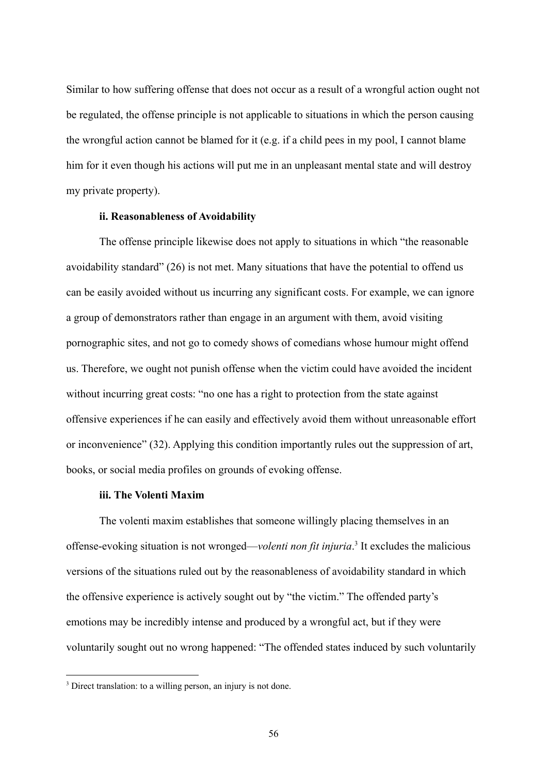Similar to how suffering offense that does not occur as a result of a wrongful action ought not be regulated, the offense principle is not applicable to situations in which the person causing the wrongful action cannot be blamed for it (e.g. if a child pees in my pool, I cannot blame him for it even though his actions will put me in an unpleasant mental state and will destroy my private property).

### **ii. Reasonableness of Avoidability**

The offense principle likewise does not apply to situations in which "the reasonable avoidability standard" (26) is not met. Many situations that have the potential to offend us can be easily avoided without us incurring any significant costs. For example, we can ignore a group of demonstrators rather than engage in an argument with them, avoid visiting pornographic sites, and not go to comedy shows of comedians whose humour might offend us. Therefore, we ought not punish offense when the victim could have avoided the incident without incurring great costs: "no one has a right to protection from the state against offensive experiences if he can easily and effectively avoid them without unreasonable effort or inconvenience" (32). Applying this condition importantly rules out the suppression of art, books, or social media profiles on grounds of evoking offense.

### **iii. The Volenti Maxim**

The volenti maxim establishes that someone willingly placing themselves in an offense-evoking situation is not wronged—*volenti non fit injuria*. 3 It excludes the malicious versions of the situations ruled out by the reasonableness of avoidability standard in which the offensive experience is actively sought out by "the victim." The offended party's emotions may be incredibly intense and produced by a wrongful act, but if they were voluntarily sought out no wrong happened: "The offended states induced by such voluntarily

<sup>&</sup>lt;sup>3</sup> Direct translation: to a willing person, an injury is not done.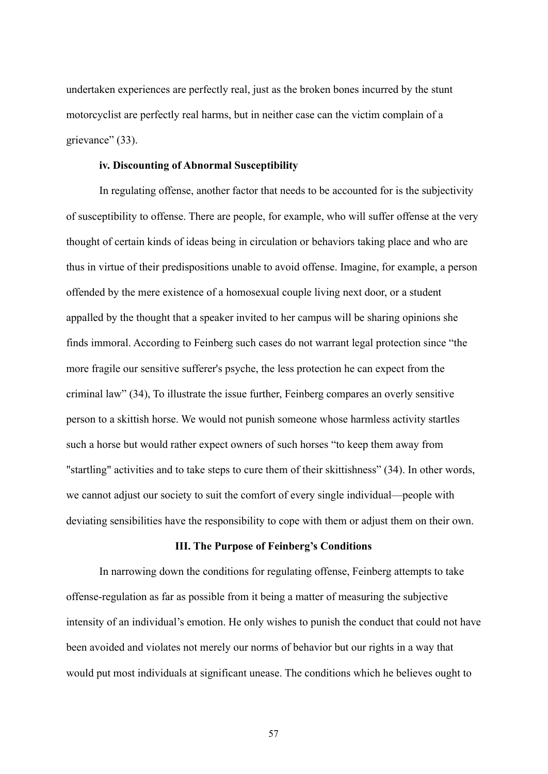undertaken experiences are perfectly real, just as the broken bones incurred by the stunt motorcyclist are perfectly real harms, but in neither case can the victim complain of a grievance" (33).

## **iv. Discounting of Abnormal Susceptibility**

In regulating offense, another factor that needs to be accounted for is the subjectivity of susceptibility to offense. There are people, for example, who will suffer offense at the very thought of certain kinds of ideas being in circulation or behaviors taking place and who are thus in virtue of their predispositions unable to avoid offense. Imagine, for example, a person offended by the mere existence of a homosexual couple living next door, or a student appalled by the thought that a speaker invited to her campus will be sharing opinions she finds immoral. According to Feinberg such cases do not warrant legal protection since "the more fragile our sensitive sufferer's psyche, the less protection he can expect from the criminal law" (34), To illustrate the issue further, Feinberg compares an overly sensitive person to a skittish horse. We would not punish someone whose harmless activity startles such a horse but would rather expect owners of such horses "to keep them away from "startling" activities and to take steps to cure them of their skittishness" (34). In other words, we cannot adjust our society to suit the comfort of every single individual—people with deviating sensibilities have the responsibility to cope with them or adjust them on their own.

### **III. The Purpose of Feinberg's Conditions**

In narrowing down the conditions for regulating offense, Feinberg attempts to take offense-regulation as far as possible from it being a matter of measuring the subjective intensity of an individual's emotion. He only wishes to punish the conduct that could not have been avoided and violates not merely our norms of behavior but our rights in a way that would put most individuals at significant unease. The conditions which he believes ought to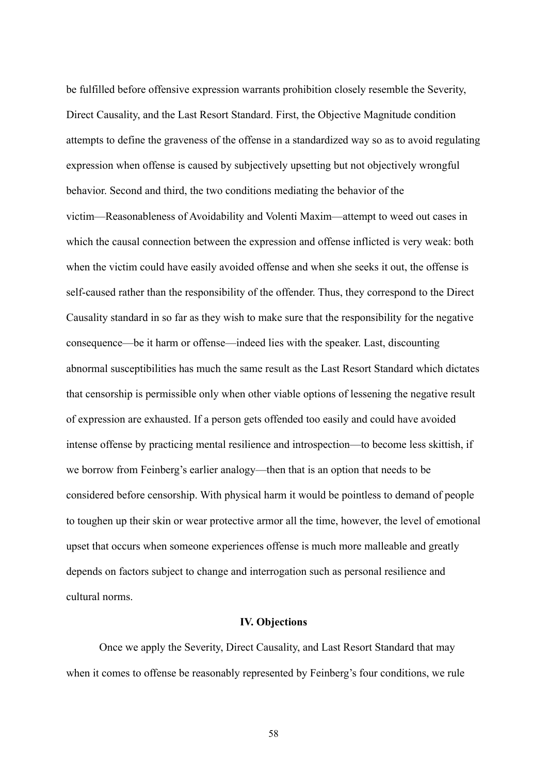be fulfilled before offensive expression warrants prohibition closely resemble the Severity, Direct Causality, and the Last Resort Standard. First, the Objective Magnitude condition attempts to define the graveness of the offense in a standardized way so as to avoid regulating expression when offense is caused by subjectively upsetting but not objectively wrongful behavior. Second and third, the two conditions mediating the behavior of the victim—Reasonableness of Avoidability and Volenti Maxim—attempt to weed out cases in which the causal connection between the expression and offense inflicted is very weak: both when the victim could have easily avoided offense and when she seeks it out, the offense is self-caused rather than the responsibility of the offender. Thus, they correspond to the Direct Causality standard in so far as they wish to make sure that the responsibility for the negative consequence—be it harm or offense—indeed lies with the speaker. Last, discounting abnormal susceptibilities has much the same result as the Last Resort Standard which dictates that censorship is permissible only when other viable options of lessening the negative result of expression are exhausted. If a person gets offended too easily and could have avoided intense offense by practicing mental resilience and introspection—to become less skittish, if we borrow from Feinberg's earlier analogy—then that is an option that needs to be considered before censorship. With physical harm it would be pointless to demand of people to toughen up their skin or wear protective armor all the time, however, the level of emotional upset that occurs when someone experiences offense is much more malleable and greatly depends on factors subject to change and interrogation such as personal resilience and cultural norms.

### **IV. Objections**

Once we apply the Severity, Direct Causality, and Last Resort Standard that may when it comes to offense be reasonably represented by Feinberg's four conditions, we rule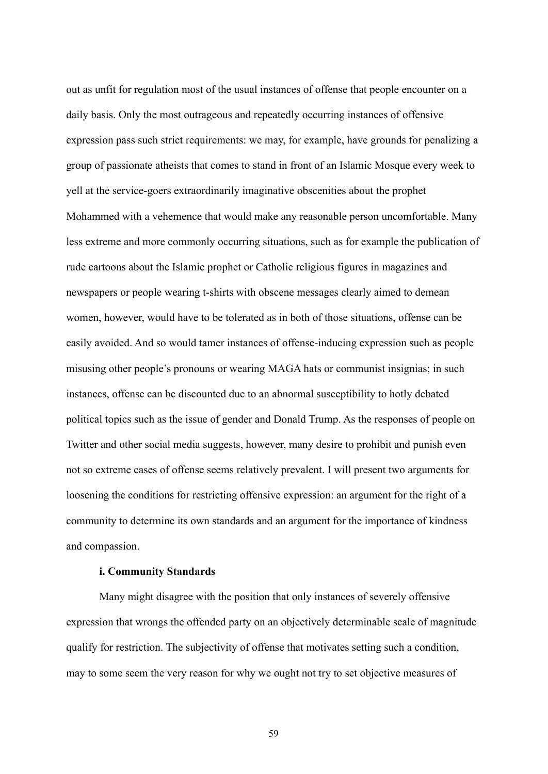out as unfit for regulation most of the usual instances of offense that people encounter on a daily basis. Only the most outrageous and repeatedly occurring instances of offensive expression pass such strict requirements: we may, for example, have grounds for penalizing a group of passionate atheists that comes to stand in front of an Islamic Mosque every week to yell at the service-goers extraordinarily imaginative obscenities about the prophet Mohammed with a vehemence that would make any reasonable person uncomfortable. Many less extreme and more commonly occurring situations, such as for example the publication of rude cartoons about the Islamic prophet or Catholic religious figures in magazines and newspapers or people wearing t-shirts with obscene messages clearly aimed to demean women, however, would have to be tolerated as in both of those situations, offense can be easily avoided. And so would tamer instances of offense-inducing expression such as people misusing other people's pronouns or wearing MAGA hats or communist insignias; in such instances, offense can be discounted due to an abnormal susceptibility to hotly debated political topics such as the issue of gender and Donald Trump. As the responses of people on Twitter and other social media suggests, however, many desire to prohibit and punish even not so extreme cases of offense seems relatively prevalent. I will present two arguments for loosening the conditions for restricting offensive expression: an argument for the right of a community to determine its own standards and an argument for the importance of kindness and compassion.

### **i. Community Standards**

Many might disagree with the position that only instances of severely offensive expression that wrongs the offended party on an objectively determinable scale of magnitude qualify for restriction. The subjectivity of offense that motivates setting such a condition, may to some seem the very reason for why we ought not try to set objective measures of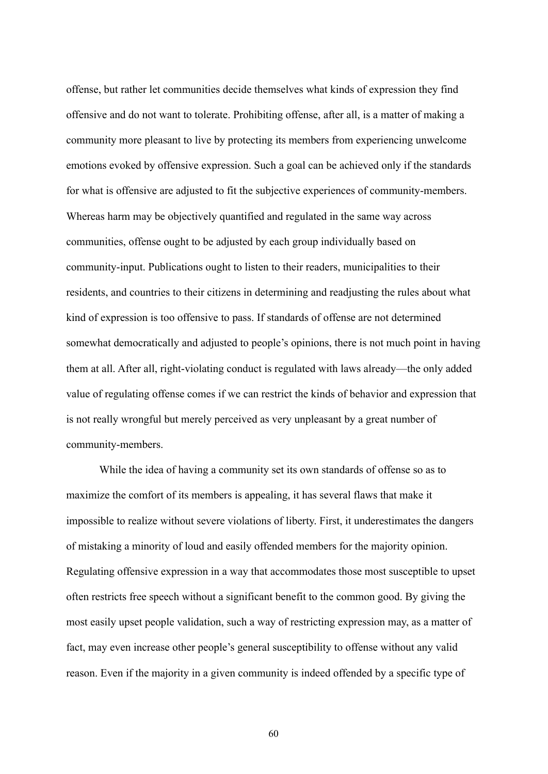offense, but rather let communities decide themselves what kinds of expression they find offensive and do not want to tolerate. Prohibiting offense, after all, is a matter of making a community more pleasant to live by protecting its members from experiencing unwelcome emotions evoked by offensive expression. Such a goal can be achieved only if the standards for what is offensive are adjusted to fit the subjective experiences of community-members. Whereas harm may be objectively quantified and regulated in the same way across communities, offense ought to be adjusted by each group individually based on community-input. Publications ought to listen to their readers, municipalities to their residents, and countries to their citizens in determining and readjusting the rules about what kind of expression is too offensive to pass. If standards of offense are not determined somewhat democratically and adjusted to people's opinions, there is not much point in having them at all. After all, right-violating conduct is regulated with laws already—the only added value of regulating offense comes if we can restrict the kinds of behavior and expression that is not really wrongful but merely perceived as very unpleasant by a great number of community-members.

While the idea of having a community set its own standards of offense so as to maximize the comfort of its members is appealing, it has several flaws that make it impossible to realize without severe violations of liberty. First, it underestimates the dangers of mistaking a minority of loud and easily offended members for the majority opinion. Regulating offensive expression in a way that accommodates those most susceptible to upset often restricts free speech without a significant benefit to the common good. By giving the most easily upset people validation, such a way of restricting expression may, as a matter of fact, may even increase other people's general susceptibility to offense without any valid reason. Even if the majority in a given community is indeed offended by a specific type of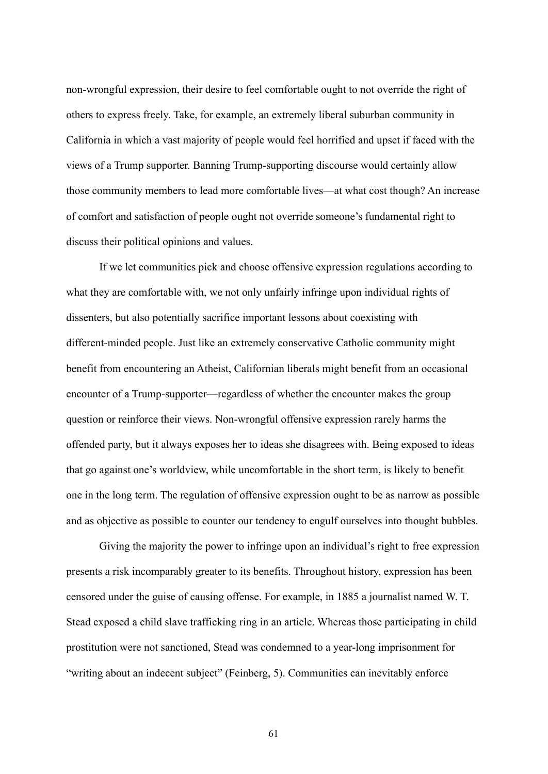non-wrongful expression, their desire to feel comfortable ought to not override the right of others to express freely. Take, for example, an extremely liberal suburban community in California in which a vast majority of people would feel horrified and upset if faced with the views of a Trump supporter. Banning Trump-supporting discourse would certainly allow those community members to lead more comfortable lives—at what cost though? An increase of comfort and satisfaction of people ought not override someone's fundamental right to discuss their political opinions and values.

If we let communities pick and choose offensive expression regulations according to what they are comfortable with, we not only unfairly infringe upon individual rights of dissenters, but also potentially sacrifice important lessons about coexisting with different-minded people. Just like an extremely conservative Catholic community might benefit from encountering an Atheist, Californian liberals might benefit from an occasional encounter of a Trump-supporter—regardless of whether the encounter makes the group question or reinforce their views. Non-wrongful offensive expression rarely harms the offended party, but it always exposes her to ideas she disagrees with. Being exposed to ideas that go against one's worldview, while uncomfortable in the short term, is likely to benefit one in the long term. The regulation of offensive expression ought to be as narrow as possible and as objective as possible to counter our tendency to engulf ourselves into thought bubbles.

Giving the majority the power to infringe upon an individual's right to free expression presents a risk incomparably greater to its benefits. Throughout history, expression has been censored under the guise of causing offense. For example, in 1885 a journalist named W. T. Stead exposed a child slave trafficking ring in an article. Whereas those participating in child prostitution were not sanctioned, Stead was condemned to a year-long imprisonment for "writing about an indecent subject" (Feinberg, 5). Communities can inevitably enforce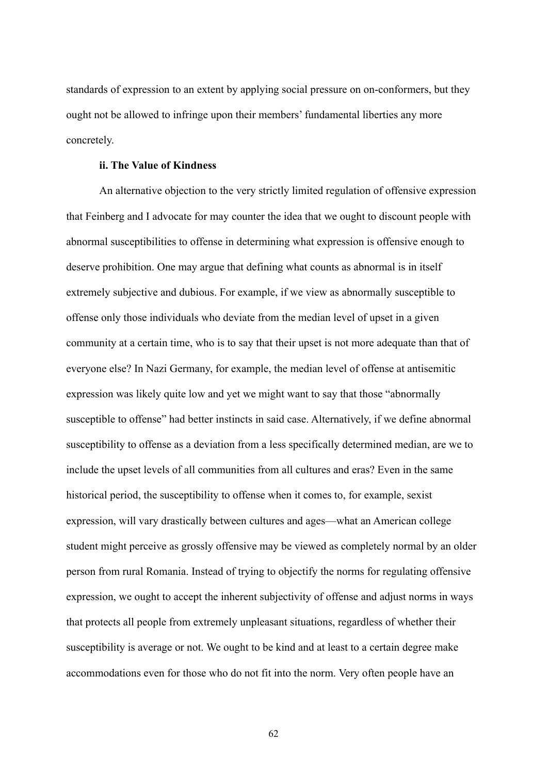standards of expression to an extent by applying social pressure on on-conformers, but they ought not be allowed to infringe upon their members' fundamental liberties any more concretely.

## **ii. The Value of Kindness**

An alternative objection to the very strictly limited regulation of offensive expression that Feinberg and I advocate for may counter the idea that we ought to discount people with abnormal susceptibilities to offense in determining what expression is offensive enough to deserve prohibition. One may argue that defining what counts as abnormal is in itself extremely subjective and dubious. For example, if we view as abnormally susceptible to offense only those individuals who deviate from the median level of upset in a given community at a certain time, who is to say that their upset is not more adequate than that of everyone else? In Nazi Germany, for example, the median level of offense at antisemitic expression was likely quite low and yet we might want to say that those "abnormally susceptible to offense" had better instincts in said case. Alternatively, if we define abnormal susceptibility to offense as a deviation from a less specifically determined median, are we to include the upset levels of all communities from all cultures and eras? Even in the same historical period, the susceptibility to offense when it comes to, for example, sexist expression, will vary drastically between cultures and ages—what an American college student might perceive as grossly offensive may be viewed as completely normal by an older person from rural Romania. Instead of trying to objectify the norms for regulating offensive expression, we ought to accept the inherent subjectivity of offense and adjust norms in ways that protects all people from extremely unpleasant situations, regardless of whether their susceptibility is average or not. We ought to be kind and at least to a certain degree make accommodations even for those who do not fit into the norm. Very often people have an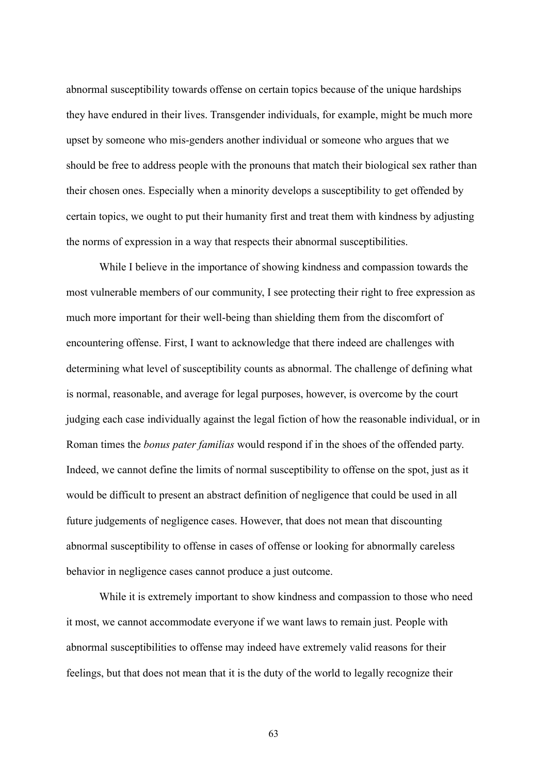abnormal susceptibility towards offense on certain topics because of the unique hardships they have endured in their lives. Transgender individuals, for example, might be much more upset by someone who mis-genders another individual or someone who argues that we should be free to address people with the pronouns that match their biological sex rather than their chosen ones. Especially when a minority develops a susceptibility to get offended by certain topics, we ought to put their humanity first and treat them with kindness by adjusting the norms of expression in a way that respects their abnormal susceptibilities.

While I believe in the importance of showing kindness and compassion towards the most vulnerable members of our community, I see protecting their right to free expression as much more important for their well-being than shielding them from the discomfort of encountering offense. First, I want to acknowledge that there indeed are challenges with determining what level of susceptibility counts as abnormal. The challenge of defining what is normal, reasonable, and average for legal purposes, however, is overcome by the court judging each case individually against the legal fiction of how the reasonable individual, or in Roman times the *bonus pater familias* would respond if in the shoes of the offended party. Indeed, we cannot define the limits of normal susceptibility to offense on the spot, just as it would be difficult to present an abstract definition of negligence that could be used in all future judgements of negligence cases. However, that does not mean that discounting abnormal susceptibility to offense in cases of offense or looking for abnormally careless behavior in negligence cases cannot produce a just outcome.

While it is extremely important to show kindness and compassion to those who need it most, we cannot accommodate everyone if we want laws to remain just. People with abnormal susceptibilities to offense may indeed have extremely valid reasons for their feelings, but that does not mean that it is the duty of the world to legally recognize their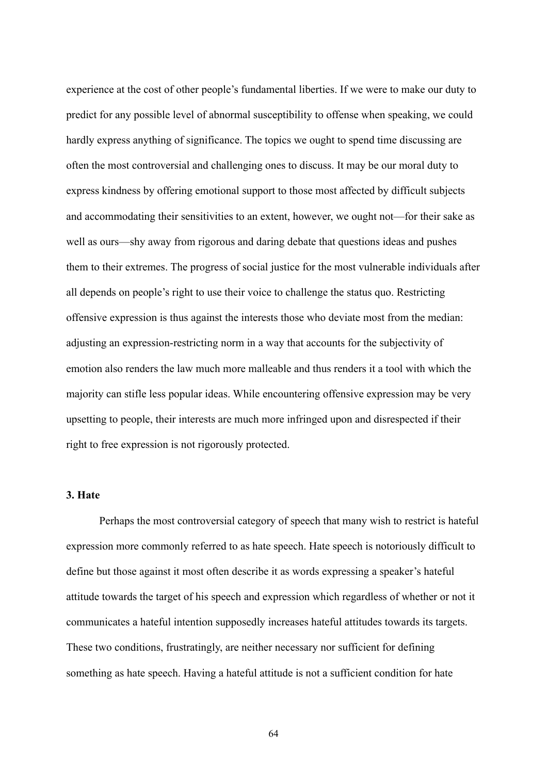experience at the cost of other people's fundamental liberties. If we were to make our duty to predict for any possible level of abnormal susceptibility to offense when speaking, we could hardly express anything of significance. The topics we ought to spend time discussing are often the most controversial and challenging ones to discuss. It may be our moral duty to express kindness by offering emotional support to those most affected by difficult subjects and accommodating their sensitivities to an extent, however, we ought not—for their sake as well as ours—shy away from rigorous and daring debate that questions ideas and pushes them to their extremes. The progress of social justice for the most vulnerable individuals after all depends on people's right to use their voice to challenge the status quo. Restricting offensive expression is thus against the interests those who deviate most from the median: adjusting an expression-restricting norm in a way that accounts for the subjectivity of emotion also renders the law much more malleable and thus renders it a tool with which the majority can stifle less popular ideas. While encountering offensive expression may be very upsetting to people, their interests are much more infringed upon and disrespected if their right to free expression is not rigorously protected.

## **3. Hate**

Perhaps the most controversial category of speech that many wish to restrict is hateful expression more commonly referred to as hate speech. Hate speech is notoriously difficult to define but those against it most often describe it as words expressing a speaker's hateful attitude towards the target of his speech and expression which regardless of whether or not it communicates a hateful intention supposedly increases hateful attitudes towards its targets. These two conditions, frustratingly, are neither necessary nor sufficient for defining something as hate speech. Having a hateful attitude is not a sufficient condition for hate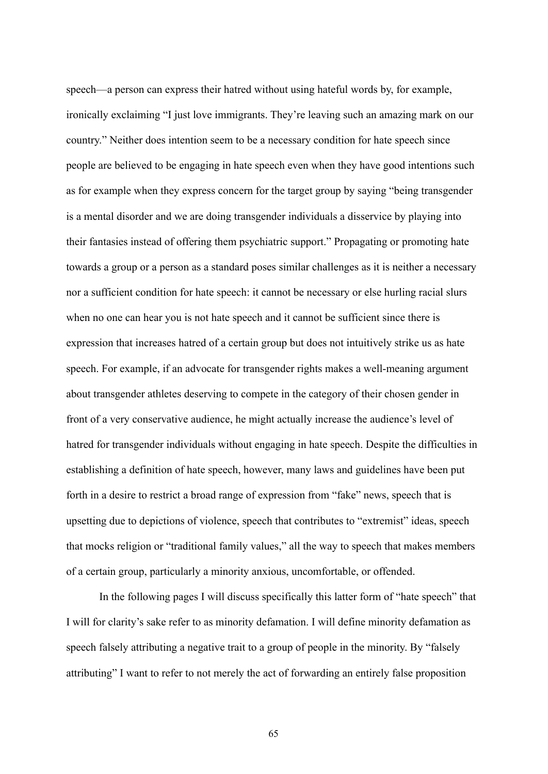speech—a person can express their hatred without using hateful words by, for example, ironically exclaiming "I just love immigrants. They're leaving such an amazing mark on our country." Neither does intention seem to be a necessary condition for hate speech since people are believed to be engaging in hate speech even when they have good intentions such as for example when they express concern for the target group by saying "being transgender is a mental disorder and we are doing transgender individuals a disservice by playing into their fantasies instead of offering them psychiatric support." Propagating or promoting hate towards a group or a person as a standard poses similar challenges as it is neither a necessary nor a sufficient condition for hate speech: it cannot be necessary or else hurling racial slurs when no one can hear you is not hate speech and it cannot be sufficient since there is expression that increases hatred of a certain group but does not intuitively strike us as hate speech. For example, if an advocate for transgender rights makes a well-meaning argument about transgender athletes deserving to compete in the category of their chosen gender in front of a very conservative audience, he might actually increase the audience's level of hatred for transgender individuals without engaging in hate speech. Despite the difficulties in establishing a definition of hate speech, however, many laws and guidelines have been put forth in a desire to restrict a broad range of expression from "fake" news, speech that is upsetting due to depictions of violence, speech that contributes to "extremist" ideas, speech that mocks religion or "traditional family values," all the way to speech that makes members of a certain group, particularly a minority anxious, uncomfortable, or offended.

In the following pages I will discuss specifically this latter form of "hate speech" that I will for clarity's sake refer to as minority defamation. I will define minority defamation as speech falsely attributing a negative trait to a group of people in the minority. By "falsely attributing" I want to refer to not merely the act of forwarding an entirely false proposition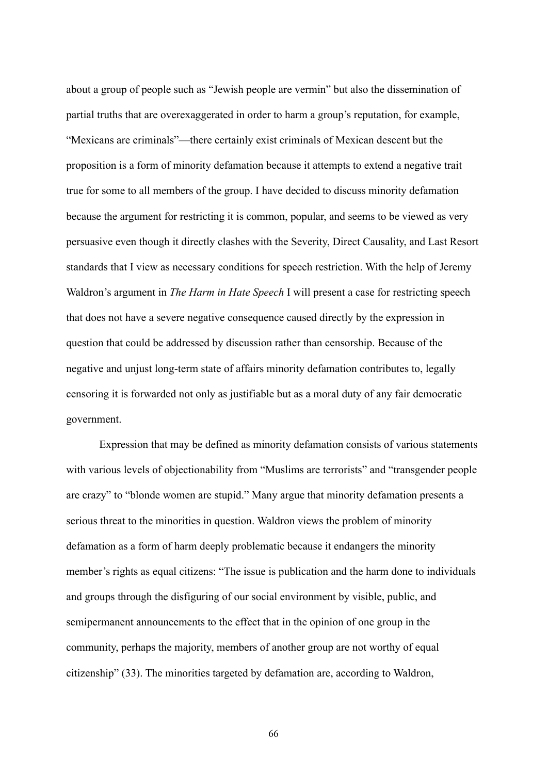about a group of people such as "Jewish people are vermin" but also the dissemination of partial truths that are overexaggerated in order to harm a group's reputation, for example, "Mexicans are criminals"—there certainly exist criminals of Mexican descent but the proposition is a form of minority defamation because it attempts to extend a negative trait true for some to all members of the group. I have decided to discuss minority defamation because the argument for restricting it is common, popular, and seems to be viewed as very persuasive even though it directly clashes with the Severity, Direct Causality, and Last Resort standards that I view as necessary conditions for speech restriction. With the help of Jeremy Waldron's argument in *The Harm in Hate Speech* I will present a case for restricting speech that does not have a severe negative consequence caused directly by the expression in question that could be addressed by discussion rather than censorship. Because of the negative and unjust long-term state of affairs minority defamation contributes to, legally censoring it is forwarded not only as justifiable but as a moral duty of any fair democratic government.

Expression that may be defined as minority defamation consists of various statements with various levels of objectionability from "Muslims are terrorists" and "transgender people are crazy" to "blonde women are stupid." Many argue that minority defamation presents a serious threat to the minorities in question. Waldron views the problem of minority defamation as a form of harm deeply problematic because it endangers the minority member's rights as equal citizens: "The issue is publication and the harm done to individuals and groups through the disfiguring of our social environment by visible, public, and semipermanent announcements to the effect that in the opinion of one group in the community, perhaps the majority, members of another group are not worthy of equal citizenship" (33). The minorities targeted by defamation are, according to Waldron,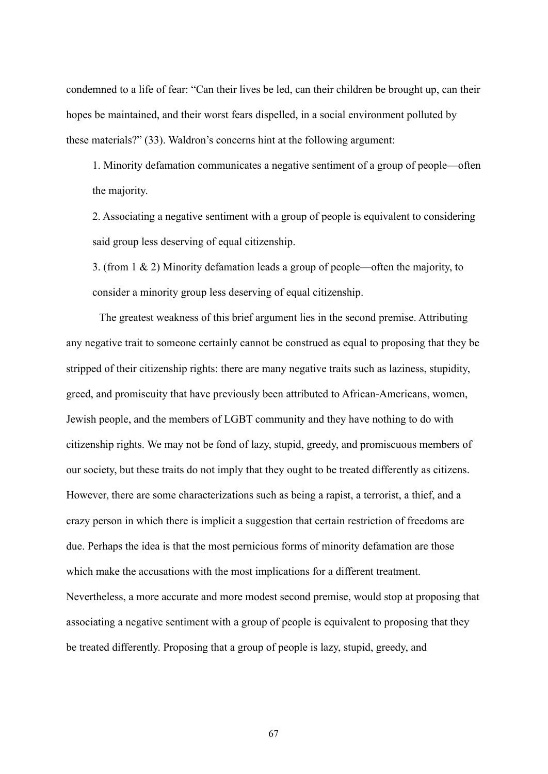condemned to a life of fear: "Can their lives be led, can their children be brought up, can their hopes be maintained, and their worst fears dispelled, in a social environment polluted by these materials?" (33). Waldron's concerns hint at the following argument:

1. Minority defamation communicates a negative sentiment of a group of people—often the majority.

2. Associating a negative sentiment with a group of people is equivalent to considering said group less deserving of equal citizenship.

3. (from 1 & 2) Minority defamation leads a group of people—often the majority, to consider a minority group less deserving of equal citizenship.

The greatest weakness of this brief argument lies in the second premise. Attributing any negative trait to someone certainly cannot be construed as equal to proposing that they be stripped of their citizenship rights: there are many negative traits such as laziness, stupidity, greed, and promiscuity that have previously been attributed to African-Americans, women, Jewish people, and the members of LGBT community and they have nothing to do with citizenship rights. We may not be fond of lazy, stupid, greedy, and promiscuous members of our society, but these traits do not imply that they ought to be treated differently as citizens. However, there are some characterizations such as being a rapist, a terrorist, a thief, and a crazy person in which there is implicit a suggestion that certain restriction of freedoms are due. Perhaps the idea is that the most pernicious forms of minority defamation are those which make the accusations with the most implications for a different treatment. Nevertheless, a more accurate and more modest second premise, would stop at proposing that associating a negative sentiment with a group of people is equivalent to proposing that they be treated differently. Proposing that a group of people is lazy, stupid, greedy, and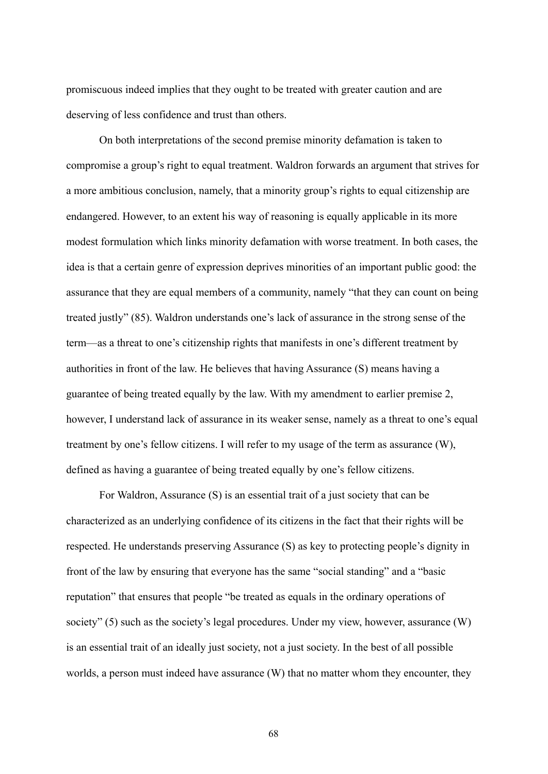promiscuous indeed implies that they ought to be treated with greater caution and are deserving of less confidence and trust than others.

On both interpretations of the second premise minority defamation is taken to compromise a group's right to equal treatment. Waldron forwards an argument that strives for a more ambitious conclusion, namely, that a minority group's rights to equal citizenship are endangered. However, to an extent his way of reasoning is equally applicable in its more modest formulation which links minority defamation with worse treatment. In both cases, the idea is that a certain genre of expression deprives minorities of an important public good: the assurance that they are equal members of a community, namely "that they can count on being treated justly" (85). Waldron understands one's lack of assurance in the strong sense of the term—as a threat to one's citizenship rights that manifests in one's different treatment by authorities in front of the law. He believes that having Assurance (S) means having a guarantee of being treated equally by the law. With my amendment to earlier premise 2, however, I understand lack of assurance in its weaker sense, namely as a threat to one's equal treatment by one's fellow citizens. I will refer to my usage of the term as assurance (W), defined as having a guarantee of being treated equally by one's fellow citizens.

For Waldron, Assurance (S) is an essential trait of a just society that can be characterized as an underlying confidence of its citizens in the fact that their rights will be respected. He understands preserving Assurance (S) as key to protecting people's dignity in front of the law by ensuring that everyone has the same "social standing" and a "basic reputation" that ensures that people "be treated as equals in the ordinary operations of society" (5) such as the society's legal procedures. Under my view, however, assurance (W) is an essential trait of an ideally just society, not a just society. In the best of all possible worlds, a person must indeed have assurance (W) that no matter whom they encounter, they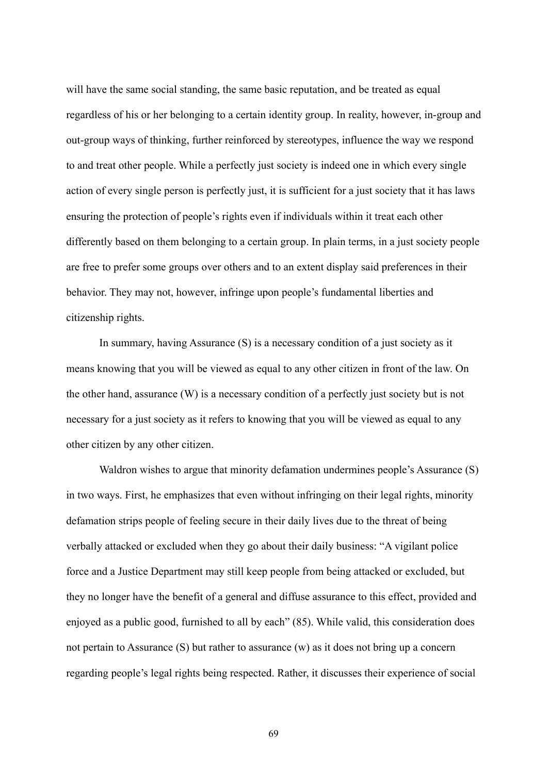will have the same social standing, the same basic reputation, and be treated as equal regardless of his or her belonging to a certain identity group. In reality, however, in-group and out-group ways of thinking, further reinforced by stereotypes, influence the way we respond to and treat other people. While a perfectly just society is indeed one in which every single action of every single person is perfectly just, it is sufficient for a just society that it has laws ensuring the protection of people's rights even if individuals within it treat each other differently based on them belonging to a certain group. In plain terms, in a just society people are free to prefer some groups over others and to an extent display said preferences in their behavior. They may not, however, infringe upon people's fundamental liberties and citizenship rights.

In summary, having Assurance (S) is a necessary condition of a just society as it means knowing that you will be viewed as equal to any other citizen in front of the law. On the other hand, assurance (W) is a necessary condition of a perfectly just society but is not necessary for a just society as it refers to knowing that you will be viewed as equal to any other citizen by any other citizen.

Waldron wishes to argue that minority defamation undermines people's Assurance (S) in two ways. First, he emphasizes that even without infringing on their legal rights, minority defamation strips people of feeling secure in their daily lives due to the threat of being verbally attacked or excluded when they go about their daily business: "A vigilant police force and a Justice Department may still keep people from being attacked or excluded, but they no longer have the benefit of a general and diffuse assurance to this effect, provided and enjoyed as a public good, furnished to all by each" (85). While valid, this consideration does not pertain to Assurance (S) but rather to assurance (w) as it does not bring up a concern regarding people's legal rights being respected. Rather, it discusses their experience of social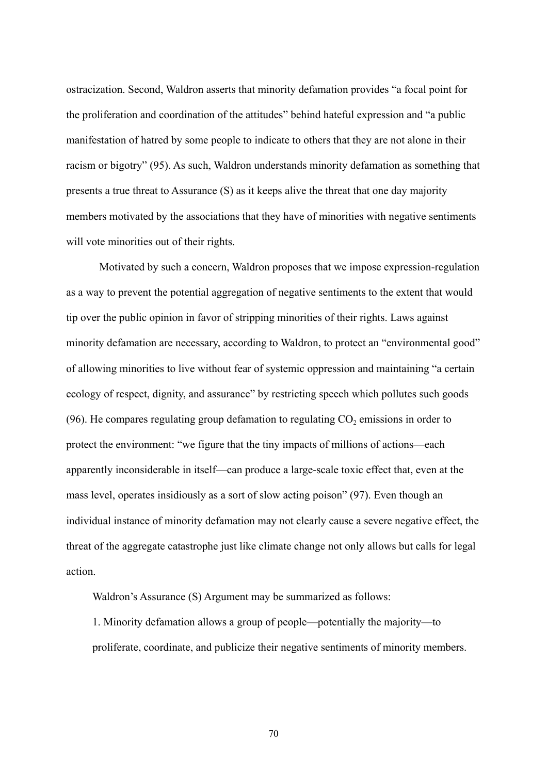ostracization. Second, Waldron asserts that minority defamation provides "a focal point for the proliferation and coordination of the attitudes" behind hateful expression and "a public manifestation of hatred by some people to indicate to others that they are not alone in their racism or bigotry" (95). As such, Waldron understands minority defamation as something that presents a true threat to Assurance (S) as it keeps alive the threat that one day majority members motivated by the associations that they have of minorities with negative sentiments will vote minorities out of their rights.

Motivated by such a concern, Waldron proposes that we impose expression-regulation as a way to prevent the potential aggregation of negative sentiments to the extent that would tip over the public opinion in favor of stripping minorities of their rights. Laws against minority defamation are necessary, according to Waldron, to protect an "environmental good" of allowing minorities to live without fear of systemic oppression and maintaining "a certain ecology of respect, dignity, and assurance" by restricting speech which pollutes such goods  $(96)$ . He compares regulating group defamation to regulating  $CO<sub>2</sub>$  emissions in order to protect the environment: "we figure that the tiny impacts of millions of actions—each apparently inconsiderable in itself—can produce a large-scale toxic effect that, even at the mass level, operates insidiously as a sort of slow acting poison" (97). Even though an individual instance of minority defamation may not clearly cause a severe negative effect, the threat of the aggregate catastrophe just like climate change not only allows but calls for legal action.

Waldron's Assurance (S) Argument may be summarized as follows:

1. Minority defamation allows a group of people—potentially the majority—to proliferate, coordinate, and publicize their negative sentiments of minority members.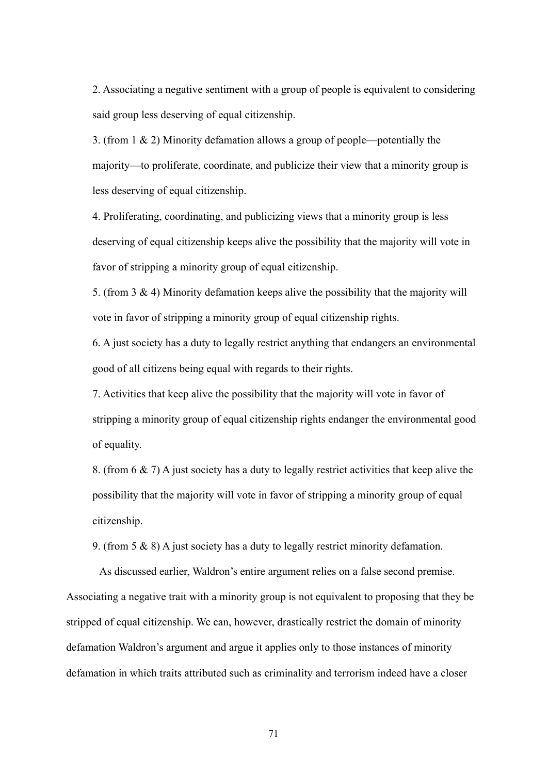2. Associating a negative sentiment with a group of people is equivalent to considering said group less deserving of equal citizenship.

3. (from 1 & 2) Minority defamation allows a group of people—potentially the majority—to proliferate, coordinate, and publicize their view that a minority group is less deserving of equal citizenship.

4. Proliferating, coordinating, and publicizing views that a minority group is less deserving of equal citizenship keeps alive the possibility that the majority will vote in favor of stripping a minority group of equal citizenship.

5. (from 3 & 4) Minority defamation keeps alive the possibility that the majority will vote in favor of stripping a minority group of equal citizenship rights.

6. A just society has a duty to legally restrict anything that endangers an environmental good of all citizens being equal with regards to their rights.

7. Activities that keep alive the possibility that the majority will vote in favor of stripping a minority group of equal citizenship rights endanger the environmental good of equality.

8. (from 6 & 7) A just society has a duty to legally restrict activities that keep alive the possibility that the majority will vote in favor of stripping a minority group of equal citizenship.

9. (from 5 & 8) A just society has a duty to legally restrict minority defamation.

As discussed earlier, Waldron's entire argument relies on a false second premise. Associating a negative trait with a minority group is not equivalent to proposing that they be stripped of equal citizenship. We can, however, drastically restrict the domain of minority defamation Waldron's argument and argue it applies only to those instances of minority defamation in which traits attributed such as criminality and terrorism indeed have a closer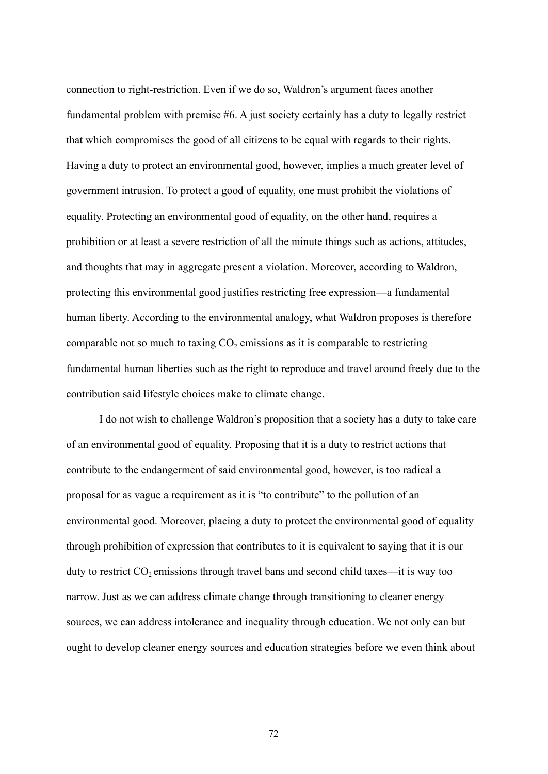connection to right-restriction. Even if we do so, Waldron's argument faces another fundamental problem with premise #6. A just society certainly has a duty to legally restrict that which compromises the good of all citizens to be equal with regards to their rights. Having a duty to protect an environmental good, however, implies a much greater level of government intrusion. To protect a good of equality, one must prohibit the violations of equality. Protecting an environmental good of equality, on the other hand, requires a prohibition or at least a severe restriction of all the minute things such as actions, attitudes, and thoughts that may in aggregate present a violation. Moreover, according to Waldron, protecting this environmental good justifies restricting free expression—a fundamental human liberty. According to the environmental analogy, what Waldron proposes is therefore comparable not so much to taxing  $CO<sub>2</sub>$  emissions as it is comparable to restricting fundamental human liberties such as the right to reproduce and travel around freely due to the contribution said lifestyle choices make to climate change.

I do not wish to challenge Waldron's proposition that a society has a duty to take care of an environmental good of equality. Proposing that it is a duty to restrict actions that contribute to the endangerment of said environmental good, however, is too radical a proposal for as vague a requirement as it is "to contribute" to the pollution of an environmental good. Moreover, placing a duty to protect the environmental good of equality through prohibition of expression that contributes to it is equivalent to saying that it is our duty to restrict  $CO_2$  emissions through travel bans and second child taxes—it is way too narrow. Just as we can address climate change through transitioning to cleaner energy sources, we can address intolerance and inequality through education. We not only can but ought to develop cleaner energy sources and education strategies before we even think about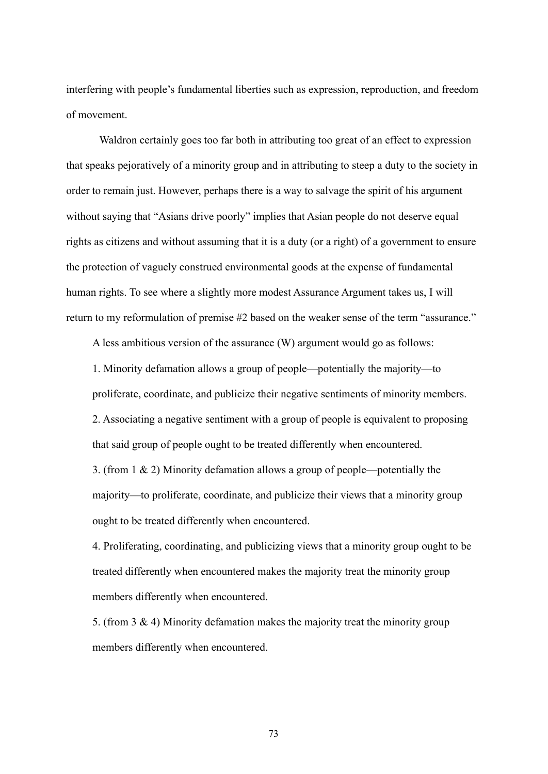interfering with people's fundamental liberties such as expression, reproduction, and freedom of movement.

Waldron certainly goes too far both in attributing too great of an effect to expression that speaks pejoratively of a minority group and in attributing to steep a duty to the society in order to remain just. However, perhaps there is a way to salvage the spirit of his argument without saying that "Asians drive poorly" implies that Asian people do not deserve equal rights as citizens and without assuming that it is a duty (or a right) of a government to ensure the protection of vaguely construed environmental goods at the expense of fundamental human rights. To see where a slightly more modest Assurance Argument takes us, I will return to my reformulation of premise #2 based on the weaker sense of the term "assurance."

A less ambitious version of the assurance (W) argument would go as follows:

1. Minority defamation allows a group of people—potentially the majority—to proliferate, coordinate, and publicize their negative sentiments of minority members. 2. Associating a negative sentiment with a group of people is equivalent to proposing that said group of people ought to be treated differently when encountered. 3. (from 1 & 2) Minority defamation allows a group of people—potentially the majority—to proliferate, coordinate, and publicize their views that a minority group ought to be treated differently when encountered.

4. Proliferating, coordinating, and publicizing views that a minority group ought to be treated differently when encountered makes the majority treat the minority group members differently when encountered.

5. (from 3 & 4) Minority defamation makes the majority treat the minority group members differently when encountered.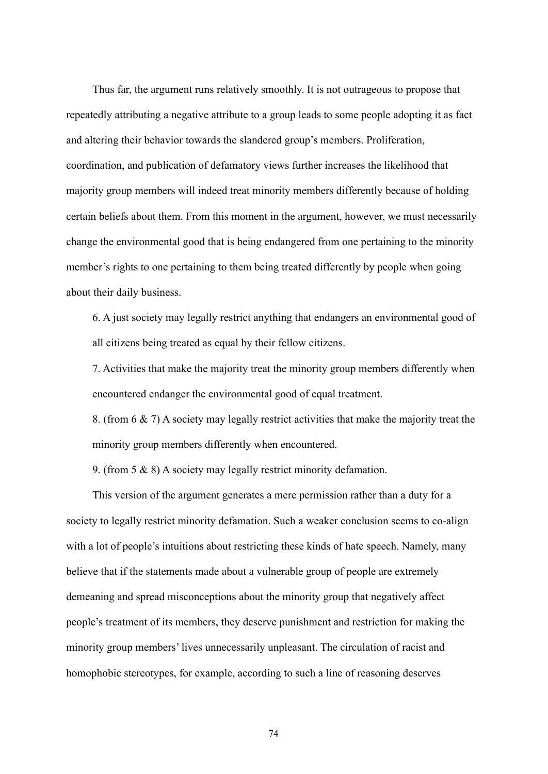Thus far, the argument runs relatively smoothly. It is not outrageous to propose that repeatedly attributing a negative attribute to a group leads to some people adopting it as fact and altering their behavior towards the slandered group's members. Proliferation, coordination, and publication of defamatory views further increases the likelihood that majority group members will indeed treat minority members differently because of holding certain beliefs about them. From this moment in the argument, however, we must necessarily change the environmental good that is being endangered from one pertaining to the minority member's rights to one pertaining to them being treated differently by people when going about their daily business.

6. A just society may legally restrict anything that endangers an environmental good of all citizens being treated as equal by their fellow citizens.

7. Activities that make the majority treat the minority group members differently when encountered endanger the environmental good of equal treatment.

8. (from 6 & 7) A society may legally restrict activities that make the majority treat the minority group members differently when encountered.

9. (from 5 & 8) A society may legally restrict minority defamation.

This version of the argument generates a mere permission rather than a duty for a society to legally restrict minority defamation. Such a weaker conclusion seems to co-align with a lot of people's intuitions about restricting these kinds of hate speech. Namely, many believe that if the statements made about a vulnerable group of people are extremely demeaning and spread misconceptions about the minority group that negatively affect people's treatment of its members, they deserve punishment and restriction for making the minority group members' lives unnecessarily unpleasant. The circulation of racist and homophobic stereotypes, for example, according to such a line of reasoning deserves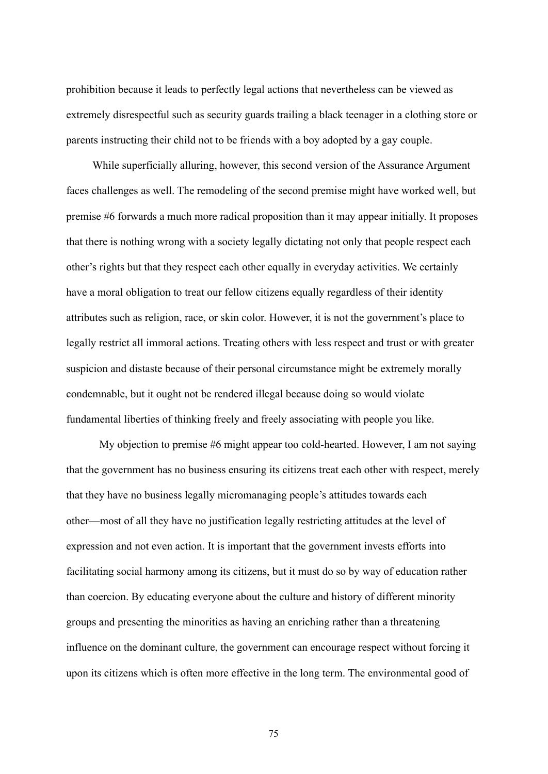prohibition because it leads to perfectly legal actions that nevertheless can be viewed as extremely disrespectful such as security guards trailing a black teenager in a clothing store or parents instructing their child not to be friends with a boy adopted by a gay couple.

While superficially alluring, however, this second version of the Assurance Argument faces challenges as well. The remodeling of the second premise might have worked well, but premise #6 forwards a much more radical proposition than it may appear initially. It proposes that there is nothing wrong with a society legally dictating not only that people respect each other's rights but that they respect each other equally in everyday activities. We certainly have a moral obligation to treat our fellow citizens equally regardless of their identity attributes such as religion, race, or skin color. However, it is not the government's place to legally restrict all immoral actions. Treating others with less respect and trust or with greater suspicion and distaste because of their personal circumstance might be extremely morally condemnable, but it ought not be rendered illegal because doing so would violate fundamental liberties of thinking freely and freely associating with people you like.

My objection to premise #6 might appear too cold-hearted. However, I am not saying that the government has no business ensuring its citizens treat each other with respect, merely that they have no business legally micromanaging people's attitudes towards each other—most of all they have no justification legally restricting attitudes at the level of expression and not even action. It is important that the government invests efforts into facilitating social harmony among its citizens, but it must do so by way of education rather than coercion. By educating everyone about the culture and history of different minority groups and presenting the minorities as having an enriching rather than a threatening influence on the dominant culture, the government can encourage respect without forcing it upon its citizens which is often more effective in the long term. The environmental good of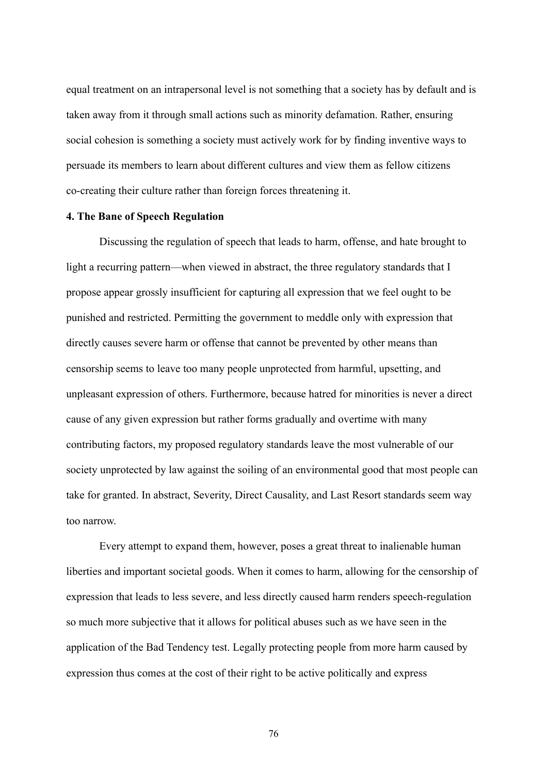equal treatment on an intrapersonal level is not something that a society has by default and is taken away from it through small actions such as minority defamation. Rather, ensuring social cohesion is something a society must actively work for by finding inventive ways to persuade its members to learn about different cultures and view them as fellow citizens co-creating their culture rather than foreign forces threatening it.

## **4. The Bane of Speech Regulation**

Discussing the regulation of speech that leads to harm, offense, and hate brought to light a recurring pattern—when viewed in abstract, the three regulatory standards that I propose appear grossly insufficient for capturing all expression that we feel ought to be punished and restricted. Permitting the government to meddle only with expression that directly causes severe harm or offense that cannot be prevented by other means than censorship seems to leave too many people unprotected from harmful, upsetting, and unpleasant expression of others. Furthermore, because hatred for minorities is never a direct cause of any given expression but rather forms gradually and overtime with many contributing factors, my proposed regulatory standards leave the most vulnerable of our society unprotected by law against the soiling of an environmental good that most people can take for granted. In abstract, Severity, Direct Causality, and Last Resort standards seem way too narrow.

Every attempt to expand them, however, poses a great threat to inalienable human liberties and important societal goods. When it comes to harm, allowing for the censorship of expression that leads to less severe, and less directly caused harm renders speech-regulation so much more subjective that it allows for political abuses such as we have seen in the application of the Bad Tendency test. Legally protecting people from more harm caused by expression thus comes at the cost of their right to be active politically and express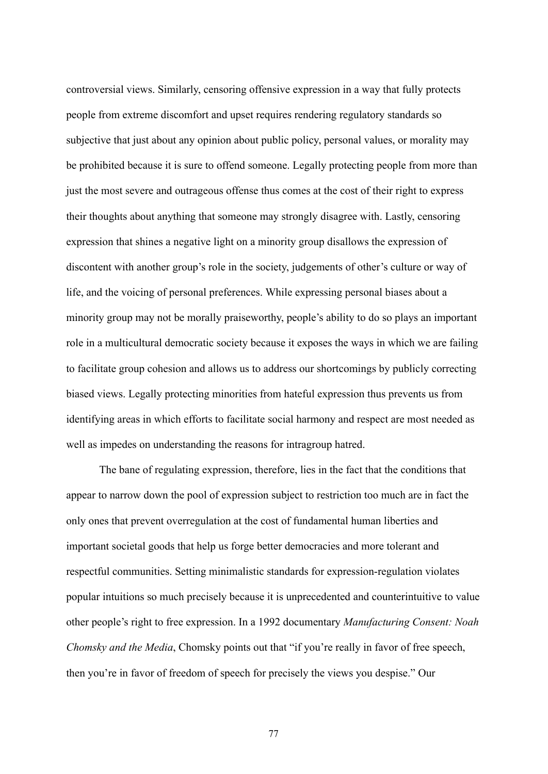controversial views. Similarly, censoring offensive expression in a way that fully protects people from extreme discomfort and upset requires rendering regulatory standards so subjective that just about any opinion about public policy, personal values, or morality may be prohibited because it is sure to offend someone. Legally protecting people from more than just the most severe and outrageous offense thus comes at the cost of their right to express their thoughts about anything that someone may strongly disagree with. Lastly, censoring expression that shines a negative light on a minority group disallows the expression of discontent with another group's role in the society, judgements of other's culture or way of life, and the voicing of personal preferences. While expressing personal biases about a minority group may not be morally praiseworthy, people's ability to do so plays an important role in a multicultural democratic society because it exposes the ways in which we are failing to facilitate group cohesion and allows us to address our shortcomings by publicly correcting biased views. Legally protecting minorities from hateful expression thus prevents us from identifying areas in which efforts to facilitate social harmony and respect are most needed as well as impedes on understanding the reasons for intragroup hatred.

The bane of regulating expression, therefore, lies in the fact that the conditions that appear to narrow down the pool of expression subject to restriction too much are in fact the only ones that prevent overregulation at the cost of fundamental human liberties and important societal goods that help us forge better democracies and more tolerant and respectful communities. Setting minimalistic standards for expression-regulation violates popular intuitions so much precisely because it is unprecedented and counterintuitive to value other people's right to free expression. In a 1992 documentary *Manufacturing Consent: Noah Chomsky and the Media*, Chomsky points out that "if you're really in favor of free speech, then you're in favor of freedom of speech for precisely the views you despise." Our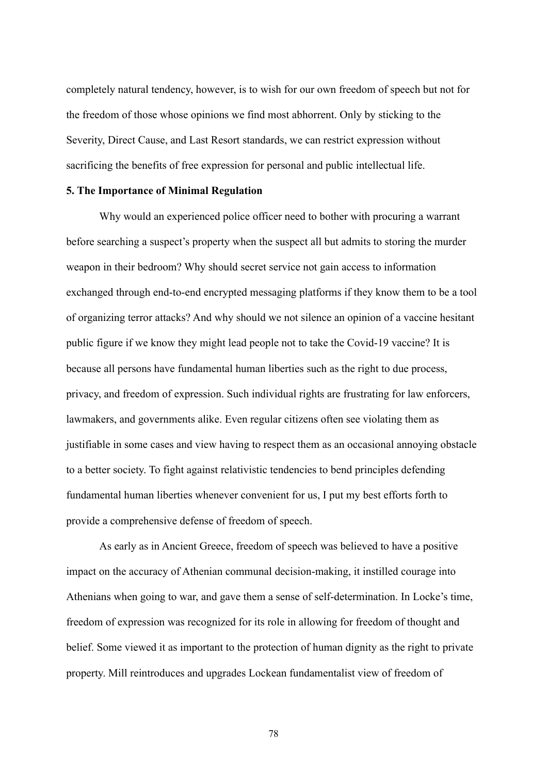completely natural tendency, however, is to wish for our own freedom of speech but not for the freedom of those whose opinions we find most abhorrent. Only by sticking to the Severity, Direct Cause, and Last Resort standards, we can restrict expression without sacrificing the benefits of free expression for personal and public intellectual life.

#### **5. The Importance of Minimal Regulation**

Why would an experienced police officer need to bother with procuring a warrant before searching a suspect's property when the suspect all but admits to storing the murder weapon in their bedroom? Why should secret service not gain access to information exchanged through end-to-end encrypted messaging platforms if they know them to be a tool of organizing terror attacks? And why should we not silence an opinion of a vaccine hesitant public figure if we know they might lead people not to take the Covid-19 vaccine? It is because all persons have fundamental human liberties such as the right to due process, privacy, and freedom of expression. Such individual rights are frustrating for law enforcers, lawmakers, and governments alike. Even regular citizens often see violating them as justifiable in some cases and view having to respect them as an occasional annoying obstacle to a better society. To fight against relativistic tendencies to bend principles defending fundamental human liberties whenever convenient for us, I put my best efforts forth to provide a comprehensive defense of freedom of speech.

As early as in Ancient Greece, freedom of speech was believed to have a positive impact on the accuracy of Athenian communal decision-making, it instilled courage into Athenians when going to war, and gave them a sense of self-determination. In Locke's time, freedom of expression was recognized for its role in allowing for freedom of thought and belief. Some viewed it as important to the protection of human dignity as the right to private property. Mill reintroduces and upgrades Lockean fundamentalist view of freedom of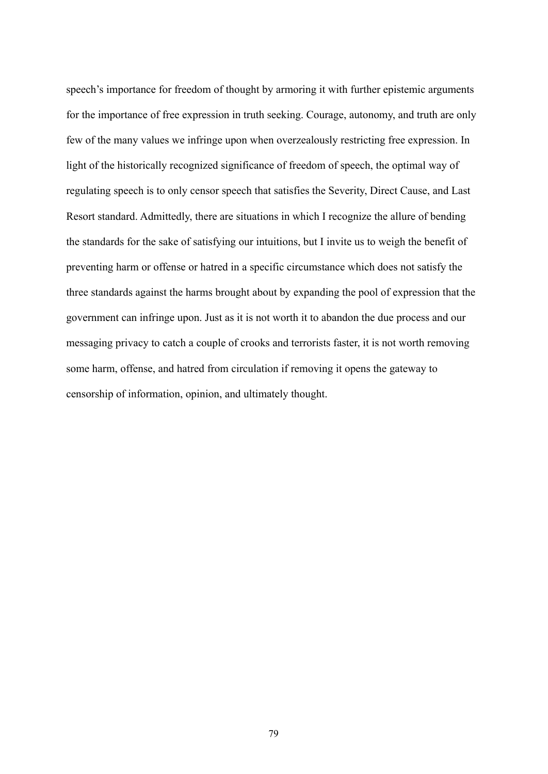speech's importance for freedom of thought by armoring it with further epistemic arguments for the importance of free expression in truth seeking. Courage, autonomy, and truth are only few of the many values we infringe upon when overzealously restricting free expression. In light of the historically recognized significance of freedom of speech, the optimal way of regulating speech is to only censor speech that satisfies the Severity, Direct Cause, and Last Resort standard. Admittedly, there are situations in which I recognize the allure of bending the standards for the sake of satisfying our intuitions, but I invite us to weigh the benefit of preventing harm or offense or hatred in a specific circumstance which does not satisfy the three standards against the harms brought about by expanding the pool of expression that the government can infringe upon. Just as it is not worth it to abandon the due process and our messaging privacy to catch a couple of crooks and terrorists faster, it is not worth removing some harm, offense, and hatred from circulation if removing it opens the gateway to censorship of information, opinion, and ultimately thought.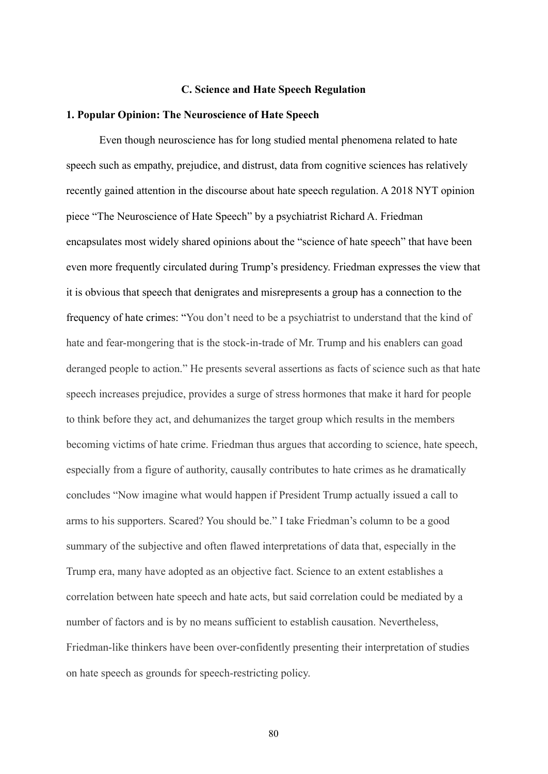#### **C. Science and Hate Speech Regulation**

#### **1. Popular Opinion: The Neuroscience of Hate Speech**

Even though neuroscience has for long studied mental phenomena related to hate speech such as empathy, prejudice, and distrust, data from cognitive sciences has relatively recently gained attention in the discourse about hate speech regulation. A 2018 NYT opinion piece "The Neuroscience of Hate Speech" by a psychiatrist Richard A. Friedman encapsulates most widely shared opinions about the "science of hate speech" that have been even more frequently circulated during Trump's presidency. Friedman expresses the view that it is obvious that speech that denigrates and misrepresents a group has a connection to the frequency of hate crimes: "You don't need to be a psychiatrist to understand that the kind of hate and fear-mongering that is the stock-in-trade of Mr. Trump and his enablers can goad deranged people to action." He presents several assertions as facts of science such as that hate speech increases prejudice, provides a surge of stress hormones that make it hard for people to think before they act, and dehumanizes the target group which results in the members becoming victims of hate crime. Friedman thus argues that according to science, hate speech, especially from a figure of authority, causally contributes to hate crimes as he dramatically concludes "Now imagine what would happen if President Trump actually issued a call to arms to his supporters. Scared? You should be." I take Friedman's column to be a good summary of the subjective and often flawed interpretations of data that, especially in the Trump era, many have adopted as an objective fact. Science to an extent establishes a correlation between hate speech and hate acts, but said correlation could be mediated by a number of factors and is by no means sufficient to establish causation. Nevertheless, Friedman-like thinkers have been over-confidently presenting their interpretation of studies on hate speech as grounds for speech-restricting policy.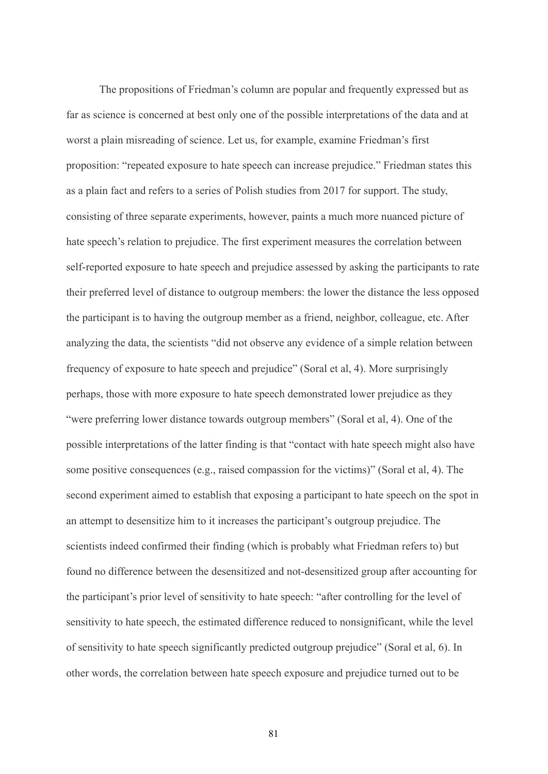The propositions of Friedman's column are popular and frequently expressed but as far as science is concerned at best only one of the possible interpretations of the data and at worst a plain misreading of science. Let us, for example, examine Friedman's first proposition: "repeated exposure to hate speech can increase prejudice." Friedman states this as a plain fact and refers to a series of Polish studies from 2017 for support. The study, consisting of three separate experiments, however, paints a much more nuanced picture of hate speech's relation to prejudice. The first experiment measures the correlation between self-reported exposure to hate speech and prejudice assessed by asking the participants to rate their preferred level of distance to outgroup members: the lower the distance the less opposed the participant is to having the outgroup member as a friend, neighbor, colleague, etc. After analyzing the data, the scientists "did not observe any evidence of a simple relation between frequency of exposure to hate speech and prejudice" (Soral et al, 4). More surprisingly perhaps, those with more exposure to hate speech demonstrated lower prejudice as they "were preferring lower distance towards outgroup members" (Soral et al, 4). One of the possible interpretations of the latter finding is that "contact with hate speech might also have some positive consequences (e.g., raised compassion for the victims)" (Soral et al, 4). The second experiment aimed to establish that exposing a participant to hate speech on the spot in an attempt to desensitize him to it increases the participant's outgroup prejudice. The scientists indeed confirmed their finding (which is probably what Friedman refers to) but found no difference between the desensitized and not-desensitized group after accounting for the participant's prior level of sensitivity to hate speech: "after controlling for the level of sensitivity to hate speech, the estimated difference reduced to nonsignificant, while the level of sensitivity to hate speech significantly predicted outgroup prejudice" (Soral et al, 6). In other words, the correlation between hate speech exposure and prejudice turned out to be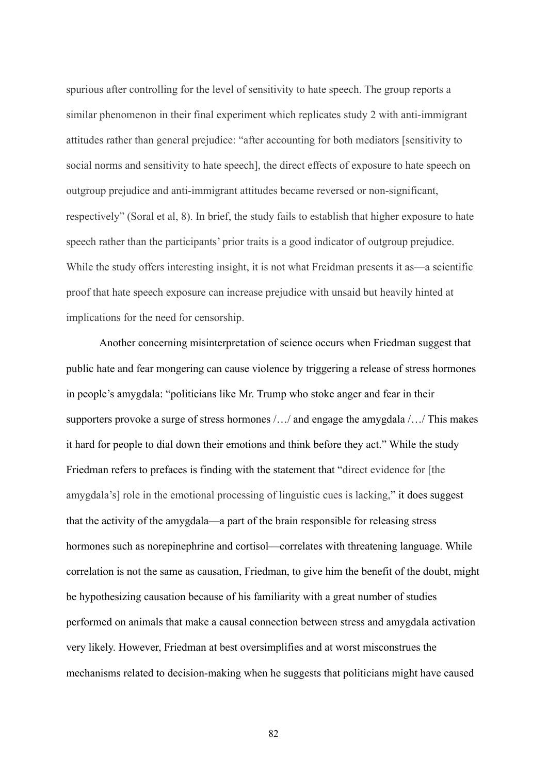spurious after controlling for the level of sensitivity to hate speech. The group reports a similar phenomenon in their final experiment which replicates study 2 with anti-immigrant attitudes rather than general prejudice: "after accounting for both mediators [sensitivity to social norms and sensitivity to hate speech], the direct effects of exposure to hate speech on outgroup prejudice and anti-immigrant attitudes became reversed or non-significant, respectively" (Soral et al, 8). In brief, the study fails to establish that higher exposure to hate speech rather than the participants' prior traits is a good indicator of outgroup prejudice. While the study offers interesting insight, it is not what Freidman presents it as—a scientific proof that hate speech exposure can increase prejudice with unsaid but heavily hinted at implications for the need for censorship.

Another concerning misinterpretation of science occurs when Friedman suggest that public hate and fear mongering can cause violence by triggering a release of stress hormones in people's amygdala: "politicians like Mr. Trump who stoke anger and fear in their supporters provoke a surge of stress hormones /…/ and engage the amygdala /…/ This makes it hard for people to dial down their emotions and think before they act." While the study Friedman refers to prefaces is finding with the statement that "direct evidence for [the amygdala's] role in the emotional processing of linguistic cues is lacking," it does suggest that the activity of the amygdala—a part of the brain responsible for releasing stress hormones such as norepinephrine and cortisol—correlates with threatening language. While correlation is not the same as causation, Friedman, to give him the benefit of the doubt, might be hypothesizing causation because of his familiarity with a great number of studies performed on animals that make a causal connection between stress and amygdala activation very likely. However, Friedman at best oversimplifies and at worst misconstrues the mechanisms related to decision-making when he suggests that politicians might have caused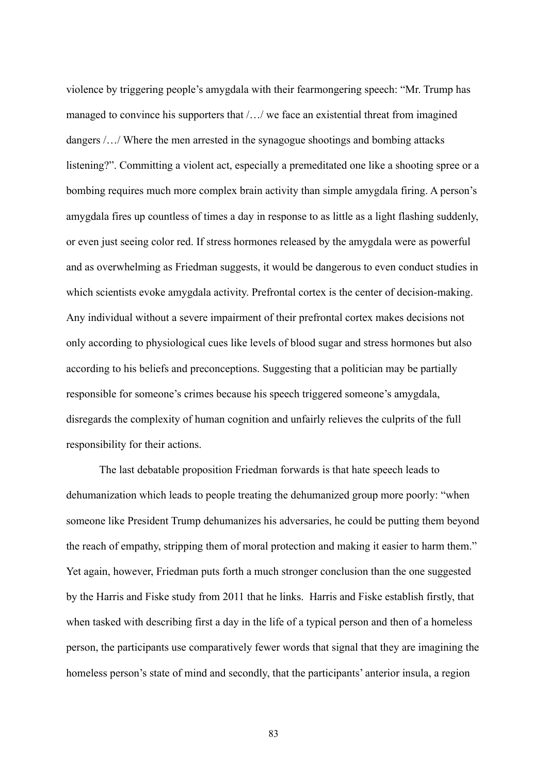violence by triggering people's amygdala with their fearmongering speech: "Mr. Trump has managed to convince his supporters that /…/ we face an existential threat from imagined dangers /…/ Where the men arrested in the synagogue shootings and bombing attacks listening?". Committing a violent act, especially a premeditated one like a shooting spree or a bombing requires much more complex brain activity than simple amygdala firing. A person's amygdala fires up countless of times a day in response to as little as a light flashing suddenly, or even just seeing color red. If stress hormones released by the amygdala were as powerful and as overwhelming as Friedman suggests, it would be dangerous to even conduct studies in which scientists evoke amygdala activity. Prefrontal cortex is the center of decision-making. Any individual without a severe impairment of their prefrontal cortex makes decisions not only according to physiological cues like levels of blood sugar and stress hormones but also according to his beliefs and preconceptions. Suggesting that a politician may be partially responsible for someone's crimes because his speech triggered someone's amygdala, disregards the complexity of human cognition and unfairly relieves the culprits of the full responsibility for their actions.

The last debatable proposition Friedman forwards is that hate speech leads to dehumanization which leads to people treating the dehumanized group more poorly: "when someone like President Trump dehumanizes his adversaries, he could be putting them beyond the reach of empathy, stripping them of moral protection and making it easier to harm them." Yet again, however, Friedman puts forth a much stronger conclusion than the one suggested by the Harris and Fiske study from 2011 that he links. Harris and Fiske establish firstly, that when tasked with describing first a day in the life of a typical person and then of a homeless person, the participants use comparatively fewer words that signal that they are imagining the homeless person's state of mind and secondly, that the participants' anterior insula, a region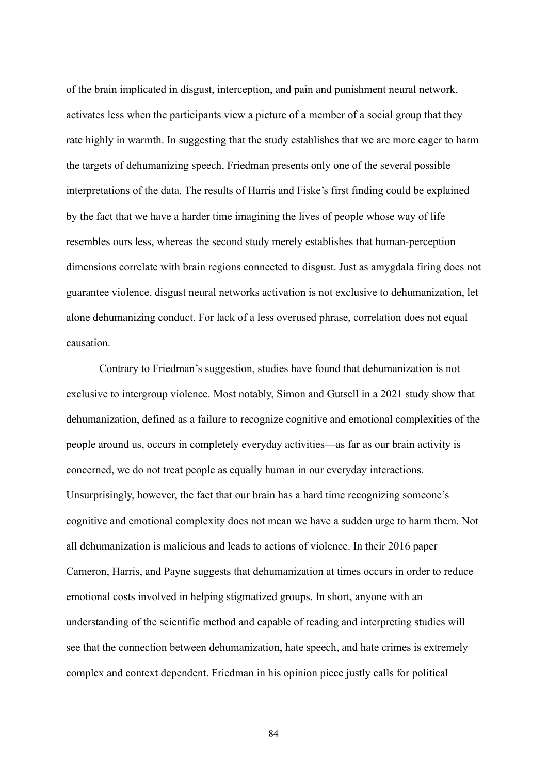of the brain implicated in disgust, interception, and pain and punishment neural network, activates less when the participants view a picture of a member of a social group that they rate highly in warmth. In suggesting that the study establishes that we are more eager to harm the targets of dehumanizing speech, Friedman presents only one of the several possible interpretations of the data. The results of Harris and Fiske's first finding could be explained by the fact that we have a harder time imagining the lives of people whose way of life resembles ours less, whereas the second study merely establishes that human-perception dimensions correlate with brain regions connected to disgust. Just as amygdala firing does not guarantee violence, disgust neural networks activation is not exclusive to dehumanization, let alone dehumanizing conduct. For lack of a less overused phrase, correlation does not equal causation.

Contrary to Friedman's suggestion, studies have found that dehumanization is not exclusive to intergroup violence. Most notably, Simon and Gutsell in a 2021 study show that dehumanization, defined as a failure to recognize cognitive and emotional complexities of the people around us, occurs in completely everyday activities—as far as our brain activity is concerned, we do not treat people as equally human in our everyday interactions. Unsurprisingly, however, the fact that our brain has a hard time recognizing someone's cognitive and emotional complexity does not mean we have a sudden urge to harm them. Not all dehumanization is malicious and leads to actions of violence. In their 2016 paper Cameron, Harris, and Payne suggests that dehumanization at times occurs in order to reduce emotional costs involved in helping stigmatized groups. In short, anyone with an understanding of the scientific method and capable of reading and interpreting studies will see that the connection between dehumanization, hate speech, and hate crimes is extremely complex and context dependent. Friedman in his opinion piece justly calls for political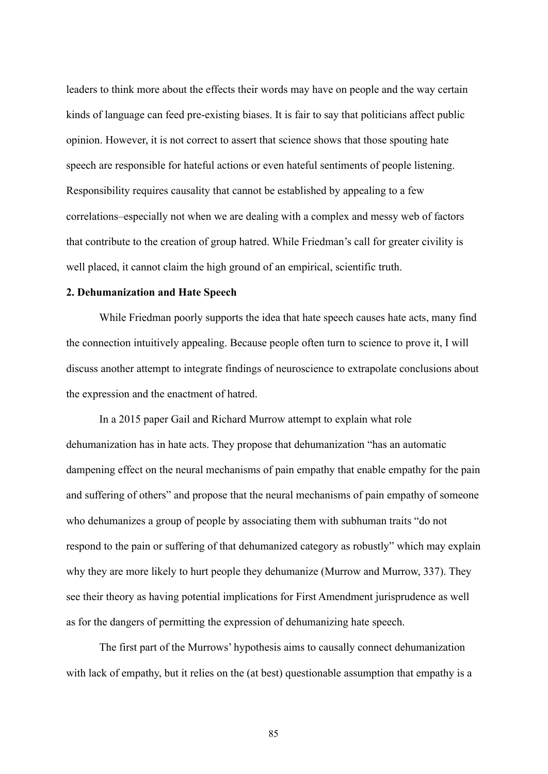leaders to think more about the effects their words may have on people and the way certain kinds of language can feed pre-existing biases. It is fair to say that politicians affect public opinion. However, it is not correct to assert that science shows that those spouting hate speech are responsible for hateful actions or even hateful sentiments of people listening. Responsibility requires causality that cannot be established by appealing to a few correlations–especially not when we are dealing with a complex and messy web of factors that contribute to the creation of group hatred. While Friedman's call for greater civility is well placed, it cannot claim the high ground of an empirical, scientific truth.

## **2. Dehumanization and Hate Speech**

While Friedman poorly supports the idea that hate speech causes hate acts, many find the connection intuitively appealing. Because people often turn to science to prove it, I will discuss another attempt to integrate findings of neuroscience to extrapolate conclusions about the expression and the enactment of hatred.

In a 2015 paper Gail and Richard Murrow attempt to explain what role dehumanization has in hate acts. They propose that dehumanization "has an automatic dampening effect on the neural mechanisms of pain empathy that enable empathy for the pain and suffering of others" and propose that the neural mechanisms of pain empathy of someone who dehumanizes a group of people by associating them with subhuman traits "do not respond to the pain or suffering of that dehumanized category as robustly" which may explain why they are more likely to hurt people they dehumanize (Murrow and Murrow, 337). They see their theory as having potential implications for First Amendment jurisprudence as well as for the dangers of permitting the expression of dehumanizing hate speech.

The first part of the Murrows' hypothesis aims to causally connect dehumanization with lack of empathy, but it relies on the (at best) questionable assumption that empathy is a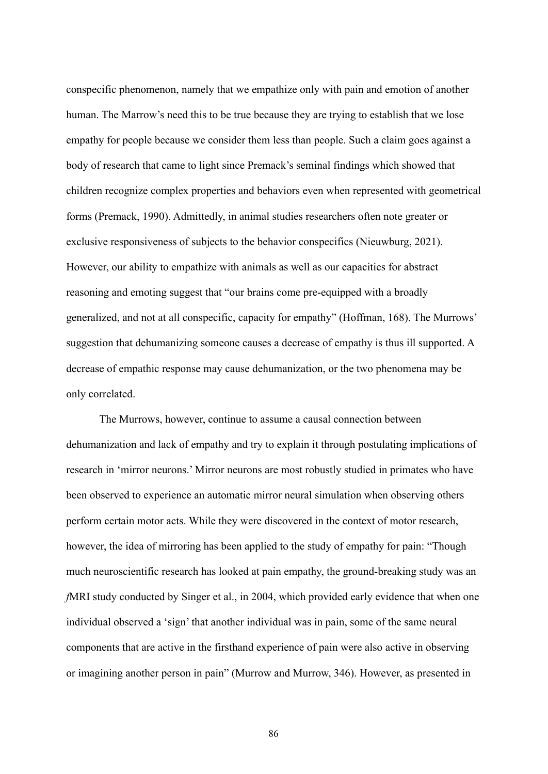conspecific phenomenon, namely that we empathize only with pain and emotion of another human. The Marrow's need this to be true because they are trying to establish that we lose empathy for people because we consider them less than people. Such a claim goes against a body of research that came to light since Premack's seminal findings which showed that children recognize complex properties and behaviors even when represented with geometrical forms (Premack, 1990). Admittedly, in animal studies researchers often note greater or exclusive responsiveness of subjects to the behavior conspecifics (Nieuwburg, 2021). However, our ability to empathize with animals as well as our capacities for abstract reasoning and emoting suggest that "our brains come pre-equipped with a broadly generalized, and not at all conspecific, capacity for empathy" (Hoffman, 168). The Murrows' suggestion that dehumanizing someone causes a decrease of empathy is thus ill supported. A decrease of empathic response may cause dehumanization, or the two phenomena may be only correlated.

The Murrows, however, continue to assume a causal connection between dehumanization and lack of empathy and try to explain it through postulating implications of research in 'mirror neurons.' Mirror neurons are most robustly studied in primates who have been observed to experience an automatic mirror neural simulation when observing others perform certain motor acts. While they were discovered in the context of motor research, however, the idea of mirroring has been applied to the study of empathy for pain: "Though much neuroscientific research has looked at pain empathy, the ground-breaking study was an *f*MRI study conducted by Singer et al., in 2004, which provided early evidence that when one individual observed a 'sign' that another individual was in pain, some of the same neural components that are active in the firsthand experience of pain were also active in observing or imagining another person in pain" (Murrow and Murrow, 346). However, as presented in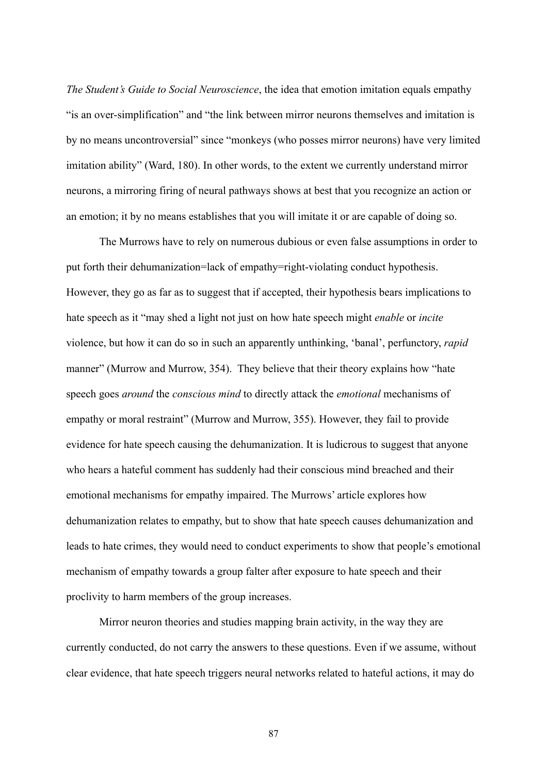*The Student's Guide to Social Neuroscience*, the idea that emotion imitation equals empathy "is an over-simplification" and "the link between mirror neurons themselves and imitation is by no means uncontroversial" since "monkeys (who posses mirror neurons) have very limited imitation ability" (Ward, 180). In other words, to the extent we currently understand mirror neurons, a mirroring firing of neural pathways shows at best that you recognize an action or an emotion; it by no means establishes that you will imitate it or are capable of doing so.

The Murrows have to rely on numerous dubious or even false assumptions in order to put forth their dehumanization=lack of empathy=right-violating conduct hypothesis. However, they go as far as to suggest that if accepted, their hypothesis bears implications to hate speech as it "may shed a light not just on how hate speech might *enable* or *incite* violence, but how it can do so in such an apparently unthinking, 'banal', perfunctory, *rapid* manner" (Murrow and Murrow, 354). They believe that their theory explains how "hate speech goes *around* the *conscious mind* to directly attack the *emotional* mechanisms of empathy or moral restraint" (Murrow and Murrow, 355). However, they fail to provide evidence for hate speech causing the dehumanization. It is ludicrous to suggest that anyone who hears a hateful comment has suddenly had their conscious mind breached and their emotional mechanisms for empathy impaired. The Murrows' article explores how dehumanization relates to empathy, but to show that hate speech causes dehumanization and leads to hate crimes, they would need to conduct experiments to show that people's emotional mechanism of empathy towards a group falter after exposure to hate speech and their proclivity to harm members of the group increases.

Mirror neuron theories and studies mapping brain activity, in the way they are currently conducted, do not carry the answers to these questions. Even if we assume, without clear evidence, that hate speech triggers neural networks related to hateful actions, it may do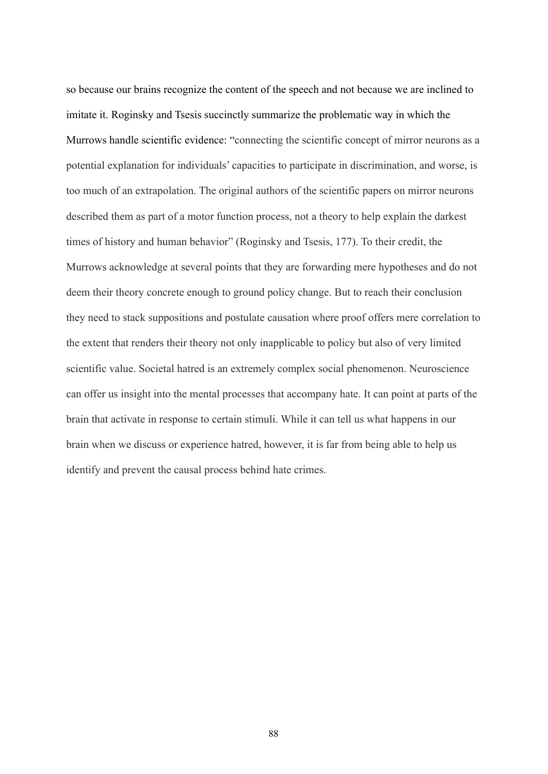so because our brains recognize the content of the speech and not because we are inclined to imitate it. Roginsky and Tsesis succinctly summarize the problematic way in which the Murrows handle scientific evidence: "connecting the scientific concept of mirror neurons as a potential explanation for individuals' capacities to participate in discrimination, and worse, is too much of an extrapolation. The original authors of the scientific papers on mirror neurons described them as part of a motor function process, not a theory to help explain the darkest times of history and human behavior" (Roginsky and Tsesis, 177). To their credit, the Murrows acknowledge at several points that they are forwarding mere hypotheses and do not deem their theory concrete enough to ground policy change. But to reach their conclusion they need to stack suppositions and postulate causation where proof offers mere correlation to the extent that renders their theory not only inapplicable to policy but also of very limited scientific value. Societal hatred is an extremely complex social phenomenon. Neuroscience can offer us insight into the mental processes that accompany hate. It can point at parts of the brain that activate in response to certain stimuli. While it can tell us what happens in our brain when we discuss or experience hatred, however, it is far from being able to help us identify and prevent the causal process behind hate crimes.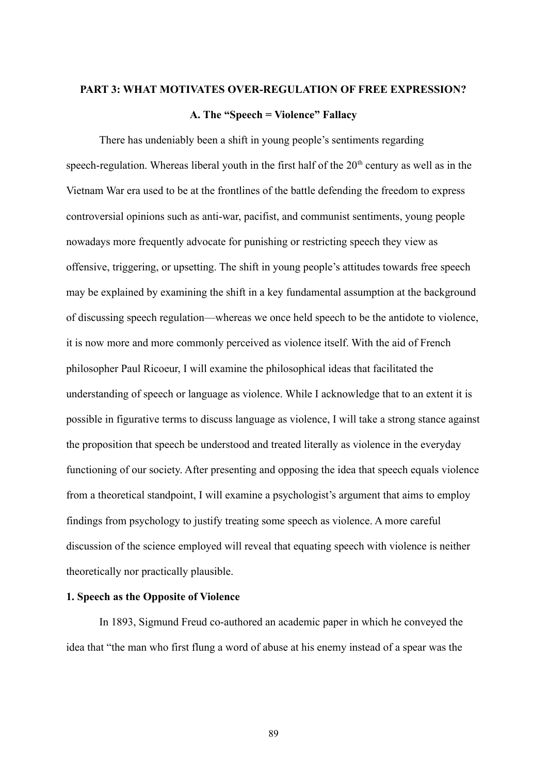# **PART 3: WHAT MOTIVATES OVER-REGULATION OF FREE EXPRESSION?**

## **A. The "Speech = Violence" Fallacy**

There has undeniably been a shift in young people's sentiments regarding speech-regulation. Whereas liberal youth in the first half of the  $20<sup>th</sup>$  century as well as in the Vietnam War era used to be at the frontlines of the battle defending the freedom to express controversial opinions such as anti-war, pacifist, and communist sentiments, young people nowadays more frequently advocate for punishing or restricting speech they view as offensive, triggering, or upsetting. The shift in young people's attitudes towards free speech may be explained by examining the shift in a key fundamental assumption at the background of discussing speech regulation—whereas we once held speech to be the antidote to violence, it is now more and more commonly perceived as violence itself. With the aid of French philosopher Paul Ricoeur, I will examine the philosophical ideas that facilitated the understanding of speech or language as violence. While I acknowledge that to an extent it is possible in figurative terms to discuss language as violence, I will take a strong stance against the proposition that speech be understood and treated literally as violence in the everyday functioning of our society. After presenting and opposing the idea that speech equals violence from a theoretical standpoint, I will examine a psychologist's argument that aims to employ findings from psychology to justify treating some speech as violence. A more careful discussion of the science employed will reveal that equating speech with violence is neither theoretically nor practically plausible.

## **1. Speech as the Opposite of Violence**

In 1893, Sigmund Freud co-authored an academic paper in which he conveyed the idea that "the man who first flung a word of abuse at his enemy instead of a spear was the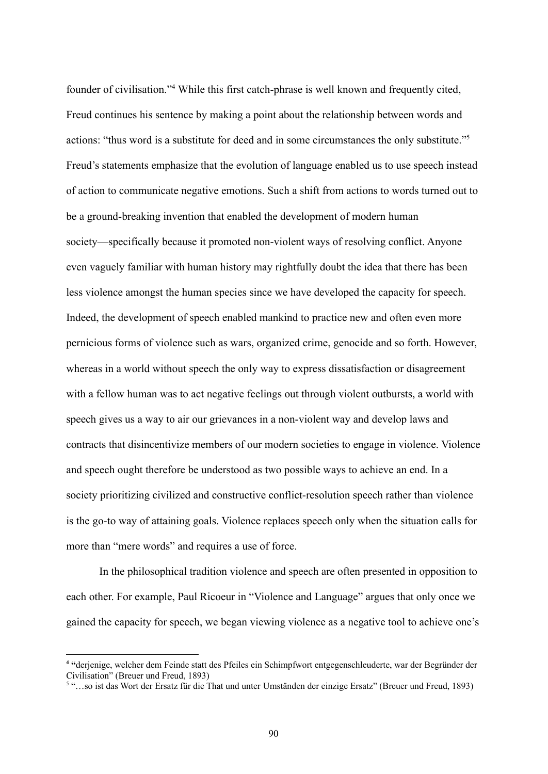founder of civilisation."<sup>4</sup> While this first catch-phrase is well known and frequently cited, Freud continues his sentence by making a point about the relationship between words and actions: "thus word is a substitute for deed and in some circumstances the only substitute."<sup>5</sup> Freud's statements emphasize that the evolution of language enabled us to use speech instead of action to communicate negative emotions. Such a shift from actions to words turned out to be a ground-breaking invention that enabled the development of modern human society—specifically because it promoted non-violent ways of resolving conflict. Anyone even vaguely familiar with human history may rightfully doubt the idea that there has been less violence amongst the human species since we have developed the capacity for speech. Indeed, the development of speech enabled mankind to practice new and often even more pernicious forms of violence such as wars, organized crime, genocide and so forth. However, whereas in a world without speech the only way to express dissatisfaction or disagreement with a fellow human was to act negative feelings out through violent outbursts, a world with speech gives us a way to air our grievances in a non-violent way and develop laws and contracts that disincentivize members of our modern societies to engage in violence. Violence and speech ought therefore be understood as two possible ways to achieve an end. In a society prioritizing civilized and constructive conflict-resolution speech rather than violence is the go-to way of attaining goals. Violence replaces speech only when the situation calls for more than "mere words" and requires a use of force.

In the philosophical tradition violence and speech are often presented in opposition to each other. For example, Paul Ricoeur in "Violence and Language" argues that only once we gained the capacity for speech, we began viewing violence as a negative tool to achieve one's

**<sup>4</sup> "**derjenige, welcher dem Feinde statt des Pfeiles ein Schimpfwort entgegenschleuderte, war der Begründer der Civilisation" (Breuer und Freud, 1893)

<sup>5</sup> "…so ist das Wort der Ersatz für die That und unter Umständen der einzige Ersatz" (Breuer und Freud, 1893)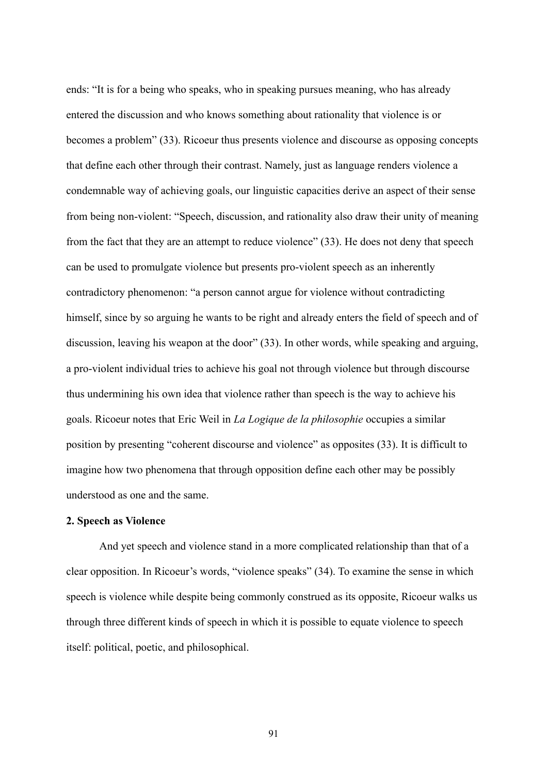ends: "It is for a being who speaks, who in speaking pursues meaning, who has already entered the discussion and who knows something about rationality that violence is or becomes a problem" (33). Ricoeur thus presents violence and discourse as opposing concepts that define each other through their contrast. Namely, just as language renders violence a condemnable way of achieving goals, our linguistic capacities derive an aspect of their sense from being non-violent: "Speech, discussion, and rationality also draw their unity of meaning from the fact that they are an attempt to reduce violence" (33). He does not deny that speech can be used to promulgate violence but presents pro-violent speech as an inherently contradictory phenomenon: "a person cannot argue for violence without contradicting himself, since by so arguing he wants to be right and already enters the field of speech and of discussion, leaving his weapon at the door" (33). In other words, while speaking and arguing, a pro-violent individual tries to achieve his goal not through violence but through discourse thus undermining his own idea that violence rather than speech is the way to achieve his goals. Ricoeur notes that Eric Weil in *La Logique de la philosophie* occupies a similar position by presenting "coherent discourse and violence" as opposites (33). It is difficult to imagine how two phenomena that through opposition define each other may be possibly understood as one and the same.

## **2. Speech as Violence**

And yet speech and violence stand in a more complicated relationship than that of a clear opposition. In Ricoeur's words, "violence speaks" (34). To examine the sense in which speech is violence while despite being commonly construed as its opposite, Ricoeur walks us through three different kinds of speech in which it is possible to equate violence to speech itself: political, poetic, and philosophical.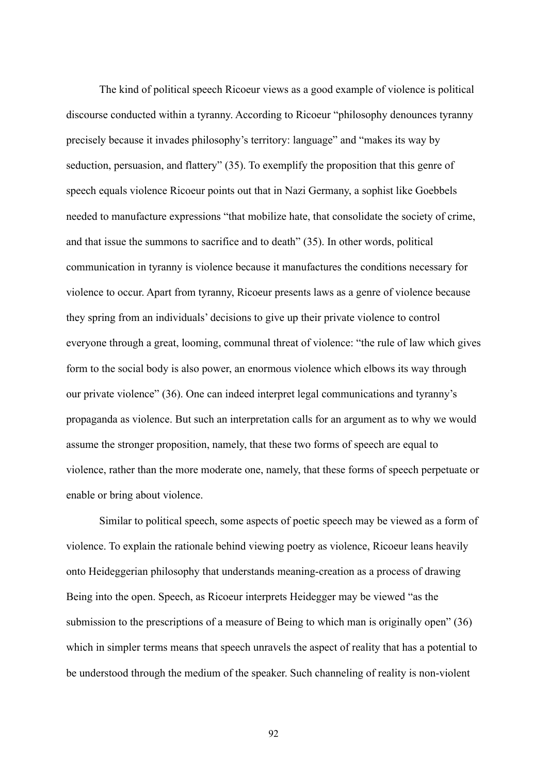The kind of political speech Ricoeur views as a good example of violence is political discourse conducted within a tyranny. According to Ricoeur "philosophy denounces tyranny precisely because it invades philosophy's territory: language" and "makes its way by seduction, persuasion, and flattery" (35). To exemplify the proposition that this genre of speech equals violence Ricoeur points out that in Nazi Germany, a sophist like Goebbels needed to manufacture expressions "that mobilize hate, that consolidate the society of crime, and that issue the summons to sacrifice and to death" (35). In other words, political communication in tyranny is violence because it manufactures the conditions necessary for violence to occur. Apart from tyranny, Ricoeur presents laws as a genre of violence because they spring from an individuals' decisions to give up their private violence to control everyone through a great, looming, communal threat of violence: "the rule of law which gives form to the social body is also power, an enormous violence which elbows its way through our private violence" (36). One can indeed interpret legal communications and tyranny's propaganda as violence. But such an interpretation calls for an argument as to why we would assume the stronger proposition, namely, that these two forms of speech are equal to violence, rather than the more moderate one, namely, that these forms of speech perpetuate or enable or bring about violence.

Similar to political speech, some aspects of poetic speech may be viewed as a form of violence. To explain the rationale behind viewing poetry as violence, Ricoeur leans heavily onto Heideggerian philosophy that understands meaning-creation as a process of drawing Being into the open. Speech, as Ricoeur interprets Heidegger may be viewed "as the submission to the prescriptions of a measure of Being to which man is originally open" (36) which in simpler terms means that speech unravels the aspect of reality that has a potential to be understood through the medium of the speaker. Such channeling of reality is non-violent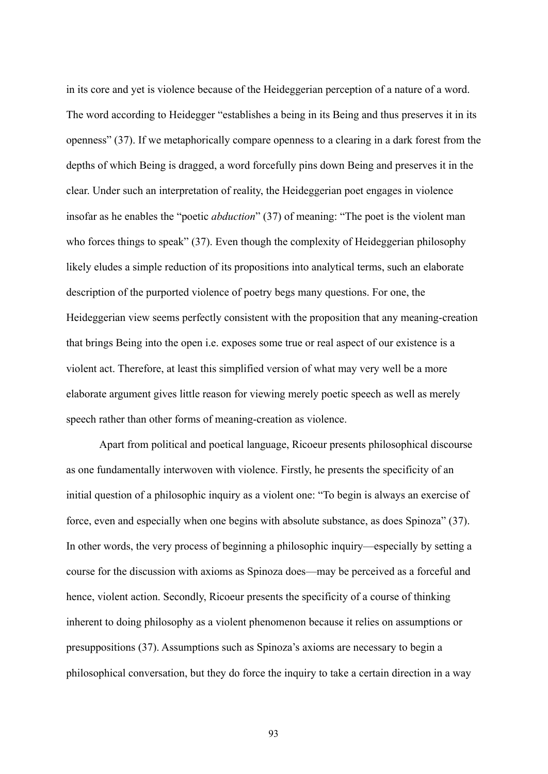in its core and yet is violence because of the Heideggerian perception of a nature of a word. The word according to Heidegger "establishes a being in its Being and thus preserves it in its openness" (37). If we metaphorically compare openness to a clearing in a dark forest from the depths of which Being is dragged, a word forcefully pins down Being and preserves it in the clear. Under such an interpretation of reality, the Heideggerian poet engages in violence insofar as he enables the "poetic *abduction*" (37) of meaning: "The poet is the violent man who forces things to speak" (37). Even though the complexity of Heideggerian philosophy likely eludes a simple reduction of its propositions into analytical terms, such an elaborate description of the purported violence of poetry begs many questions. For one, the Heideggerian view seems perfectly consistent with the proposition that any meaning-creation that brings Being into the open i.e. exposes some true or real aspect of our existence is a violent act. Therefore, at least this simplified version of what may very well be a more elaborate argument gives little reason for viewing merely poetic speech as well as merely speech rather than other forms of meaning-creation as violence.

Apart from political and poetical language, Ricoeur presents philosophical discourse as one fundamentally interwoven with violence. Firstly, he presents the specificity of an initial question of a philosophic inquiry as a violent one: "To begin is always an exercise of force, even and especially when one begins with absolute substance, as does Spinoza" (37). In other words, the very process of beginning a philosophic inquiry—especially by setting a course for the discussion with axioms as Spinoza does—may be perceived as a forceful and hence, violent action. Secondly, Ricoeur presents the specificity of a course of thinking inherent to doing philosophy as a violent phenomenon because it relies on assumptions or presuppositions (37). Assumptions such as Spinoza's axioms are necessary to begin a philosophical conversation, but they do force the inquiry to take a certain direction in a way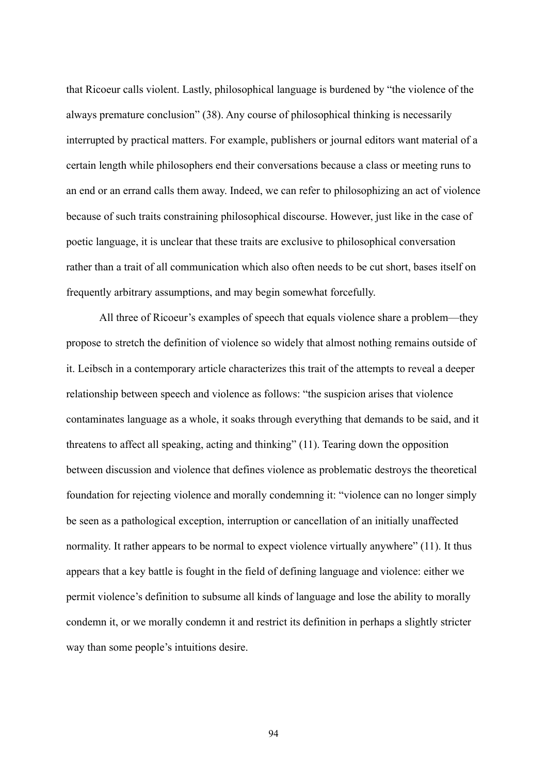that Ricoeur calls violent. Lastly, philosophical language is burdened by "the violence of the always premature conclusion" (38). Any course of philosophical thinking is necessarily interrupted by practical matters. For example, publishers or journal editors want material of a certain length while philosophers end their conversations because a class or meeting runs to an end or an errand calls them away. Indeed, we can refer to philosophizing an act of violence because of such traits constraining philosophical discourse. However, just like in the case of poetic language, it is unclear that these traits are exclusive to philosophical conversation rather than a trait of all communication which also often needs to be cut short, bases itself on frequently arbitrary assumptions, and may begin somewhat forcefully.

All three of Ricoeur's examples of speech that equals violence share a problem—they propose to stretch the definition of violence so widely that almost nothing remains outside of it. Leibsch in a contemporary article characterizes this trait of the attempts to reveal a deeper relationship between speech and violence as follows: "the suspicion arises that violence contaminates language as a whole, it soaks through everything that demands to be said, and it threatens to affect all speaking, acting and thinking" (11). Tearing down the opposition between discussion and violence that defines violence as problematic destroys the theoretical foundation for rejecting violence and morally condemning it: "violence can no longer simply be seen as a pathological exception, interruption or cancellation of an initially unaffected normality. It rather appears to be normal to expect violence virtually anywhere" (11). It thus appears that a key battle is fought in the field of defining language and violence: either we permit violence's definition to subsume all kinds of language and lose the ability to morally condemn it, or we morally condemn it and restrict its definition in perhaps a slightly stricter way than some people's intuitions desire.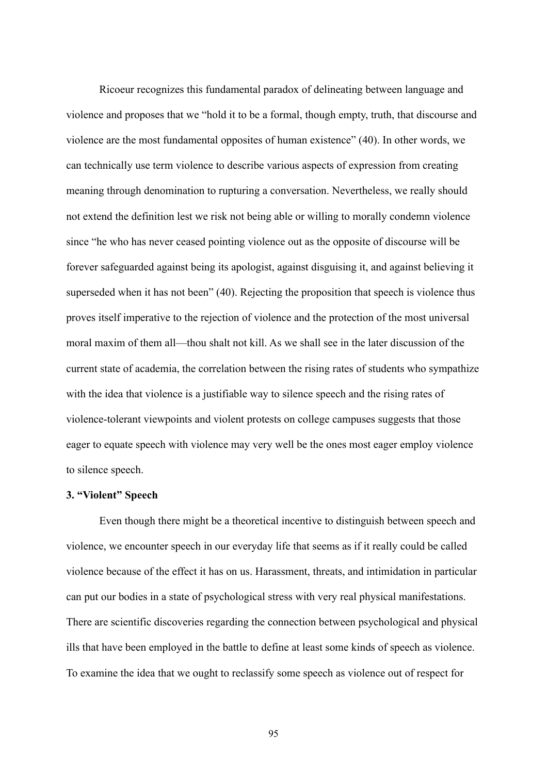Ricoeur recognizes this fundamental paradox of delineating between language and violence and proposes that we "hold it to be a formal, though empty, truth, that discourse and violence are the most fundamental opposites of human existence" (40). In other words, we can technically use term violence to describe various aspects of expression from creating meaning through denomination to rupturing a conversation. Nevertheless, we really should not extend the definition lest we risk not being able or willing to morally condemn violence since "he who has never ceased pointing violence out as the opposite of discourse will be forever safeguarded against being its apologist, against disguising it, and against believing it superseded when it has not been" (40). Rejecting the proposition that speech is violence thus proves itself imperative to the rejection of violence and the protection of the most universal moral maxim of them all—thou shalt not kill. As we shall see in the later discussion of the current state of academia, the correlation between the rising rates of students who sympathize with the idea that violence is a justifiable way to silence speech and the rising rates of violence-tolerant viewpoints and violent protests on college campuses suggests that those eager to equate speech with violence may very well be the ones most eager employ violence to silence speech.

#### **3. "Violent" Speech**

Even though there might be a theoretical incentive to distinguish between speech and violence, we encounter speech in our everyday life that seems as if it really could be called violence because of the effect it has on us. Harassment, threats, and intimidation in particular can put our bodies in a state of psychological stress with very real physical manifestations. There are scientific discoveries regarding the connection between psychological and physical ills that have been employed in the battle to define at least some kinds of speech as violence. To examine the idea that we ought to reclassify some speech as violence out of respect for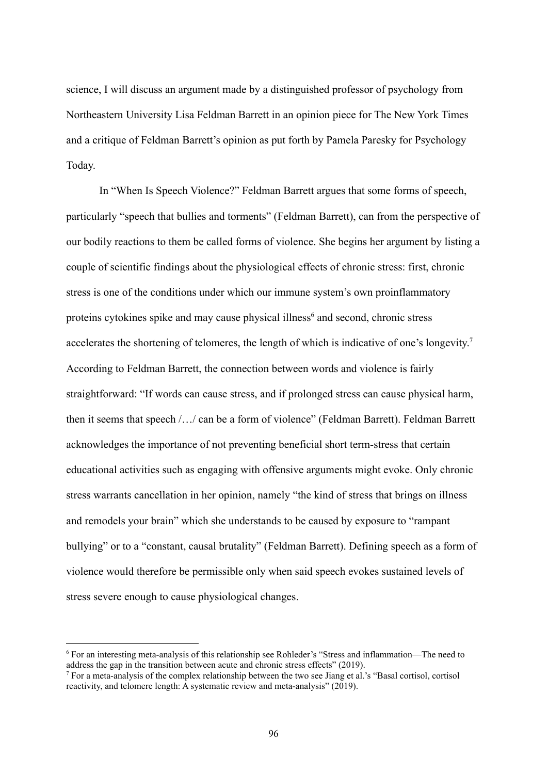science, I will discuss an argument made by a distinguished professor of psychology from Northeastern University Lisa Feldman Barrett in an opinion piece for The New York Times and a critique of Feldman Barrett's opinion as put forth by Pamela Paresky for Psychology Today.

In "When Is Speech Violence?" Feldman Barrett argues that some forms of speech, particularly "speech that bullies and torments" (Feldman Barrett), can from the perspective of our bodily reactions to them be called forms of violence. She begins her argument by listing a couple of scientific findings about the physiological effects of chronic stress: first, chronic stress is one of the conditions under which our immune system's own proinflammatory proteins cytokines spike and may cause physical illness<sup>6</sup> and second, chronic stress accelerates the shortening of telomeres, the length of which is indicative of one's longevity.<sup>7</sup> According to Feldman Barrett, the connection between words and violence is fairly straightforward: "If words can cause stress, and if prolonged stress can cause physical harm, then it seems that speech /…/ can be a form of violence" (Feldman Barrett). Feldman Barrett acknowledges the importance of not preventing beneficial short term-stress that certain educational activities such as engaging with offensive arguments might evoke. Only chronic stress warrants cancellation in her opinion, namely "the kind of stress that brings on illness and remodels your brain" which she understands to be caused by exposure to "rampant bullying" or to a "constant, causal brutality" (Feldman Barrett). Defining speech as a form of violence would therefore be permissible only when said speech evokes sustained levels of stress severe enough to cause physiological changes.

<sup>6</sup> For an interesting meta-analysis of this relationship see Rohleder's "Stress and inflammation—The need to address the gap in the transition between acute and chronic stress effects" (2019).

<sup>7</sup> For a meta-analysis of the complex relationship between the two see Jiang et al.'s "Basal cortisol, cortisol reactivity, and telomere length: A systematic review and meta-analysis" (2019).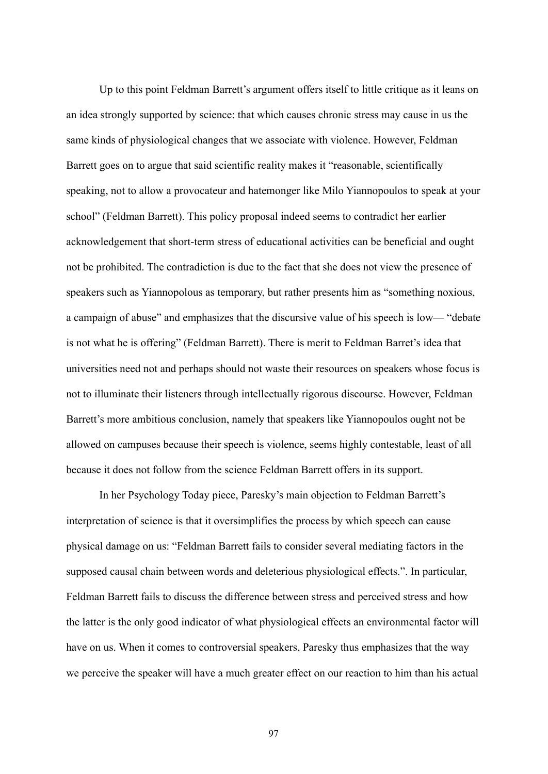Up to this point Feldman Barrett's argument offers itself to little critique as it leans on an idea strongly supported by science: that which causes chronic stress may cause in us the same kinds of physiological changes that we associate with violence. However, Feldman Barrett goes on to argue that said scientific reality makes it "reasonable, scientifically speaking, not to allow a provocateur and hatemonger like Milo Yiannopoulos to speak at your school" (Feldman Barrett). This policy proposal indeed seems to contradict her earlier acknowledgement that short-term stress of educational activities can be beneficial and ought not be prohibited. The contradiction is due to the fact that she does not view the presence of speakers such as Yiannopolous as temporary, but rather presents him as "something noxious, a campaign of abuse" and emphasizes that the discursive value of his speech is low— "debate is not what he is offering" (Feldman Barrett). There is merit to Feldman Barret's idea that universities need not and perhaps should not waste their resources on speakers whose focus is not to illuminate their listeners through intellectually rigorous discourse. However, Feldman Barrett's more ambitious conclusion, namely that speakers like Yiannopoulos ought not be allowed on campuses because their speech is violence, seems highly contestable, least of all because it does not follow from the science Feldman Barrett offers in its support.

In her Psychology Today piece, Paresky's main objection to Feldman Barrett's interpretation of science is that it oversimplifies the process by which speech can cause physical damage on us: "Feldman Barrett fails to consider several mediating factors in the supposed causal chain between words and deleterious physiological effects.". In particular, Feldman Barrett fails to discuss the difference between stress and perceived stress and how the latter is the only good indicator of what physiological effects an environmental factor will have on us. When it comes to controversial speakers, Paresky thus emphasizes that the way we perceive the speaker will have a much greater effect on our reaction to him than his actual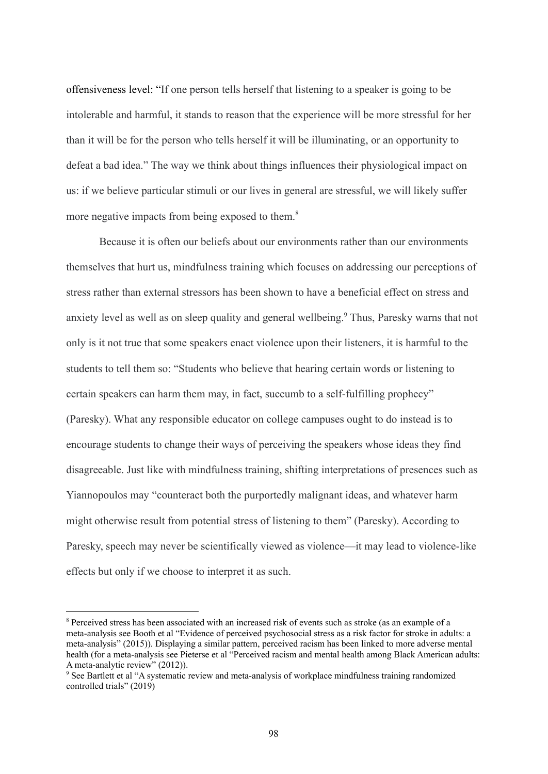offensiveness level: "If one person tells herself that listening to a speaker is going to be intolerable and harmful, it stands to reason that the experience will be more stressful for her than it will be for the person who tells herself it will be illuminating, or an opportunity to defeat a bad idea." The way we think about things influences their physiological impact on us: if we believe particular stimuli or our lives in general are stressful, we will likely suffer more negative impacts from being exposed to them.<sup>8</sup>

Because it is often our beliefs about our environments rather than our environments themselves that hurt us, mindfulness training which focuses on addressing our perceptions of stress rather than external stressors has been shown to have a beneficial effect on stress and anxiety level as well as on sleep quality and general wellbeing.<sup>9</sup> Thus, Paresky warns that not only is it not true that some speakers enact violence upon their listeners, it is harmful to the students to tell them so: "Students who believe that hearing certain words or listening to certain speakers can harm them may, in fact, succumb to a self-fulfilling prophecy" (Paresky). What any responsible educator on college campuses ought to do instead is to encourage students to change their ways of perceiving the speakers whose ideas they find disagreeable. Just like with mindfulness training, shifting interpretations of presences such as Yiannopoulos may "counteract both the purportedly malignant ideas, and whatever harm might otherwise result from potential stress of listening to them" (Paresky). According to Paresky, speech may never be scientifically viewed as violence—it may lead to violence-like effects but only if we choose to interpret it as such.

<sup>8</sup> Perceived stress has been associated with an increased risk of events such as stroke (as an example of a meta-analysis see Booth et al "Evidence of perceived psychosocial stress as a risk factor for stroke in adults: a meta-analysis" (2015)). Displaying a similar pattern, perceived racism has been linked to more adverse mental health (for a meta-analysis see Pieterse et al "Perceived racism and mental health among Black American adults: A meta-analytic review" (2012)).

<sup>&</sup>lt;sup>9</sup> See Bartlett et al "A systematic review and meta-analysis of workplace mindfulness training randomized controlled trials" (2019)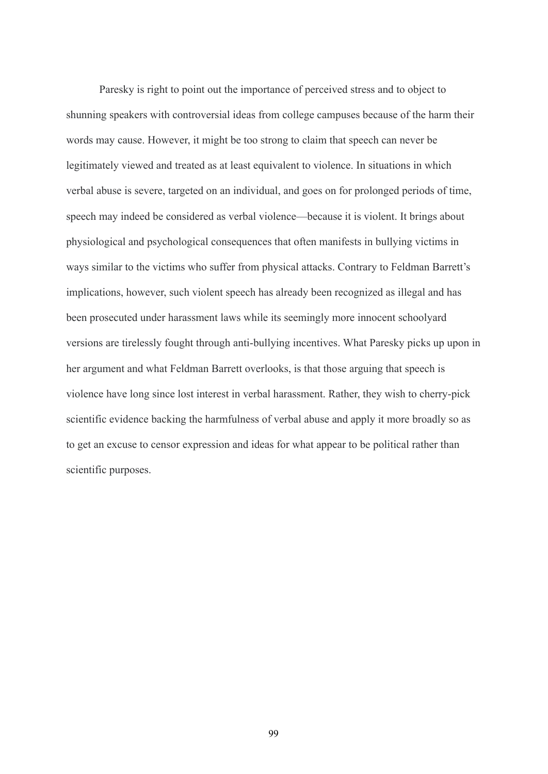Paresky is right to point out the importance of perceived stress and to object to shunning speakers with controversial ideas from college campuses because of the harm their words may cause. However, it might be too strong to claim that speech can never be legitimately viewed and treated as at least equivalent to violence. In situations in which verbal abuse is severe, targeted on an individual, and goes on for prolonged periods of time, speech may indeed be considered as verbal violence—because it is violent. It brings about physiological and psychological consequences that often manifests in bullying victims in ways similar to the victims who suffer from physical attacks. Contrary to Feldman Barrett's implications, however, such violent speech has already been recognized as illegal and has been prosecuted under harassment laws while its seemingly more innocent schoolyard versions are tirelessly fought through anti-bullying incentives. What Paresky picks up upon in her argument and what Feldman Barrett overlooks, is that those arguing that speech is violence have long since lost interest in verbal harassment. Rather, they wish to cherry-pick scientific evidence backing the harmfulness of verbal abuse and apply it more broadly so as to get an excuse to censor expression and ideas for what appear to be political rather than scientific purposes.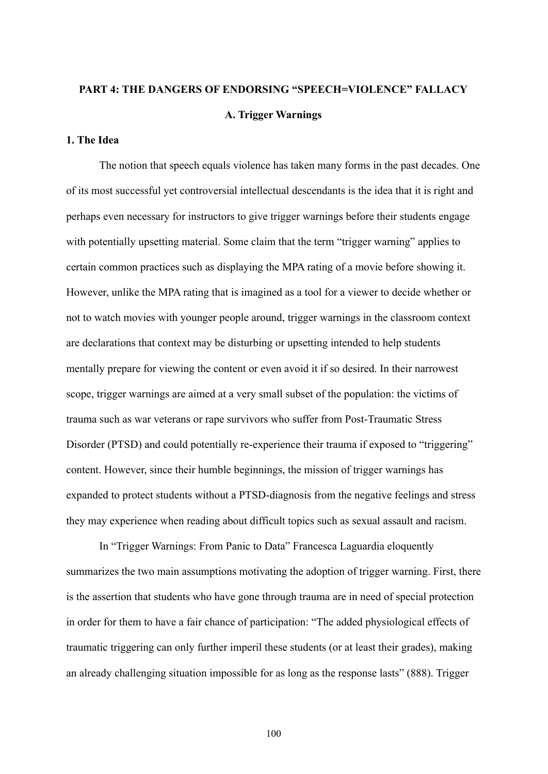## **PART 4: THE DANGERS OF ENDORSING "SPEECH=VIOLENCE" FALLACY A. Trigger Warnings**

## **1. The Idea**

The notion that speech equals violence has taken many forms in the past decades. One of its most successful yet controversial intellectual descendants is the idea that it is right and perhaps even necessary for instructors to give trigger warnings before their students engage with potentially upsetting material. Some claim that the term "trigger warning" applies to certain common practices such as displaying the MPA rating of a movie before showing it. However, unlike the MPA rating that is imagined as a tool for a viewer to decide whether or not to watch movies with younger people around, trigger warnings in the classroom context are declarations that context may be disturbing or upsetting intended to help students mentally prepare for viewing the content or even avoid it if so desired. In their narrowest scope, trigger warnings are aimed at a very small subset of the population: the victims of trauma such as war veterans or rape survivors who suffer from Post-Traumatic Stress Disorder (PTSD) and could potentially re-experience their trauma if exposed to "triggering" content. However, since their humble beginnings, the mission of trigger warnings has expanded to protect students without a PTSD-diagnosis from the negative feelings and stress they may experience when reading about difficult topics such as sexual assault and racism.

In "Trigger Warnings: From Panic to Data" Francesca Laguardia eloquently summarizes the two main assumptions motivating the adoption of trigger warning. First, there is the assertion that students who have gone through trauma are in need of special protection in order for them to have a fair chance of participation: "The added physiological effects of traumatic triggering can only further imperil these students (or at least their grades), making an already challenging situation impossible for as long as the response lasts" (888). Trigger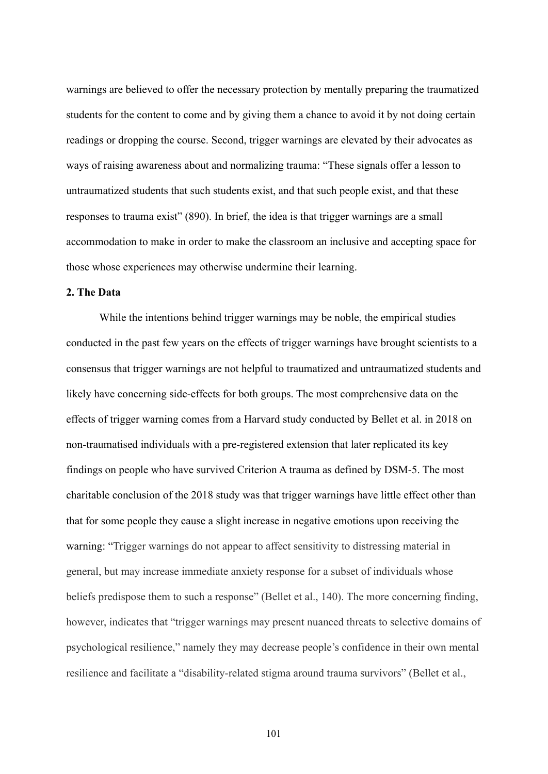warnings are believed to offer the necessary protection by mentally preparing the traumatized students for the content to come and by giving them a chance to avoid it by not doing certain readings or dropping the course. Second, trigger warnings are elevated by their advocates as ways of raising awareness about and normalizing trauma: "These signals offer a lesson to untraumatized students that such students exist, and that such people exist, and that these responses to trauma exist" (890). In brief, the idea is that trigger warnings are a small accommodation to make in order to make the classroom an inclusive and accepting space for those whose experiences may otherwise undermine their learning.

#### **2. The Data**

While the intentions behind trigger warnings may be noble, the empirical studies conducted in the past few years on the effects of trigger warnings have brought scientists to a consensus that trigger warnings are not helpful to traumatized and untraumatized students and likely have concerning side-effects for both groups. The most comprehensive data on the effects of trigger warning comes from a Harvard study conducted by Bellet et al. in 2018 on non-traumatised individuals with a pre-registered extension that later replicated its key findings on people who have survived Criterion A trauma as defined by DSM-5. The most charitable conclusion of the 2018 study was that trigger warnings have little effect other than that for some people they cause a slight increase in negative emotions upon receiving the warning: "Trigger warnings do not appear to affect sensitivity to distressing material in general, but may increase immediate anxiety response for a subset of individuals whose beliefs predispose them to such a response" (Bellet et al., 140). The more concerning finding, however, indicates that "trigger warnings may present nuanced threats to selective domains of psychological resilience," namely they may decrease people's confidence in their own mental resilience and facilitate a "disability-related stigma around trauma survivors" (Bellet et al.,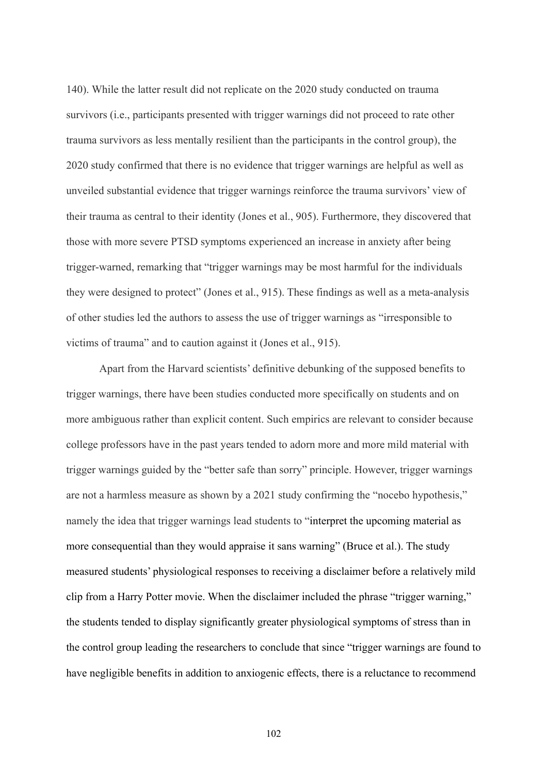140). While the latter result did not replicate on the 2020 study conducted on trauma survivors (i.e., participants presented with trigger warnings did not proceed to rate other trauma survivors as less mentally resilient than the participants in the control group), the 2020 study confirmed that there is no evidence that trigger warnings are helpful as well as unveiled substantial evidence that trigger warnings reinforce the trauma survivors' view of their trauma as central to their identity (Jones et al., 905). Furthermore, they discovered that those with more severe PTSD symptoms experienced an increase in anxiety after being trigger-warned, remarking that "trigger warnings may be most harmful for the individuals they were designed to protect" (Jones et al., 915). These findings as well as a meta-analysis of other studies led the authors to assess the use of trigger warnings as "irresponsible to victims of trauma" and to caution against it (Jones et al., 915).

Apart from the Harvard scientists' definitive debunking of the supposed benefits to trigger warnings, there have been studies conducted more specifically on students and on more ambiguous rather than explicit content. Such empirics are relevant to consider because college professors have in the past years tended to adorn more and more mild material with trigger warnings guided by the "better safe than sorry" principle. However, trigger warnings are not a harmless measure as shown by a 2021 study confirming the "nocebo hypothesis," namely the idea that trigger warnings lead students to "interpret the upcoming material as more consequential than they would appraise it sans warning" (Bruce et al.). The study measured students' physiological responses to receiving a disclaimer before a relatively mild clip from a Harry Potter movie. When the disclaimer included the phrase "trigger warning," the students tended to display significantly greater physiological symptoms of stress than in the control group leading the researchers to conclude that since "trigger warnings are found to have negligible benefits in addition to anxiogenic effects, there is a reluctance to recommend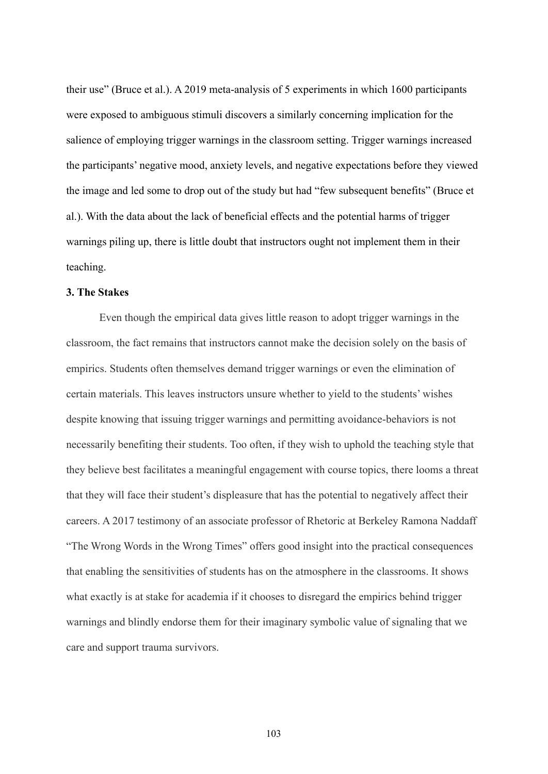their use" (Bruce et al.). A 2019 meta-analysis of 5 experiments in which 1600 participants were exposed to ambiguous stimuli discovers a similarly concerning implication for the salience of employing trigger warnings in the classroom setting. Trigger warnings increased the participants' negative mood, anxiety levels, and negative expectations before they viewed the image and led some to drop out of the study but had "few subsequent benefits" (Bruce et al.). With the data about the lack of beneficial effects and the potential harms of trigger warnings piling up, there is little doubt that instructors ought not implement them in their teaching.

#### **3. The Stakes**

Even though the empirical data gives little reason to adopt trigger warnings in the classroom, the fact remains that instructors cannot make the decision solely on the basis of empirics. Students often themselves demand trigger warnings or even the elimination of certain materials. This leaves instructors unsure whether to yield to the students' wishes despite knowing that issuing trigger warnings and permitting avoidance-behaviors is not necessarily benefiting their students. Too often, if they wish to uphold the teaching style that they believe best facilitates a meaningful engagement with course topics, there looms a threat that they will face their student's displeasure that has the potential to negatively affect their careers. A 2017 testimony of an associate professor of Rhetoric at Berkeley Ramona Naddaff "The Wrong Words in the Wrong Times" offers good insight into the practical consequences that enabling the sensitivities of students has on the atmosphere in the classrooms. It shows what exactly is at stake for academia if it chooses to disregard the empirics behind trigger warnings and blindly endorse them for their imaginary symbolic value of signaling that we care and support trauma survivors.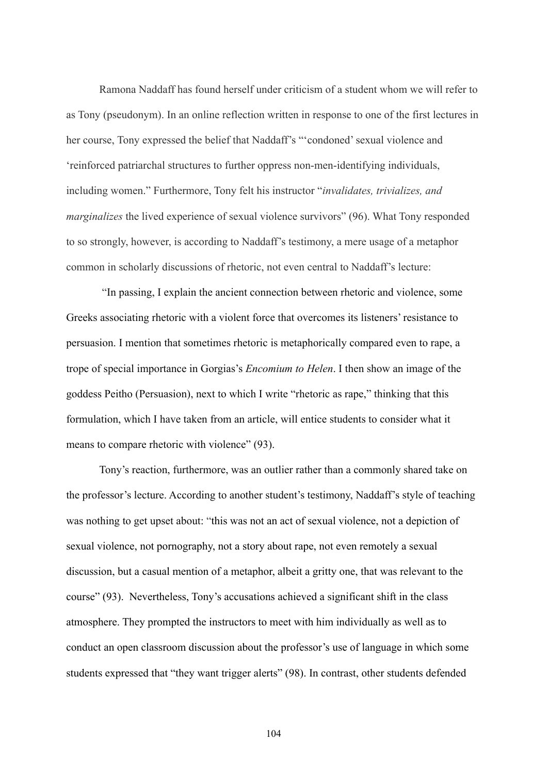Ramona Naddaff has found herself under criticism of a student whom we will refer to as Tony (pseudonym). In an online reflection written in response to one of the first lectures in her course, Tony expressed the belief that Naddaff's "'condoned' sexual violence and 'reinforced patriarchal structures to further oppress non-men-identifying individuals, including women." Furthermore, Tony felt his instructor "*invalidates, trivializes, and marginalizes* the lived experience of sexual violence survivors" (96). What Tony responded to so strongly, however, is according to Naddaff's testimony, a mere usage of a metaphor common in scholarly discussions of rhetoric, not even central to Naddaff's lecture:

"In passing, I explain the ancient connection between rhetoric and violence, some Greeks associating rhetoric with a violent force that overcomes its listeners' resistance to persuasion. I mention that sometimes rhetoric is metaphorically compared even to rape, a trope of special importance in Gorgias's *Encomium to Helen*. I then show an image of the goddess Peitho (Persuasion), next to which I write "rhetoric as rape," thinking that this formulation, which I have taken from an article, will entice students to consider what it means to compare rhetoric with violence" (93).

Tony's reaction, furthermore, was an outlier rather than a commonly shared take on the professor's lecture. According to another student's testimony, Naddaff's style of teaching was nothing to get upset about: "this was not an act of sexual violence, not a depiction of sexual violence, not pornography, not a story about rape, not even remotely a sexual discussion, but a casual mention of a metaphor, albeit a gritty one, that was relevant to the course" (93). Nevertheless, Tony's accusations achieved a significant shift in the class atmosphere. They prompted the instructors to meet with him individually as well as to conduct an open classroom discussion about the professor's use of language in which some students expressed that "they want trigger alerts" (98). In contrast, other students defended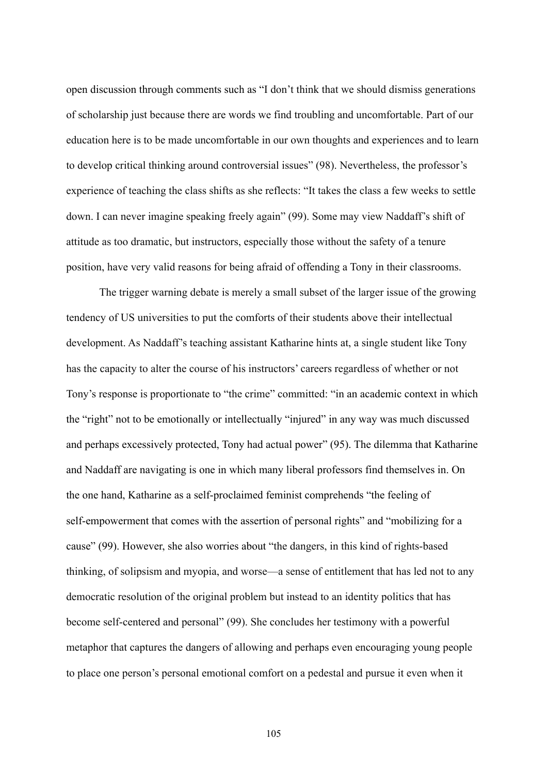open discussion through comments such as "I don't think that we should dismiss generations of scholarship just because there are words we find troubling and uncomfortable. Part of our education here is to be made uncomfortable in our own thoughts and experiences and to learn to develop critical thinking around controversial issues" (98). Nevertheless, the professor's experience of teaching the class shifts as she reflects: "It takes the class a few weeks to settle down. I can never imagine speaking freely again" (99). Some may view Naddaff's shift of attitude as too dramatic, but instructors, especially those without the safety of a tenure position, have very valid reasons for being afraid of offending a Tony in their classrooms.

The trigger warning debate is merely a small subset of the larger issue of the growing tendency of US universities to put the comforts of their students above their intellectual development. As Naddaff's teaching assistant Katharine hints at, a single student like Tony has the capacity to alter the course of his instructors' careers regardless of whether or not Tony's response is proportionate to "the crime" committed: "in an academic context in which the "right" not to be emotionally or intellectually "injured" in any way was much discussed and perhaps excessively protected, Tony had actual power" (95). The dilemma that Katharine and Naddaff are navigating is one in which many liberal professors find themselves in. On the one hand, Katharine as a self-proclaimed feminist comprehends "the feeling of self-empowerment that comes with the assertion of personal rights" and "mobilizing for a cause" (99). However, she also worries about "the dangers, in this kind of rights-based thinking, of solipsism and myopia, and worse—a sense of entitlement that has led not to any democratic resolution of the original problem but instead to an identity politics that has become self-centered and personal" (99). She concludes her testimony with a powerful metaphor that captures the dangers of allowing and perhaps even encouraging young people to place one person's personal emotional comfort on a pedestal and pursue it even when it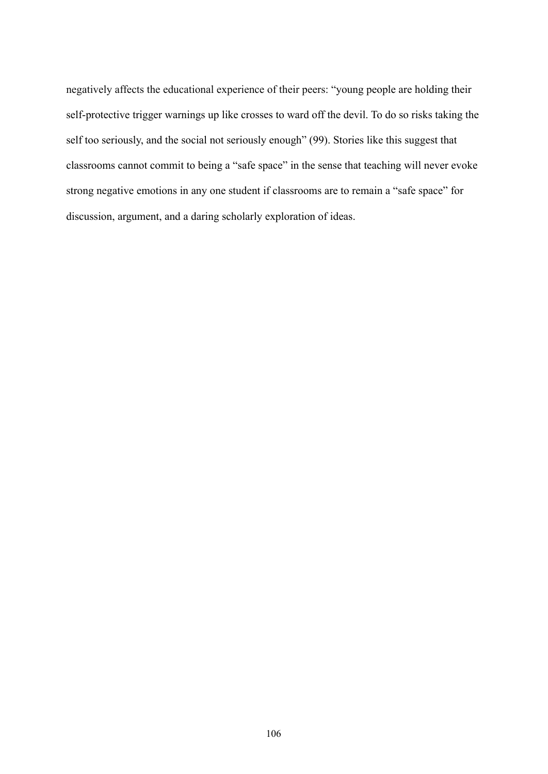negatively affects the educational experience of their peers: "young people are holding their self-protective trigger warnings up like crosses to ward off the devil. To do so risks taking the self too seriously, and the social not seriously enough" (99). Stories like this suggest that classrooms cannot commit to being a "safe space" in the sense that teaching will never evoke strong negative emotions in any one student if classrooms are to remain a "safe space" for discussion, argument, and a daring scholarly exploration of ideas.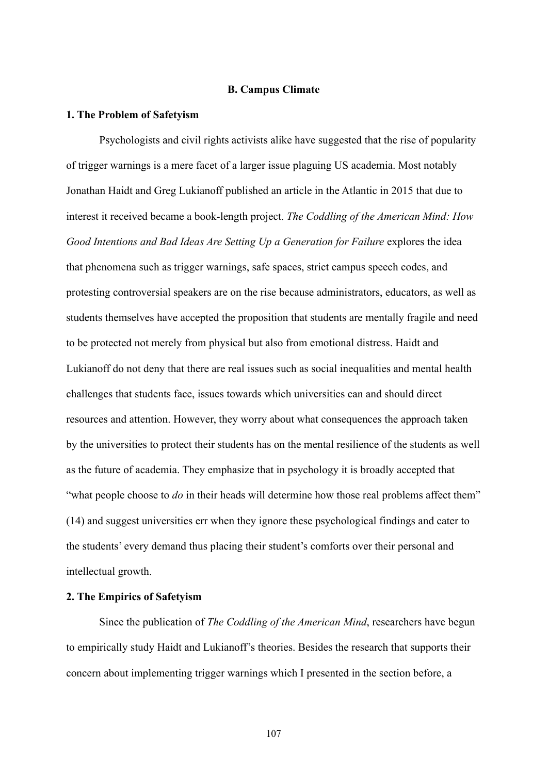## **B. Campus Climate**

#### **1. The Problem of Safetyism**

Psychologists and civil rights activists alike have suggested that the rise of popularity of trigger warnings is a mere facet of a larger issue plaguing US academia. Most notably Jonathan Haidt and Greg Lukianoff published an article in the Atlantic in 2015 that due to interest it received became a book-length project. *The Coddling of the American Mind: How Good Intentions and Bad Ideas Are Setting Up a Generation for Failure* explores the idea that phenomena such as trigger warnings, safe spaces, strict campus speech codes, and protesting controversial speakers are on the rise because administrators, educators, as well as students themselves have accepted the proposition that students are mentally fragile and need to be protected not merely from physical but also from emotional distress. Haidt and Lukianoff do not deny that there are real issues such as social inequalities and mental health challenges that students face, issues towards which universities can and should direct resources and attention. However, they worry about what consequences the approach taken by the universities to protect their students has on the mental resilience of the students as well as the future of academia. They emphasize that in psychology it is broadly accepted that "what people choose to *do* in their heads will determine how those real problems affect them" (14) and suggest universities err when they ignore these psychological findings and cater to the students' every demand thus placing their student's comforts over their personal and intellectual growth.

#### **2. The Empirics of Safetyism**

Since the publication of *The Coddling of the American Mind*, researchers have begun to empirically study Haidt and Lukianoff's theories. Besides the research that supports their concern about implementing trigger warnings which I presented in the section before, a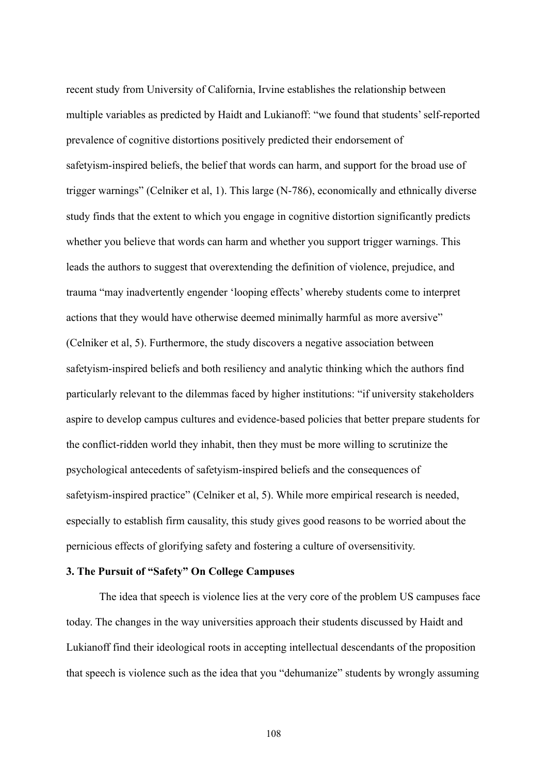recent study from University of California, Irvine establishes the relationship between multiple variables as predicted by Haidt and Lukianoff: "we found that students' self-reported prevalence of cognitive distortions positively predicted their endorsement of safetyism-inspired beliefs, the belief that words can harm, and support for the broad use of trigger warnings" (Celniker et al, 1). This large (N-786), economically and ethnically diverse study finds that the extent to which you engage in cognitive distortion significantly predicts whether you believe that words can harm and whether you support trigger warnings. This leads the authors to suggest that overextending the definition of violence, prejudice, and trauma "may inadvertently engender 'looping effects' whereby students come to interpret actions that they would have otherwise deemed minimally harmful as more aversive" (Celniker et al, 5). Furthermore, the study discovers a negative association between safetyism-inspired beliefs and both resiliency and analytic thinking which the authors find particularly relevant to the dilemmas faced by higher institutions: "if university stakeholders aspire to develop campus cultures and evidence-based policies that better prepare students for the conflict-ridden world they inhabit, then they must be more willing to scrutinize the psychological antecedents of safetyism-inspired beliefs and the consequences of safetyism-inspired practice" (Celniker et al, 5). While more empirical research is needed, especially to establish firm causality, this study gives good reasons to be worried about the pernicious effects of glorifying safety and fostering a culture of oversensitivity.

# **3. The Pursuit of "Safety" On College Campuses**

The idea that speech is violence lies at the very core of the problem US campuses face today. The changes in the way universities approach their students discussed by Haidt and Lukianoff find their ideological roots in accepting intellectual descendants of the proposition that speech is violence such as the idea that you "dehumanize" students by wrongly assuming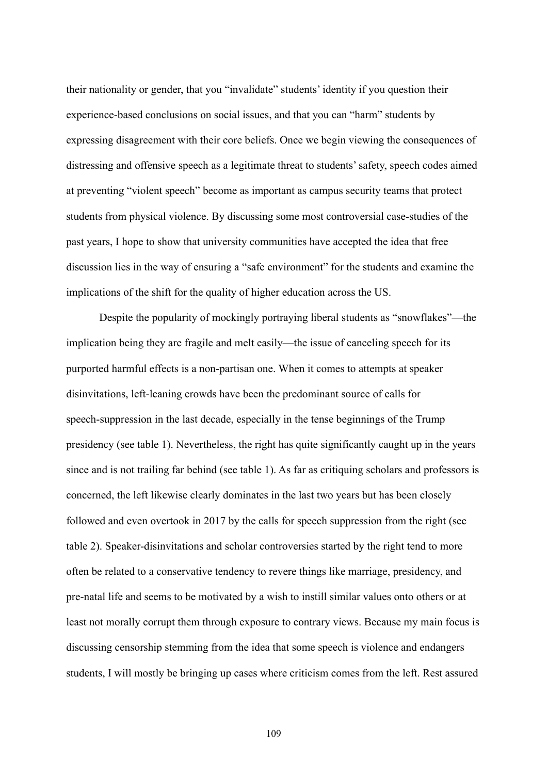their nationality or gender, that you "invalidate" students' identity if you question their experience-based conclusions on social issues, and that you can "harm" students by expressing disagreement with their core beliefs. Once we begin viewing the consequences of distressing and offensive speech as a legitimate threat to students' safety, speech codes aimed at preventing "violent speech" become as important as campus security teams that protect students from physical violence. By discussing some most controversial case-studies of the past years, I hope to show that university communities have accepted the idea that free discussion lies in the way of ensuring a "safe environment" for the students and examine the implications of the shift for the quality of higher education across the US.

Despite the popularity of mockingly portraying liberal students as "snowflakes"—the implication being they are fragile and melt easily—the issue of canceling speech for its purported harmful effects is a non-partisan one. When it comes to attempts at speaker disinvitations, left-leaning crowds have been the predominant source of calls for speech-suppression in the last decade, especially in the tense beginnings of the Trump presidency (see table 1). Nevertheless, the right has quite significantly caught up in the years since and is not trailing far behind (see table 1). As far as critiquing scholars and professors is concerned, the left likewise clearly dominates in the last two years but has been closely followed and even overtook in 2017 by the calls for speech suppression from the right (see table 2). Speaker-disinvitations and scholar controversies started by the right tend to more often be related to a conservative tendency to revere things like marriage, presidency, and pre-natal life and seems to be motivated by a wish to instill similar values onto others or at least not morally corrupt them through exposure to contrary views. Because my main focus is discussing censorship stemming from the idea that some speech is violence and endangers students, I will mostly be bringing up cases where criticism comes from the left. Rest assured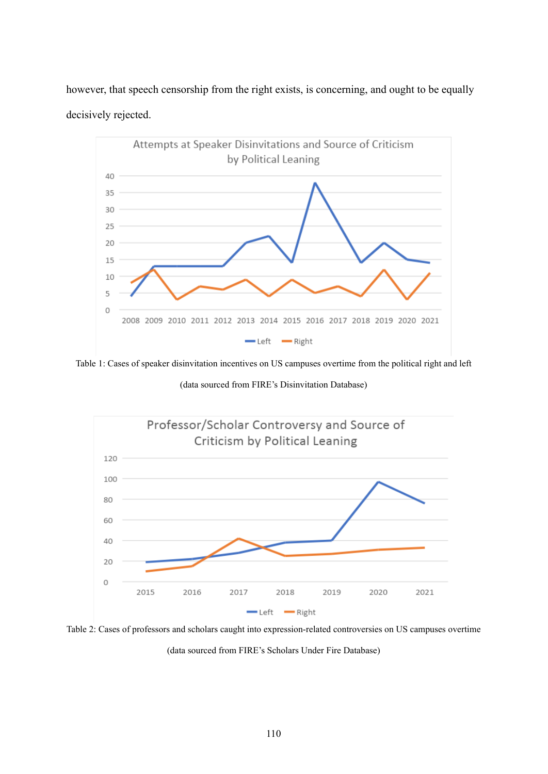however, that speech censorship from the right exists, is concerning, and ought to be equally decisively rejected.



Table 1: Cases of speaker disinvitation incentives on US campuses overtime from the political right and left

(data sourced from FIRE's Disinvitation Database)



Table 2: Cases of professors and scholars caught into expression-related controversies on US campuses overtime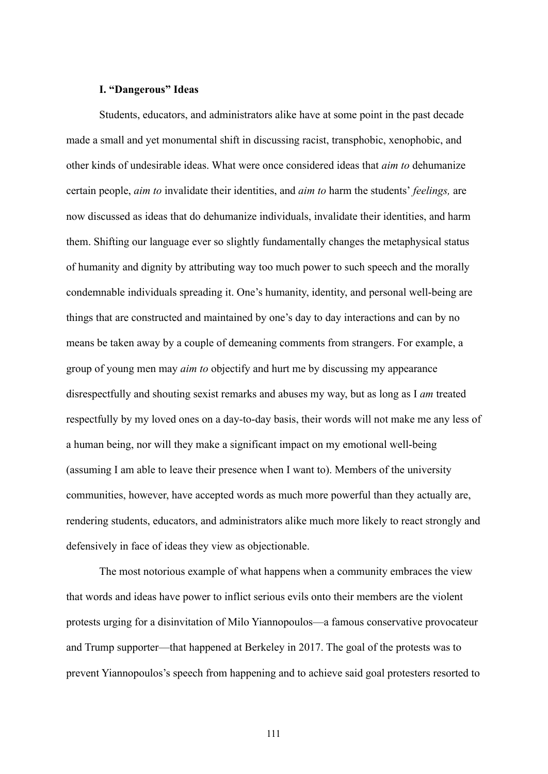# **I. "Dangerous" Ideas**

Students, educators, and administrators alike have at some point in the past decade made a small and yet monumental shift in discussing racist, transphobic, xenophobic, and other kinds of undesirable ideas. What were once considered ideas that *aim to* dehumanize certain people, *aim to* invalidate their identities, and *aim to* harm the students' *feelings,* are now discussed as ideas that do dehumanize individuals, invalidate their identities, and harm them. Shifting our language ever so slightly fundamentally changes the metaphysical status of humanity and dignity by attributing way too much power to such speech and the morally condemnable individuals spreading it. One's humanity, identity, and personal well-being are things that are constructed and maintained by one's day to day interactions and can by no means be taken away by a couple of demeaning comments from strangers. For example, a group of young men may *aim to* objectify and hurt me by discussing my appearance disrespectfully and shouting sexist remarks and abuses my way, but as long as I *am* treated respectfully by my loved ones on a day-to-day basis, their words will not make me any less of a human being, nor will they make a significant impact on my emotional well-being (assuming I am able to leave their presence when I want to). Members of the university communities, however, have accepted words as much more powerful than they actually are, rendering students, educators, and administrators alike much more likely to react strongly and defensively in face of ideas they view as objectionable.

The most notorious example of what happens when a community embraces the view that words and ideas have power to inflict serious evils onto their members are the violent protests urging for a disinvitation of Milo Yiannopoulos—a famous conservative provocateur and Trump supporter—that happened at Berkeley in 2017. The goal of the protests was to prevent Yiannopoulos's speech from happening and to achieve said goal protesters resorted to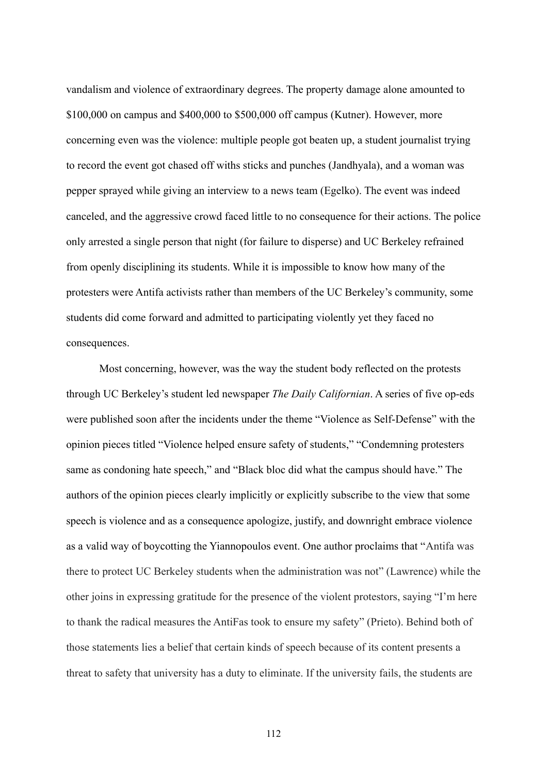vandalism and violence of extraordinary degrees. The property damage alone amounted to \$100,000 on campus and \$400,000 to \$500,000 off campus (Kutner). However, more concerning even was the violence: multiple people got beaten up, a student journalist trying to record the event got chased off withs sticks and punches (Jandhyala), and a woman was pepper sprayed while giving an interview to a news team (Egelko). The event was indeed canceled, and the aggressive crowd faced little to no consequence for their actions. The police only arrested a single person that night (for failure to disperse) and UC Berkeley refrained from openly disciplining its students. While it is impossible to know how many of the protesters were Antifa activists rather than members of the UC Berkeley's community, some students did come forward and admitted to participating violently yet they faced no consequences.

Most concerning, however, was the way the student body reflected on the protests through UC Berkeley's student led newspaper *The Daily Californian*. A series of five op-eds were published soon after the incidents under the theme "Violence as Self-Defense" with the opinion pieces titled "Violence helped ensure safety of students," "Condemning protesters same as condoning hate speech," and "Black bloc did what the campus should have." The authors of the opinion pieces clearly implicitly or explicitly subscribe to the view that some speech is violence and as a consequence apologize, justify, and downright embrace violence as a valid way of boycotting the Yiannopoulos event. One author proclaims that "Antifa was there to protect UC Berkeley students when the administration was not" (Lawrence) while the other joins in expressing gratitude for the presence of the violent protestors, saying "I'm here to thank the radical measures the AntiFas took to ensure my safety" (Prieto). Behind both of those statements lies a belief that certain kinds of speech because of its content presents a threat to safety that university has a duty to eliminate. If the university fails, the students are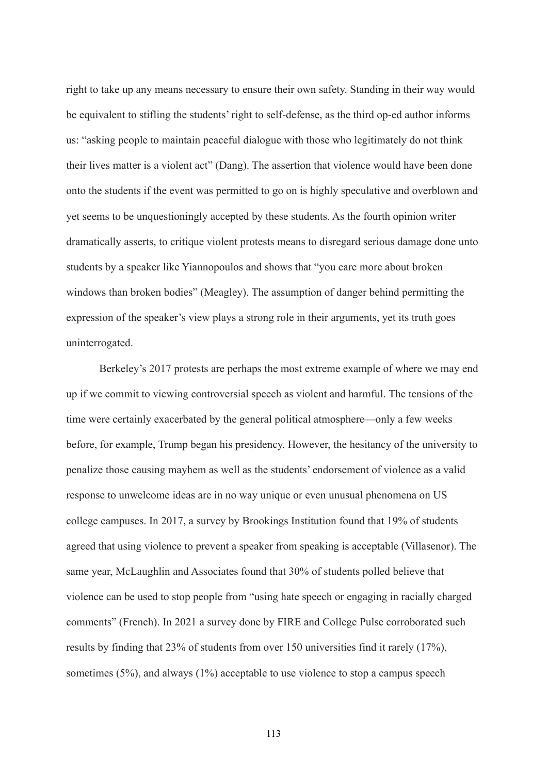right to take up any means necessary to ensure their own safety. Standing in their way would be equivalent to stifling the students' right to self-defense, as the third op-ed author informs us: "asking people to maintain peaceful dialogue with those who legitimately do not think their lives matter is a violent act" (Dang). The assertion that violence would have been done onto the students if the event was permitted to go on is highly speculative and overblown and yet seems to be unquestioningly accepted by these students. As the fourth opinion writer dramatically asserts, to critique violent protests means to disregard serious damage done unto students by a speaker like Yiannopoulos and shows that "you care more about broken windows than broken bodies" (Meagley). The assumption of danger behind permitting the expression of the speaker's view plays a strong role in their arguments, yet its truth goes uninterrogated.

Berkeley's 2017 protests are perhaps the most extreme example of where we may end up if we commit to viewing controversial speech as violent and harmful. The tensions of the time were certainly exacerbated by the general political atmosphere—only a few weeks before, for example, Trump began his presidency. However, the hesitancy of the university to penalize those causing mayhem as well as the students' endorsement of violence as a valid response to unwelcome ideas are in no way unique or even unusual phenomena on US college campuses. In 2017, a survey by Brookings Institution found that 19% of students agreed that using violence to prevent a speaker from speaking is acceptable (Villasenor). The same year, McLaughlin and Associates found that 30% of students polled believe that violence can be used to stop people from "using hate speech or engaging in racially charged comments" (French). In 2021 a survey done by FIRE and College Pulse corroborated such results by finding that 23% of students from over 150 universities find it rarely (17%), sometimes  $(5\%)$ , and always  $(1\%)$  acceptable to use violence to stop a campus speech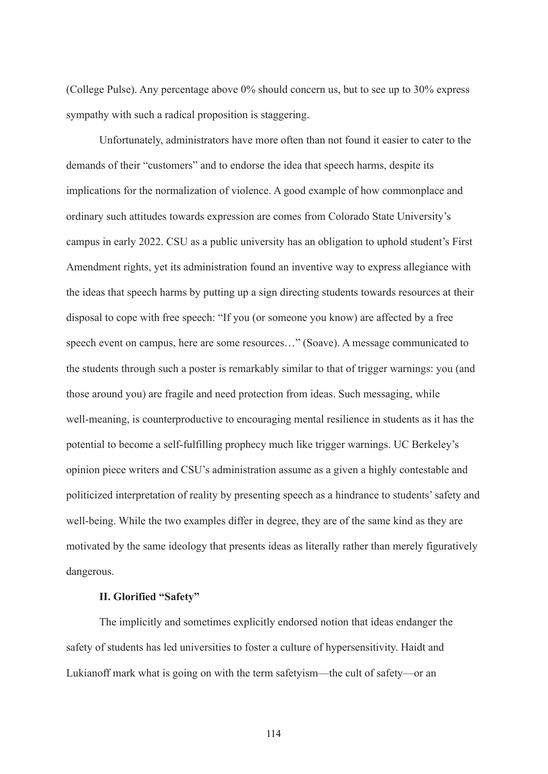(College Pulse). Any percentage above 0% should concern us, but to see up to 30% express sympathy with such a radical proposition is staggering.

Unfortunately, administrators have more often than not found it easier to cater to the demands of their "customers" and to endorse the idea that speech harms, despite its implications for the normalization of violence. A good example of how commonplace and ordinary such attitudes towards expression are comes from Colorado State University's campus in early 2022. CSU as a public university has an obligation to uphold student's First Amendment rights, yet its administration found an inventive way to express allegiance with the ideas that speech harms by putting up a sign directing students towards resources at their disposal to cope with free speech: "If you (or someone you know) are affected by a free speech event on campus, here are some resources…" (Soave). A message communicated to the students through such a poster is remarkably similar to that of trigger warnings: you (and those around you) are fragile and need protection from ideas. Such messaging, while well-meaning, is counterproductive to encouraging mental resilience in students as it has the potential to become a self-fulfilling prophecy much like trigger warnings. UC Berkeley's opinion piece writers and CSU's administration assume as a given a highly contestable and politicized interpretation of reality by presenting speech as a hindrance to students' safety and well-being. While the two examples differ in degree, they are of the same kind as they are motivated by the same ideology that presents ideas as literally rather than merely figuratively dangerous.

### **II. Glorified "Safety"**

The implicitly and sometimes explicitly endorsed notion that ideas endanger the safety of students has led universities to foster a culture of hypersensitivity. Haidt and Lukianoff mark what is going on with the term safetyism—the cult of safety—or an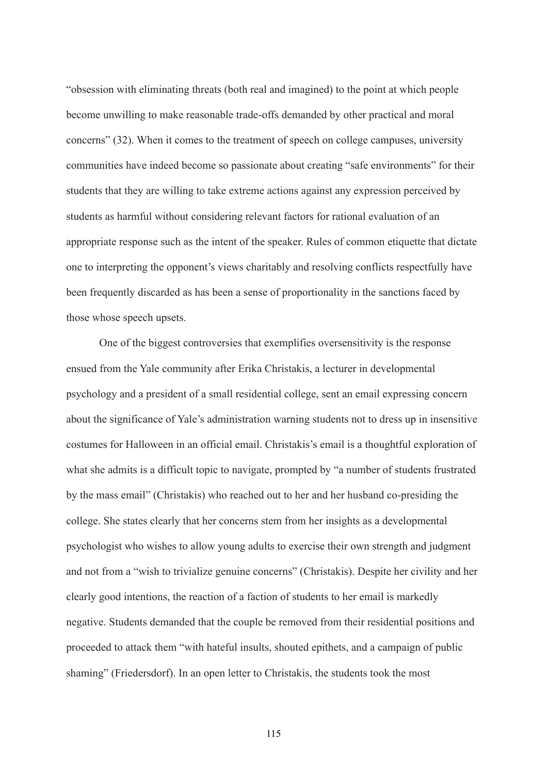"obsession with eliminating threats (both real and imagined) to the point at which people become unwilling to make reasonable trade-offs demanded by other practical and moral concerns" (32). When it comes to the treatment of speech on college campuses, university communities have indeed become so passionate about creating "safe environments" for their students that they are willing to take extreme actions against any expression perceived by students as harmful without considering relevant factors for rational evaluation of an appropriate response such as the intent of the speaker. Rules of common etiquette that dictate one to interpreting the opponent's views charitably and resolving conflicts respectfully have been frequently discarded as has been a sense of proportionality in the sanctions faced by those whose speech upsets.

One of the biggest controversies that exemplifies oversensitivity is the response ensued from the Yale community after Erika Christakis, a lecturer in developmental psychology and a president of a small residential college, sent an email expressing concern about the significance of Yale's administration warning students not to dress up in insensitive costumes for Halloween in an official email. Christakis's email is a thoughtful exploration of what she admits is a difficult topic to navigate, prompted by "a number of students frustrated by the mass email" (Christakis) who reached out to her and her husband co-presiding the college. She states clearly that her concerns stem from her insights as a developmental psychologist who wishes to allow young adults to exercise their own strength and judgment and not from a "wish to trivialize genuine concerns" (Christakis). Despite her civility and her clearly good intentions, the reaction of a faction of students to her email is markedly negative. Students demanded that the couple be removed from their residential positions and proceeded to attack them "with hateful insults, shouted epithets, and a campaign of public shaming" (Friedersdorf). In an open letter to Christakis, the students took the most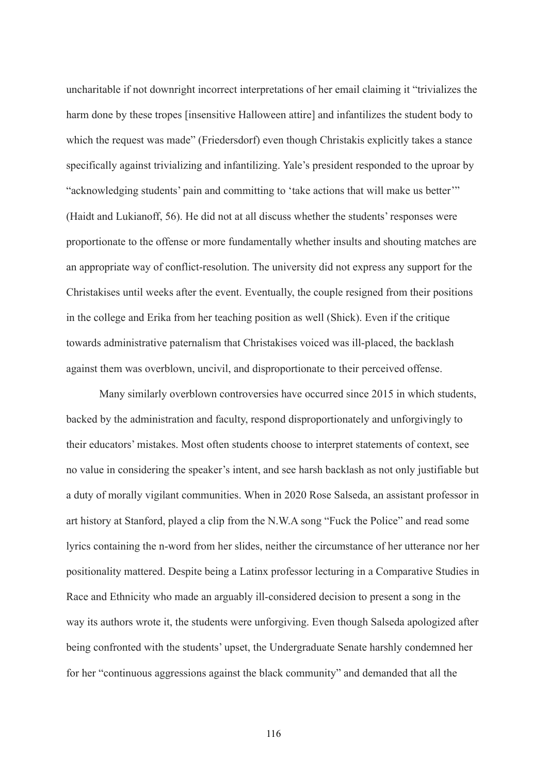uncharitable if not downright incorrect interpretations of her email claiming it "trivializes the harm done by these tropes [insensitive Halloween attire] and infantilizes the student body to which the request was made" (Friedersdorf) even though Christakis explicitly takes a stance specifically against trivializing and infantilizing. Yale's president responded to the uproar by "acknowledging students' pain and committing to 'take actions that will make us better'" (Haidt and Lukianoff, 56). He did not at all discuss whether the students' responses were proportionate to the offense or more fundamentally whether insults and shouting matches are an appropriate way of conflict-resolution. The university did not express any support for the Christakises until weeks after the event. Eventually, the couple resigned from their positions in the college and Erika from her teaching position as well (Shick). Even if the critique towards administrative paternalism that Christakises voiced was ill-placed, the backlash against them was overblown, uncivil, and disproportionate to their perceived offense.

Many similarly overblown controversies have occurred since 2015 in which students, backed by the administration and faculty, respond disproportionately and unforgivingly to their educators' mistakes. Most often students choose to interpret statements of context, see no value in considering the speaker's intent, and see harsh backlash as not only justifiable but a duty of morally vigilant communities. When in 2020 Rose Salseda, an assistant professor in art history at Stanford, played a clip from the N.W.A song "Fuck the Police" and read some lyrics containing the n-word from her slides, neither the circumstance of her utterance nor her positionality mattered. Despite being a Latinx professor lecturing in a Comparative Studies in Race and Ethnicity who made an arguably ill-considered decision to present a song in the way its authors wrote it, the students were unforgiving. Even though Salseda apologized after being confronted with the students' upset, the Undergraduate Senate harshly condemned her for her "continuous aggressions against the black community" and demanded that all the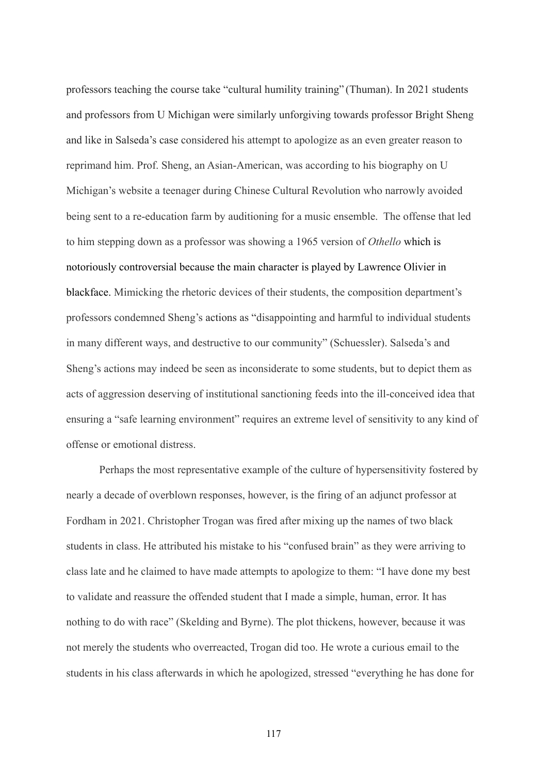professors teaching the course take "cultural humility training" (Thuman). In 2021 students and professors from U Michigan were similarly unforgiving towards professor Bright Sheng and like in Salseda's case considered his attempt to apologize as an even greater reason to reprimand him. Prof. Sheng, an Asian-American, was according to his biography on U Michigan's website a teenager during Chinese Cultural Revolution who narrowly avoided being sent to a re-education farm by auditioning for a music ensemble. The offense that led to him stepping down as a professor was showing a 1965 version of *Othello* which is notoriously controversial because the main character is played by Lawrence Olivier in blackface. Mimicking the rhetoric devices of their students, the composition department's professors condemned Sheng's actions as "disappointing and harmful to individual students in many different ways, and destructive to our community" (Schuessler). Salseda's and Sheng's actions may indeed be seen as inconsiderate to some students, but to depict them as acts of aggression deserving of institutional sanctioning feeds into the ill-conceived idea that ensuring a "safe learning environment" requires an extreme level of sensitivity to any kind of offense or emotional distress.

Perhaps the most representative example of the culture of hypersensitivity fostered by nearly a decade of overblown responses, however, is the firing of an adjunct professor at Fordham in 2021. Christopher Trogan was fired after mixing up the names of two black students in class. He attributed his mistake to his "confused brain" as they were arriving to class late and he claimed to have made attempts to apologize to them: "I have done my best to validate and reassure the offended student that I made a simple, human, error. It has nothing to do with race" (Skelding and Byrne). The plot thickens, however, because it was not merely the students who overreacted, Trogan did too. He wrote a curious email to the students in his class afterwards in which he apologized, stressed "everything he has done for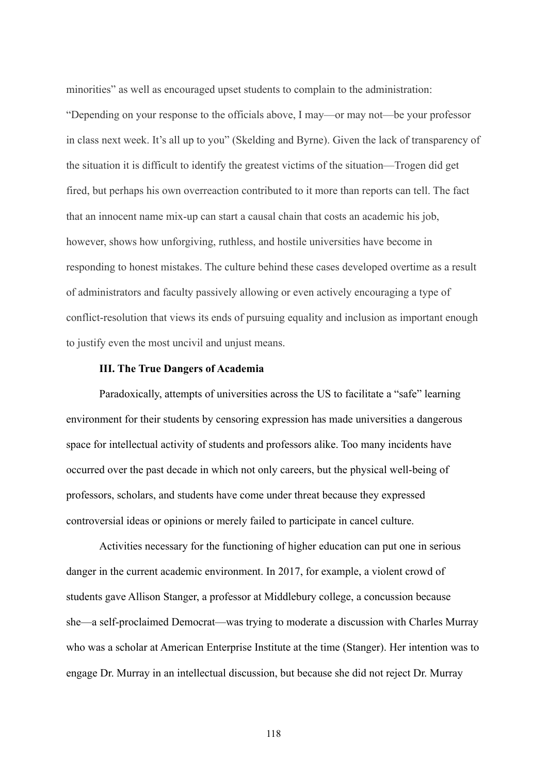minorities" as well as encouraged upset students to complain to the administration:

"Depending on your response to the officials above, I may—or may not—be your professor in class next week. It's all up to you" (Skelding and Byrne). Given the lack of transparency of the situation it is difficult to identify the greatest victims of the situation—Trogen did get fired, but perhaps his own overreaction contributed to it more than reports can tell. The fact that an innocent name mix-up can start a causal chain that costs an academic his job, however, shows how unforgiving, ruthless, and hostile universities have become in responding to honest mistakes. The culture behind these cases developed overtime as a result of administrators and faculty passively allowing or even actively encouraging a type of conflict-resolution that views its ends of pursuing equality and inclusion as important enough to justify even the most uncivil and unjust means.

# **III. The True Dangers of Academia**

Paradoxically, attempts of universities across the US to facilitate a "safe" learning environment for their students by censoring expression has made universities a dangerous space for intellectual activity of students and professors alike. Too many incidents have occurred over the past decade in which not only careers, but the physical well-being of professors, scholars, and students have come under threat because they expressed controversial ideas or opinions or merely failed to participate in cancel culture.

Activities necessary for the functioning of higher education can put one in serious danger in the current academic environment. In 2017, for example, a violent crowd of students gave Allison Stanger, a professor at Middlebury college, a concussion because she—a self-proclaimed Democrat—was trying to moderate a discussion with Charles Murray who was a scholar at American Enterprise Institute at the time (Stanger). Her intention was to engage Dr. Murray in an intellectual discussion, but because she did not reject Dr. Murray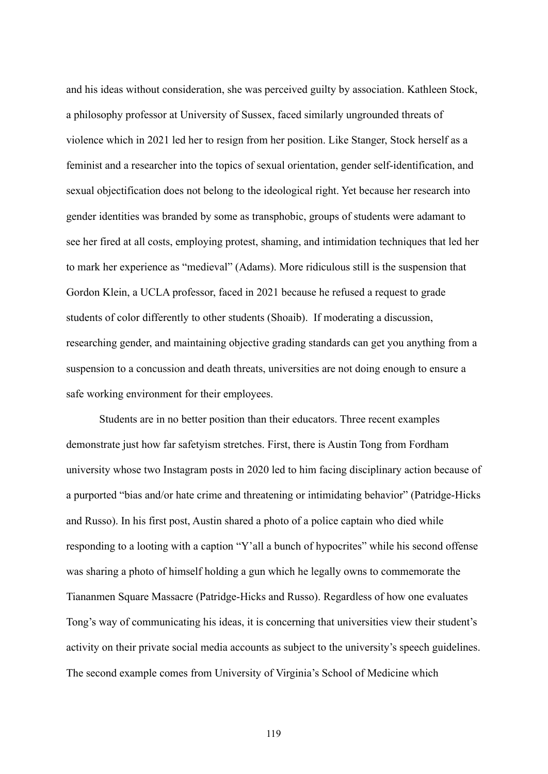and his ideas without consideration, she was perceived guilty by association. Kathleen Stock, a philosophy professor at University of Sussex, faced similarly ungrounded threats of violence which in 2021 led her to resign from her position. Like Stanger, Stock herself as a feminist and a researcher into the topics of sexual orientation, gender self-identification, and sexual objectification does not belong to the ideological right. Yet because her research into gender identities was branded by some as transphobic, groups of students were adamant to see her fired at all costs, employing protest, shaming, and intimidation techniques that led her to mark her experience as "medieval" (Adams). More ridiculous still is the suspension that Gordon Klein, a UCLA professor, faced in 2021 because he refused a request to grade students of color differently to other students (Shoaib). If moderating a discussion, researching gender, and maintaining objective grading standards can get you anything from a suspension to a concussion and death threats, universities are not doing enough to ensure a safe working environment for their employees.

Students are in no better position than their educators. Three recent examples demonstrate just how far safetyism stretches. First, there is Austin Tong from Fordham university whose two Instagram posts in 2020 led to him facing disciplinary action because of a purported "bias and/or hate crime and threatening or intimidating behavior" (Patridge-Hicks and Russo). In his first post, Austin shared a photo of a police captain who died while responding to a looting with a caption "Y'all a bunch of hypocrites" while his second offense was sharing a photo of himself holding a gun which he legally owns to commemorate the Tiananmen Square Massacre (Patridge-Hicks and Russo). Regardless of how one evaluates Tong's way of communicating his ideas, it is concerning that universities view their student's activity on their private social media accounts as subject to the university's speech guidelines. The second example comes from University of Virginia's School of Medicine which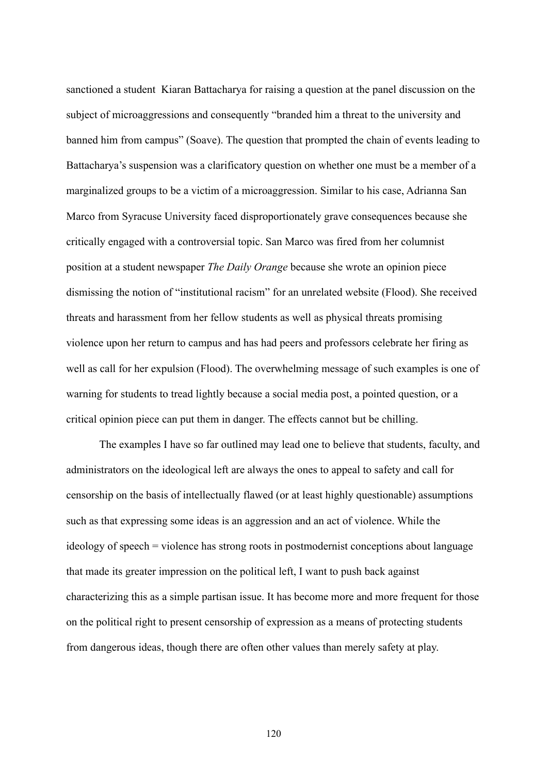sanctioned a student Kiaran Battacharya for raising a question at the panel discussion on the subject of microaggressions and consequently "branded him a threat to the university and banned him from campus" (Soave). The question that prompted the chain of events leading to Battacharya's suspension was a clarificatory question on whether one must be a member of a marginalized groups to be a victim of a microaggression. Similar to his case, Adrianna San Marco from Syracuse University faced disproportionately grave consequences because she critically engaged with a controversial topic. San Marco was fired from her columnist position at a student newspaper *The Daily Orange* because she wrote an opinion piece dismissing the notion of "institutional racism" for an unrelated website (Flood). She received threats and harassment from her fellow students as well as physical threats promising violence upon her return to campus and has had peers and professors celebrate her firing as well as call for her expulsion (Flood). The overwhelming message of such examples is one of warning for students to tread lightly because a social media post, a pointed question, or a critical opinion piece can put them in danger. The effects cannot but be chilling.

The examples I have so far outlined may lead one to believe that students, faculty, and administrators on the ideological left are always the ones to appeal to safety and call for censorship on the basis of intellectually flawed (or at least highly questionable) assumptions such as that expressing some ideas is an aggression and an act of violence. While the ideology of speech = violence has strong roots in postmodernist conceptions about language that made its greater impression on the political left, I want to push back against characterizing this as a simple partisan issue. It has become more and more frequent for those on the political right to present censorship of expression as a means of protecting students from dangerous ideas, though there are often other values than merely safety at play.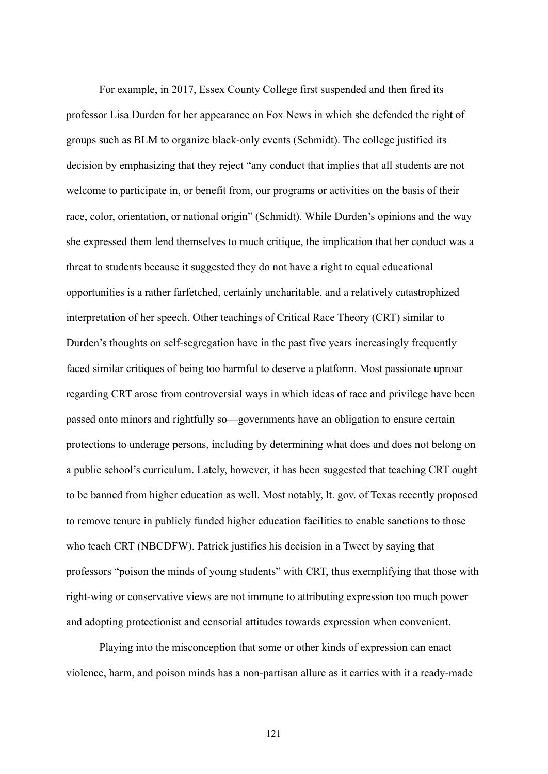For example, in 2017, Essex County College first suspended and then fired its professor Lisa Durden for her appearance on Fox News in which she defended the right of groups such as BLM to organize black-only events (Schmidt). The college justified its decision by emphasizing that they reject "any conduct that implies that all students are not welcome to participate in, or benefit from, our programs or activities on the basis of their race, color, orientation, or national origin" (Schmidt). While Durden's opinions and the way she expressed them lend themselves to much critique, the implication that her conduct was a threat to students because it suggested they do not have a right to equal educational opportunities is a rather farfetched, certainly uncharitable, and a relatively catastrophized interpretation of her speech. Other teachings of Critical Race Theory (CRT) similar to Durden's thoughts on self-segregation have in the past five years increasingly frequently faced similar critiques of being too harmful to deserve a platform. Most passionate uproar regarding CRT arose from controversial ways in which ideas of race and privilege have been passed onto minors and rightfully so—governments have an obligation to ensure certain protections to underage persons, including by determining what does and does not belong on a public school's curriculum. Lately, however, it has been suggested that teaching CRT ought to be banned from higher education as well. Most notably, lt. gov. of Texas recently proposed to remove tenure in publicly funded higher education facilities to enable sanctions to those who teach CRT (NBCDFW). Patrick justifies his decision in a Tweet by saying that professors "poison the minds of young students" with CRT, thus exemplifying that those with right-wing or conservative views are not immune to attributing expression too much power and adopting protectionist and censorial attitudes towards expression when convenient.

Playing into the misconception that some or other kinds of expression can enact violence, harm, and poison minds has a non-partisan allure as it carries with it a ready-made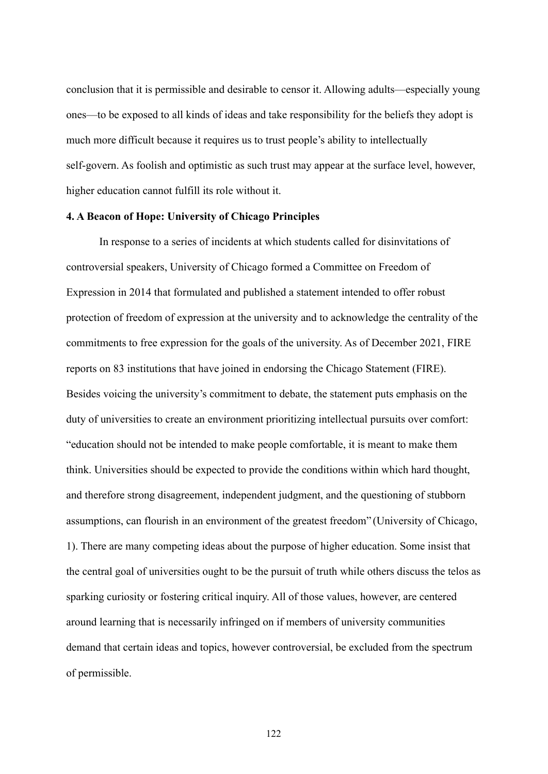conclusion that it is permissible and desirable to censor it. Allowing adults—especially young ones—to be exposed to all kinds of ideas and take responsibility for the beliefs they adopt is much more difficult because it requires us to trust people's ability to intellectually self-govern. As foolish and optimistic as such trust may appear at the surface level, however, higher education cannot fulfill its role without it.

# **4. A Beacon of Hope: University of Chicago Principles**

In response to a series of incidents at which students called for disinvitations of controversial speakers, University of Chicago formed a Committee on Freedom of Expression in 2014 that formulated and published a statement intended to offer robust protection of freedom of expression at the university and to acknowledge the centrality of the commitments to free expression for the goals of the university. As of December 2021, FIRE reports on 83 institutions that have joined in endorsing the Chicago Statement (FIRE). Besides voicing the university's commitment to debate, the statement puts emphasis on the duty of universities to create an environment prioritizing intellectual pursuits over comfort: "education should not be intended to make people comfortable, it is meant to make them think. Universities should be expected to provide the conditions within which hard thought, and therefore strong disagreement, independent judgment, and the questioning of stubborn assumptions, can flourish in an environment of the greatest freedom" (University of Chicago, 1). There are many competing ideas about the purpose of higher education. Some insist that the central goal of universities ought to be the pursuit of truth while others discuss the telos as sparking curiosity or fostering critical inquiry. All of those values, however, are centered around learning that is necessarily infringed on if members of university communities demand that certain ideas and topics, however controversial, be excluded from the spectrum of permissible.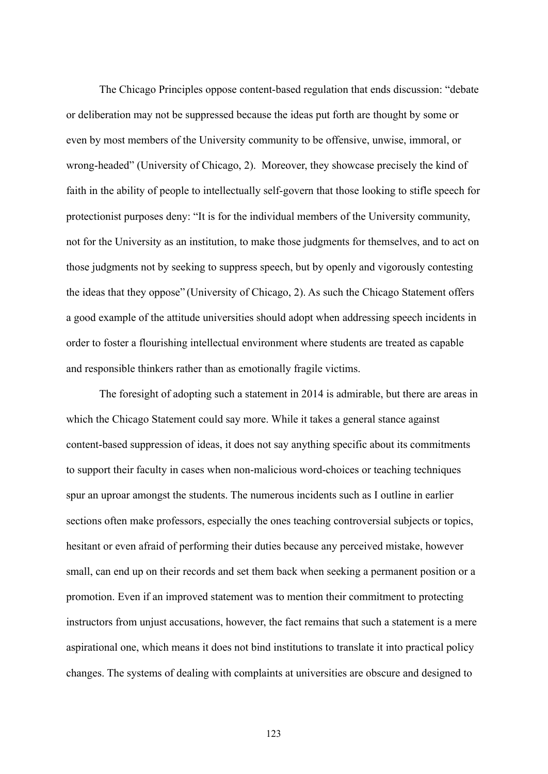The Chicago Principles oppose content-based regulation that ends discussion: "debate or deliberation may not be suppressed because the ideas put forth are thought by some or even by most members of the University community to be offensive, unwise, immoral, or wrong-headed" (University of Chicago, 2). Moreover, they showcase precisely the kind of faith in the ability of people to intellectually self-govern that those looking to stifle speech for protectionist purposes deny: "It is for the individual members of the University community, not for the University as an institution, to make those judgments for themselves, and to act on those judgments not by seeking to suppress speech, but by openly and vigorously contesting the ideas that they oppose" (University of Chicago, 2). As such the Chicago Statement offers a good example of the attitude universities should adopt when addressing speech incidents in order to foster a flourishing intellectual environment where students are treated as capable and responsible thinkers rather than as emotionally fragile victims.

The foresight of adopting such a statement in 2014 is admirable, but there are areas in which the Chicago Statement could say more. While it takes a general stance against content-based suppression of ideas, it does not say anything specific about its commitments to support their faculty in cases when non-malicious word-choices or teaching techniques spur an uproar amongst the students. The numerous incidents such as I outline in earlier sections often make professors, especially the ones teaching controversial subjects or topics, hesitant or even afraid of performing their duties because any perceived mistake, however small, can end up on their records and set them back when seeking a permanent position or a promotion. Even if an improved statement was to mention their commitment to protecting instructors from unjust accusations, however, the fact remains that such a statement is a mere aspirational one, which means it does not bind institutions to translate it into practical policy changes. The systems of dealing with complaints at universities are obscure and designed to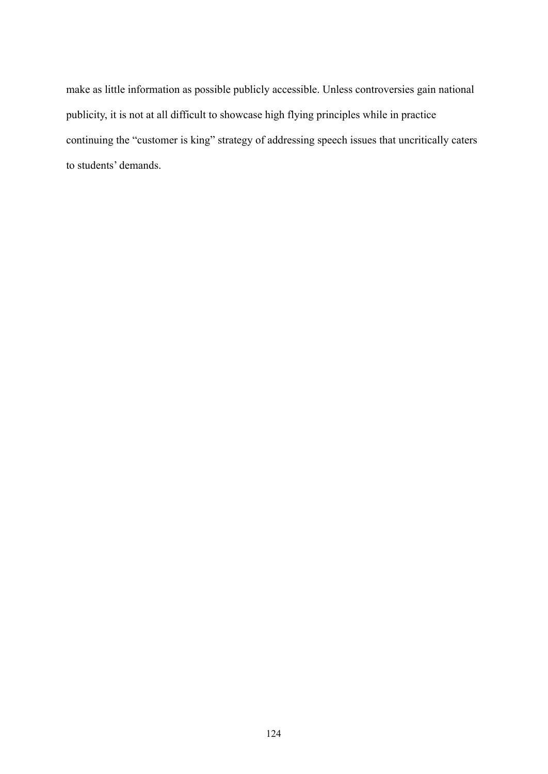make as little information as possible publicly accessible. Unless controversies gain national publicity, it is not at all difficult to showcase high flying principles while in practice continuing the "customer is king" strategy of addressing speech issues that uncritically caters to students' demands.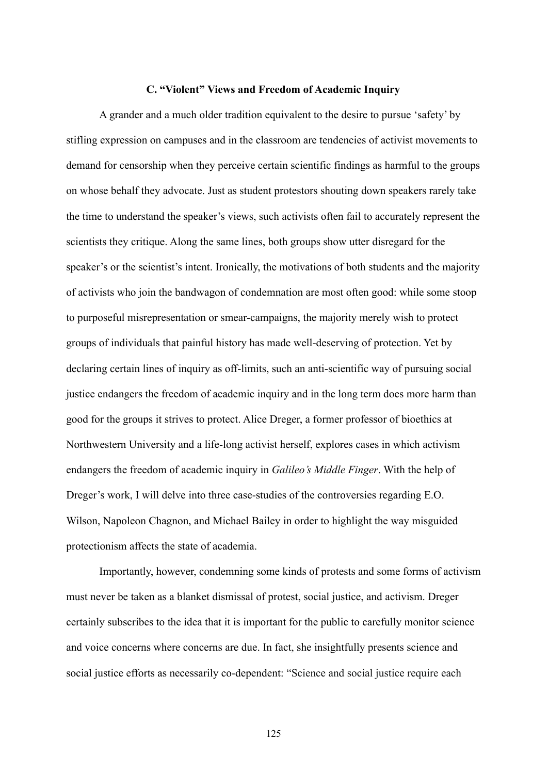### **C. "Violent" Views and Freedom of Academic Inquiry**

A grander and a much older tradition equivalent to the desire to pursue 'safety' by stifling expression on campuses and in the classroom are tendencies of activist movements to demand for censorship when they perceive certain scientific findings as harmful to the groups on whose behalf they advocate. Just as student protestors shouting down speakers rarely take the time to understand the speaker's views, such activists often fail to accurately represent the scientists they critique. Along the same lines, both groups show utter disregard for the speaker's or the scientist's intent. Ironically, the motivations of both students and the majority of activists who join the bandwagon of condemnation are most often good: while some stoop to purposeful misrepresentation or smear-campaigns, the majority merely wish to protect groups of individuals that painful history has made well-deserving of protection. Yet by declaring certain lines of inquiry as off-limits, such an anti-scientific way of pursuing social justice endangers the freedom of academic inquiry and in the long term does more harm than good for the groups it strives to protect. Alice Dreger, a former professor of bioethics at Northwestern University and a life-long activist herself, explores cases in which activism endangers the freedom of academic inquiry in *Galileo's Middle Finger*. With the help of Dreger's work, I will delve into three case-studies of the controversies regarding E.O. Wilson, Napoleon Chagnon, and Michael Bailey in order to highlight the way misguided protectionism affects the state of academia.

Importantly, however, condemning some kinds of protests and some forms of activism must never be taken as a blanket dismissal of protest, social justice, and activism. Dreger certainly subscribes to the idea that it is important for the public to carefully monitor science and voice concerns where concerns are due. In fact, she insightfully presents science and social justice efforts as necessarily co-dependent: "Science and social justice require each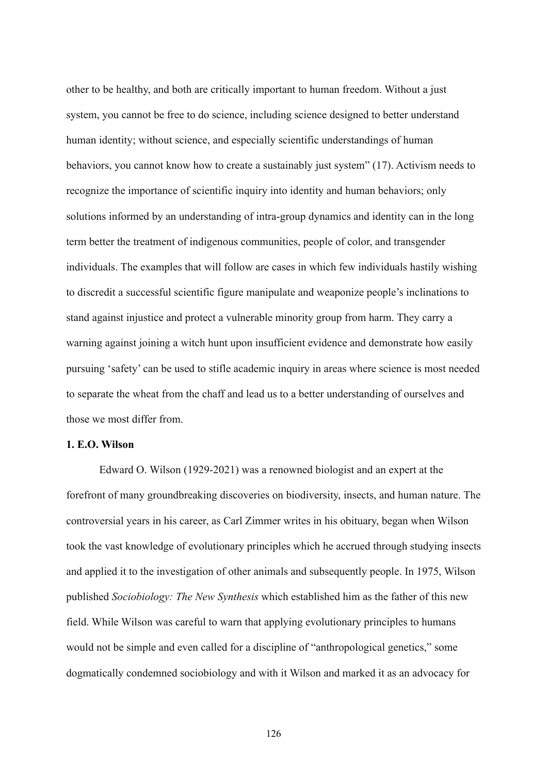other to be healthy, and both are critically important to human freedom. Without a just system, you cannot be free to do science, including science designed to better understand human identity; without science, and especially scientific understandings of human behaviors, you cannot know how to create a sustainably just system" (17). Activism needs to recognize the importance of scientific inquiry into identity and human behaviors; only solutions informed by an understanding of intra-group dynamics and identity can in the long term better the treatment of indigenous communities, people of color, and transgender individuals. The examples that will follow are cases in which few individuals hastily wishing to discredit a successful scientific figure manipulate and weaponize people's inclinations to stand against injustice and protect a vulnerable minority group from harm. They carry a warning against joining a witch hunt upon insufficient evidence and demonstrate how easily pursuing 'safety' can be used to stifle academic inquiry in areas where science is most needed to separate the wheat from the chaff and lead us to a better understanding of ourselves and those we most differ from.

### **1. E.O. Wilson**

Edward O. Wilson (1929-2021) was a renowned biologist and an expert at the forefront of many groundbreaking discoveries on biodiversity, insects, and human nature. The controversial years in his career, as Carl Zimmer writes in his obituary, began when Wilson took the vast knowledge of evolutionary principles which he accrued through studying insects and applied it to the investigation of other animals and subsequently people. In 1975, Wilson published *Sociobiology: The New Synthesis* which established him as the father of this new field. While Wilson was careful to warn that applying evolutionary principles to humans would not be simple and even called for a discipline of "anthropological genetics," some dogmatically condemned sociobiology and with it Wilson and marked it as an advocacy for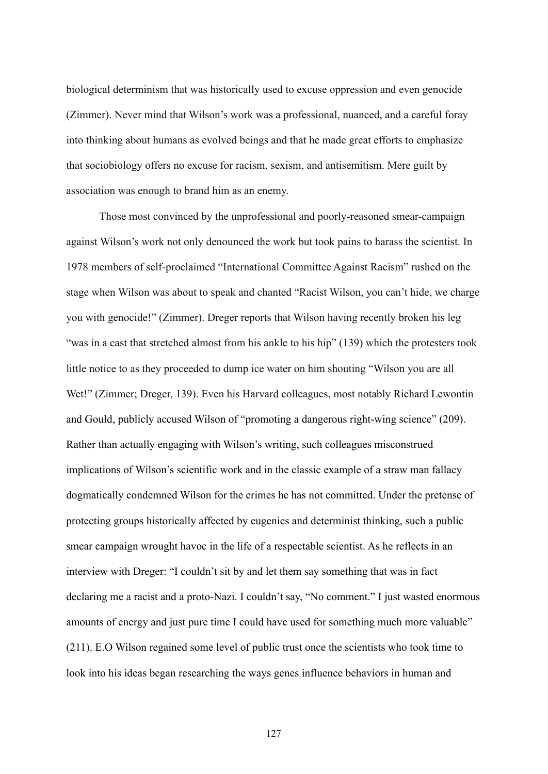biological determinism that was historically used to excuse oppression and even genocide (Zimmer). Never mind that Wilson's work was a professional, nuanced, and a careful foray into thinking about humans as evolved beings and that he made great efforts to emphasize that sociobiology offers no excuse for racism, sexism, and antisemitism. Mere guilt by association was enough to brand him as an enemy.

Those most convinced by the unprofessional and poorly-reasoned smear-campaign against Wilson's work not only denounced the work but took pains to harass the scientist. In 1978 members of self-proclaimed "International Committee Against Racism" rushed on the stage when Wilson was about to speak and chanted "Racist Wilson, you can't hide, we charge you with genocide!" (Zimmer). Dreger reports that Wilson having recently broken his leg "was in a cast that stretched almost from his ankle to his hip" (139) which the protesters took little notice to as they proceeded to dump ice water on him shouting "Wilson you are all Wet!" (Zimmer; Dreger, 139). Even his Harvard colleagues, most notably Richard Lewontin and Gould, publicly accused Wilson of "promoting a dangerous right-wing science" (209). Rather than actually engaging with Wilson's writing, such colleagues misconstrued implications of Wilson's scientific work and in the classic example of a straw man fallacy dogmatically condemned Wilson for the crimes he has not committed. Under the pretense of protecting groups historically affected by eugenics and determinist thinking, such a public smear campaign wrought havoc in the life of a respectable scientist. As he reflects in an interview with Dreger: "I couldn't sit by and let them say something that was in fact declaring me a racist and a proto-Nazi. I couldn't say, "No comment." I just wasted enormous amounts of energy and just pure time I could have used for something much more valuable" (211). E.O Wilson regained some level of public trust once the scientists who took time to look into his ideas began researching the ways genes influence behaviors in human and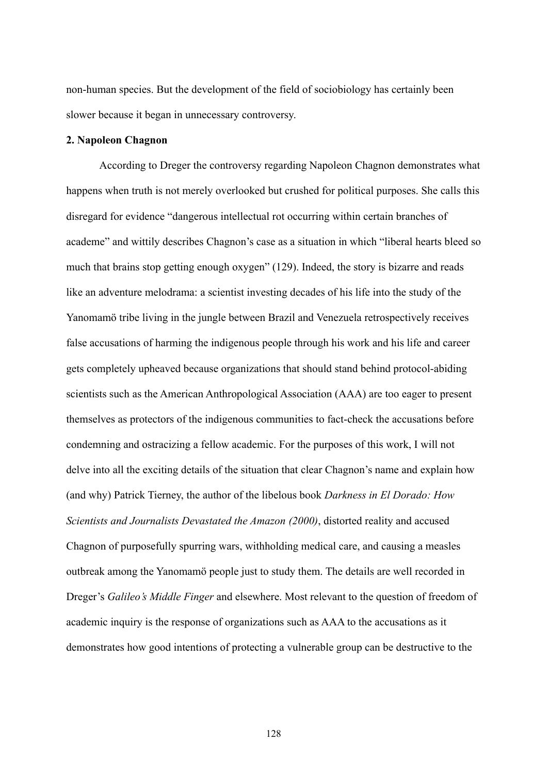non-human species. But the development of the field of sociobiology has certainly been slower because it began in unnecessary controversy.

### **2. Napoleon Chagnon**

According to Dreger the controversy regarding Napoleon Chagnon demonstrates what happens when truth is not merely overlooked but crushed for political purposes. She calls this disregard for evidence "dangerous intellectual rot occurring within certain branches of academe" and wittily describes Chagnon's case as a situation in which "liberal hearts bleed so much that brains stop getting enough oxygen" (129). Indeed, the story is bizarre and reads like an adventure melodrama: a scientist investing decades of his life into the study of the Yanomamö tribe living in the jungle between Brazil and Venezuela retrospectively receives false accusations of harming the indigenous people through his work and his life and career gets completely upheaved because organizations that should stand behind protocol-abiding scientists such as the American Anthropological Association (AAA) are too eager to present themselves as protectors of the indigenous communities to fact-check the accusations before condemning and ostracizing a fellow academic. For the purposes of this work, I will not delve into all the exciting details of the situation that clear Chagnon's name and explain how (and why) Patrick Tierney, the author of the libelous book *Darkness in El Dorado: How Scientists and Journalists Devastated the Amazon (2000)*, distorted reality and accused Chagnon of purposefully spurring wars, withholding medical care, and causing a measles outbreak among the Yanomamö people just to study them. The details are well recorded in Dreger's *Galileo's Middle Finger* and elsewhere. Most relevant to the question of freedom of academic inquiry is the response of organizations such as AAA to the accusations as it demonstrates how good intentions of protecting a vulnerable group can be destructive to the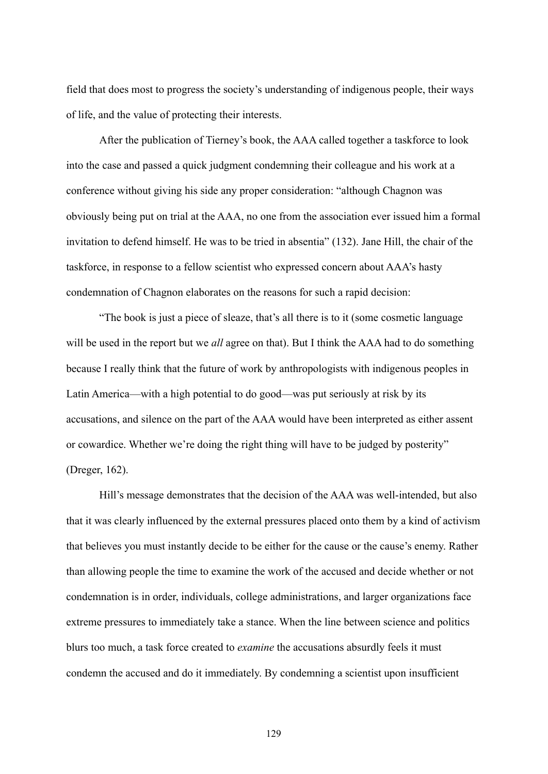field that does most to progress the society's understanding of indigenous people, their ways of life, and the value of protecting their interests.

After the publication of Tierney's book, the AAA called together a taskforce to look into the case and passed a quick judgment condemning their colleague and his work at a conference without giving his side any proper consideration: "although Chagnon was obviously being put on trial at the AAA, no one from the association ever issued him a formal invitation to defend himself. He was to be tried in absentia" (132). Jane Hill, the chair of the taskforce, in response to a fellow scientist who expressed concern about AAA's hasty condemnation of Chagnon elaborates on the reasons for such a rapid decision:

"The book is just a piece of sleaze, that's all there is to it (some cosmetic language will be used in the report but we *all* agree on that). But I think the AAA had to do something because I really think that the future of work by anthropologists with indigenous peoples in Latin America—with a high potential to do good—was put seriously at risk by its accusations, and silence on the part of the AAA would have been interpreted as either assent or cowardice. Whether we're doing the right thing will have to be judged by posterity" (Dreger, 162).

Hill's message demonstrates that the decision of the AAA was well-intended, but also that it was clearly influenced by the external pressures placed onto them by a kind of activism that believes you must instantly decide to be either for the cause or the cause's enemy. Rather than allowing people the time to examine the work of the accused and decide whether or not condemnation is in order, individuals, college administrations, and larger organizations face extreme pressures to immediately take a stance. When the line between science and politics blurs too much, a task force created to *examine* the accusations absurdly feels it must condemn the accused and do it immediately. By condemning a scientist upon insufficient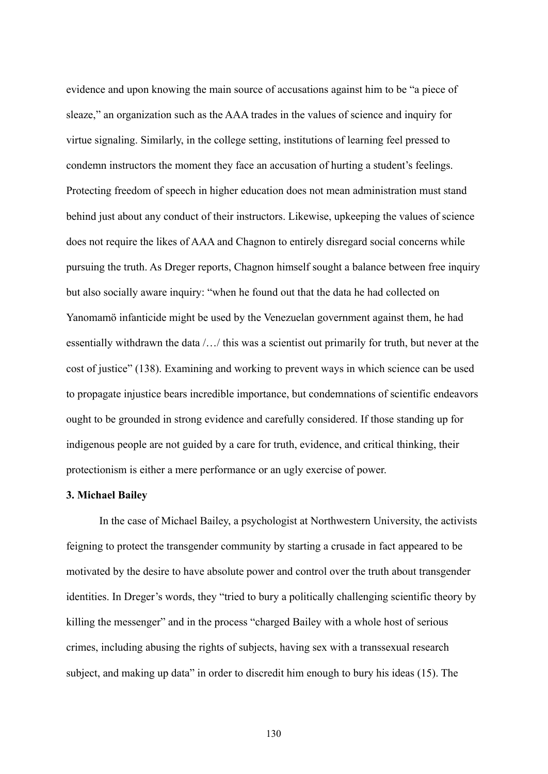evidence and upon knowing the main source of accusations against him to be "a piece of sleaze," an organization such as the AAA trades in the values of science and inquiry for virtue signaling. Similarly, in the college setting, institutions of learning feel pressed to condemn instructors the moment they face an accusation of hurting a student's feelings. Protecting freedom of speech in higher education does not mean administration must stand behind just about any conduct of their instructors. Likewise, upkeeping the values of science does not require the likes of AAA and Chagnon to entirely disregard social concerns while pursuing the truth. As Dreger reports, Chagnon himself sought a balance between free inquiry but also socially aware inquiry: "when he found out that the data he had collected on Yanomamö infanticide might be used by the Venezuelan government against them, he had essentially withdrawn the data /…/ this was a scientist out primarily for truth, but never at the cost of justice" (138). Examining and working to prevent ways in which science can be used to propagate injustice bears incredible importance, but condemnations of scientific endeavors ought to be grounded in strong evidence and carefully considered. If those standing up for indigenous people are not guided by a care for truth, evidence, and critical thinking, their protectionism is either a mere performance or an ugly exercise of power.

#### **3. Michael Bailey**

In the case of Michael Bailey, a psychologist at Northwestern University, the activists feigning to protect the transgender community by starting a crusade in fact appeared to be motivated by the desire to have absolute power and control over the truth about transgender identities. In Dreger's words, they "tried to bury a politically challenging scientific theory by killing the messenger" and in the process "charged Bailey with a whole host of serious crimes, including abusing the rights of subjects, having sex with a transsexual research subject, and making up data" in order to discredit him enough to bury his ideas (15). The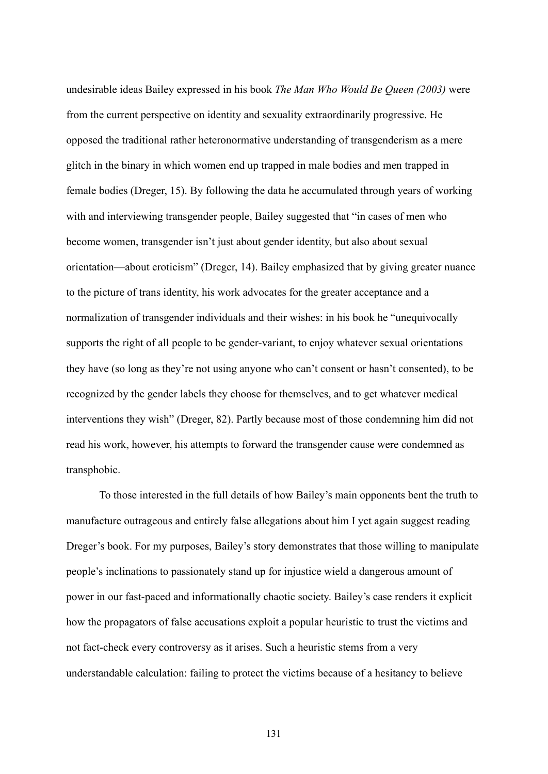undesirable ideas Bailey expressed in his book *The Man Who Would Be Queen (2003)* were from the current perspective on identity and sexuality extraordinarily progressive. He opposed the traditional rather heteronormative understanding of transgenderism as a mere glitch in the binary in which women end up trapped in male bodies and men trapped in female bodies (Dreger, 15). By following the data he accumulated through years of working with and interviewing transgender people, Bailey suggested that "in cases of men who become women, transgender isn't just about gender identity, but also about sexual orientation—about eroticism" (Dreger, 14). Bailey emphasized that by giving greater nuance to the picture of trans identity, his work advocates for the greater acceptance and a normalization of transgender individuals and their wishes: in his book he "unequivocally supports the right of all people to be gender-variant, to enjoy whatever sexual orientations they have (so long as they're not using anyone who can't consent or hasn't consented), to be recognized by the gender labels they choose for themselves, and to get whatever medical interventions they wish" (Dreger, 82). Partly because most of those condemning him did not read his work, however, his attempts to forward the transgender cause were condemned as transphobic.

To those interested in the full details of how Bailey's main opponents bent the truth to manufacture outrageous and entirely false allegations about him I yet again suggest reading Dreger's book. For my purposes, Bailey's story demonstrates that those willing to manipulate people's inclinations to passionately stand up for injustice wield a dangerous amount of power in our fast-paced and informationally chaotic society. Bailey's case renders it explicit how the propagators of false accusations exploit a popular heuristic to trust the victims and not fact-check every controversy as it arises. Such a heuristic stems from a very understandable calculation: failing to protect the victims because of a hesitancy to believe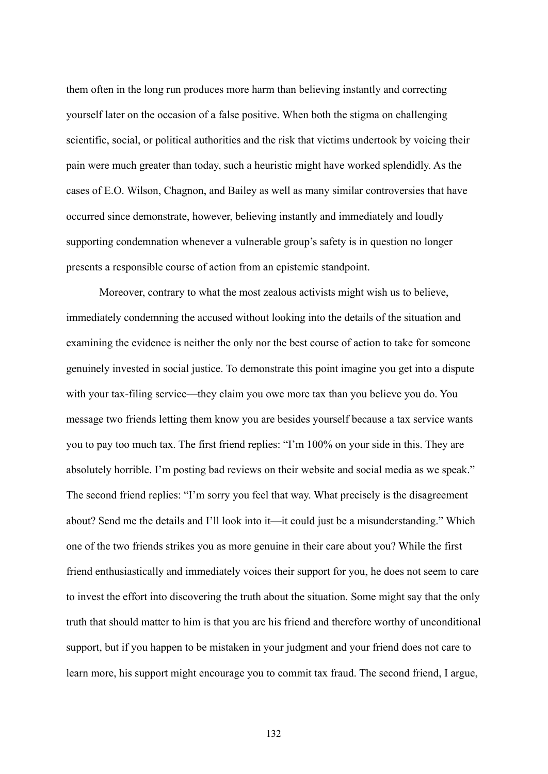them often in the long run produces more harm than believing instantly and correcting yourself later on the occasion of a false positive. When both the stigma on challenging scientific, social, or political authorities and the risk that victims undertook by voicing their pain were much greater than today, such a heuristic might have worked splendidly. As the cases of E.O. Wilson, Chagnon, and Bailey as well as many similar controversies that have occurred since demonstrate, however, believing instantly and immediately and loudly supporting condemnation whenever a vulnerable group's safety is in question no longer presents a responsible course of action from an epistemic standpoint.

Moreover, contrary to what the most zealous activists might wish us to believe, immediately condemning the accused without looking into the details of the situation and examining the evidence is neither the only nor the best course of action to take for someone genuinely invested in social justice. To demonstrate this point imagine you get into a dispute with your tax-filing service—they claim you owe more tax than you believe you do. You message two friends letting them know you are besides yourself because a tax service wants you to pay too much tax. The first friend replies: "I'm 100% on your side in this. They are absolutely horrible. I'm posting bad reviews on their website and social media as we speak." The second friend replies: "I'm sorry you feel that way. What precisely is the disagreement about? Send me the details and I'll look into it—it could just be a misunderstanding." Which one of the two friends strikes you as more genuine in their care about you? While the first friend enthusiastically and immediately voices their support for you, he does not seem to care to invest the effort into discovering the truth about the situation. Some might say that the only truth that should matter to him is that you are his friend and therefore worthy of unconditional support, but if you happen to be mistaken in your judgment and your friend does not care to learn more, his support might encourage you to commit tax fraud. The second friend, I argue,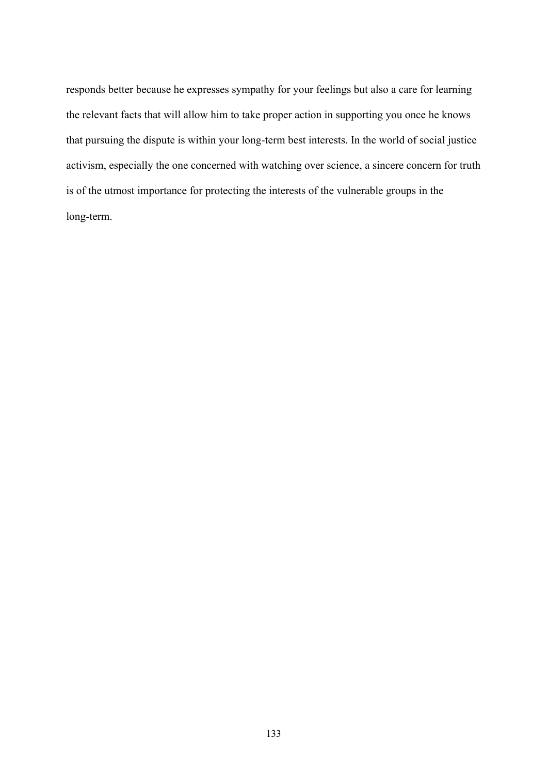responds better because he expresses sympathy for your feelings but also a care for learning the relevant facts that will allow him to take proper action in supporting you once he knows that pursuing the dispute is within your long-term best interests. In the world of social justice activism, especially the one concerned with watching over science, a sincere concern for truth is of the utmost importance for protecting the interests of the vulnerable groups in the long-term.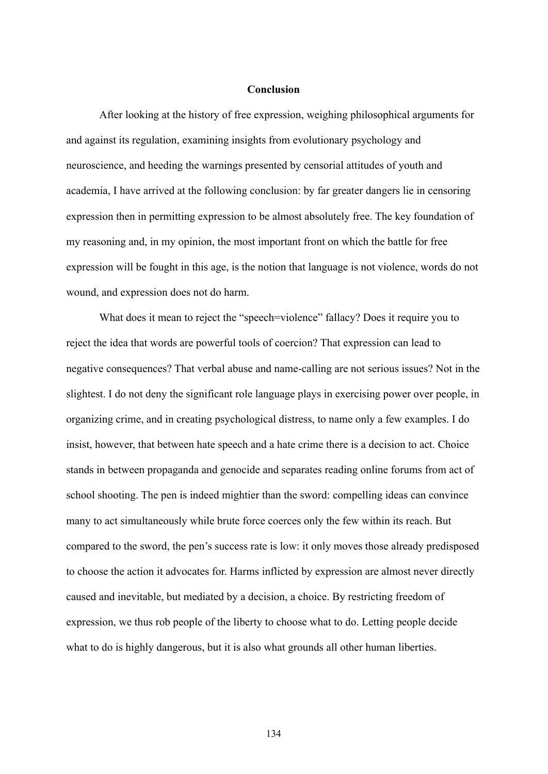### **Conclusion**

After looking at the history of free expression, weighing philosophical arguments for and against its regulation, examining insights from evolutionary psychology and neuroscience, and heeding the warnings presented by censorial attitudes of youth and academia, I have arrived at the following conclusion: by far greater dangers lie in censoring expression then in permitting expression to be almost absolutely free. The key foundation of my reasoning and, in my opinion, the most important front on which the battle for free expression will be fought in this age, is the notion that language is not violence, words do not wound, and expression does not do harm.

What does it mean to reject the "speech=violence" fallacy? Does it require you to reject the idea that words are powerful tools of coercion? That expression can lead to negative consequences? That verbal abuse and name-calling are not serious issues? Not in the slightest. I do not deny the significant role language plays in exercising power over people, in organizing crime, and in creating psychological distress, to name only a few examples. I do insist, however, that between hate speech and a hate crime there is a decision to act. Choice stands in between propaganda and genocide and separates reading online forums from act of school shooting. The pen is indeed mightier than the sword: compelling ideas can convince many to act simultaneously while brute force coerces only the few within its reach. But compared to the sword, the pen's success rate is low: it only moves those already predisposed to choose the action it advocates for. Harms inflicted by expression are almost never directly caused and inevitable, but mediated by a decision, a choice. By restricting freedom of expression, we thus rob people of the liberty to choose what to do. Letting people decide what to do is highly dangerous, but it is also what grounds all other human liberties.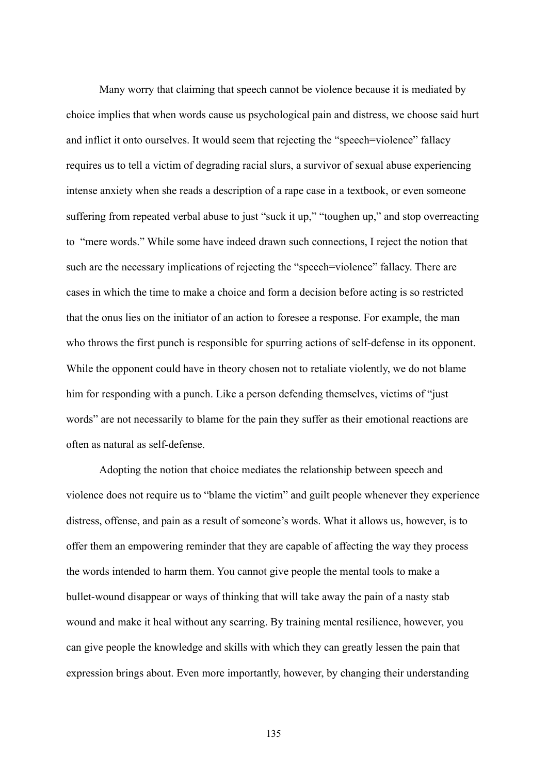Many worry that claiming that speech cannot be violence because it is mediated by choice implies that when words cause us psychological pain and distress, we choose said hurt and inflict it onto ourselves. It would seem that rejecting the "speech=violence" fallacy requires us to tell a victim of degrading racial slurs, a survivor of sexual abuse experiencing intense anxiety when she reads a description of a rape case in a textbook, or even someone suffering from repeated verbal abuse to just "suck it up," "toughen up," and stop overreacting to "mere words." While some have indeed drawn such connections, I reject the notion that such are the necessary implications of rejecting the "speech=violence" fallacy. There are cases in which the time to make a choice and form a decision before acting is so restricted that the onus lies on the initiator of an action to foresee a response. For example, the man who throws the first punch is responsible for spurring actions of self-defense in its opponent. While the opponent could have in theory chosen not to retaliate violently, we do not blame him for responding with a punch. Like a person defending themselves, victims of "just words" are not necessarily to blame for the pain they suffer as their emotional reactions are often as natural as self-defense.

Adopting the notion that choice mediates the relationship between speech and violence does not require us to "blame the victim" and guilt people whenever they experience distress, offense, and pain as a result of someone's words. What it allows us, however, is to offer them an empowering reminder that they are capable of affecting the way they process the words intended to harm them. You cannot give people the mental tools to make a bullet-wound disappear or ways of thinking that will take away the pain of a nasty stab wound and make it heal without any scarring. By training mental resilience, however, you can give people the knowledge and skills with which they can greatly lessen the pain that expression brings about. Even more importantly, however, by changing their understanding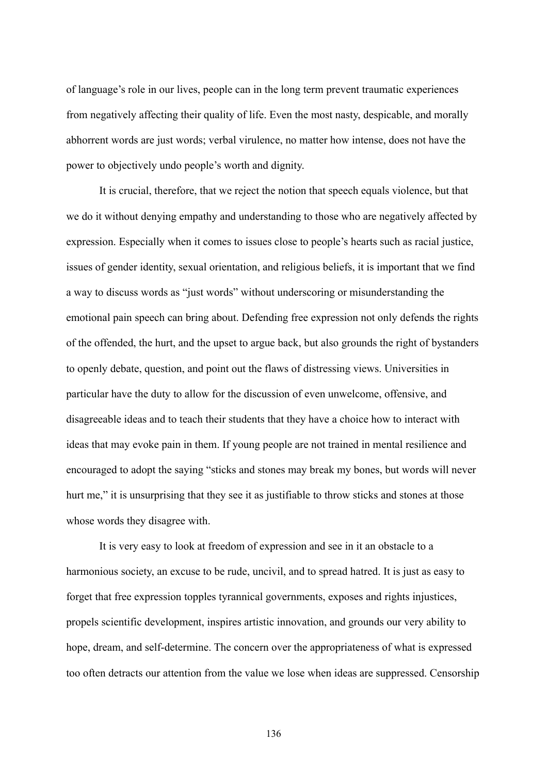of language's role in our lives, people can in the long term prevent traumatic experiences from negatively affecting their quality of life. Even the most nasty, despicable, and morally abhorrent words are just words; verbal virulence, no matter how intense, does not have the power to objectively undo people's worth and dignity.

It is crucial, therefore, that we reject the notion that speech equals violence, but that we do it without denying empathy and understanding to those who are negatively affected by expression. Especially when it comes to issues close to people's hearts such as racial justice, issues of gender identity, sexual orientation, and religious beliefs, it is important that we find a way to discuss words as "just words" without underscoring or misunderstanding the emotional pain speech can bring about. Defending free expression not only defends the rights of the offended, the hurt, and the upset to argue back, but also grounds the right of bystanders to openly debate, question, and point out the flaws of distressing views. Universities in particular have the duty to allow for the discussion of even unwelcome, offensive, and disagreeable ideas and to teach their students that they have a choice how to interact with ideas that may evoke pain in them. If young people are not trained in mental resilience and encouraged to adopt the saying "sticks and stones may break my bones, but words will never hurt me," it is unsurprising that they see it as justifiable to throw sticks and stones at those whose words they disagree with.

It is very easy to look at freedom of expression and see in it an obstacle to a harmonious society, an excuse to be rude, uncivil, and to spread hatred. It is just as easy to forget that free expression topples tyrannical governments, exposes and rights injustices, propels scientific development, inspires artistic innovation, and grounds our very ability to hope, dream, and self-determine. The concern over the appropriateness of what is expressed too often detracts our attention from the value we lose when ideas are suppressed. Censorship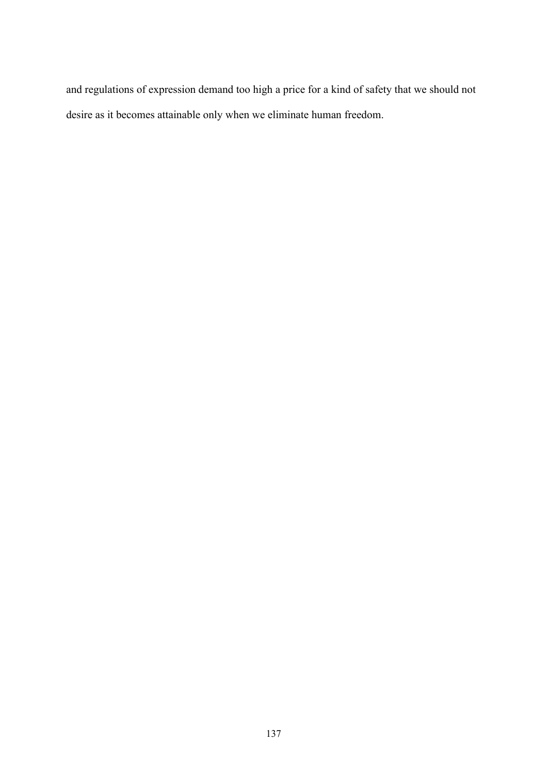and regulations of expression demand too high a price for a kind of safety that we should not desire as it becomes attainable only when we eliminate human freedom.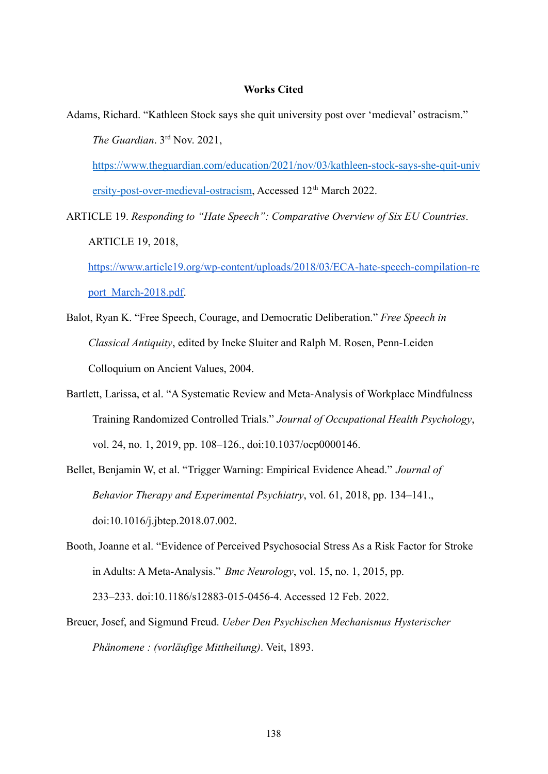# **Works Cited**

Adams, Richard. "Kathleen Stock says she quit university post over 'medieval' ostracism." *The Guardian*. 3rd Nov. 2021,

[https://www.theguardian.com/education/2021/nov/03/kathleen-stock-says-she-quit-univ](https://www.theguardian.com/education/2021/nov/03/kathleen-stock-says-she-quit-university-post-over-medieval-ostracism) [ersity-post-over-medieval-ostracism](https://www.theguardian.com/education/2021/nov/03/kathleen-stock-says-she-quit-university-post-over-medieval-ostracism), Accessed 12<sup>th</sup> March 2022.

ARTICLE 19. *Responding to "Hate Speech": Comparative Overview of Six EU Countries*. ARTICLE 19, 2018,

[https://www.article19.org/wp-content/uploads/2018/03/ECA-hate-speech-compilation-re](https://www.article19.org/wp-content/uploads/2018/03/ECA-hate-speech-compilation-report_March-2018.pdf) [port\\_March-2018.pdf.](https://www.article19.org/wp-content/uploads/2018/03/ECA-hate-speech-compilation-report_March-2018.pdf)

- Balot, Ryan K. "Free Speech, Courage, and Democratic Deliberation." *Free Speech in Classical Antiquity*, edited by Ineke Sluiter and Ralph M. Rosen, Penn-Leiden Colloquium on Ancient Values, 2004.
- Bartlett, Larissa, et al. "A Systematic Review and Meta-Analysis of Workplace Mindfulness Training Randomized Controlled Trials." *Journal of Occupational Health Psychology*, vol. 24, no. 1, 2019, pp. 108–126., doi:10.1037/ocp0000146.

Bellet, Benjamin W, et al. "Trigger Warning: Empirical Evidence Ahead." *Journal of Behavior Therapy and Experimental Psychiatry*, vol. 61, 2018, pp. 134–141., doi:10.1016/j.jbtep.2018.07.002.

- Booth, Joanne et al. "Evidence of Perceived Psychosocial Stress As a Risk Factor for Stroke in Adults: A Meta-Analysis." *Bmc Neurology*, vol. 15, no. 1, 2015, pp. 233–233. doi:10.1186/s12883-015-0456-4. Accessed 12 Feb. 2022.
- Breuer, Josef, and Sigmund Freud. *Ueber Den Psychischen Mechanismus Hysterischer Phänomene : (vorläufige Mittheilung)*. Veit, 1893.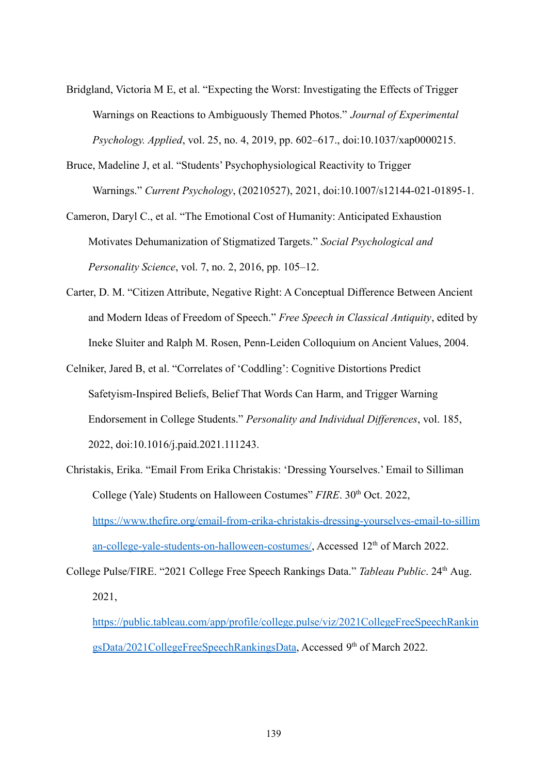- Bridgland, Victoria M E, et al. "Expecting the Worst: Investigating the Effects of Trigger Warnings on Reactions to Ambiguously Themed Photos." *Journal of Experimental Psychology. Applied*, vol. 25, no. 4, 2019, pp. 602–617., doi:10.1037/xap0000215.
- Bruce, Madeline J, et al. "Students' Psychophysiological Reactivity to Trigger Warnings." *Current Psychology*, (20210527), 2021, doi:10.1007/s12144-021-01895-1.

Cameron, Daryl C., et al. "The Emotional Cost of Humanity: Anticipated Exhaustion Motivates Dehumanization of Stigmatized Targets." *Social Psychological and Personality Science*, vol. 7, no. 2, 2016, pp. 105–12.

- Carter, D. M. "Citizen Attribute, Negative Right: A Conceptual Difference Between Ancient and Modern Ideas of Freedom of Speech." *Free Speech in Classical Antiquity*, edited by Ineke Sluiter and Ralph M. Rosen, Penn-Leiden Colloquium on Ancient Values, 2004.
- Celniker, Jared B, et al. "Correlates of 'Coddling': Cognitive Distortions Predict Safetyism-Inspired Beliefs, Belief That Words Can Harm, and Trigger Warning Endorsement in College Students." *Personality and Individual Differences*, vol. 185, 2022, doi:10.1016/j.paid.2021.111243.
- Christakis, Erika. "Email From Erika Christakis: 'Dressing Yourselves.' Email to Silliman College (Yale) Students on Halloween Costumes" *FIRE*. 30<sup>th</sup> Oct. 2022, [https://www.thefire.org/email-from-erika-christakis-dressing-yourselves-email-to-sillim](https://www.thefire.org/email-from-erika-christakis-dressing-yourselves-email-to-silliman-college-yale-students-on-halloween-costumes/) [an-college-yale-students-on-halloween-costumes/](https://www.thefire.org/email-from-erika-christakis-dressing-yourselves-email-to-silliman-college-yale-students-on-halloween-costumes/), Accessed 12<sup>th</sup> of March 2022.

College Pulse/FIRE. "2021 College Free Speech Rankings Data." *Tableau Public*. 24th Aug. 2021,

[https://public.tableau.com/app/profile/college.pulse/viz/2021CollegeFreeSpeechRankin](https://public.tableau.com/app/profile/college.pulse/viz/2021CollegeFreeSpeechRankingsData/2021CollegeFreeSpeechRankingsData) [gsData/2021CollegeFreeSpeechRankingsData](https://public.tableau.com/app/profile/college.pulse/viz/2021CollegeFreeSpeechRankingsData/2021CollegeFreeSpeechRankingsData), Accessed 9<sup>th</sup> of March 2022.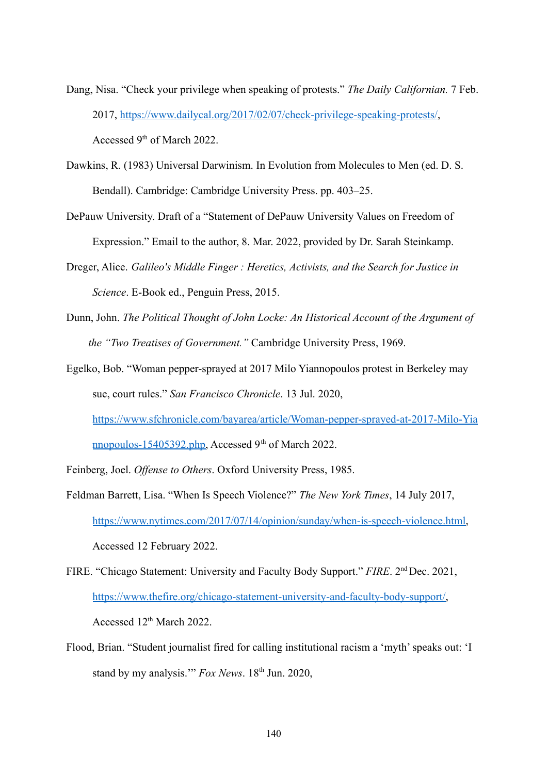- Dang, Nisa. "Check your privilege when speaking of protests." *The Daily Californian.* 7 Feb. 2017, <https://www.dailycal.org/2017/02/07/check-privilege-speaking-protests/>, Accessed 9<sup>th</sup> of March 2022.
- Dawkins, R. (1983) Universal Darwinism. In Evolution from Molecules to Men (ed. D. S. Bendall). Cambridge: Cambridge University Press. pp. 403–25.
- DePauw University. Draft of a "Statement of DePauw University Values on Freedom of Expression." Email to the author, 8. Mar. 2022, provided by Dr. Sarah Steinkamp.
- Dreger, Alice. *Galileo's Middle Finger : Heretics, Activists, and the Search for Justice in Science*. E-Book ed., Penguin Press, 2015.
- Dunn, John. *The Political Thought of John Locke: An Historical Account of the Argument of the "Two Treatises of Government."* Cambridge University Press, 1969.
- Egelko, Bob. "Woman pepper-sprayed at 2017 Milo Yiannopoulos protest in Berkeley may sue, court rules." *San Francisco Chronicle*. 13 Jul. 2020,

[https://www.sfchronicle.com/bayarea/article/Woman-pepper-sprayed-at-2017-Milo-Yia](https://www.sfchronicle.com/bayarea/article/Woman-pepper-sprayed-at-2017-Milo-Yiannopoulos-15405392.php) [nnopoulos-15405392.php,](https://www.sfchronicle.com/bayarea/article/Woman-pepper-sprayed-at-2017-Milo-Yiannopoulos-15405392.php) Accessed 9<sup>th</sup> of March 2022.

- Feinberg, Joel. *Offense to Others*. Oxford University Press, 1985.
- Feldman Barrett, Lisa. "When Is Speech Violence?" *The New York Times*, 14 July 2017, [https://www.nytimes.com/2017/07/14/opinion/sunday/when-is-speech-violence.html,](https://www.nytimes.com/2017/07/14/opinion/sunday/when-is-speech-violence.html) Accessed 12 February 2022.
- FIRE. "Chicago Statement: University and Faculty Body Support." *FIRE*. 2nd Dec. 2021, [https://www.thefire.org/chicago-statement-university-and-faculty-body-support/,](https://www.thefire.org/chicago-statement-university-and-faculty-body-support/) Accessed 12<sup>th</sup> March 2022.
- Flood, Brian. "Student journalist fired for calling institutional racism a 'myth' speaks out: 'I stand by my analysis." *Fox News*. 18<sup>th</sup> Jun. 2020,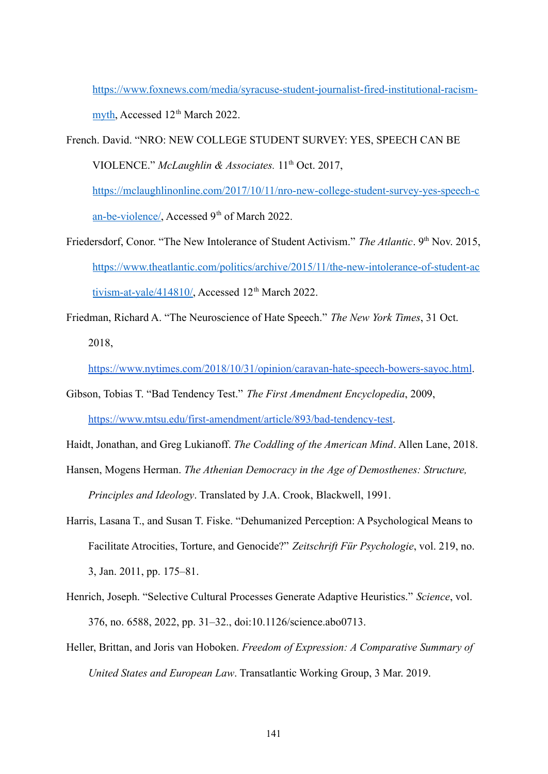[https://www.foxnews.com/media/syracuse-student-journalist-fired-institutional-racism](https://www.foxnews.com/media/syracuse-student-journalist-fired-institutional-racism-myth)[myth](https://www.foxnews.com/media/syracuse-student-journalist-fired-institutional-racism-myth), Accessed 12<sup>th</sup> March 2022.

French. David. "NRO: NEW COLLEGE STUDENT SURVEY: YES, SPEECH CAN BE VIOLENCE." McLaughlin & Associates. 11<sup>th</sup> Oct. 2017, [https://mclaughlinonline.com/2017/10/11/nro-new-college-student-survey-yes-speech-c](https://mclaughlinonline.com/2017/10/11/nro-new-college-student-survey-yes-speech-can-be-violence/)

[an-be-violence/](https://mclaughlinonline.com/2017/10/11/nro-new-college-student-survey-yes-speech-can-be-violence/), Accessed 9<sup>th</sup> of March 2022.

- Friedersdorf, Conor. "The New Intolerance of Student Activism." *The Atlantic*. 9<sup>th</sup> Nov. 2015, [https://www.theatlantic.com/politics/archive/2015/11/the-new-intolerance-of-student-ac](https://www.theatlantic.com/politics/archive/2015/11/the-new-intolerance-of-student-activism-at-yale/414810/) [tivism-at-yale/414810/,](https://www.theatlantic.com/politics/archive/2015/11/the-new-intolerance-of-student-activism-at-yale/414810/) Accessed  $12<sup>th</sup>$  March 2022.
- Friedman, Richard A. "The Neuroscience of Hate Speech." *The New York Times*, 31 Oct. 2018,

<https://www.nytimes.com/2018/10/31/opinion/caravan-hate-speech-bowers-sayoc.html>.

Gibson, Tobias T. "Bad Tendency Test." *The First Amendment Encyclopedia*, 2009[,](https://www.mtsu.edu/first-amendment/article/893/bad-tendency-test) <https://www.mtsu.edu/first-amendment/article/893/bad-tendency-test>.

Haidt, Jonathan, and Greg Lukianoff. *The Coddling of the American Mind*. Allen Lane, 2018.

- Hansen, Mogens Herman. *The Athenian Democracy in the Age of Demosthenes: Structure, Principles and Ideology*. Translated by J.A. Crook, Blackwell, 1991.
- Harris, Lasana T., and Susan T. Fiske. "Dehumanized Perception: A Psychological Means to Facilitate Atrocities, Torture, and Genocide?" *Zeitschrift Für Psychologie*, vol. 219, no. 3, Jan. 2011, pp. 175–81.
- Henrich, Joseph. "Selective Cultural Processes Generate Adaptive Heuristics." *Science*, vol. 376, no. 6588, 2022, pp. 31–32., doi:10.1126/science.abo0713.
- Heller, Brittan, and Joris van Hoboken. *Freedom of Expression: A Comparative Summary of United States and European Law*. Transatlantic Working Group, 3 Mar. 2019.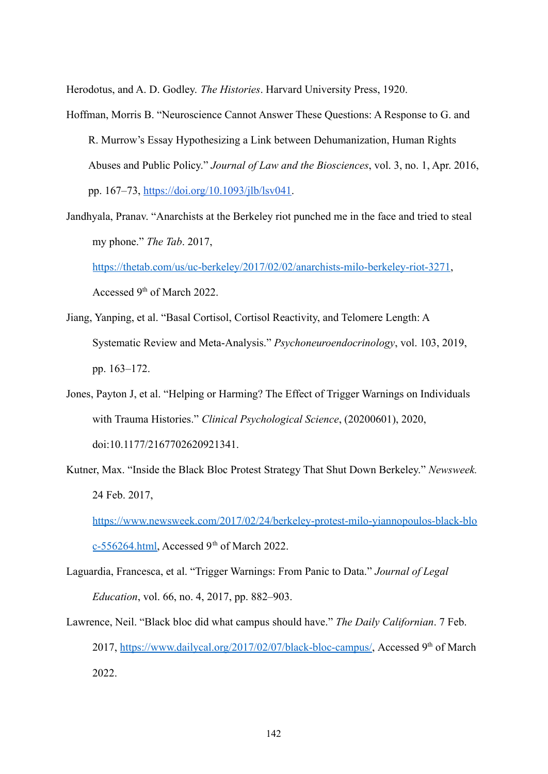Herodotus, and A. D. Godley. *The Histories*. Harvard University Press, 1920.

- Hoffman, Morris B. "Neuroscience Cannot Answer These Questions: A Response to G. and R. Murrow's Essay Hypothesizing a Link between Dehumanization, Human Rights Abuses and Public Policy." *Journal of Law and the Biosciences*, vol. 3, no. 1, Apr. 2016, pp. 167–73, <https://doi.org/10.1093/jlb/lsv041>.
- Jandhyala, Pranav. "Anarchists at the Berkeley riot punched me in the face and tried to steal my phone." *The Tab*. 2017,

<https://thetab.com/us/uc-berkeley/2017/02/02/anarchists-milo-berkeley-riot-3271>, Accessed 9<sup>th</sup> of March 2022.

- Jiang, Yanping, et al. "Basal Cortisol, Cortisol Reactivity, and Telomere Length: A Systematic Review and Meta-Analysis." *Psychoneuroendocrinology*, vol. 103, 2019, pp. 163–172.
- Jones, Payton J, et al. "Helping or Harming? The Effect of Trigger Warnings on Individuals with Trauma Histories." *Clinical Psychological Science*, (20200601), 2020, doi:10.1177/2167702620921341.
- Kutner, Max. "Inside the Black Bloc Protest Strategy That Shut Down Berkeley." *Newsweek.* 24 Feb. 2017,

[https://www.newsweek.com/2017/02/24/berkeley-protest-milo-yiannopoulos-black-blo](https://www.newsweek.com/2017/02/24/berkeley-protest-milo-yiannopoulos-black-bloc-556264.html)

[c-556264.html,](https://www.newsweek.com/2017/02/24/berkeley-protest-milo-yiannopoulos-black-bloc-556264.html) Accessed 9<sup>th</sup> of March 2022.

Laguardia, Francesca, et al. "Trigger Warnings: From Panic to Data." *Journal of Legal Education*, vol. 66, no. 4, 2017, pp. 882–903.

Lawrence, Neil. "Black bloc did what campus should have." *The Daily Californian*. 7 Feb. 2017, [https://www.dailycal.org/2017/02/07/black-bloc-campus/,](https://www.dailycal.org/2017/02/07/black-bloc-campus/) Accessed 9<sup>th</sup> of March 2022.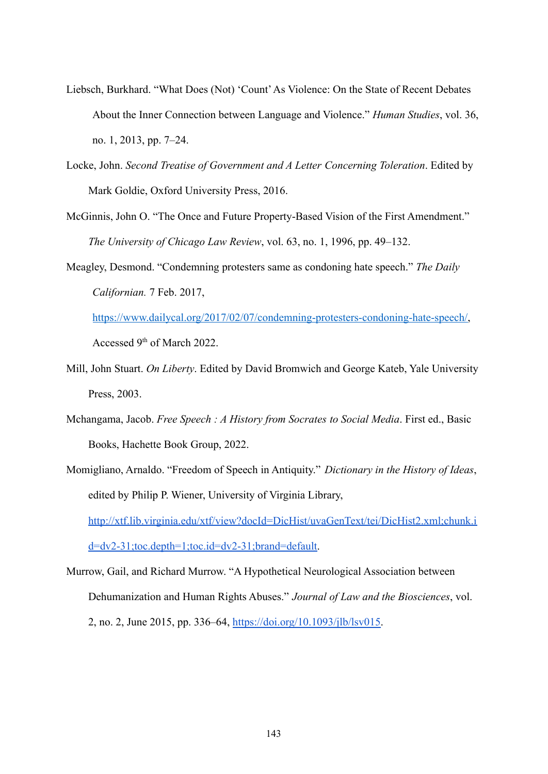- Liebsch, Burkhard. "What Does (Not) 'Count'As Violence: On the State of Recent Debates About the Inner Connection between Language and Violence." *Human Studies*, vol. 36, no. 1, 2013, pp. 7–24.
- Locke, John. *Second Treatise of Government and A Letter Concerning Toleration*. Edited by Mark Goldie, Oxford University Press, 2016.
- McGinnis, John O. "The Once and Future Property-Based Vision of the First Amendment." *The University of Chicago Law Review*, vol. 63, no. 1, 1996, pp. 49–132.
- Meagley, Desmond. "Condemning protesters same as condoning hate speech." *The Daily Californian.* 7 Feb. 2017,

[https://www.dailycal.org/2017/02/07/condemning-protesters-condoning-hate-speech/,](https://www.dailycal.org/2017/02/07/condemning-protesters-condoning-hate-speech/) Accessed 9<sup>th</sup> of March 2022.

- Mill, John Stuart. *On Liberty*. Edited by David Bromwich and George Kateb, Yale University Press, 2003.
- Mchangama, Jacob. *Free Speech : A History from Socrates to Social Media*. First ed., Basic Books, Hachette Book Group, 2022.
- Momigliano, Arnaldo. "Freedom of Speech in Antiquity." *Dictionary in the History of Ideas*, edited by Philip P. Wiener, University of Virginia Library, [http://xtf.lib.virginia.edu/xtf/view?docId=DicHist/uvaGenText/tei/DicHist2.xml;chunk.i](http://xtf.lib.virginia.edu/xtf/view?docId=DicHist/uvaGenText/tei/DicHist2.xml;chunk.id=dv2-31;toc.depth=1;toc.id=dv2-31;brand=default) [d=dv2-31;toc.depth=1;toc.id=dv2-31;brand=default](http://xtf.lib.virginia.edu/xtf/view?docId=DicHist/uvaGenText/tei/DicHist2.xml;chunk.id=dv2-31;toc.depth=1;toc.id=dv2-31;brand=default).
- Murrow, Gail, and Richard Murrow. "A Hypothetical Neurological Association between Dehumanization and Human Rights Abuses." *Journal of Law and the Biosciences*, vol. 2, no. 2, June 2015, pp. 336–64, <https://doi.org/10.1093/jlb/lsv015>.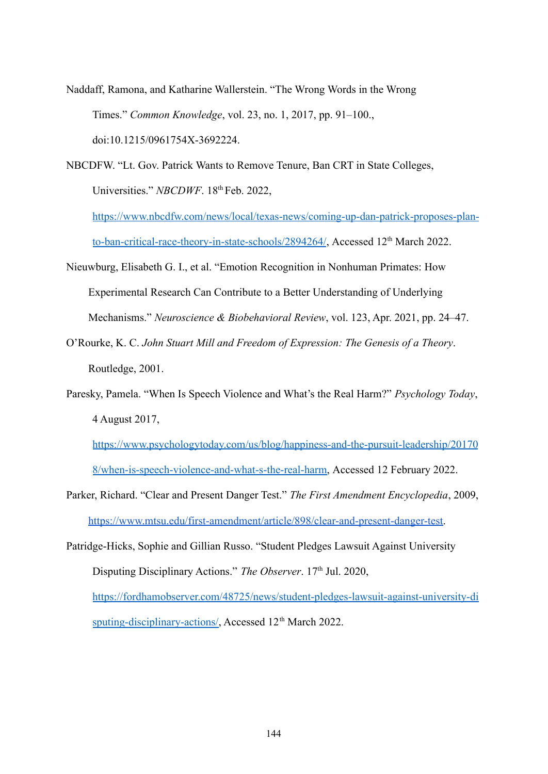Naddaff, Ramona, and Katharine Wallerstein. "The Wrong Words in the Wrong Times." *Common Knowledge*, vol. 23, no. 1, 2017, pp. 91–100., doi:10.1215/0961754X-3692224.

NBCDFW. "Lt. Gov. Patrick Wants to Remove Tenure, Ban CRT in State Colleges, Universities." *NBCDWF*. 18<sup>th</sup> Feb. 2022,

[https://www.nbcdfw.com/news/local/texas-news/coming-up-dan-patrick-proposes-plan](https://www.nbcdfw.com/news/local/texas-news/coming-up-dan-patrick-proposes-plan-to-ban-critical-race-theory-in-state-schools/2894264/)[to-ban-critical-race-theory-in-state-schools/2894264/](https://www.nbcdfw.com/news/local/texas-news/coming-up-dan-patrick-proposes-plan-to-ban-critical-race-theory-in-state-schools/2894264/), Accessed 12<sup>th</sup> March 2022.

- Nieuwburg, Elisabeth G. I., et al. "Emotion Recognition in Nonhuman Primates: How Experimental Research Can Contribute to a Better Understanding of Underlying Mechanisms." *Neuroscience & Biobehavioral Review*, vol. 123, Apr. 2021, pp. 24–47.
- O'Rourke, K. C. *John Stuart Mill and Freedom of Expression: The Genesis of a Theory*. Routledge, 2001.
- Paresky, Pamela. "When Is Speech Violence and What's the Real Harm?" *Psychology Today*, 4 August 2017,

[https://www.psychologytoday.com/us/blog/happiness-and-the-pursuit-leadership/20170](https://www.psychologytoday.com/us/blog/happiness-and-the-pursuit-leadership/201708/when-is-speech-violence-and-what-s-the-real-harm) [8/when-is-speech-violence-and-what-s-the-real-harm,](https://www.psychologytoday.com/us/blog/happiness-and-the-pursuit-leadership/201708/when-is-speech-violence-and-what-s-the-real-harm) Accessed 12 February 2022.

- Parker, Richard. "Clear and Present Danger Test." *The First Amendment Encyclopedia*, 2009, [https://www.mtsu.edu/first-amendment/article/898/clear-and-present-danger-test.](https://www.mtsu.edu/first-amendment/article/898/clear-and-present-danger-test)
- Patridge-Hicks, Sophie and Gillian Russo. "Student Pledges Lawsuit Against University Disputing Disciplinary Actions." *The Observer*. 17<sup>th</sup> Jul. 2020, [https://fordhamobserver.com/48725/news/student-pledges-lawsuit-against-university-di](https://fordhamobserver.com/48725/news/student-pledges-lawsuit-against-university-disputing-disciplinary-actions/) [sputing-disciplinary-actions/,](https://fordhamobserver.com/48725/news/student-pledges-lawsuit-against-university-disputing-disciplinary-actions/) Accessed 12<sup>th</sup> March 2022.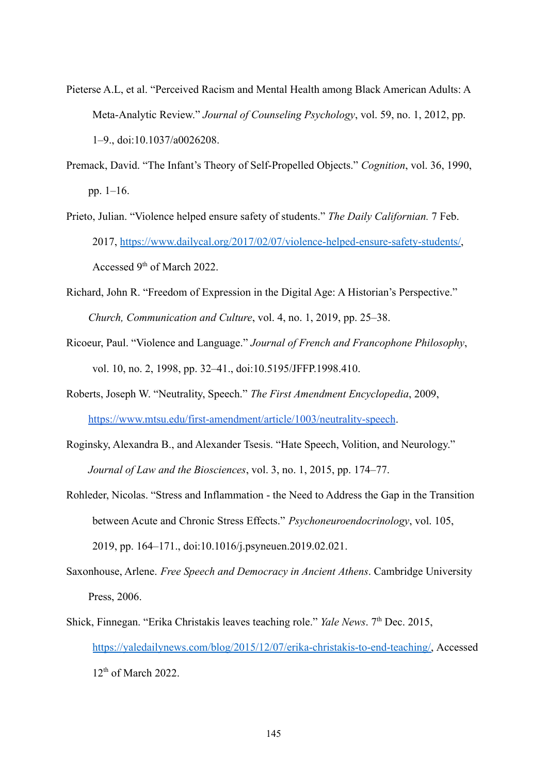- Pieterse A.L, et al. "Perceived Racism and Mental Health among Black American Adults: A Meta-Analytic Review." *Journal of Counseling Psychology*, vol. 59, no. 1, 2012, pp. 1–9., doi:10.1037/a0026208.
- Premack, David. "The Infant's Theory of Self-Propelled Objects." *Cognition*, vol. 36, 1990, pp. 1–16.
- Prieto, Julian. "Violence helped ensure safety of students." *The Daily Californian.* 7 Feb. 2017, <https://www.dailycal.org/2017/02/07/violence-helped-ensure-safety-students/>, Accessed 9<sup>th</sup> of March 2022.
- Richard, John R. "Freedom of Expression in the Digital Age: A Historian's Perspective." *Church, Communication and Culture*, vol. 4, no. 1, 2019, pp. 25–38.
- Ricoeur, Paul. "Violence and Language." *Journal of French and Francophone Philosophy*, vol. 10, no. 2, 1998, pp. 32–41., doi:10.5195/JFFP.1998.410.
- Roberts, Joseph W. "Neutrality, Speech." *The First Amendment Encyclopedia*, 2009, <https://www.mtsu.edu/first-amendment/article/1003/neutrality-speech>.
- Roginsky, Alexandra B., and Alexander Tsesis. "Hate Speech, Volition, and Neurology." *Journal of Law and the Biosciences*, vol. 3, no. 1, 2015, pp. 174–77.
- Rohleder, Nicolas. "Stress and Inflammation the Need to Address the Gap in the Transition between Acute and Chronic Stress Effects." *Psychoneuroendocrinology*, vol. 105, 2019, pp. 164–171., doi:10.1016/j.psyneuen.2019.02.021.
- Saxonhouse, Arlene. *Free Speech and Democracy in Ancient Athens*. Cambridge University Press, 2006.
- Shick, Finnegan. "Erika Christakis leaves teaching role." *Yale News*. 7<sup>th</sup> Dec. 2015, [https://yaledailynews.com/blog/2015/12/07/erika-christakis-to-end-teaching/,](https://yaledailynews.com/blog/2015/12/07/erika-christakis-to-end-teaching/) Accessed  $12<sup>th</sup>$  of March 2022.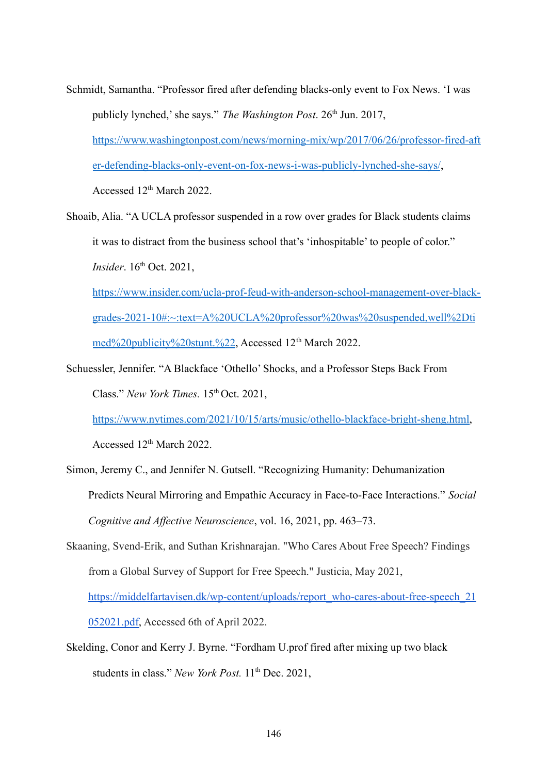- Schmidt, Samantha. "Professor fired after defending blacks-only event to Fox News. 'I was publicly lynched,' she says." *The Washington Post*. 26<sup>th</sup> Jun. 2017, [https://www.washingtonpost.com/news/morning-mix/wp/2017/06/26/professor-fired-aft](https://www.washingtonpost.com/news/morning-mix/wp/2017/06/26/professor-fired-after-defending-blacks-only-event-on-fox-news-i-was-publicly-lynched-she-says/) [er-defending-blacks-only-event-on-fox-news-i-was-publicly-lynched-she-says/](https://www.washingtonpost.com/news/morning-mix/wp/2017/06/26/professor-fired-after-defending-blacks-only-event-on-fox-news-i-was-publicly-lynched-she-says/), Accessed 12<sup>th</sup> March 2022.
- Shoaib, Alia. "A UCLA professor suspended in a row over grades for Black students claims it was to distract from the business school that's 'inhospitable' to people of color." *Insider*. 16<sup>th</sup> Oct. 2021, [https://www.insider.com/ucla-prof-feud-with-anderson-school-management-over-black](https://www.insider.com/ucla-prof-feud-with-anderson-school-management-over-black-grades-2021-10#:~:text=A%20UCLA%20professor%20was%20suspended,well%2Dtimed%20publicity%20stunt.%22)[grades-2021-10#:~:text=A%20UCLA%20professor%20was%20suspended,well%2Dti](https://www.insider.com/ucla-prof-feud-with-anderson-school-management-over-black-grades-2021-10#:~:text=A%20UCLA%20professor%20was%20suspended,well%2Dtimed%20publicity%20stunt.%22)

[med%20publicity%20stunt.%22](https://www.insider.com/ucla-prof-feud-with-anderson-school-management-over-black-grades-2021-10#:~:text=A%20UCLA%20professor%20was%20suspended,well%2Dtimed%20publicity%20stunt.%22), Accessed 12<sup>th</sup> March 2022.

Schuessler, Jennifer. "A Blackface 'Othello' Shocks, and a Professor Steps Back From Class." *New York Times.* 15<sup>th</sup> Oct. 2021,

[https://www.nytimes.com/2021/10/15/arts/music/othello-blackface-bright-sheng.html,](https://www.nytimes.com/2021/10/15/arts/music/othello-blackface-bright-sheng.html)

Accessed 12<sup>th</sup> March 2022.

- Simon, Jeremy C., and Jennifer N. Gutsell. "Recognizing Humanity: Dehumanization Predicts Neural Mirroring and Empathic Accuracy in Face-to-Face Interactions." *Social Cognitive and Affective Neuroscience*, vol. 16, 2021, pp. 463–73.
- Skaaning, Svend-Erik, and Suthan Krishnarajan. "Who Cares About Free Speech? Findings from a Global Survey of Support for Free Speech." Justicia, May 2021, [https://middelfartavisen.dk/wp-content/uploads/report\\_who-cares-about-free-speech\\_21](https://middelfartavisen.dk/wp-content/uploads/report_who-cares-about-free-speech_21052021.pdf) [052021.pdf,](https://middelfartavisen.dk/wp-content/uploads/report_who-cares-about-free-speech_21052021.pdf) Accessed 6th of April 2022.
- Skelding, Conor and Kerry J. Byrne. "Fordham U.prof fired after mixing up two black students in class." New York Post. 11<sup>th</sup> Dec. 2021,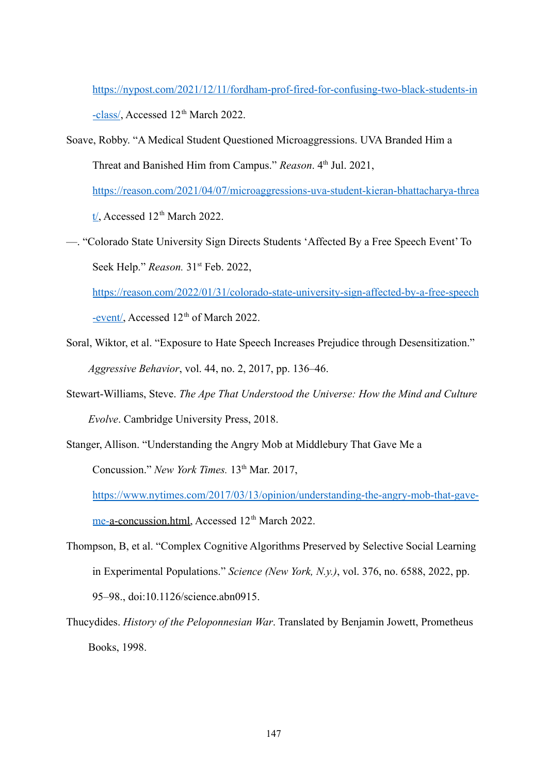[https://nypost.com/2021/12/11/fordham-prof-fired-for-confusing-two-black-students-in](https://nypost.com/2021/12/11/fordham-prof-fired-for-confusing-two-black-students-in-class/)

[-class/](https://nypost.com/2021/12/11/fordham-prof-fired-for-confusing-two-black-students-in-class/), Accessed 12<sup>th</sup> March 2022.

- Soave, Robby. "A Medical Student Questioned Microaggressions. UVA Branded Him a Threat and Banished Him from Campus." *Reason*. 4<sup>th</sup> Jul. 2021, [https://reason.com/2021/04/07/microaggressions-uva-student-kieran-bhattacharya-threa](https://reason.com/2021/04/07/microaggressions-uva-student-kieran-bhattacharya-threat/)  $t'$ , Accessed 12<sup>th</sup> March 2022.
- —. "Colorado State University Sign Directs Students 'Affected By a Free Speech Event' To Seek Help." *Reason.* 31st Feb. 2022,

[https://reason.com/2022/01/31/colorado-state-university-sign-affected-by-a-free-speech](https://reason.com/2022/01/31/colorado-state-university-sign-affected-by-a-free-speech-event/) [-event/,](https://reason.com/2022/01/31/colorado-state-university-sign-affected-by-a-free-speech-event/) Accessed 12<sup>th</sup> of March 2022.

- Soral, Wiktor, et al. "Exposure to Hate Speech Increases Prejudice through Desensitization." *Aggressive Behavior*, vol. 44, no. 2, 2017, pp. 136–46.
- Stewart-Williams, Steve. *The Ape That Understood the Universe: How the Mind and Culture Evolve*. Cambridge University Press, 2018.

Stanger, Allison. "Understanding the Angry Mob at Middlebury That Gave Me a Concussion." *New York Times.* 13<sup>th</sup> Mar. 2017, [https://www.nytimes.com/2017/03/13/opinion/understanding-the-angry-mob-that-gave](https://www.nytimes.com/2017/03/13/opinion/understanding-the-angry-mob-that-gave-me-a-concussion.html)[me-a-concussion.html,](https://www.nytimes.com/2017/03/13/opinion/understanding-the-angry-mob-that-gave-me-a-concussion.html) Accessed 12<sup>th</sup> March 2022.

- Thompson, B, et al. "Complex Cognitive Algorithms Preserved by Selective Social Learning in Experimental Populations." *Science (New York, N.y.)*, vol. 376, no. 6588, 2022, pp. 95–98., doi:10.1126/science.abn0915.
- Thucydides. *History of the Peloponnesian War*. Translated by Benjamin Jowett, Prometheus Books, 1998.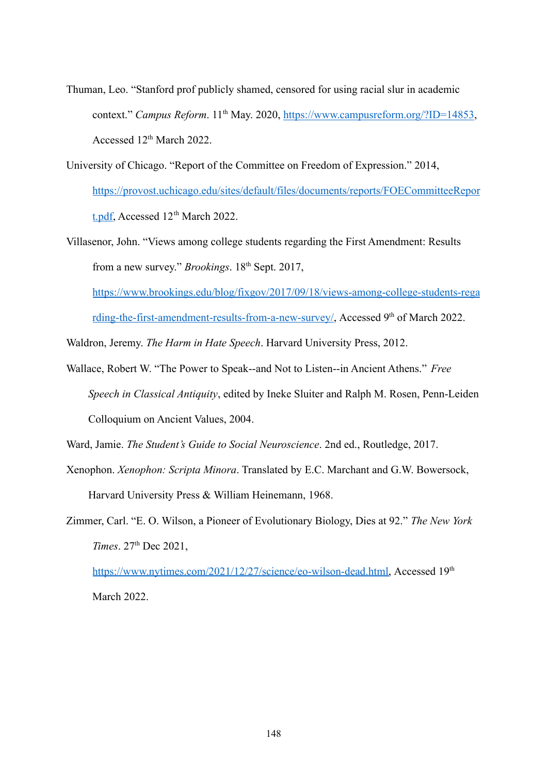- Thuman, Leo. "Stanford prof publicly shamed, censored for using racial slur in academic context." *Campus Reform.* 11<sup>th</sup> May. 2020, [https://www.campusreform.org/?ID=14853,](https://www.campusreform.org/?ID=14853) Accessed 12<sup>th</sup> March 2022.
- University of Chicago. "Report of the Committee on Freedom of Expression." 2014, [https://provost.uchicago.edu/sites/default/files/documents/reports/FOECommitteeRepor](https://provost.uchicago.edu/sites/default/files/documents/reports/FOECommitteeReport.pdf) [t.pdf,](https://provost.uchicago.edu/sites/default/files/documents/reports/FOECommitteeReport.pdf) Accessed  $12<sup>th</sup>$  March 2022.
- Villasenor, John. "Views among college students regarding the First Amendment: Results from a new survey." *Brookings*. 18<sup>th</sup> Sept. 2017,

[https://www.brookings.edu/blog/fixgov/2017/09/18/views-among-college-students-rega](https://www.brookings.edu/blog/fixgov/2017/09/18/views-among-college-students-regarding-the-first-amendment-results-from-a-new-survey/) [rding-the-first-amendment-results-from-a-new-survey/](https://www.brookings.edu/blog/fixgov/2017/09/18/views-among-college-students-regarding-the-first-amendment-results-from-a-new-survey/), Accessed 9<sup>th</sup> of March 2022.

Waldron, Jeremy. *The Harm in Hate Speech*. Harvard University Press, 2012.

Wallace, Robert W. "The Power to Speak--and Not to Listen--in Ancient Athens." *Free Speech in Classical Antiquity*, edited by Ineke Sluiter and Ralph M. Rosen, Penn-Leiden Colloquium on Ancient Values, 2004.

Ward, Jamie. *The Student's Guide to Social Neuroscience*. 2nd ed., Routledge, 2017.

- Xenophon. *Xenophon: Scripta Minora*. Translated by E.C. Marchant and G.W. Bowersock, Harvard University Press & William Heinemann, 1968.
- Zimmer, Carl. "E. O. Wilson, a Pioneer of Evolutionary Biology, Dies at 92." *The New York Times*. 27<sup>th</sup> Dec 2021,

[https://www.nytimes.com/2021/12/27/science/eo-wilson-dead.html,](https://www.nytimes.com/2021/12/27/science/eo-wilson-dead.html) Accessed 19th March 2022.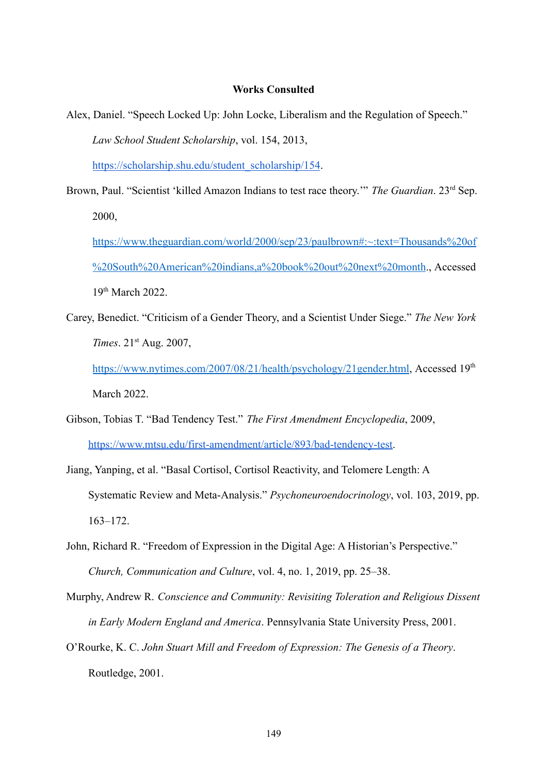## **Works Consulted**

Alex, Daniel. "Speech Locked Up: John Locke, Liberalism and the Regulation of Speech." *Law School Student Scholarship*, vol. 154, 2013[,](https://scholarship.shu.edu/student_scholarship/154)

[https://scholarship.shu.edu/student\\_scholarship/154](https://scholarship.shu.edu/student_scholarship/154).

Brown, Paul. "Scientist 'killed Amazon Indians to test race theory."" *The Guardian*. 23<sup>rd</sup> Sep. 2000,

[https://www.theguardian.com/world/2000/sep/23/paulbrown#:~:text=Thousands%20of](https://www.theguardian.com/world/2000/sep/23/paulbrown#:~:text=Thousands%20of%20South%20American%20indians,a%20book%20out%20next%20month) [%20South%20American%20indians,a%20book%20out%20next%20month](https://www.theguardian.com/world/2000/sep/23/paulbrown#:~:text=Thousands%20of%20South%20American%20indians,a%20book%20out%20next%20month)., Accessed 19th March 2022.

Carey, Benedict. "Criticism of a Gender Theory, and a Scientist Under Siege." *The New York Times*. 21st Aug. 2007,

<https://www.nytimes.com/2007/08/21/health/psychology/21gender.html>, Accessed 19th March 2022.

- Gibson, Tobias T. "Bad Tendency Test." *The First Amendment Encyclopedia*, 2009[,](https://www.mtsu.edu/first-amendment/article/893/bad-tendency-test) <https://www.mtsu.edu/first-amendment/article/893/bad-tendency-test>.
- Jiang, Yanping, et al. "Basal Cortisol, Cortisol Reactivity, and Telomere Length: A Systematic Review and Meta-Analysis." *Psychoneuroendocrinology*, vol. 103, 2019, pp. 163–172.
- John, Richard R. "Freedom of Expression in the Digital Age: A Historian's Perspective." *Church, Communication and Culture*, vol. 4, no. 1, 2019, pp. 25–38.

Murphy, Andrew R. *Conscience and Community: Revisiting Toleration and Religious Dissent in Early Modern England and America*. Pennsylvania State University Press, 2001.

O'Rourke, K. C. *John Stuart Mill and Freedom of Expression: The Genesis of a Theory*. Routledge, 2001.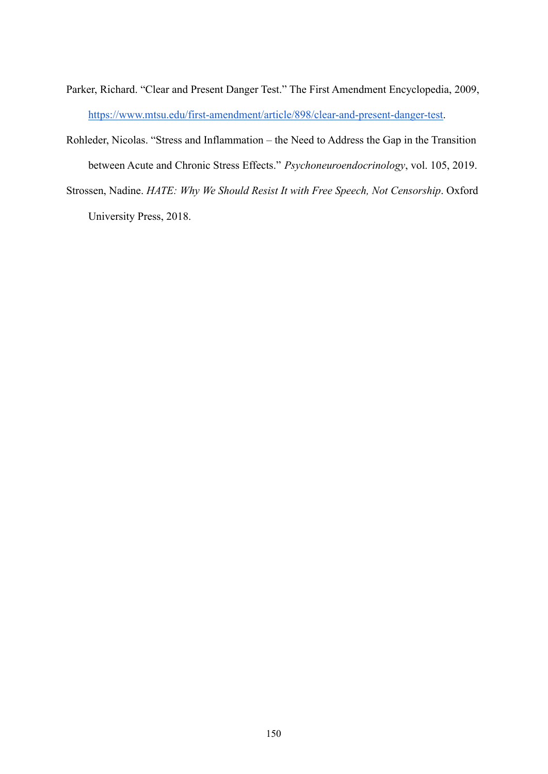- Parker, Richard. "Clear and Present Danger Test." The First Amendment Encyclopedia, 2009, [https://www.mtsu.edu/first-amendment/article/898/clear-and-present-danger-test.](https://www.mtsu.edu/first-amendment/article/898/clear-and-present-danger-test)
- Rohleder, Nicolas. "Stress and Inflammation the Need to Address the Gap in the Transition between Acute and Chronic Stress Effects." *Psychoneuroendocrinology*, vol. 105, 2019.
- Strossen, Nadine. *HATE: Why We Should Resist It with Free Speech, Not Censorship*. Oxford University Press, 2018.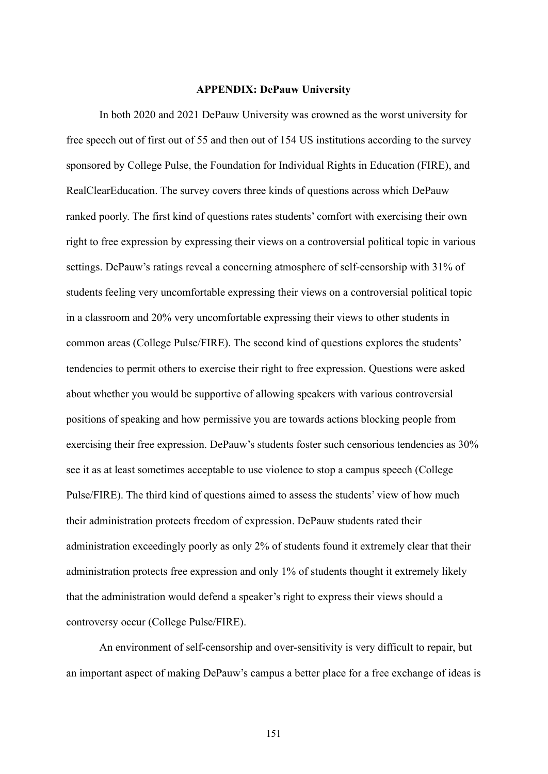## **APPENDIX: DePauw University**

In both 2020 and 2021 DePauw University was crowned as the worst university for free speech out of first out of 55 and then out of 154 US institutions according to the survey sponsored by College Pulse, the Foundation for Individual Rights in Education (FIRE), and RealClearEducation. The survey covers three kinds of questions across which DePauw ranked poorly. The first kind of questions rates students' comfort with exercising their own right to free expression by expressing their views on a controversial political topic in various settings. DePauw's ratings reveal a concerning atmosphere of self-censorship with 31% of students feeling very uncomfortable expressing their views on a controversial political topic in a classroom and 20% very uncomfortable expressing their views to other students in common areas (College Pulse/FIRE). The second kind of questions explores the students' tendencies to permit others to exercise their right to free expression. Questions were asked about whether you would be supportive of allowing speakers with various controversial positions of speaking and how permissive you are towards actions blocking people from exercising their free expression. DePauw's students foster such censorious tendencies as 30% see it as at least sometimes acceptable to use violence to stop a campus speech (College Pulse/FIRE). The third kind of questions aimed to assess the students' view of how much their administration protects freedom of expression. DePauw students rated their administration exceedingly poorly as only 2% of students found it extremely clear that their administration protects free expression and only 1% of students thought it extremely likely that the administration would defend a speaker's right to express their views should a controversy occur (College Pulse/FIRE).

An environment of self-censorship and over-sensitivity is very difficult to repair, but an important aspect of making DePauw's campus a better place for a free exchange of ideas is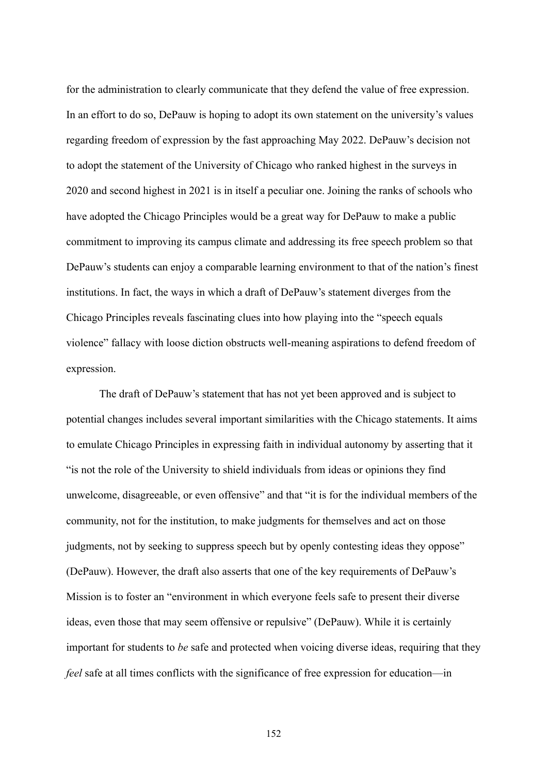for the administration to clearly communicate that they defend the value of free expression. In an effort to do so, DePauw is hoping to adopt its own statement on the university's values regarding freedom of expression by the fast approaching May 2022. DePauw's decision not to adopt the statement of the University of Chicago who ranked highest in the surveys in 2020 and second highest in 2021 is in itself a peculiar one. Joining the ranks of schools who have adopted the Chicago Principles would be a great way for DePauw to make a public commitment to improving its campus climate and addressing its free speech problem so that DePauw's students can enjoy a comparable learning environment to that of the nation's finest institutions. In fact, the ways in which a draft of DePauw's statement diverges from the Chicago Principles reveals fascinating clues into how playing into the "speech equals violence" fallacy with loose diction obstructs well-meaning aspirations to defend freedom of expression.

The draft of DePauw's statement that has not yet been approved and is subject to potential changes includes several important similarities with the Chicago statements. It aims to emulate Chicago Principles in expressing faith in individual autonomy by asserting that it "is not the role of the University to shield individuals from ideas or opinions they find unwelcome, disagreeable, or even offensive" and that "it is for the individual members of the community, not for the institution, to make judgments for themselves and act on those judgments, not by seeking to suppress speech but by openly contesting ideas they oppose" (DePauw). However, the draft also asserts that one of the key requirements of DePauw's Mission is to foster an "environment in which everyone feels safe to present their diverse ideas, even those that may seem offensive or repulsive" (DePauw). While it is certainly important for students to *be* safe and protected when voicing diverse ideas, requiring that they *feel* safe at all times conflicts with the significance of free expression for education—in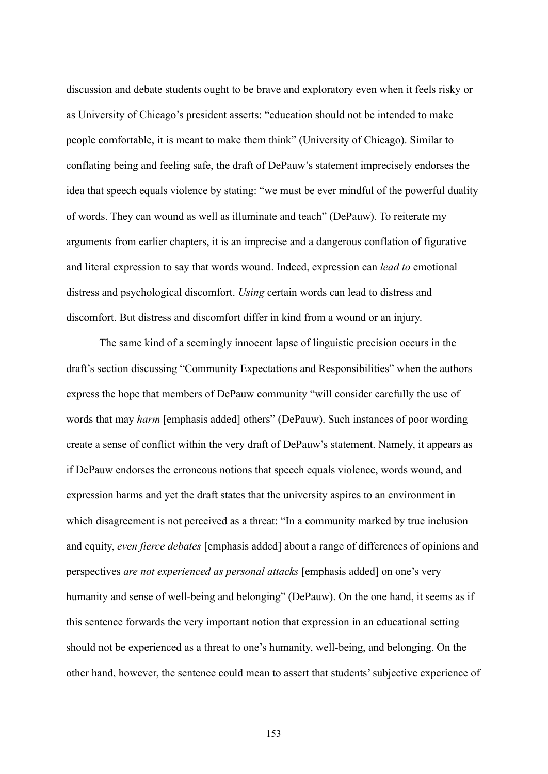discussion and debate students ought to be brave and exploratory even when it feels risky or as University of Chicago's president asserts: "education should not be intended to make people comfortable, it is meant to make them think" (University of Chicago). Similar to conflating being and feeling safe, the draft of DePauw's statement imprecisely endorses the idea that speech equals violence by stating: "we must be ever mindful of the powerful duality of words. They can wound as well as illuminate and teach" (DePauw). To reiterate my arguments from earlier chapters, it is an imprecise and a dangerous conflation of figurative and literal expression to say that words wound. Indeed, expression can *lead to* emotional distress and psychological discomfort. *Using* certain words can lead to distress and discomfort. But distress and discomfort differ in kind from a wound or an injury.

The same kind of a seemingly innocent lapse of linguistic precision occurs in the draft's section discussing "Community Expectations and Responsibilities" when the authors express the hope that members of DePauw community "will consider carefully the use of words that may *harm* [emphasis added] others" (DePauw). Such instances of poor wording create a sense of conflict within the very draft of DePauw's statement. Namely, it appears as if DePauw endorses the erroneous notions that speech equals violence, words wound, and expression harms and yet the draft states that the university aspires to an environment in which disagreement is not perceived as a threat: "In a community marked by true inclusion and equity, *even fierce debates* [emphasis added] about a range of differences of opinions and perspectives *are not experienced as personal attacks* [emphasis added] on one's very humanity and sense of well-being and belonging" (DePauw). On the one hand, it seems as if this sentence forwards the very important notion that expression in an educational setting should not be experienced as a threat to one's humanity, well-being, and belonging. On the other hand, however, the sentence could mean to assert that students' subjective experience of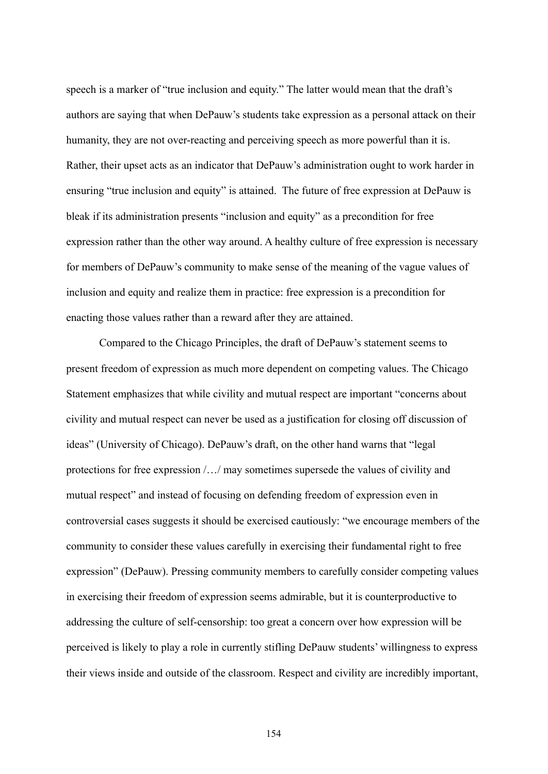speech is a marker of "true inclusion and equity." The latter would mean that the draft's authors are saying that when DePauw's students take expression as a personal attack on their humanity, they are not over-reacting and perceiving speech as more powerful than it is. Rather, their upset acts as an indicator that DePauw's administration ought to work harder in ensuring "true inclusion and equity" is attained. The future of free expression at DePauw is bleak if its administration presents "inclusion and equity" as a precondition for free expression rather than the other way around. A healthy culture of free expression is necessary for members of DePauw's community to make sense of the meaning of the vague values of inclusion and equity and realize them in practice: free expression is a precondition for enacting those values rather than a reward after they are attained.

Compared to the Chicago Principles, the draft of DePauw's statement seems to present freedom of expression as much more dependent on competing values. The Chicago Statement emphasizes that while civility and mutual respect are important "concerns about civility and mutual respect can never be used as a justification for closing off discussion of ideas" (University of Chicago). DePauw's draft, on the other hand warns that "legal protections for free expression /…/ may sometimes supersede the values of civility and mutual respect" and instead of focusing on defending freedom of expression even in controversial cases suggests it should be exercised cautiously: "we encourage members of the community to consider these values carefully in exercising their fundamental right to free expression" (DePauw). Pressing community members to carefully consider competing values in exercising their freedom of expression seems admirable, but it is counterproductive to addressing the culture of self-censorship: too great a concern over how expression will be perceived is likely to play a role in currently stifling DePauw students' willingness to express their views inside and outside of the classroom. Respect and civility are incredibly important,